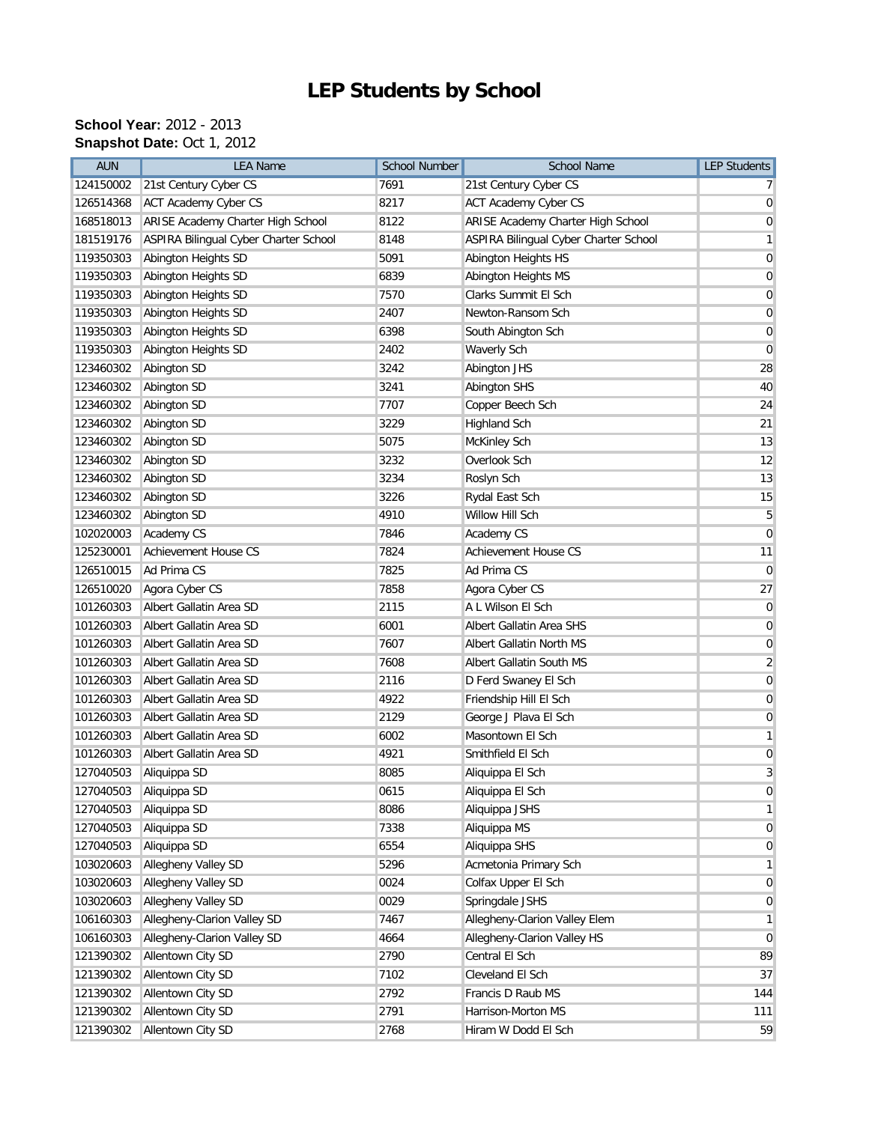## **LEP Students by School**

## **School Year:** 2012 - 2013 **Snapshot Date: Oct 1, 2012**

| <b>AUN</b> | <b>LEA Name</b>                       | <b>School Number</b> | School Name                           | <b>LEP Students</b> |
|------------|---------------------------------------|----------------------|---------------------------------------|---------------------|
| 124150002  | 21st Century Cyber CS                 | 7691                 | 21st Century Cyber CS                 |                     |
| 126514368  | <b>ACT Academy Cyber CS</b>           | 8217                 | <b>ACT Academy Cyber CS</b>           | 0                   |
| 168518013  | ARISE Academy Charter High School     | 8122                 | ARISE Academy Charter High School     | $\overline{0}$      |
| 181519176  | ASPIRA Bilingual Cyber Charter School | 8148                 | ASPIRA Bilingual Cyber Charter School | 1                   |
| 119350303  | Abington Heights SD                   | 5091                 | Abington Heights HS                   | 0                   |
| 119350303  | Abington Heights SD                   | 6839                 | Abington Heights MS                   | 0                   |
| 119350303  | Abington Heights SD                   | 7570                 | Clarks Summit El Sch                  | $\mathbf 0$         |
| 119350303  | Abington Heights SD                   | 2407                 | Newton-Ransom Sch                     | 0                   |
| 119350303  | Abington Heights SD                   | 6398                 | South Abington Sch                    | $\mathbf 0$         |
| 119350303  | Abington Heights SD                   | 2402                 | Waverly Sch                           | 0                   |
| 123460302  | Abington SD                           | 3242                 | Abington JHS                          | 28                  |
| 123460302  | Abington SD                           | 3241                 | Abington SHS                          | 40                  |
| 123460302  | Abington SD                           | 7707                 | Copper Beech Sch                      | 24                  |
| 123460302  | Abington SD                           | 3229                 | <b>Highland Sch</b>                   | 21                  |
| 123460302  | Abington SD                           | 5075                 | McKinley Sch                          | 13                  |
| 123460302  | Abington SD                           | 3232                 | Overlook Sch                          | 12                  |
| 123460302  | Abington SD                           | 3234                 | Roslyn Sch                            | 13                  |
| 123460302  | Abington SD                           | 3226                 | Rydal East Sch                        | 15                  |
| 123460302  | Abington SD                           | 4910                 | Willow Hill Sch                       | 5                   |
| 102020003  | Academy CS                            | 7846                 | Academy CS                            | $\mathbf 0$         |
| 125230001  | <b>Achievement House CS</b>           | 7824                 | <b>Achievement House CS</b>           | 11                  |
| 126510015  | Ad Prima CS                           | 7825                 | Ad Prima CS                           | $\mathbf 0$         |
| 126510020  | Agora Cyber CS                        | 7858                 | Agora Cyber CS                        | 27                  |
| 101260303  | Albert Gallatin Area SD               | 2115                 | A L Wilson El Sch                     | $\mathbf 0$         |
| 101260303  | Albert Gallatin Area SD               | 6001                 | Albert Gallatin Area SHS              | $\mathbf 0$         |
| 101260303  | Albert Gallatin Area SD               | 7607                 | Albert Gallatin North MS              | 0                   |
| 101260303  | Albert Gallatin Area SD               | 7608                 | Albert Gallatin South MS              | $\overline{2}$      |
| 101260303  | Albert Gallatin Area SD               | 2116                 | D Ferd Swaney El Sch                  | $\mathbf 0$         |
| 101260303  | Albert Gallatin Area SD               | 4922                 | Friendship Hill El Sch                | 0                   |
| 101260303  | Albert Gallatin Area SD               | 2129                 | George J Plava El Sch                 | 0                   |
| 101260303  | Albert Gallatin Area SD               | 6002                 | Masontown El Sch                      | 1                   |
| 101260303  | Albert Gallatin Area SD               | 4921                 | Smithfield El Sch                     | 0                   |
| 127040503  | Aliquippa SD                          | 8085                 | Aliquippa El Sch                      | $\overline{3}$      |
| 127040503  | Aliquippa SD                          | 0615                 | Aliquippa El Sch                      | $\overline{0}$      |
| 127040503  | Aliquippa SD                          | 8086                 | Aliquippa JSHS                        | 1                   |
| 127040503  | Aliquippa SD                          | 7338                 | Aliquippa MS                          | 0                   |
| 127040503  | Aliquippa SD                          | 6554                 | Aliquippa SHS                         | 0                   |
| 103020603  | Allegheny Valley SD                   | 5296                 | Acmetonia Primary Sch                 | 1                   |
| 103020603  | Allegheny Valley SD                   | 0024                 | Colfax Upper El Sch                   | 0                   |
| 103020603  | Allegheny Valley SD                   | 0029                 | Springdale JSHS                       | 0                   |
| 106160303  | Allegheny-Clarion Valley SD           | 7467                 | Allegheny-Clarion Valley Elem         | 1                   |
| 106160303  | Allegheny-Clarion Valley SD           | 4664                 | Allegheny-Clarion Valley HS           | $\mathbf 0$         |
| 121390302  | Allentown City SD                     | 2790                 | Central El Sch                        | 89                  |
| 121390302  | Allentown City SD                     | 7102                 | Cleveland El Sch                      | 37                  |
| 121390302  | Allentown City SD                     | 2792                 | Francis D Raub MS                     | 144                 |
| 121390302  | Allentown City SD                     | 2791                 | Harrison-Morton MS                    | 111                 |
| 121390302  | Allentown City SD                     | 2768                 | Hiram W Dodd El Sch                   | 59                  |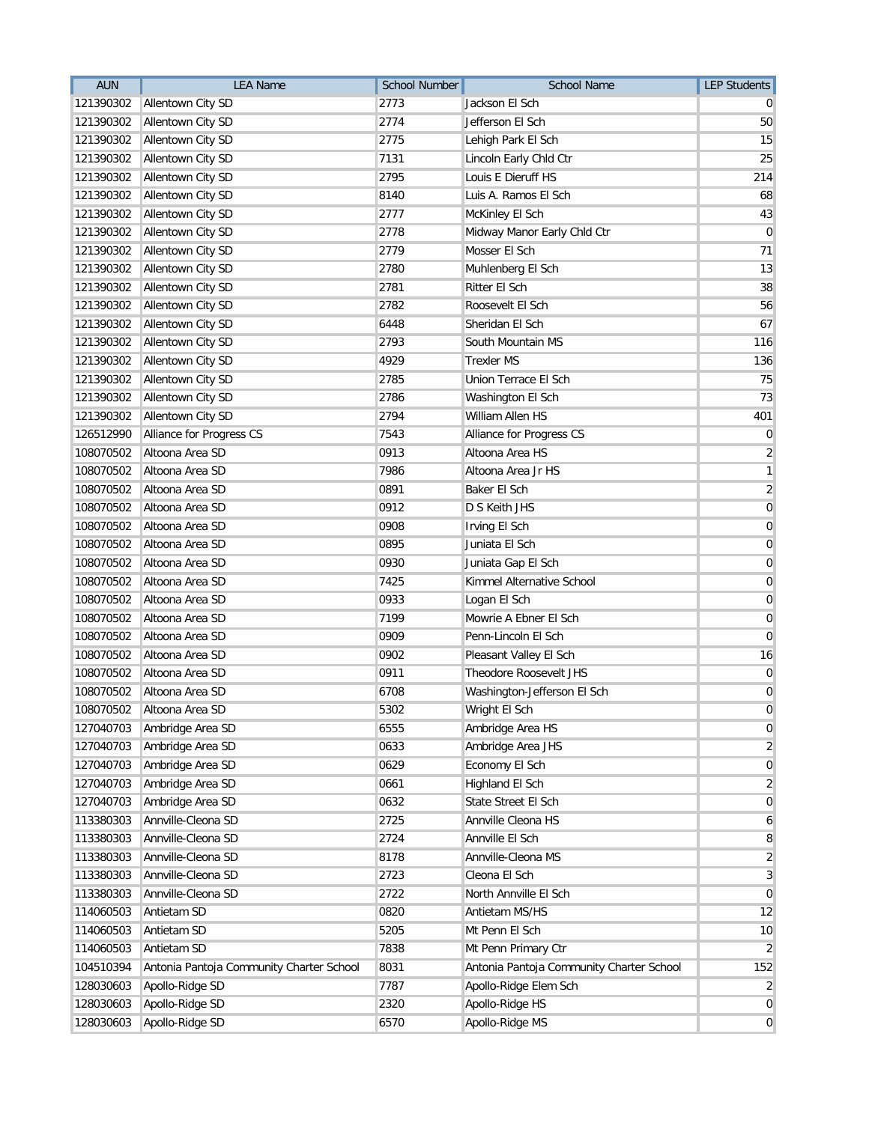| <b>AUN</b> | <b>LEA Name</b>                          | <b>School Number</b> | <b>School Name</b>                       | <b>LEP Students</b>     |
|------------|------------------------------------------|----------------------|------------------------------------------|-------------------------|
| 121390302  | Allentown City SD                        | 2773                 | Jackson El Sch                           |                         |
| 121390302  | Allentown City SD                        | 2774                 | Jefferson El Sch                         | 50                      |
| 121390302  | Allentown City SD                        | 2775                 | Lehigh Park El Sch                       | 15                      |
| 121390302  | Allentown City SD                        | 7131                 | Lincoln Early Chld Ctr                   | 25                      |
| 121390302  | Allentown City SD                        | 2795                 | Louis E Dieruff HS                       | 214                     |
| 121390302  | Allentown City SD                        | 8140                 | Luis A. Ramos El Sch                     | 68                      |
| 121390302  | Allentown City SD                        | 2777                 | McKinley El Sch                          | 43                      |
| 121390302  | Allentown City SD                        | 2778                 | Midway Manor Early Chld Ctr              | 0                       |
| 121390302  | Allentown City SD                        | 2779                 | Mosser El Sch                            | 71                      |
| 121390302  | Allentown City SD                        | 2780                 | Muhlenberg El Sch                        | 13                      |
| 121390302  | Allentown City SD                        | 2781                 | Ritter El Sch                            | 38                      |
| 121390302  | Allentown City SD                        | 2782                 | Roosevelt El Sch                         | 56                      |
| 121390302  | Allentown City SD                        | 6448                 | Sheridan El Sch                          | 67                      |
| 121390302  | Allentown City SD                        | 2793                 | South Mountain MS                        | 116                     |
| 121390302  | Allentown City SD                        | 4929                 | <b>Trexler MS</b>                        | 136                     |
| 121390302  | Allentown City SD                        | 2785                 | Union Terrace El Sch                     | 75                      |
| 121390302  | Allentown City SD                        | 2786                 | Washington El Sch                        | 73                      |
| 121390302  | Allentown City SD                        | 2794                 | William Allen HS                         | 401                     |
| 126512990  | Alliance for Progress CS                 | 7543                 | Alliance for Progress CS                 | $\mathbf 0$             |
| 108070502  | Altoona Area SD                          | 0913                 | Altoona Area HS                          | $\overline{2}$          |
| 108070502  | Altoona Area SD                          | 7986                 | Altoona Area Jr HS                       | 1                       |
| 108070502  | Altoona Area SD                          | 0891                 | Baker El Sch                             | $\overline{\mathbf{c}}$ |
| 108070502  | Altoona Area SD                          | 0912                 | D S Keith JHS                            | $\overline{0}$          |
| 108070502  | Altoona Area SD                          | 0908                 | Irving El Sch                            | $\mathbf 0$             |
| 108070502  | Altoona Area SD                          | 0895                 | Juniata El Sch                           | $\mathbf 0$             |
| 108070502  | Altoona Area SD                          | 0930                 | Juniata Gap El Sch                       | 0                       |
| 108070502  | Altoona Area SD                          | 7425                 | Kimmel Alternative School                | $\overline{0}$          |
| 108070502  | Altoona Area SD                          | 0933                 | Logan El Sch                             | 0                       |
| 108070502  | Altoona Area SD                          | 7199                 | Mowrie A Ebner El Sch                    | 0                       |
| 108070502  | Altoona Area SD                          | 0909                 | Penn-Lincoln El Sch                      | $\mathbf 0$             |
| 108070502  | Altoona Area SD                          | 0902                 | Pleasant Valley El Sch                   | 16                      |
| 108070502  | Altoona Area SD                          | 0911                 | Theodore Roosevelt JHS                   | 0                       |
| 108070502  | Altoona Area SD                          | 6708                 | Washington-Jefferson El Sch              | 0                       |
| 108070502  | Altoona Area SD                          | 5302                 | Wright El Sch                            | 0                       |
| 127040703  | Ambridge Area SD                         | 6555                 | Ambridge Area HS                         | 0                       |
| 127040703  | Ambridge Area SD                         | 0633                 | Ambridge Area JHS                        | 2                       |
| 127040703  | Ambridge Area SD                         | 0629                 | Economy El Sch                           | 0                       |
| 127040703  | Ambridge Area SD                         | 0661                 | Highland El Sch                          | $\overline{2}$          |
| 127040703  | Ambridge Area SD                         | 0632                 | State Street El Sch                      | $\mathbf 0$             |
| 113380303  | Annville-Cleona SD                       | 2725                 | Annville Cleona HS                       | 6                       |
| 113380303  | Annville-Cleona SD                       | 2724                 | Annville El Sch                          | 8                       |
| 113380303  | Annville-Cleona SD                       | 8178                 | Annville-Cleona MS                       | $\overline{2}$          |
| 113380303  | Annville-Cleona SD                       | 2723                 | Cleona El Sch                            | 3                       |
| 113380303  | Annville-Cleona SD                       | 2722                 | North Annville El Sch                    | $\mathbf 0$             |
| 114060503  | Antietam SD                              | 0820                 | Antietam MS/HS                           | 12                      |
| 114060503  | Antietam SD                              | 5205                 | Mt Penn El Sch                           | 10                      |
| 114060503  | Antietam SD                              | 7838                 | Mt Penn Primary Ctr                      | 2                       |
| 104510394  | Antonia Pantoja Community Charter School | 8031                 | Antonia Pantoja Community Charter School | 152                     |
| 128030603  | Apollo-Ridge SD                          | 7787                 | Apollo-Ridge Elem Sch                    | $\overline{2}$          |
| 128030603  | Apollo-Ridge SD                          | 2320                 | Apollo-Ridge HS                          | $\overline{0}$          |
| 128030603  | Apollo-Ridge SD                          | 6570                 | Apollo-Ridge MS                          | $\overline{0}$          |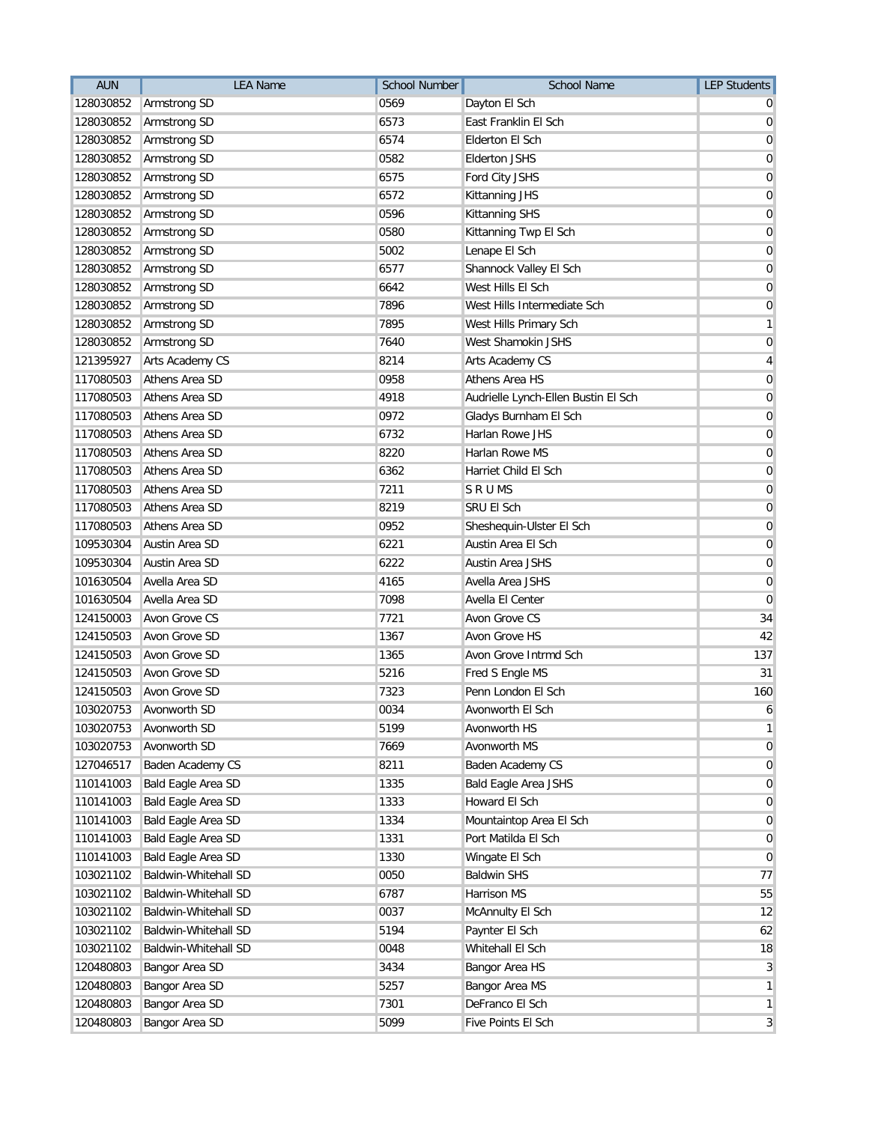| <b>AUN</b> | <b>LEA Name</b>             | <b>School Number</b> | <b>School Name</b>                  | <b>LEP Students</b> |
|------------|-----------------------------|----------------------|-------------------------------------|---------------------|
| 128030852  | Armstrong SD                | 0569                 | Dayton El Sch                       |                     |
| 128030852  | Armstrong SD                | 6573                 | East Franklin El Sch                | 0                   |
| 128030852  | Armstrong SD                | 6574                 | <b>Elderton El Sch</b>              | 0                   |
| 128030852  | Armstrong SD                | 0582                 | <b>Elderton JSHS</b>                | 0                   |
| 128030852  | Armstrong SD                | 6575                 | Ford City JSHS                      | 0                   |
| 128030852  | Armstrong SD                | 6572                 | Kittanning JHS                      | 0                   |
| 128030852  | Armstrong SD                | 0596                 | Kittanning SHS                      | $\mathbf 0$         |
| 128030852  | Armstrong SD                | 0580                 | Kittanning Twp El Sch               | 0                   |
| 128030852  | Armstrong SD                | 5002                 | Lenape El Sch                       | 0                   |
| 128030852  | Armstrong SD                | 6577                 | Shannock Valley El Sch              | 0                   |
| 128030852  | Armstrong SD                | 6642                 | West Hills El Sch                   | 0                   |
| 128030852  | Armstrong SD                | 7896                 | West Hills Intermediate Sch         | 0                   |
| 128030852  | Armstrong SD                | 7895                 | West Hills Primary Sch              | 1                   |
| 128030852  | Armstrong SD                | 7640                 | West Shamokin JSHS                  | 0                   |
| 121395927  | Arts Academy CS             | 8214                 | Arts Academy CS                     | 4                   |
| 117080503  | Athens Area SD              | 0958                 | Athens Area HS                      | 0                   |
| 117080503  | Athens Area SD              | 4918                 | Audrielle Lynch-Ellen Bustin El Sch | 0                   |
| 117080503  | Athens Area SD              | 0972                 | Gladys Burnham El Sch               | 0                   |
| 117080503  | Athens Area SD              | 6732                 | Harlan Rowe JHS                     | 0                   |
| 117080503  | Athens Area SD              | 8220                 | Harlan Rowe MS                      | 0                   |
| 117080503  | Athens Area SD              | 6362                 | Harriet Child El Sch                | 0                   |
| 117080503  | <b>Athens Area SD</b>       | 7211                 | <b>SRUMS</b>                        | 0                   |
| 117080503  | Athens Area SD              | 8219                 | SRU EI Sch                          | 0                   |
| 117080503  | Athens Area SD              | 0952                 | Sheshequin-Ulster El Sch            | $\mathbf 0$         |
| 109530304  | Austin Area SD              | 6221                 | Austin Area El Sch                  | 0                   |
| 109530304  | Austin Area SD              | 6222                 | <b>Austin Area JSHS</b>             | 0                   |
| 101630504  | Avella Area SD              | 4165                 | Avella Area JSHS                    | 0                   |
| 101630504  | Avella Area SD              | 7098                 | Avella El Center                    | 0                   |
| 124150003  | Avon Grove CS               | 7721                 | Avon Grove CS                       | 34                  |
| 124150503  | Avon Grove SD               | 1367                 | Avon Grove HS                       | 42                  |
| 124150503  | Avon Grove SD               | 1365                 | Avon Grove Intrmd Sch               | 137                 |
| 124150503  | Avon Grove SD               | 5216                 | Fred S Engle MS                     | 31                  |
| 124150503  | Avon Grove SD               | 7323                 | Penn London El Sch                  | 160                 |
| 103020753  | Avonworth SD                | 0034                 | Avonworth El Sch                    |                     |
| 103020753  | Avonworth SD                | 5199                 | Avonworth HS                        | 1                   |
| 103020753  | Avonworth SD                | 7669                 | Avonworth MS                        | 0                   |
| 127046517  | Baden Academy CS            | 8211                 | Baden Academy CS                    | 0                   |
| 110141003  | Bald Eagle Area SD          | 1335                 | <b>Bald Eagle Area JSHS</b>         | $\overline{0}$      |
| 110141003  | Bald Eagle Area SD          | 1333                 | Howard El Sch                       | $\mathbf 0$         |
| 110141003  | <b>Bald Eagle Area SD</b>   | 1334                 | Mountaintop Area El Sch             | 0                   |
| 110141003  | <b>Bald Eagle Area SD</b>   | 1331                 | Port Matilda El Sch                 | $\mathbf 0$         |
| 110141003  | <b>Bald Eagle Area SD</b>   | 1330                 | Wingate El Sch                      | $\mathbf 0$         |
| 103021102  | Baldwin-Whitehall SD        | 0050                 | <b>Baldwin SHS</b>                  | 77                  |
| 103021102  | <b>Baldwin-Whitehall SD</b> | 6787                 | Harrison MS                         | 55                  |
| 103021102  | Baldwin-Whitehall SD        | 0037                 | McAnnulty El Sch                    | 12                  |
| 103021102  | Baldwin-Whitehall SD        | 5194                 | Paynter El Sch                      | 62                  |
| 103021102  | Baldwin-Whitehall SD        | 0048                 | Whitehall El Sch                    | 18                  |
| 120480803  | Bangor Area SD              | 3434                 | Bangor Area HS                      | 3                   |
| 120480803  | Bangor Area SD              | 5257                 | Bangor Area MS                      | 1                   |
| 120480803  | Bangor Area SD              | 7301                 | DeFranco El Sch                     | 1                   |
| 120480803  | Bangor Area SD              | 5099                 | Five Points El Sch                  | 3                   |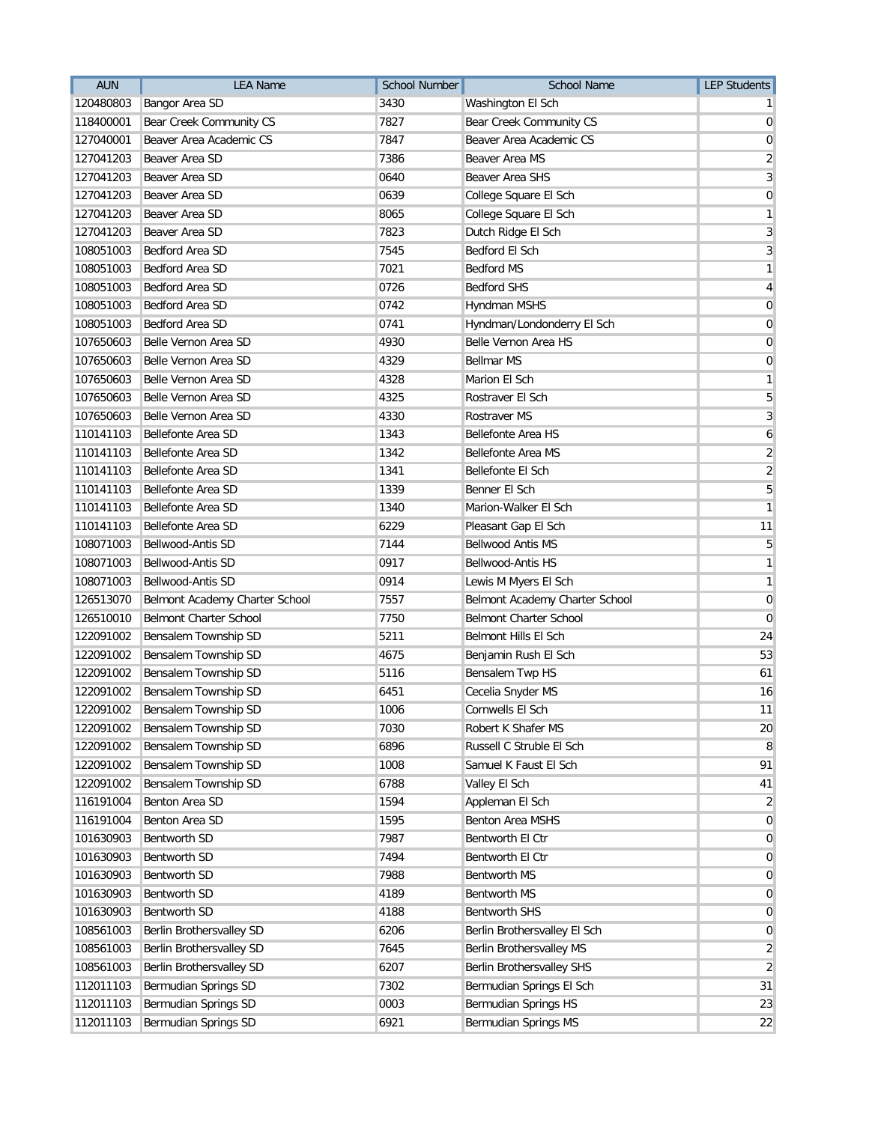| <b>AUN</b> | <b>LEA Name</b>                | <b>School Number</b> | <b>School Name</b>             | <b>LEP Students</b> |
|------------|--------------------------------|----------------------|--------------------------------|---------------------|
| 120480803  | Bangor Area SD                 | 3430                 | Washington El Sch              |                     |
| 118400001  | Bear Creek Community CS        | 7827                 | Bear Creek Community CS        | 0                   |
| 127040001  | Beaver Area Academic CS        | 7847                 | Beaver Area Academic CS        | 0                   |
| 127041203  | Beaver Area SD                 | 7386                 | Beaver Area MS                 | 2                   |
| 127041203  | Beaver Area SD                 | 0640                 | Beaver Area SHS                | 3                   |
| 127041203  | Beaver Area SD                 | 0639                 | College Square El Sch          | 0                   |
| 127041203  | Beaver Area SD                 | 8065                 | College Square El Sch          | 1                   |
| 127041203  | Beaver Area SD                 | 7823                 | Dutch Ridge El Sch             | 3                   |
| 108051003  | Bedford Area SD                | 7545                 | Bedford El Sch                 | 3                   |
| 108051003  | Bedford Area SD                | 7021                 | <b>Bedford MS</b>              | 1                   |
| 108051003  | Bedford Area SD                | 0726                 | <b>Bedford SHS</b>             | 4                   |
| 108051003  | Bedford Area SD                | 0742                 | Hyndman MSHS                   | 0                   |
| 108051003  | Bedford Area SD                | 0741                 | Hyndman/Londonderry El Sch     | $\mathbf 0$         |
| 107650603  | Belle Vernon Area SD           | 4930                 | Belle Vernon Area HS           | 0                   |
| 107650603  | Belle Vernon Area SD           | 4329                 | <b>Bellmar MS</b>              | 0                   |
| 107650603  | Belle Vernon Area SD           | 4328                 | Marion El Sch                  | 1                   |
| 107650603  | Belle Vernon Area SD           | 4325                 | Rostraver El Sch               | 5                   |
| 107650603  | Belle Vernon Area SD           | 4330                 | <b>Rostraver MS</b>            | 3                   |
| 110141103  | Bellefonte Area SD             | 1343                 | <b>Bellefonte Area HS</b>      | 6                   |
| 110141103  | Bellefonte Area SD             | 1342                 | <b>Bellefonte Area MS</b>      | $\overline{2}$      |
| 110141103  | Bellefonte Area SD             | 1341                 | Bellefonte El Sch              | $\overline{2}$      |
| 110141103  | Bellefonte Area SD             | 1339                 | Benner El Sch                  | 5                   |
| 110141103  | Bellefonte Area SD             | 1340                 | Marion-Walker El Sch           | 1                   |
| 110141103  | Bellefonte Area SD             | 6229                 | Pleasant Gap El Sch            | 11                  |
| 108071003  | Bellwood-Antis SD              | 7144                 | <b>Bellwood Antis MS</b>       | 5                   |
| 108071003  | Bellwood-Antis SD              | 0917                 | Bellwood-Antis HS              | 1                   |
| 108071003  | Bellwood-Antis SD              | 0914                 | Lewis M Myers El Sch           | 1                   |
| 126513070  | Belmont Academy Charter School | 7557                 | Belmont Academy Charter School | 0                   |
| 126510010  | Belmont Charter School         | 7750                 | <b>Belmont Charter School</b>  | 0                   |
| 122091002  | Bensalem Township SD           | 5211                 | <b>Belmont Hills El Sch</b>    | 24                  |
| 122091002  | Bensalem Township SD           | 4675                 | Benjamin Rush El Sch           | 53                  |
| 122091002  | Bensalem Township SD           | 5116                 | Bensalem Twp HS                | 61                  |
| 122091002  | Bensalem Township SD           | 6451                 | Cecelia Snyder MS              | 16                  |
| 122091002  | Bensalem Township SD           | 1006                 | Cornwells El Sch               | 11                  |
| 122091002  | Bensalem Township SD           | 7030                 | Robert K Shafer MS             | 20                  |
| 122091002  | Bensalem Township SD           | 6896                 | Russell C Struble El Sch       | 8                   |
| 122091002  | Bensalem Township SD           | 1008                 | Samuel K Faust El Sch          | 91                  |
| 122091002  | Bensalem Township SD           | 6788                 | Valley El Sch                  | 41                  |
| 116191004  | Benton Area SD                 | 1594                 | Appleman El Sch                | 2                   |
| 116191004  | Benton Area SD                 | 1595                 | Benton Area MSHS               | 0                   |
| 101630903  | Bentworth SD                   | 7987                 | Bentworth El Ctr               | $\mathbf 0$         |
| 101630903  | <b>Bentworth SD</b>            | 7494                 | Bentworth El Ctr               | 0                   |
| 101630903  | Bentworth SD                   | 7988                 | <b>Bentworth MS</b>            | 0                   |
| 101630903  | Bentworth SD                   | 4189                 | <b>Bentworth MS</b>            | $\overline{0}$      |
| 101630903  | Bentworth SD                   | 4188                 | <b>Bentworth SHS</b>           | $\mathbf 0$         |
| 108561003  | Berlin Brothersvalley SD       | 6206                 | Berlin Brothersvalley El Sch   | 0                   |
| 108561003  | Berlin Brothersvalley SD       | 7645                 | Berlin Brothersvalley MS       | 2                   |
| 108561003  | Berlin Brothersvalley SD       | 6207                 | Berlin Brothersvalley SHS      | $\overline{2}$      |
| 112011103  | Bermudian Springs SD           | 7302                 | Bermudian Springs El Sch       | 31                  |
| 112011103  | Bermudian Springs SD           | 0003                 | Bermudian Springs HS           | 23                  |
| 112011103  | Bermudian Springs SD           | 6921                 | Bermudian Springs MS           | 22                  |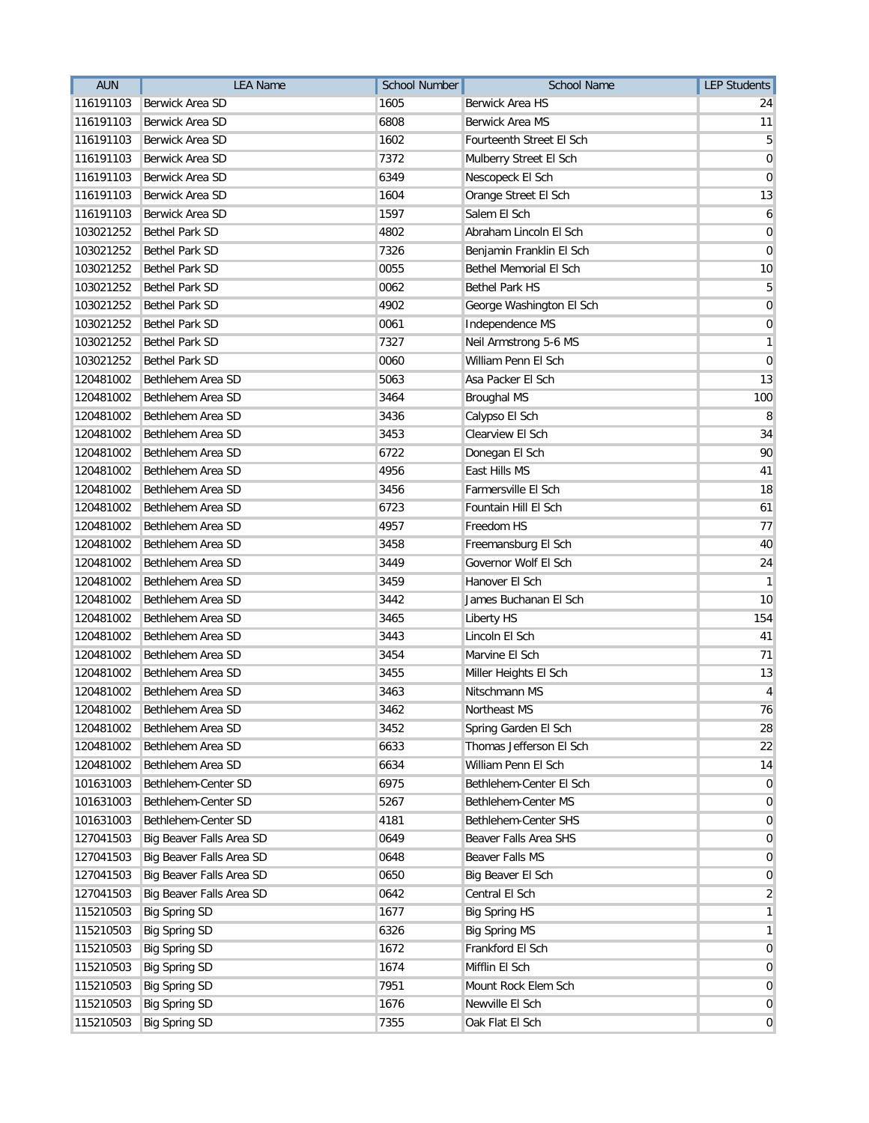| <b>AUN</b> | <b>LEA Name</b>          | <b>School Number</b> | <b>School Name</b>       | <b>LEP Students</b> |
|------------|--------------------------|----------------------|--------------------------|---------------------|
| 116191103  | Berwick Area SD          | 1605                 | Berwick Area HS          | 24                  |
| 116191103  | Berwick Area SD          | 6808                 | Berwick Area MS          | 11                  |
| 116191103  | Berwick Area SD          | 1602                 | Fourteenth Street El Sch | 5                   |
| 116191103  | Berwick Area SD          | 7372                 | Mulberry Street El Sch   | $\mathbf 0$         |
| 116191103  | Berwick Area SD          | 6349                 | Nescopeck El Sch         | $\mathbf 0$         |
| 116191103  | Berwick Area SD          | 1604                 | Orange Street El Sch     | 13                  |
| 116191103  | Berwick Area SD          | 1597                 | Salem El Sch             | 6                   |
| 103021252  | <b>Bethel Park SD</b>    | 4802                 | Abraham Lincoln El Sch   | 0                   |
| 103021252  | <b>Bethel Park SD</b>    | 7326                 | Benjamin Franklin El Sch | 0                   |
| 103021252  | <b>Bethel Park SD</b>    | 0055                 | Bethel Memorial El Sch   | 10                  |
| 103021252  | <b>Bethel Park SD</b>    | 0062                 | <b>Bethel Park HS</b>    | 5                   |
| 103021252  | <b>Bethel Park SD</b>    | 4902                 | George Washington El Sch | $\mathbf 0$         |
| 103021252  | <b>Bethel Park SD</b>    | 0061                 | Independence MS          | $\mathbf 0$         |
| 103021252  | Bethel Park SD           | 7327                 | Neil Armstrong 5-6 MS    | 1                   |
| 103021252  | <b>Bethel Park SD</b>    | 0060                 | William Penn El Sch      | 0                   |
| 120481002  | Bethlehem Area SD        | 5063                 | Asa Packer El Sch        | 13                  |
| 120481002  | Bethlehem Area SD        | 3464                 | <b>Broughal MS</b>       | 100                 |
| 120481002  | Bethlehem Area SD        | 3436                 | Calypso El Sch           | 8                   |
| 120481002  | Bethlehem Area SD        | 3453                 | Clearview El Sch         | 34                  |
| 120481002  | Bethlehem Area SD        | 6722                 | Donegan El Sch           | 90                  |
| 120481002  | Bethlehem Area SD        | 4956                 | East Hills MS            | 41                  |
| 120481002  | Bethlehem Area SD        | 3456                 | Farmersville El Sch      | 18                  |
| 120481002  | Bethlehem Area SD        | 6723                 | Fountain Hill El Sch     | 61                  |
| 120481002  | Bethlehem Area SD        | 4957                 | Freedom HS               | 77                  |
| 120481002  | Bethlehem Area SD        | 3458                 | Freemansburg El Sch      | 40                  |
| 120481002  | Bethlehem Area SD        | 3449                 | Governor Wolf El Sch     | 24                  |
| 120481002  | Bethlehem Area SD        | 3459                 | Hanover El Sch           | $\mathbf{1}$        |
| 120481002  | Bethlehem Area SD        | 3442                 | James Buchanan El Sch    | 10                  |
| 120481002  | Bethlehem Area SD        | 3465                 | Liberty HS               | 154                 |
| 120481002  | Bethlehem Area SD        | 3443                 | Lincoln El Sch           | 41                  |
| 120481002  | Bethlehem Area SD        | 3454                 | Marvine El Sch           | 71                  |
| 120481002  | Bethlehem Area SD        | 3455                 | Miller Heights El Sch    | 13                  |
| 120481002  | Bethlehem Area SD        | 3463                 | Nitschmann MS            | 4                   |
| 120481002  | Bethlehem Area SD        | 3462                 | Northeast MS             | 76                  |
| 120481002  | Bethlehem Area SD        | 3452                 | Spring Garden El Sch     | 28                  |
| 120481002  | Bethlehem Area SD        | 6633                 | Thomas Jefferson El Sch  | 22                  |
| 120481002  | Bethlehem Area SD        | 6634                 | William Penn El Sch      | 14                  |
| 101631003  | Bethlehem-Center SD      | 6975                 | Bethlehem-Center El Sch  | $\mathbf 0$         |
| 101631003  | Bethlehem-Center SD      | 5267                 | Bethlehem-Center MS      | $\overline{0}$      |
| 101631003  | Bethlehem-Center SD      | 4181                 | Bethlehem-Center SHS     | 0                   |
| 127041503  | Big Beaver Falls Area SD | 0649                 | Beaver Falls Area SHS    | $\mathbf 0$         |
| 127041503  | Big Beaver Falls Area SD | 0648                 | Beaver Falls MS          | 0                   |
| 127041503  | Big Beaver Falls Area SD | 0650                 | Big Beaver El Sch        | 0                   |
| 127041503  | Big Beaver Falls Area SD | 0642                 | Central El Sch           | $\overline{2}$      |
| 115210503  | <b>Big Spring SD</b>     | 1677                 | <b>Big Spring HS</b>     | 1                   |
| 115210503  | <b>Big Spring SD</b>     | 6326                 | <b>Big Spring MS</b>     | 1                   |
| 115210503  | <b>Big Spring SD</b>     | 1672                 | Frankford El Sch         | $\mathbf 0$         |
| 115210503  | <b>Big Spring SD</b>     | 1674                 | Mifflin El Sch           | 0                   |
| 115210503  | <b>Big Spring SD</b>     | 7951                 | Mount Rock Elem Sch      | 0                   |
| 115210503  | <b>Big Spring SD</b>     | 1676                 | Newville El Sch          | 0                   |
| 115210503  | <b>Big Spring SD</b>     | 7355                 | Oak Flat El Sch          | $\overline{0}$      |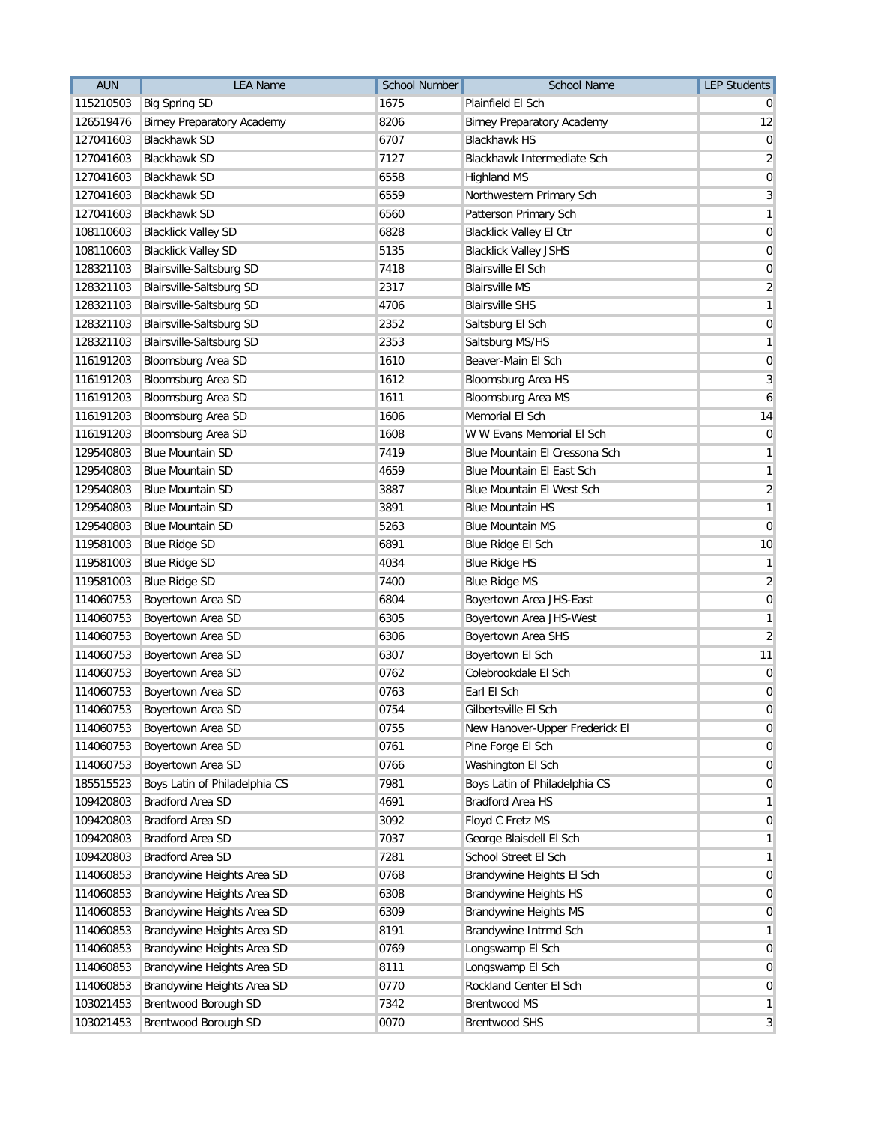| <b>AUN</b> | <b>LEA Name</b>                   | <b>School Number</b> | <b>School Name</b>                | <b>LEP Students</b>     |
|------------|-----------------------------------|----------------------|-----------------------------------|-------------------------|
| 115210503  | <b>Big Spring SD</b>              | 1675                 | Plainfield El Sch                 |                         |
| 126519476  | <b>Birney Preparatory Academy</b> | 8206                 | <b>Birney Preparatory Academy</b> | 12                      |
| 127041603  | <b>Blackhawk SD</b>               | 6707                 | <b>Blackhawk HS</b>               | 0                       |
| 127041603  | Blackhawk SD                      | 7127                 | Blackhawk Intermediate Sch        | 2                       |
| 127041603  | <b>Blackhawk SD</b>               | 6558                 | <b>Highland MS</b>                | 0                       |
| 127041603  | <b>Blackhawk SD</b>               | 6559                 | Northwestern Primary Sch          | 3                       |
| 127041603  | <b>Blackhawk SD</b>               | 6560                 | Patterson Primary Sch             | 1                       |
| 108110603  | <b>Blacklick Valley SD</b>        | 6828                 | Blacklick Valley El Ctr           | 0                       |
| 108110603  | <b>Blacklick Valley SD</b>        | 5135                 | <b>Blacklick Valley JSHS</b>      | 0                       |
| 128321103  | <b>Blairsville-Saltsburg SD</b>   | 7418                 | <b>Blairsville El Sch</b>         | 0                       |
| 128321103  | Blairsville-Saltsburg SD          | 2317                 | <b>Blairsville MS</b>             | $\overline{2}$          |
| 128321103  | Blairsville-Saltsburg SD          | 4706                 | <b>Blairsville SHS</b>            | 1                       |
| 128321103  | Blairsville-Saltsburg SD          | 2352                 | Saltsburg El Sch                  | 0                       |
| 128321103  | Blairsville-Saltsburg SD          | 2353                 | Saltsburg MS/HS                   | 1                       |
| 116191203  | Bloomsburg Area SD                | 1610                 | Beaver-Main El Sch                | 0                       |
| 116191203  | Bloomsburg Area SD                | 1612                 | Bloomsburg Area HS                | 3                       |
| 116191203  | Bloomsburg Area SD                | 1611                 | Bloomsburg Area MS                | 6                       |
| 116191203  | <b>Bloomsburg Area SD</b>         | 1606                 | Memorial El Sch                   | 14                      |
| 116191203  | Bloomsburg Area SD                | 1608                 | W W Evans Memorial El Sch         | $\mathbf 0$             |
| 129540803  | <b>Blue Mountain SD</b>           | 7419                 | Blue Mountain El Cressona Sch     | 1                       |
| 129540803  | <b>Blue Mountain SD</b>           | 4659                 | Blue Mountain El East Sch         | 1                       |
| 129540803  | <b>Blue Mountain SD</b>           | 3887                 | Blue Mountain El West Sch         | $\overline{\mathbf{c}}$ |
| 129540803  | <b>Blue Mountain SD</b>           | 3891                 | <b>Blue Mountain HS</b>           | 1                       |
| 129540803  | <b>Blue Mountain SD</b>           | 5263                 | <b>Blue Mountain MS</b>           | $\mathbf 0$             |
| 119581003  | <b>Blue Ridge SD</b>              | 6891                 | Blue Ridge El Sch                 | 10                      |
| 119581003  | <b>Blue Ridge SD</b>              | 4034                 | <b>Blue Ridge HS</b>              | 1                       |
| 119581003  | <b>Blue Ridge SD</b>              | 7400                 | <b>Blue Ridge MS</b>              | $\sqrt{2}$              |
| 114060753  | Boyertown Area SD                 | 6804                 | Boyertown Area JHS-East           | 0                       |
| 114060753  | Boyertown Area SD                 | 6305                 | Boyertown Area JHS-West           | 1                       |
| 114060753  | Boyertown Area SD                 | 6306                 | Boyertown Area SHS                | $\overline{2}$          |
| 114060753  | Boyertown Area SD                 | 6307                 | Boyertown El Sch                  | 11                      |
| 114060753  | Boyertown Area SD                 | 0762                 | Colebrookdale El Sch              | 0                       |
| 114060753  | Boyertown Area SD                 | 0763                 | Earl El Sch                       | 0                       |
| 114060753  | Boyertown Area SD                 | 0754                 | Gilbertsville El Sch              | 0                       |
| 114060753  | Boyertown Area SD                 | 0755                 | New Hanover-Upper Frederick El    | 0                       |
| 114060753  | Boyertown Area SD                 | 0761                 | Pine Forge El Sch                 | 0                       |
| 114060753  | Boyertown Area SD                 | 0766                 | Washington El Sch                 | 0                       |
| 185515523  | Boys Latin of Philadelphia CS     | 7981                 | Boys Latin of Philadelphia CS     | 0                       |
| 109420803  | Bradford Area SD                  | 4691                 | <b>Bradford Area HS</b>           | 1                       |
| 109420803  | Bradford Area SD                  | 3092                 | Floyd C Fretz MS                  | 0                       |
| 109420803  | Bradford Area SD                  | 7037                 | George Blaisdell El Sch           | 1                       |
| 109420803  | Bradford Area SD                  | 7281                 | School Street El Sch              | 1                       |
| 114060853  | Brandywine Heights Area SD        | 0768                 | Brandywine Heights El Sch         | 0                       |
| 114060853  | Brandywine Heights Area SD        | 6308                 | <b>Brandywine Heights HS</b>      | 0                       |
| 114060853  | Brandywine Heights Area SD        | 6309                 | <b>Brandywine Heights MS</b>      | 0                       |
| 114060853  | Brandywine Heights Area SD        | 8191                 | Brandywine Intrmd Sch             | 1                       |
| 114060853  | Brandywine Heights Area SD        | 0769                 | Longswamp El Sch                  | 0                       |
| 114060853  | Brandywine Heights Area SD        | 8111                 | Longswamp El Sch                  | 0                       |
| 114060853  | Brandywine Heights Area SD        | 0770                 | Rockland Center El Sch            | $\mathbf 0$             |
| 103021453  | Brentwood Borough SD              | 7342                 | <b>Brentwood MS</b>               | 1                       |
| 103021453  | Brentwood Borough SD              | 0070                 | <b>Brentwood SHS</b>              | 3                       |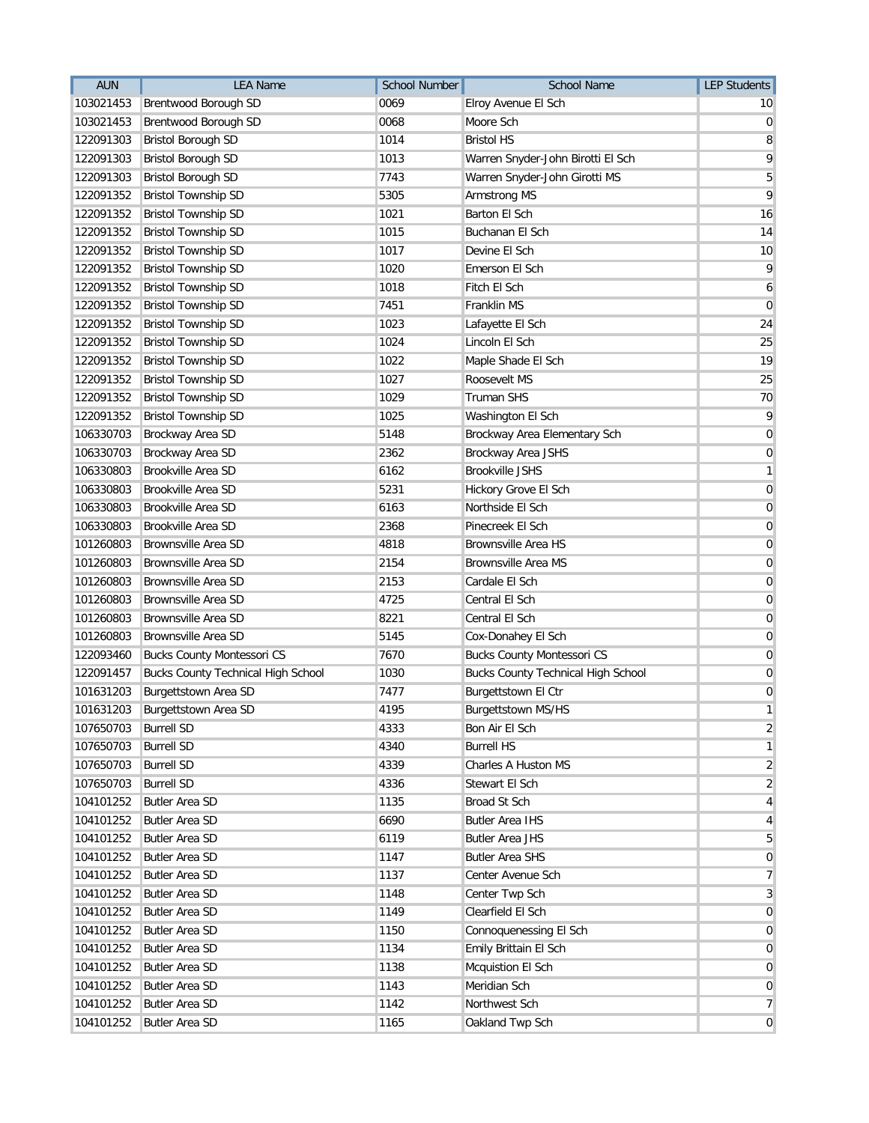| <b>AUN</b> | <b>LEA Name</b>                           | <b>School Number</b> | <b>School Name</b>                        | <b>LEP Students</b>     |
|------------|-------------------------------------------|----------------------|-------------------------------------------|-------------------------|
| 103021453  | Brentwood Borough SD                      | 0069                 | Elroy Avenue El Sch                       | 10                      |
| 103021453  | Brentwood Borough SD                      | 0068                 | Moore Sch                                 | 0                       |
| 122091303  | <b>Bristol Borough SD</b>                 | 1014                 | <b>Bristol HS</b>                         | 8                       |
| 122091303  | <b>Bristol Borough SD</b>                 | 1013                 | Warren Snyder-John Birotti El Sch         | 9                       |
| 122091303  | <b>Bristol Borough SD</b>                 | 7743                 | Warren Snyder-John Girotti MS             | 5                       |
| 122091352  | <b>Bristol Township SD</b>                | 5305                 | Armstrong MS                              | 9                       |
| 122091352  | <b>Bristol Township SD</b>                | 1021                 | Barton El Sch                             | 16                      |
| 122091352  | <b>Bristol Township SD</b>                | 1015                 | Buchanan El Sch                           | 14                      |
| 122091352  | <b>Bristol Township SD</b>                | 1017                 | Devine El Sch                             | 10                      |
| 122091352  | <b>Bristol Township SD</b>                | 1020                 | Emerson El Sch                            | 9                       |
| 122091352  | <b>Bristol Township SD</b>                | 1018                 | Fitch El Sch                              | 6                       |
| 122091352  | <b>Bristol Township SD</b>                | 7451                 | Franklin MS                               | $\overline{0}$          |
| 122091352  | <b>Bristol Township SD</b>                | 1023                 | Lafayette El Sch                          | 24                      |
| 122091352  | <b>Bristol Township SD</b>                | 1024                 | Lincoln El Sch                            | 25                      |
| 122091352  | <b>Bristol Township SD</b>                | 1022                 | Maple Shade El Sch                        | 19                      |
| 122091352  | <b>Bristol Township SD</b>                | 1027                 | Roosevelt MS                              | 25                      |
| 122091352  | <b>Bristol Township SD</b>                | 1029                 | <b>Truman SHS</b>                         | 70                      |
| 122091352  | <b>Bristol Township SD</b>                | 1025                 | Washington El Sch                         | 9                       |
| 106330703  | Brockway Area SD                          | 5148                 | Brockway Area Elementary Sch              | $\mathbf 0$             |
| 106330703  | Brockway Area SD                          | 2362                 | Brockway Area JSHS                        | 0                       |
| 106330803  | Brookville Area SD                        | 6162                 | <b>Brookville JSHS</b>                    | 1                       |
| 106330803  | Brookville Area SD                        | 5231                 | Hickory Grove El Sch                      | 0                       |
| 106330803  | Brookville Area SD                        | 6163                 | Northside El Sch                          | 0                       |
| 106330803  | Brookville Area SD                        | 2368                 | Pinecreek El Sch                          | 0                       |
| 101260803  | Brownsville Area SD                       | 4818                 | <b>Brownsville Area HS</b>                | $\mathbf 0$             |
| 101260803  | Brownsville Area SD                       | 2154                 | <b>Brownsville Area MS</b>                | $\mathbf 0$             |
| 101260803  | Brownsville Area SD                       | 2153                 | Cardale El Sch                            | $\mathbf 0$             |
| 101260803  | Brownsville Area SD                       | 4725                 | Central El Sch                            | 0                       |
| 101260803  | Brownsville Area SD                       | 8221                 | Central El Sch                            | 0                       |
| 101260803  | Brownsville Area SD                       | 5145                 | Cox-Donahey El Sch                        | 0                       |
| 122093460  | <b>Bucks County Montessori CS</b>         | 7670                 | <b>Bucks County Montessori CS</b>         | 0                       |
| 122091457  | <b>Bucks County Technical High School</b> | 1030                 | <b>Bucks County Technical High School</b> | 0                       |
| 101631203  | Burgettstown Area SD                      | 7477                 | Burgettstown El Ctr                       | 0                       |
|            | 101631203 Burgettstown Area SD            | 4195                 | Burgettstown MS/HS                        | 1                       |
| 107650703  | <b>Burrell SD</b>                         | 4333                 | Bon Air El Sch                            | $\overline{\mathbf{c}}$ |
| 107650703  | <b>Burrell SD</b>                         | 4340                 | <b>Burrell HS</b>                         | 1                       |
| 107650703  | <b>Burrell SD</b>                         | 4339                 | Charles A Huston MS                       | 2                       |
| 107650703  | <b>Burrell SD</b>                         | 4336                 | Stewart El Sch                            | $\overline{2}$          |
| 104101252  | <b>Butler Area SD</b>                     | 1135                 | Broad St Sch                              | 4                       |
| 104101252  | <b>Butler Area SD</b>                     | 6690                 | <b>Butler Area IHS</b>                    | 4                       |
| 104101252  | <b>Butler Area SD</b>                     | 6119                 | <b>Butler Area JHS</b>                    | 5                       |
| 104101252  | <b>Butler Area SD</b>                     | 1147                 | <b>Butler Area SHS</b>                    | 0                       |
| 104101252  | <b>Butler Area SD</b>                     | 1137                 | Center Avenue Sch                         | 7                       |
| 104101252  | <b>Butler Area SD</b>                     | 1148                 | Center Twp Sch                            | 3                       |
| 104101252  | <b>Butler Area SD</b>                     | 1149                 | Clearfield El Sch                         | 0                       |
| 104101252  | <b>Butler Area SD</b>                     | 1150                 | Connoquenessing El Sch                    | $\mathbf 0$             |
| 104101252  | <b>Butler Area SD</b>                     | 1134                 | Emily Brittain El Sch                     | 0                       |
| 104101252  | <b>Butler Area SD</b>                     | 1138                 | Mcquistion El Sch                         | 0                       |
| 104101252  | <b>Butler Area SD</b>                     | 1143                 | Meridian Sch                              | 0                       |
| 104101252  | <b>Butler Area SD</b>                     | 1142                 | Northwest Sch                             | 7                       |
| 104101252  | <b>Butler Area SD</b>                     | 1165                 | Oakland Twp Sch                           | $\overline{0}$          |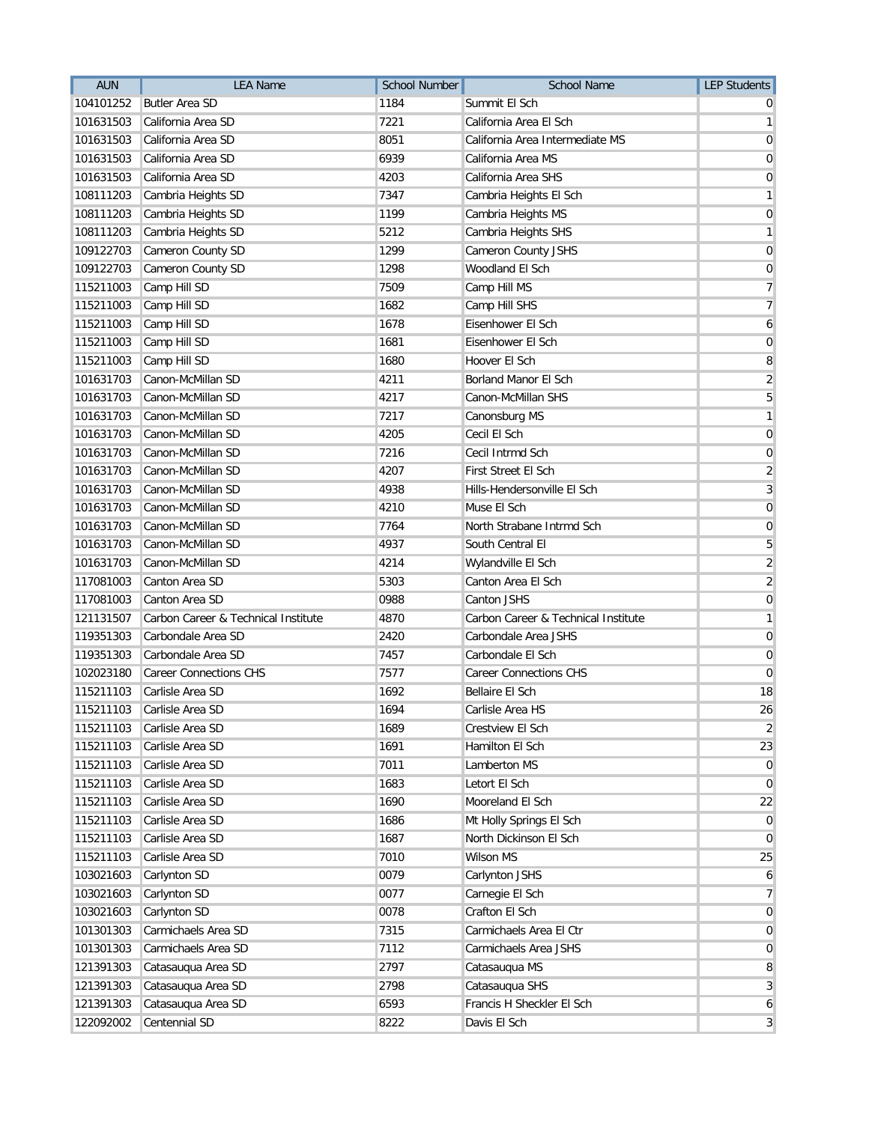| <b>AUN</b> | <b>LEA Name</b>                     | <b>School Number</b> | <b>School Name</b>                  | <b>LEP Students</b> |
|------------|-------------------------------------|----------------------|-------------------------------------|---------------------|
| 104101252  | <b>Butler Area SD</b>               | 1184                 | Summit El Sch                       |                     |
| 101631503  | California Area SD                  | 7221                 | California Area El Sch              | 1                   |
| 101631503  | California Area SD                  | 8051                 | California Area Intermediate MS     | 0                   |
| 101631503  | California Area SD                  | 6939                 | California Area MS                  | 0                   |
| 101631503  | California Area SD                  | 4203                 | California Area SHS                 | 0                   |
| 108111203  | Cambria Heights SD                  | 7347                 | Cambria Heights El Sch              | 1                   |
| 108111203  | Cambria Heights SD                  | 1199                 | Cambria Heights MS                  | $\mathbf 0$         |
| 108111203  | Cambria Heights SD                  | 5212                 | Cambria Heights SHS                 | 1                   |
| 109122703  | Cameron County SD                   | 1299                 | Cameron County JSHS                 | 0                   |
| 109122703  | Cameron County SD                   | 1298                 | Woodland El Sch                     | 0                   |
| 115211003  | Camp Hill SD                        | 7509                 | Camp Hill MS                        | 7                   |
| 115211003  | Camp Hill SD                        | 1682                 | Camp Hill SHS                       | 7                   |
| 115211003  | Camp Hill SD                        | 1678                 | Eisenhower El Sch                   | 6                   |
| 115211003  | Camp Hill SD                        | 1681                 | Eisenhower El Sch                   | 0                   |
| 115211003  | Camp Hill SD                        | 1680                 | Hoover El Sch                       | 8                   |
| 101631703  | Canon-McMillan SD                   | 4211                 | Borland Manor El Sch                | $\overline{2}$      |
| 101631703  | Canon-McMillan SD                   | 4217                 | Canon-McMillan SHS                  | 5                   |
| 101631703  | Canon-McMillan SD                   | 7217                 | Canonsburg MS                       | 1                   |
| 101631703  | Canon-McMillan SD                   | 4205                 | Cecil El Sch                        | 0                   |
| 101631703  | Canon-McMillan SD                   | 7216                 | Cecil Intrmd Sch                    | 0                   |
| 101631703  | Canon-McMillan SD                   | 4207                 | First Street El Sch                 | $\overline{2}$      |
| 101631703  | Canon-McMillan SD                   | 4938                 | Hills-Hendersonville El Sch         | 3                   |
| 101631703  | Canon-McMillan SD                   | 4210                 | Muse El Sch                         | $\mathbf 0$         |
| 101631703  | Canon-McMillan SD                   | 7764                 | North Strabane Intrmd Sch           | $\overline{0}$      |
| 101631703  | Canon-McMillan SD                   | 4937                 | South Central El                    | 5                   |
| 101631703  | Canon-McMillan SD                   | 4214                 | Wylandville El Sch                  | $\overline{2}$      |
| 117081003  | Canton Area SD                      | 5303                 | Canton Area El Sch                  | $\sqrt{2}$          |
| 117081003  | Canton Area SD                      | 0988                 | Canton JSHS                         | 0                   |
| 121131507  | Carbon Career & Technical Institute | 4870                 | Carbon Career & Technical Institute | 1                   |
| 119351303  | Carbondale Area SD                  | 2420                 | Carbondale Area JSHS                | 0                   |
| 119351303  | Carbondale Area SD                  | 7457                 | Carbondale El Sch                   | 0                   |
| 102023180  | <b>Career Connections CHS</b>       | 7577                 | <b>Career Connections CHS</b>       | 0                   |
| 115211103  | Carlisle Area SD                    | 1692                 | <b>Bellaire El Sch</b>              | 18                  |
| 115211103  | Carlisle Area SD                    | 1694                 | Carlisle Area HS                    | 26                  |
| 115211103  | Carlisle Area SD                    | 1689                 | Crestview El Sch                    | 2                   |
| 115211103  | Carlisle Area SD                    | 1691                 | Hamilton El Sch                     | 23                  |
| 115211103  | Carlisle Area SD                    | 7011                 | Lamberton MS                        | $\overline{0}$      |
| 115211103  | Carlisle Area SD                    | 1683                 | Letort El Sch                       | $\overline{0}$      |
| 115211103  | Carlisle Area SD                    | 1690                 | Mooreland El Sch                    | 22                  |
| 115211103  | Carlisle Area SD                    | 1686                 | Mt Holly Springs El Sch             | 0                   |
| 115211103  | Carlisle Area SD                    | 1687                 | North Dickinson El Sch              | 0                   |
| 115211103  | Carlisle Area SD                    | 7010                 | Wilson MS                           | 25                  |
| 103021603  | Carlynton SD                        | 0079                 | Carlynton JSHS                      | 6                   |
| 103021603  | Carlynton SD                        | 0077                 | Carnegie El Sch                     | $\overline{7}$      |
| 103021603  | Carlynton SD                        | 0078                 | Crafton El Sch                      | $\mathbf 0$         |
| 101301303  | Carmichaels Area SD                 | 7315                 | Carmichaels Area El Ctr             | 0                   |
| 101301303  | Carmichaels Area SD                 | 7112                 | Carmichaels Area JSHS               | 0                   |
| 121391303  | Catasauqua Area SD                  | 2797                 | Catasauqua MS                       | 8                   |
| 121391303  | Catasauqua Area SD                  | 2798                 | Catasauqua SHS                      | 3                   |
| 121391303  | Catasauqua Area SD                  | 6593                 | Francis H Sheckler El Sch           | 6                   |
| 122092002  | Centennial SD                       | 8222                 | Davis El Sch                        | 3                   |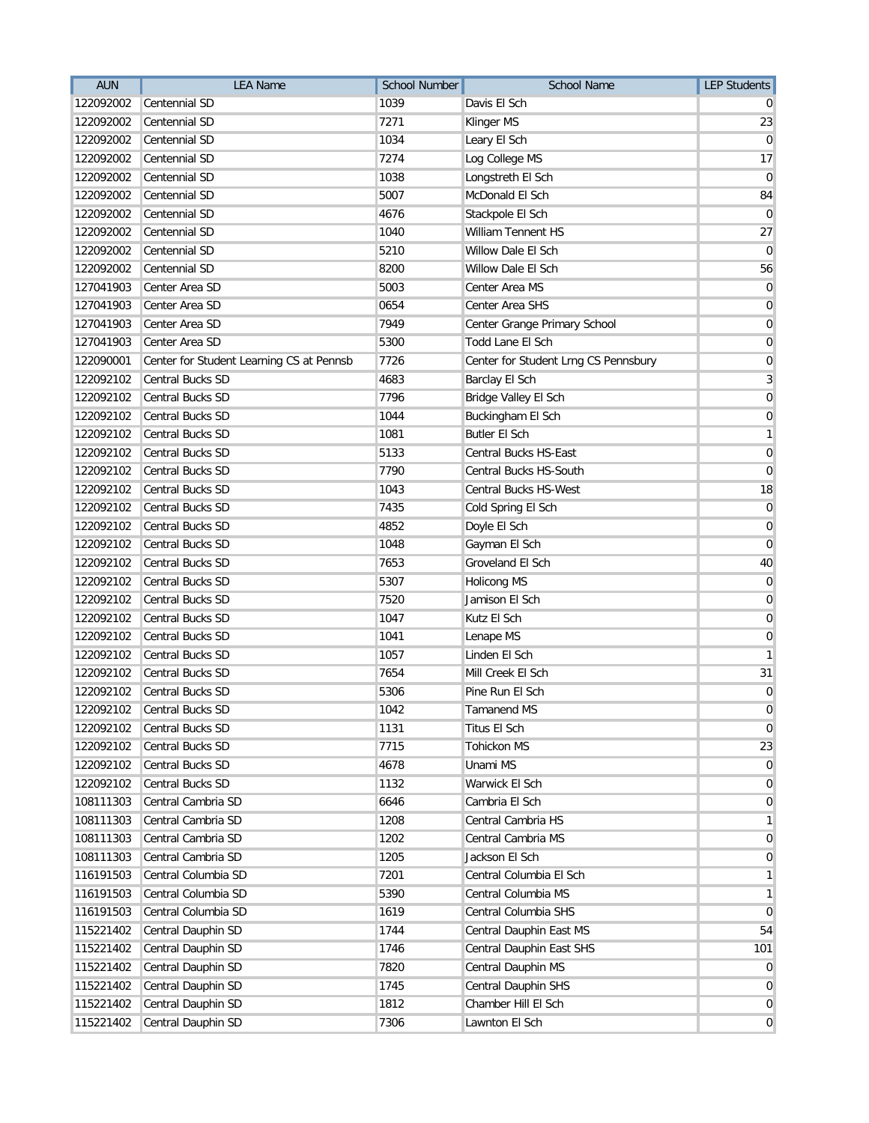| <b>AUN</b> | <b>LEA Name</b>                          | <b>School Number</b> | <b>School Name</b>                   | <b>LEP Students</b> |
|------------|------------------------------------------|----------------------|--------------------------------------|---------------------|
| 122092002  | Centennial SD                            | 1039                 | Davis El Sch                         |                     |
| 122092002  | Centennial SD                            | 7271                 | Klinger MS                           | 23                  |
| 122092002  | Centennial SD                            | 1034                 | Leary El Sch                         | 0                   |
| 122092002  | Centennial SD                            | 7274                 | Log College MS                       | 17                  |
| 122092002  | Centennial SD                            | 1038                 | Longstreth El Sch                    | 0                   |
| 122092002  | Centennial SD                            | 5007                 | McDonald El Sch                      | 84                  |
| 122092002  | Centennial SD                            | 4676                 | Stackpole El Sch                     | 0                   |
| 122092002  | Centennial SD                            | 1040                 | William Tennent HS                   | 27                  |
| 122092002  | Centennial SD                            | 5210                 | Willow Dale El Sch                   | 0                   |
| 122092002  | Centennial SD                            | 8200                 | Willow Dale El Sch                   | 56                  |
| 127041903  | Center Area SD                           | 5003                 | Center Area MS                       | 0                   |
| 127041903  | Center Area SD                           | 0654                 | Center Area SHS                      | $\overline{0}$      |
| 127041903  | Center Area SD                           | 7949                 | Center Grange Primary School         | $\mathbf 0$         |
| 127041903  | Center Area SD                           | 5300                 | Todd Lane El Sch                     | $\mathbf 0$         |
| 122090001  | Center for Student Learning CS at Pennsb | 7726                 | Center for Student Lrng CS Pennsbury | $\mathbf 0$         |
| 122092102  | <b>Central Bucks SD</b>                  | 4683                 | Barclay El Sch                       | 3                   |
| 122092102  | <b>Central Bucks SD</b>                  | 7796                 | Bridge Valley El Sch                 | 0                   |
| 122092102  | Central Bucks SD                         | 1044                 | Buckingham El Sch                    | $\mathbf 0$         |
| 122092102  | Central Bucks SD                         | 1081                 | <b>Butler El Sch</b>                 | 1                   |
| 122092102  | Central Bucks SD                         | 5133                 | Central Bucks HS-East                | 0                   |
| 122092102  | Central Bucks SD                         | 7790                 | Central Bucks HS-South               | $\mathbf 0$         |
| 122092102  | Central Bucks SD                         | 1043                 | <b>Central Bucks HS-West</b>         | 18                  |
| 122092102  | <b>Central Bucks SD</b>                  | 7435                 | Cold Spring El Sch                   | 0                   |
| 122092102  | Central Bucks SD                         | 4852                 | Doyle El Sch                         | $\mathbf 0$         |
| 122092102  | Central Bucks SD                         | 1048                 | Gayman El Sch                        | $\overline{0}$      |
| 122092102  | Central Bucks SD                         | 7653                 | Groveland El Sch                     | 40                  |
| 122092102  | Central Bucks SD                         | 5307                 | <b>Holicong MS</b>                   | $\mathbf 0$         |
| 122092102  | Central Bucks SD                         | 7520                 | Jamison El Sch                       | 0                   |
| 122092102  | Central Bucks SD                         | 1047                 | Kutz El Sch                          | 0                   |
| 122092102  | Central Bucks SD                         | 1041                 | Lenape MS                            | 0                   |
| 122092102  | Central Bucks SD                         | 1057                 | Linden El Sch                        | 1                   |
| 122092102  | Central Bucks SD                         | 7654                 | Mill Creek El Sch                    | 31                  |
| 122092102  | Central Bucks SD                         | 5306                 | Pine Run El Sch                      | $\mathbf 0$         |
| 122092102  | Central Bucks SD                         | 1042                 | Tamanend MS                          | 0                   |
| 122092102  | Central Bucks SD                         | 1131                 | Titus El Sch                         | 0                   |
| 122092102  | Central Bucks SD                         | 7715                 | <b>Tohickon MS</b>                   | 23                  |
| 122092102  | Central Bucks SD                         | 4678                 | Unami MS                             | $\mathbf 0$         |
| 122092102  | Central Bucks SD                         | 1132                 | Warwick El Sch                       | 0                   |
| 108111303  | Central Cambria SD                       | 6646                 | Cambria El Sch                       | $\overline{0}$      |
| 108111303  | Central Cambria SD                       | 1208                 | Central Cambria HS                   | 1                   |
| 108111303  | Central Cambria SD                       | 1202                 | Central Cambria MS                   | 0                   |
| 108111303  | Central Cambria SD                       | 1205                 | Jackson El Sch                       | 0                   |
| 116191503  | Central Columbia SD                      | 7201                 | Central Columbia El Sch              | 1                   |
| 116191503  | Central Columbia SD                      | 5390                 | Central Columbia MS                  | $\mathbf{1}$        |
| 116191503  | Central Columbia SD                      | 1619                 | Central Columbia SHS                 | 0                   |
| 115221402  | Central Dauphin SD                       | 1744                 | Central Dauphin East MS              | 54                  |
| 115221402  | Central Dauphin SD                       | 1746                 | Central Dauphin East SHS             | 101                 |
| 115221402  | Central Dauphin SD                       | 7820                 | Central Dauphin MS                   | 0                   |
| 115221402  | Central Dauphin SD                       | 1745                 | Central Dauphin SHS                  | 0                   |
| 115221402  | Central Dauphin SD                       | 1812                 | Chamber Hill El Sch                  | 0                   |
| 115221402  | Central Dauphin SD                       | 7306                 | Lawnton El Sch                       | $\overline{0}$      |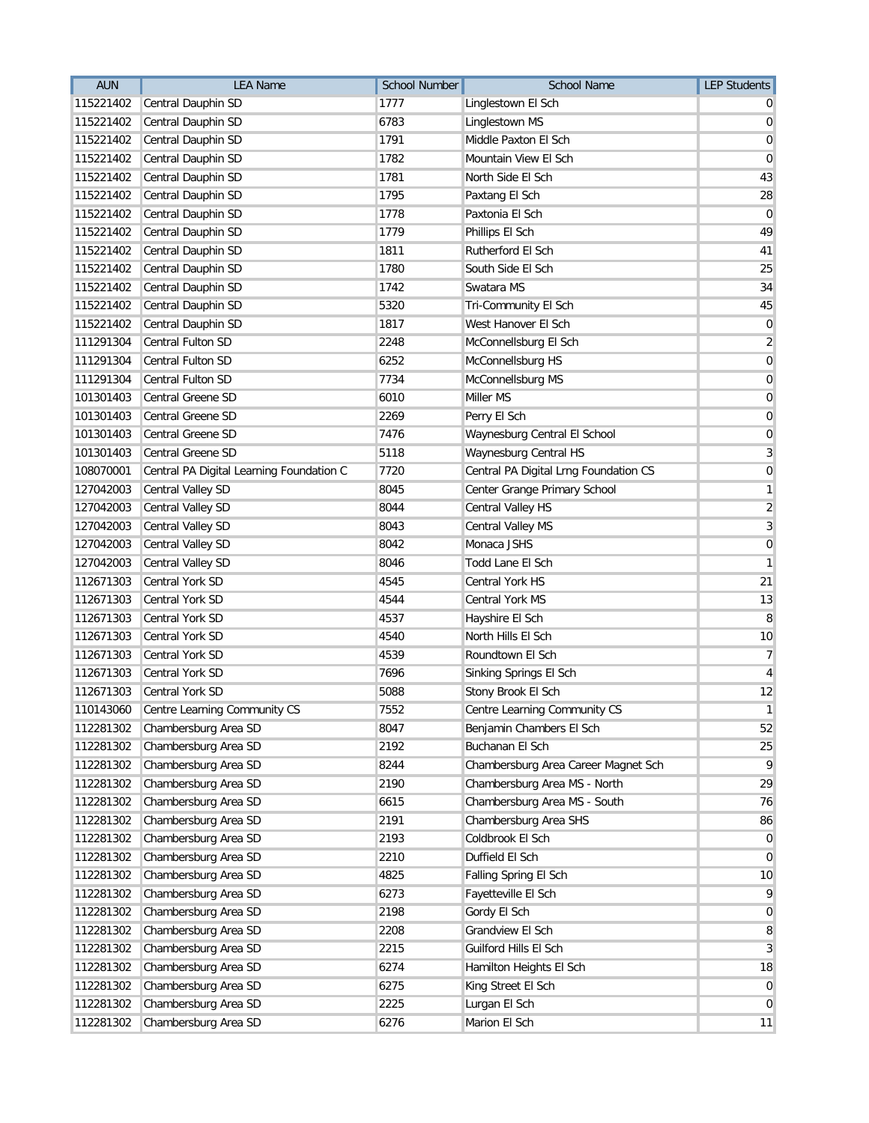| <b>AUN</b> | <b>LEA Name</b>                          | <b>School Number</b> | <b>School Name</b>                    | <b>LEP Students</b> |
|------------|------------------------------------------|----------------------|---------------------------------------|---------------------|
| 115221402  | Central Dauphin SD                       | 1777                 | Linglestown El Sch                    |                     |
| 115221402  | Central Dauphin SD                       | 6783                 | Linglestown MS                        | 0                   |
| 115221402  | Central Dauphin SD                       | 1791                 | Middle Paxton El Sch                  | 0                   |
| 115221402  | Central Dauphin SD                       | 1782                 | Mountain View El Sch                  | 0                   |
| 115221402  | Central Dauphin SD                       | 1781                 | North Side El Sch                     | 43                  |
| 115221402  | Central Dauphin SD                       | 1795                 | Paxtang El Sch                        | 28                  |
| 115221402  | Central Dauphin SD                       | 1778                 | Paxtonia El Sch                       | 0                   |
| 115221402  | Central Dauphin SD                       | 1779                 | Phillips El Sch                       | 49                  |
| 115221402  | Central Dauphin SD                       | 1811                 | Rutherford El Sch                     | 41                  |
| 115221402  | Central Dauphin SD                       | 1780                 | South Side El Sch                     | 25                  |
| 115221402  | Central Dauphin SD                       | 1742                 | Swatara MS                            | 34                  |
| 115221402  | Central Dauphin SD                       | 5320                 | Tri-Community El Sch                  | 45                  |
| 115221402  | Central Dauphin SD                       | 1817                 | West Hanover El Sch                   | $\mathbf 0$         |
| 111291304  | Central Fulton SD                        | 2248                 | McConnellsburg El Sch                 | $\overline{2}$      |
| 111291304  | Central Fulton SD                        | 6252                 | McConnellsburg HS                     | 0                   |
| 111291304  | <b>Central Fulton SD</b>                 | 7734                 | McConnellsburg MS                     | 0                   |
| 101301403  | Central Greene SD                        | 6010                 | Miller MS                             | 0                   |
| 101301403  | Central Greene SD                        | 2269                 | Perry El Sch                          | $\mathbf 0$         |
| 101301403  | Central Greene SD                        | 7476                 | Waynesburg Central El School          | 0                   |
| 101301403  | Central Greene SD                        | 5118                 | Waynesburg Central HS                 | 3                   |
| 108070001  | Central PA Digital Learning Foundation C | 7720                 | Central PA Digital Lrng Foundation CS | 0                   |
| 127042003  | Central Valley SD                        | 8045                 | Center Grange Primary School          | 1                   |
| 127042003  | Central Valley SD                        | 8044                 | Central Valley HS                     | $\overline{2}$      |
| 127042003  | Central Valley SD                        | 8043                 | Central Valley MS                     | 3                   |
| 127042003  | Central Valley SD                        | 8042                 | Monaca JSHS                           | $\mathbf 0$         |
| 127042003  | Central Valley SD                        | 8046                 | Todd Lane El Sch                      | 1                   |
| 112671303  | Central York SD                          | 4545                 | Central York HS                       | 21                  |
| 112671303  | Central York SD                          | 4544                 | <b>Central York MS</b>                | 13                  |
| 112671303  | Central York SD                          | 4537                 | Hayshire El Sch                       | 8                   |
| 112671303  | Central York SD                          | 4540                 | North Hills El Sch                    | 10                  |
| 112671303  | Central York SD                          | 4539                 | Roundtown El Sch                      | 7                   |
| 112671303  | Central York SD                          | 7696                 | Sinking Springs El Sch                | 4                   |
| 112671303  | <b>Central York SD</b>                   | 5088                 | Stony Brook El Sch                    | 12                  |
| 110143060  | Centre Learning Community CS             | 7552                 | Centre Learning Community CS          | $\mathbf{1}$        |
| 112281302  | Chambersburg Area SD                     | 8047                 | Benjamin Chambers El Sch              | 52                  |
| 112281302  | Chambersburg Area SD                     | 2192                 | Buchanan El Sch                       | 25                  |
| 112281302  | Chambersburg Area SD                     | 8244                 | Chambersburg Area Career Magnet Sch   | 9                   |
| 112281302  | Chambersburg Area SD                     | 2190                 | Chambersburg Area MS - North          | 29                  |
| 112281302  | Chambersburg Area SD                     | 6615                 | Chambersburg Area MS - South          | 76                  |
| 112281302  | Chambersburg Area SD                     | 2191                 | Chambersburg Area SHS                 | 86                  |
| 112281302  | Chambersburg Area SD                     | 2193                 | Coldbrook El Sch                      | 0                   |
| 112281302  | Chambersburg Area SD                     | 2210                 | Duffield El Sch                       | $\overline{0}$      |
| 112281302  | Chambersburg Area SD                     | 4825                 | Falling Spring El Sch                 | 10                  |
| 112281302  | Chambersburg Area SD                     | 6273                 | Fayetteville El Sch                   | 9                   |
| 112281302  | Chambersburg Area SD                     | 2198                 | Gordy El Sch                          | $\overline{0}$      |
| 112281302  | Chambersburg Area SD                     | 2208                 | Grandview El Sch                      | 8                   |
| 112281302  | Chambersburg Area SD                     | 2215                 | Guilford Hills El Sch                 | 3                   |
| 112281302  | Chambersburg Area SD                     | 6274                 | Hamilton Heights El Sch               | 18                  |
| 112281302  | Chambersburg Area SD                     | 6275                 | King Street El Sch                    | $\overline{0}$      |
| 112281302  | Chambersburg Area SD                     | 2225                 | Lurgan El Sch                         | $\overline{0}$      |
| 112281302  | Chambersburg Area SD                     | 6276                 | Marion El Sch                         | 11                  |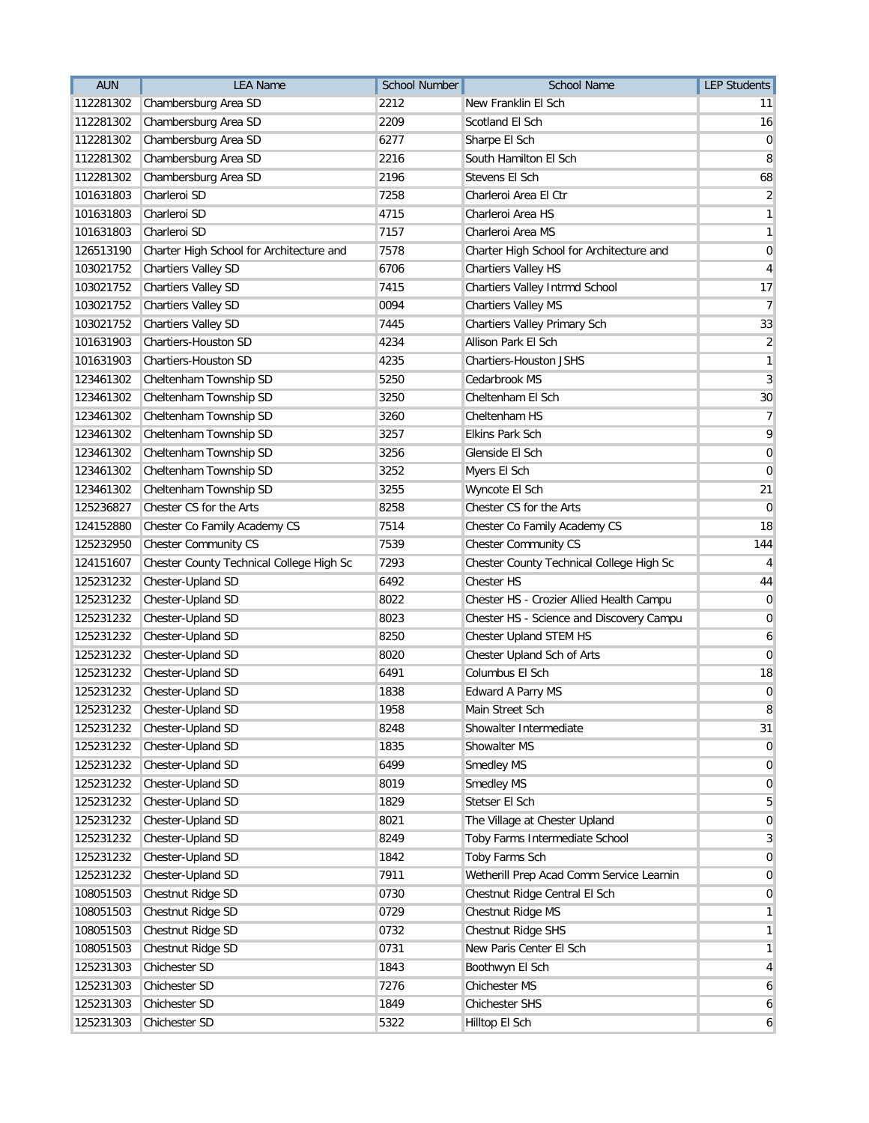| 112281302<br>Chambersburg Area SD<br>2212<br>New Franklin El Sch<br>11<br>112281302<br>Chambersburg Area SD<br>2209<br>Scotland El Sch<br>16<br>112281302<br>Chambersburg Area SD<br>6277<br>Sharpe El Sch<br>0<br>Chambersburg Area SD<br>2216<br>South Hamilton El Sch<br>112281302<br>8<br>112281302<br>Chambersburg Area SD<br>2196<br>Stevens El Sch<br>68<br>Charleroi SD<br>7258<br>Charleroi Area El Ctr<br>$\overline{2}$<br>101631803<br>101631803<br>Charleroi SD<br>Charleroi Area HS<br>$\mathbf{1}$<br>4715<br>Charleroi SD<br>7157<br>$\mathbf{1}$<br>101631803<br>Charleroi Area MS<br>7578<br>126513190<br>Charter High School for Architecture and<br>Charter High School for Architecture and<br>$\overline{0}$<br>Chartiers Valley SD<br>6706<br>Chartiers Valley HS<br>103021752<br>4<br>103021752<br><b>Chartiers Valley SD</b><br>7415<br>Chartiers Valley Intrmd School<br>17<br>Chartiers Valley MS<br>$\overline{7}$<br>103021752<br><b>Chartiers Valley SD</b><br>0094<br>103021752<br>Chartiers Valley SD<br>Chartiers Valley Primary Sch<br>33<br>7445<br>$\overline{2}$<br>101631903<br>Chartiers-Houston SD<br>4234<br>Allison Park El Sch<br>101631903<br>Chartiers-Houston SD<br>4235<br>Chartiers-Houston JSHS<br>1<br>Cheltenham Township SD<br>5250<br>Cedarbrook MS<br>3<br>123461302<br>30<br>123461302<br>Cheltenham Township SD<br>3250<br>Cheltenham El Sch<br>Cheltenham Township SD<br>123461302<br>3260<br>Cheltenham HS<br>7<br>3257<br><b>Elkins Park Sch</b><br>9<br>123461302<br>Cheltenham Township SD<br>Cheltenham Township SD<br>123461302<br>3256<br>Glenside El Sch<br>$\overline{0}$<br>123461302<br>Cheltenham Township SD<br>3252<br>Myers El Sch<br>$\mathbf 0$<br>123461302<br>Cheltenham Township SD<br>Wyncote El Sch<br>3255<br>21<br>Chester CS for the Arts<br>8258<br>125236827<br>Chester CS for the Arts<br>0<br>7514<br>Chester Co Family Academy CS<br>18<br>124152880<br>Chester Co Family Academy CS<br><b>Chester Community CS</b><br>7539<br><b>Chester Community CS</b><br>144<br>125232950<br>Chester County Technical College High Sc<br>7293<br>124151607<br>Chester County Technical College High Sc<br>$\overline{4}$<br>Chester-Upland SD<br>6492<br>125231232<br><b>Chester HS</b><br>44<br>Chester-Upland SD<br>8022<br>Chester HS - Crozier Allied Health Campu<br>125231232<br>0<br>8023<br>125231232<br>Chester-Upland SD<br>Chester HS - Science and Discovery Campu<br>0<br>125231232<br>Chester-Upland SD<br>8250<br>Chester Upland STEM HS<br>6<br>125231232<br>Chester-Upland SD<br>8020<br>Chester Upland Sch of Arts<br>$\mathbf 0$<br>Chester-Upland SD<br>Columbus El Sch<br>125231232<br>6491<br>18<br>125231232<br>Chester-Upland SD<br>1838<br><b>Edward A Parry MS</b><br>$\overline{0}$<br>125231232<br>1958<br>8<br>Chester-Upland SD<br>Main Street Sch<br>Showalter Intermediate<br>125231232<br>Chester-Upland SD<br>31<br>8248<br>Chester-Upland SD<br>1835<br>Showalter MS<br>125231232<br>$\overline{0}$<br>Chester-Upland SD<br>6499<br><b>Smedley MS</b><br>125231232<br>$\overline{0}$<br>Smedley MS<br>125231232<br>Chester-Upland SD<br>8019<br>$\overline{0}$<br>125231232<br>Chester-Upland SD<br>Stetser El Sch<br>1829<br>5<br>125231232<br>Chester-Upland SD<br>8021<br>The Village at Chester Upland<br>$\overline{0}$<br>125231232<br>Chester-Upland SD<br>8249<br>Toby Farms Intermediate School<br>3<br>Chester-Upland SD<br>1842<br>Toby Farms Sch<br>125231232<br>$\overline{0}$<br>Wetherill Prep Acad Comm Service Learnin<br>125231232<br>Chester-Upland SD<br>7911<br>$\overline{0}$<br>Chestnut Ridge Central El Sch<br>108051503<br>Chestnut Ridge SD<br>0730<br>$\overline{0}$<br>Chestnut Ridge SD<br>0729<br>Chestnut Ridge MS<br>108051503<br>1<br>Chestnut Ridge SD<br>108051503<br>0732<br>Chestnut Ridge SHS<br>$\mathbf{1}$<br>108051503<br>Chestnut Ridge SD<br>0731<br>New Paris Center El Sch<br>$\mathbf{1}$<br>Chichester SD<br>Boothwyn El Sch<br>125231303<br>1843<br>4<br>Chichester SD<br>Chichester MS<br>125231303<br>7276<br>6<br>125231303<br>Chichester SD<br>1849<br>Chichester SHS<br>6<br>125231303<br>5322<br>Hilltop El Sch<br>Chichester SD<br>6 | <b>AUN</b> | <b>LEA Name</b> | <b>School Number</b> | <b>School Name</b> | <b>LEP Students</b> |
|--------------------------------------------------------------------------------------------------------------------------------------------------------------------------------------------------------------------------------------------------------------------------------------------------------------------------------------------------------------------------------------------------------------------------------------------------------------------------------------------------------------------------------------------------------------------------------------------------------------------------------------------------------------------------------------------------------------------------------------------------------------------------------------------------------------------------------------------------------------------------------------------------------------------------------------------------------------------------------------------------------------------------------------------------------------------------------------------------------------------------------------------------------------------------------------------------------------------------------------------------------------------------------------------------------------------------------------------------------------------------------------------------------------------------------------------------------------------------------------------------------------------------------------------------------------------------------------------------------------------------------------------------------------------------------------------------------------------------------------------------------------------------------------------------------------------------------------------------------------------------------------------------------------------------------------------------------------------------------------------------------------------------------------------------------------------------------------------------------------------------------------------------------------------------------------------------------------------------------------------------------------------------------------------------------------------------------------------------------------------------------------------------------------------------------------------------------------------------------------------------------------------------------------------------------------------------------------------------------------------------------------------------------------------------------------------------------------------------------------------------------------------------------------------------------------------------------------------------------------------------------------------------------------------------------------------------------------------------------------------------------------------------------------------------------------------------------------------------------------------------------------------------------------------------------------------------------------------------------------------------------------------------------------------------------------------------------------------------------------------------------------------------------------------------------------------------------------------------------------------------------------------------------------------------------------------------------------------------------------------------------------------------------------------------------------------------------------------------------------------------------------------------------------------------------------------------------------------------------------------------------------------------------------------------------------------------------------------------------------------------------------------------------------------------------------------------------------------------------------------------------------------------------------------------------------------------------------|------------|-----------------|----------------------|--------------------|---------------------|
|                                                                                                                                                                                                                                                                                                                                                                                                                                                                                                                                                                                                                                                                                                                                                                                                                                                                                                                                                                                                                                                                                                                                                                                                                                                                                                                                                                                                                                                                                                                                                                                                                                                                                                                                                                                                                                                                                                                                                                                                                                                                                                                                                                                                                                                                                                                                                                                                                                                                                                                                                                                                                                                                                                                                                                                                                                                                                                                                                                                                                                                                                                                                                                                                                                                                                                                                                                                                                                                                                                                                                                                                                                                                                                                                                                                                                                                                                                                                                                                                                                                                                                                                                                                                              |            |                 |                      |                    |                     |
|                                                                                                                                                                                                                                                                                                                                                                                                                                                                                                                                                                                                                                                                                                                                                                                                                                                                                                                                                                                                                                                                                                                                                                                                                                                                                                                                                                                                                                                                                                                                                                                                                                                                                                                                                                                                                                                                                                                                                                                                                                                                                                                                                                                                                                                                                                                                                                                                                                                                                                                                                                                                                                                                                                                                                                                                                                                                                                                                                                                                                                                                                                                                                                                                                                                                                                                                                                                                                                                                                                                                                                                                                                                                                                                                                                                                                                                                                                                                                                                                                                                                                                                                                                                                              |            |                 |                      |                    |                     |
|                                                                                                                                                                                                                                                                                                                                                                                                                                                                                                                                                                                                                                                                                                                                                                                                                                                                                                                                                                                                                                                                                                                                                                                                                                                                                                                                                                                                                                                                                                                                                                                                                                                                                                                                                                                                                                                                                                                                                                                                                                                                                                                                                                                                                                                                                                                                                                                                                                                                                                                                                                                                                                                                                                                                                                                                                                                                                                                                                                                                                                                                                                                                                                                                                                                                                                                                                                                                                                                                                                                                                                                                                                                                                                                                                                                                                                                                                                                                                                                                                                                                                                                                                                                                              |            |                 |                      |                    |                     |
|                                                                                                                                                                                                                                                                                                                                                                                                                                                                                                                                                                                                                                                                                                                                                                                                                                                                                                                                                                                                                                                                                                                                                                                                                                                                                                                                                                                                                                                                                                                                                                                                                                                                                                                                                                                                                                                                                                                                                                                                                                                                                                                                                                                                                                                                                                                                                                                                                                                                                                                                                                                                                                                                                                                                                                                                                                                                                                                                                                                                                                                                                                                                                                                                                                                                                                                                                                                                                                                                                                                                                                                                                                                                                                                                                                                                                                                                                                                                                                                                                                                                                                                                                                                                              |            |                 |                      |                    |                     |
|                                                                                                                                                                                                                                                                                                                                                                                                                                                                                                                                                                                                                                                                                                                                                                                                                                                                                                                                                                                                                                                                                                                                                                                                                                                                                                                                                                                                                                                                                                                                                                                                                                                                                                                                                                                                                                                                                                                                                                                                                                                                                                                                                                                                                                                                                                                                                                                                                                                                                                                                                                                                                                                                                                                                                                                                                                                                                                                                                                                                                                                                                                                                                                                                                                                                                                                                                                                                                                                                                                                                                                                                                                                                                                                                                                                                                                                                                                                                                                                                                                                                                                                                                                                                              |            |                 |                      |                    |                     |
|                                                                                                                                                                                                                                                                                                                                                                                                                                                                                                                                                                                                                                                                                                                                                                                                                                                                                                                                                                                                                                                                                                                                                                                                                                                                                                                                                                                                                                                                                                                                                                                                                                                                                                                                                                                                                                                                                                                                                                                                                                                                                                                                                                                                                                                                                                                                                                                                                                                                                                                                                                                                                                                                                                                                                                                                                                                                                                                                                                                                                                                                                                                                                                                                                                                                                                                                                                                                                                                                                                                                                                                                                                                                                                                                                                                                                                                                                                                                                                                                                                                                                                                                                                                                              |            |                 |                      |                    |                     |
|                                                                                                                                                                                                                                                                                                                                                                                                                                                                                                                                                                                                                                                                                                                                                                                                                                                                                                                                                                                                                                                                                                                                                                                                                                                                                                                                                                                                                                                                                                                                                                                                                                                                                                                                                                                                                                                                                                                                                                                                                                                                                                                                                                                                                                                                                                                                                                                                                                                                                                                                                                                                                                                                                                                                                                                                                                                                                                                                                                                                                                                                                                                                                                                                                                                                                                                                                                                                                                                                                                                                                                                                                                                                                                                                                                                                                                                                                                                                                                                                                                                                                                                                                                                                              |            |                 |                      |                    |                     |
|                                                                                                                                                                                                                                                                                                                                                                                                                                                                                                                                                                                                                                                                                                                                                                                                                                                                                                                                                                                                                                                                                                                                                                                                                                                                                                                                                                                                                                                                                                                                                                                                                                                                                                                                                                                                                                                                                                                                                                                                                                                                                                                                                                                                                                                                                                                                                                                                                                                                                                                                                                                                                                                                                                                                                                                                                                                                                                                                                                                                                                                                                                                                                                                                                                                                                                                                                                                                                                                                                                                                                                                                                                                                                                                                                                                                                                                                                                                                                                                                                                                                                                                                                                                                              |            |                 |                      |                    |                     |
|                                                                                                                                                                                                                                                                                                                                                                                                                                                                                                                                                                                                                                                                                                                                                                                                                                                                                                                                                                                                                                                                                                                                                                                                                                                                                                                                                                                                                                                                                                                                                                                                                                                                                                                                                                                                                                                                                                                                                                                                                                                                                                                                                                                                                                                                                                                                                                                                                                                                                                                                                                                                                                                                                                                                                                                                                                                                                                                                                                                                                                                                                                                                                                                                                                                                                                                                                                                                                                                                                                                                                                                                                                                                                                                                                                                                                                                                                                                                                                                                                                                                                                                                                                                                              |            |                 |                      |                    |                     |
|                                                                                                                                                                                                                                                                                                                                                                                                                                                                                                                                                                                                                                                                                                                                                                                                                                                                                                                                                                                                                                                                                                                                                                                                                                                                                                                                                                                                                                                                                                                                                                                                                                                                                                                                                                                                                                                                                                                                                                                                                                                                                                                                                                                                                                                                                                                                                                                                                                                                                                                                                                                                                                                                                                                                                                                                                                                                                                                                                                                                                                                                                                                                                                                                                                                                                                                                                                                                                                                                                                                                                                                                                                                                                                                                                                                                                                                                                                                                                                                                                                                                                                                                                                                                              |            |                 |                      |                    |                     |
|                                                                                                                                                                                                                                                                                                                                                                                                                                                                                                                                                                                                                                                                                                                                                                                                                                                                                                                                                                                                                                                                                                                                                                                                                                                                                                                                                                                                                                                                                                                                                                                                                                                                                                                                                                                                                                                                                                                                                                                                                                                                                                                                                                                                                                                                                                                                                                                                                                                                                                                                                                                                                                                                                                                                                                                                                                                                                                                                                                                                                                                                                                                                                                                                                                                                                                                                                                                                                                                                                                                                                                                                                                                                                                                                                                                                                                                                                                                                                                                                                                                                                                                                                                                                              |            |                 |                      |                    |                     |
|                                                                                                                                                                                                                                                                                                                                                                                                                                                                                                                                                                                                                                                                                                                                                                                                                                                                                                                                                                                                                                                                                                                                                                                                                                                                                                                                                                                                                                                                                                                                                                                                                                                                                                                                                                                                                                                                                                                                                                                                                                                                                                                                                                                                                                                                                                                                                                                                                                                                                                                                                                                                                                                                                                                                                                                                                                                                                                                                                                                                                                                                                                                                                                                                                                                                                                                                                                                                                                                                                                                                                                                                                                                                                                                                                                                                                                                                                                                                                                                                                                                                                                                                                                                                              |            |                 |                      |                    |                     |
|                                                                                                                                                                                                                                                                                                                                                                                                                                                                                                                                                                                                                                                                                                                                                                                                                                                                                                                                                                                                                                                                                                                                                                                                                                                                                                                                                                                                                                                                                                                                                                                                                                                                                                                                                                                                                                                                                                                                                                                                                                                                                                                                                                                                                                                                                                                                                                                                                                                                                                                                                                                                                                                                                                                                                                                                                                                                                                                                                                                                                                                                                                                                                                                                                                                                                                                                                                                                                                                                                                                                                                                                                                                                                                                                                                                                                                                                                                                                                                                                                                                                                                                                                                                                              |            |                 |                      |                    |                     |
|                                                                                                                                                                                                                                                                                                                                                                                                                                                                                                                                                                                                                                                                                                                                                                                                                                                                                                                                                                                                                                                                                                                                                                                                                                                                                                                                                                                                                                                                                                                                                                                                                                                                                                                                                                                                                                                                                                                                                                                                                                                                                                                                                                                                                                                                                                                                                                                                                                                                                                                                                                                                                                                                                                                                                                                                                                                                                                                                                                                                                                                                                                                                                                                                                                                                                                                                                                                                                                                                                                                                                                                                                                                                                                                                                                                                                                                                                                                                                                                                                                                                                                                                                                                                              |            |                 |                      |                    |                     |
|                                                                                                                                                                                                                                                                                                                                                                                                                                                                                                                                                                                                                                                                                                                                                                                                                                                                                                                                                                                                                                                                                                                                                                                                                                                                                                                                                                                                                                                                                                                                                                                                                                                                                                                                                                                                                                                                                                                                                                                                                                                                                                                                                                                                                                                                                                                                                                                                                                                                                                                                                                                                                                                                                                                                                                                                                                                                                                                                                                                                                                                                                                                                                                                                                                                                                                                                                                                                                                                                                                                                                                                                                                                                                                                                                                                                                                                                                                                                                                                                                                                                                                                                                                                                              |            |                 |                      |                    |                     |
|                                                                                                                                                                                                                                                                                                                                                                                                                                                                                                                                                                                                                                                                                                                                                                                                                                                                                                                                                                                                                                                                                                                                                                                                                                                                                                                                                                                                                                                                                                                                                                                                                                                                                                                                                                                                                                                                                                                                                                                                                                                                                                                                                                                                                                                                                                                                                                                                                                                                                                                                                                                                                                                                                                                                                                                                                                                                                                                                                                                                                                                                                                                                                                                                                                                                                                                                                                                                                                                                                                                                                                                                                                                                                                                                                                                                                                                                                                                                                                                                                                                                                                                                                                                                              |            |                 |                      |                    |                     |
|                                                                                                                                                                                                                                                                                                                                                                                                                                                                                                                                                                                                                                                                                                                                                                                                                                                                                                                                                                                                                                                                                                                                                                                                                                                                                                                                                                                                                                                                                                                                                                                                                                                                                                                                                                                                                                                                                                                                                                                                                                                                                                                                                                                                                                                                                                                                                                                                                                                                                                                                                                                                                                                                                                                                                                                                                                                                                                                                                                                                                                                                                                                                                                                                                                                                                                                                                                                                                                                                                                                                                                                                                                                                                                                                                                                                                                                                                                                                                                                                                                                                                                                                                                                                              |            |                 |                      |                    |                     |
|                                                                                                                                                                                                                                                                                                                                                                                                                                                                                                                                                                                                                                                                                                                                                                                                                                                                                                                                                                                                                                                                                                                                                                                                                                                                                                                                                                                                                                                                                                                                                                                                                                                                                                                                                                                                                                                                                                                                                                                                                                                                                                                                                                                                                                                                                                                                                                                                                                                                                                                                                                                                                                                                                                                                                                                                                                                                                                                                                                                                                                                                                                                                                                                                                                                                                                                                                                                                                                                                                                                                                                                                                                                                                                                                                                                                                                                                                                                                                                                                                                                                                                                                                                                                              |            |                 |                      |                    |                     |
|                                                                                                                                                                                                                                                                                                                                                                                                                                                                                                                                                                                                                                                                                                                                                                                                                                                                                                                                                                                                                                                                                                                                                                                                                                                                                                                                                                                                                                                                                                                                                                                                                                                                                                                                                                                                                                                                                                                                                                                                                                                                                                                                                                                                                                                                                                                                                                                                                                                                                                                                                                                                                                                                                                                                                                                                                                                                                                                                                                                                                                                                                                                                                                                                                                                                                                                                                                                                                                                                                                                                                                                                                                                                                                                                                                                                                                                                                                                                                                                                                                                                                                                                                                                                              |            |                 |                      |                    |                     |
|                                                                                                                                                                                                                                                                                                                                                                                                                                                                                                                                                                                                                                                                                                                                                                                                                                                                                                                                                                                                                                                                                                                                                                                                                                                                                                                                                                                                                                                                                                                                                                                                                                                                                                                                                                                                                                                                                                                                                                                                                                                                                                                                                                                                                                                                                                                                                                                                                                                                                                                                                                                                                                                                                                                                                                                                                                                                                                                                                                                                                                                                                                                                                                                                                                                                                                                                                                                                                                                                                                                                                                                                                                                                                                                                                                                                                                                                                                                                                                                                                                                                                                                                                                                                              |            |                 |                      |                    |                     |
|                                                                                                                                                                                                                                                                                                                                                                                                                                                                                                                                                                                                                                                                                                                                                                                                                                                                                                                                                                                                                                                                                                                                                                                                                                                                                                                                                                                                                                                                                                                                                                                                                                                                                                                                                                                                                                                                                                                                                                                                                                                                                                                                                                                                                                                                                                                                                                                                                                                                                                                                                                                                                                                                                                                                                                                                                                                                                                                                                                                                                                                                                                                                                                                                                                                                                                                                                                                                                                                                                                                                                                                                                                                                                                                                                                                                                                                                                                                                                                                                                                                                                                                                                                                                              |            |                 |                      |                    |                     |
|                                                                                                                                                                                                                                                                                                                                                                                                                                                                                                                                                                                                                                                                                                                                                                                                                                                                                                                                                                                                                                                                                                                                                                                                                                                                                                                                                                                                                                                                                                                                                                                                                                                                                                                                                                                                                                                                                                                                                                                                                                                                                                                                                                                                                                                                                                                                                                                                                                                                                                                                                                                                                                                                                                                                                                                                                                                                                                                                                                                                                                                                                                                                                                                                                                                                                                                                                                                                                                                                                                                                                                                                                                                                                                                                                                                                                                                                                                                                                                                                                                                                                                                                                                                                              |            |                 |                      |                    |                     |
|                                                                                                                                                                                                                                                                                                                                                                                                                                                                                                                                                                                                                                                                                                                                                                                                                                                                                                                                                                                                                                                                                                                                                                                                                                                                                                                                                                                                                                                                                                                                                                                                                                                                                                                                                                                                                                                                                                                                                                                                                                                                                                                                                                                                                                                                                                                                                                                                                                                                                                                                                                                                                                                                                                                                                                                                                                                                                                                                                                                                                                                                                                                                                                                                                                                                                                                                                                                                                                                                                                                                                                                                                                                                                                                                                                                                                                                                                                                                                                                                                                                                                                                                                                                                              |            |                 |                      |                    |                     |
|                                                                                                                                                                                                                                                                                                                                                                                                                                                                                                                                                                                                                                                                                                                                                                                                                                                                                                                                                                                                                                                                                                                                                                                                                                                                                                                                                                                                                                                                                                                                                                                                                                                                                                                                                                                                                                                                                                                                                                                                                                                                                                                                                                                                                                                                                                                                                                                                                                                                                                                                                                                                                                                                                                                                                                                                                                                                                                                                                                                                                                                                                                                                                                                                                                                                                                                                                                                                                                                                                                                                                                                                                                                                                                                                                                                                                                                                                                                                                                                                                                                                                                                                                                                                              |            |                 |                      |                    |                     |
|                                                                                                                                                                                                                                                                                                                                                                                                                                                                                                                                                                                                                                                                                                                                                                                                                                                                                                                                                                                                                                                                                                                                                                                                                                                                                                                                                                                                                                                                                                                                                                                                                                                                                                                                                                                                                                                                                                                                                                                                                                                                                                                                                                                                                                                                                                                                                                                                                                                                                                                                                                                                                                                                                                                                                                                                                                                                                                                                                                                                                                                                                                                                                                                                                                                                                                                                                                                                                                                                                                                                                                                                                                                                                                                                                                                                                                                                                                                                                                                                                                                                                                                                                                                                              |            |                 |                      |                    |                     |
|                                                                                                                                                                                                                                                                                                                                                                                                                                                                                                                                                                                                                                                                                                                                                                                                                                                                                                                                                                                                                                                                                                                                                                                                                                                                                                                                                                                                                                                                                                                                                                                                                                                                                                                                                                                                                                                                                                                                                                                                                                                                                                                                                                                                                                                                                                                                                                                                                                                                                                                                                                                                                                                                                                                                                                                                                                                                                                                                                                                                                                                                                                                                                                                                                                                                                                                                                                                                                                                                                                                                                                                                                                                                                                                                                                                                                                                                                                                                                                                                                                                                                                                                                                                                              |            |                 |                      |                    |                     |
|                                                                                                                                                                                                                                                                                                                                                                                                                                                                                                                                                                                                                                                                                                                                                                                                                                                                                                                                                                                                                                                                                                                                                                                                                                                                                                                                                                                                                                                                                                                                                                                                                                                                                                                                                                                                                                                                                                                                                                                                                                                                                                                                                                                                                                                                                                                                                                                                                                                                                                                                                                                                                                                                                                                                                                                                                                                                                                                                                                                                                                                                                                                                                                                                                                                                                                                                                                                                                                                                                                                                                                                                                                                                                                                                                                                                                                                                                                                                                                                                                                                                                                                                                                                                              |            |                 |                      |                    |                     |
|                                                                                                                                                                                                                                                                                                                                                                                                                                                                                                                                                                                                                                                                                                                                                                                                                                                                                                                                                                                                                                                                                                                                                                                                                                                                                                                                                                                                                                                                                                                                                                                                                                                                                                                                                                                                                                                                                                                                                                                                                                                                                                                                                                                                                                                                                                                                                                                                                                                                                                                                                                                                                                                                                                                                                                                                                                                                                                                                                                                                                                                                                                                                                                                                                                                                                                                                                                                                                                                                                                                                                                                                                                                                                                                                                                                                                                                                                                                                                                                                                                                                                                                                                                                                              |            |                 |                      |                    |                     |
|                                                                                                                                                                                                                                                                                                                                                                                                                                                                                                                                                                                                                                                                                                                                                                                                                                                                                                                                                                                                                                                                                                                                                                                                                                                                                                                                                                                                                                                                                                                                                                                                                                                                                                                                                                                                                                                                                                                                                                                                                                                                                                                                                                                                                                                                                                                                                                                                                                                                                                                                                                                                                                                                                                                                                                                                                                                                                                                                                                                                                                                                                                                                                                                                                                                                                                                                                                                                                                                                                                                                                                                                                                                                                                                                                                                                                                                                                                                                                                                                                                                                                                                                                                                                              |            |                 |                      |                    |                     |
|                                                                                                                                                                                                                                                                                                                                                                                                                                                                                                                                                                                                                                                                                                                                                                                                                                                                                                                                                                                                                                                                                                                                                                                                                                                                                                                                                                                                                                                                                                                                                                                                                                                                                                                                                                                                                                                                                                                                                                                                                                                                                                                                                                                                                                                                                                                                                                                                                                                                                                                                                                                                                                                                                                                                                                                                                                                                                                                                                                                                                                                                                                                                                                                                                                                                                                                                                                                                                                                                                                                                                                                                                                                                                                                                                                                                                                                                                                                                                                                                                                                                                                                                                                                                              |            |                 |                      |                    |                     |
|                                                                                                                                                                                                                                                                                                                                                                                                                                                                                                                                                                                                                                                                                                                                                                                                                                                                                                                                                                                                                                                                                                                                                                                                                                                                                                                                                                                                                                                                                                                                                                                                                                                                                                                                                                                                                                                                                                                                                                                                                                                                                                                                                                                                                                                                                                                                                                                                                                                                                                                                                                                                                                                                                                                                                                                                                                                                                                                                                                                                                                                                                                                                                                                                                                                                                                                                                                                                                                                                                                                                                                                                                                                                                                                                                                                                                                                                                                                                                                                                                                                                                                                                                                                                              |            |                 |                      |                    |                     |
|                                                                                                                                                                                                                                                                                                                                                                                                                                                                                                                                                                                                                                                                                                                                                                                                                                                                                                                                                                                                                                                                                                                                                                                                                                                                                                                                                                                                                                                                                                                                                                                                                                                                                                                                                                                                                                                                                                                                                                                                                                                                                                                                                                                                                                                                                                                                                                                                                                                                                                                                                                                                                                                                                                                                                                                                                                                                                                                                                                                                                                                                                                                                                                                                                                                                                                                                                                                                                                                                                                                                                                                                                                                                                                                                                                                                                                                                                                                                                                                                                                                                                                                                                                                                              |            |                 |                      |                    |                     |
|                                                                                                                                                                                                                                                                                                                                                                                                                                                                                                                                                                                                                                                                                                                                                                                                                                                                                                                                                                                                                                                                                                                                                                                                                                                                                                                                                                                                                                                                                                                                                                                                                                                                                                                                                                                                                                                                                                                                                                                                                                                                                                                                                                                                                                                                                                                                                                                                                                                                                                                                                                                                                                                                                                                                                                                                                                                                                                                                                                                                                                                                                                                                                                                                                                                                                                                                                                                                                                                                                                                                                                                                                                                                                                                                                                                                                                                                                                                                                                                                                                                                                                                                                                                                              |            |                 |                      |                    |                     |
|                                                                                                                                                                                                                                                                                                                                                                                                                                                                                                                                                                                                                                                                                                                                                                                                                                                                                                                                                                                                                                                                                                                                                                                                                                                                                                                                                                                                                                                                                                                                                                                                                                                                                                                                                                                                                                                                                                                                                                                                                                                                                                                                                                                                                                                                                                                                                                                                                                                                                                                                                                                                                                                                                                                                                                                                                                                                                                                                                                                                                                                                                                                                                                                                                                                                                                                                                                                                                                                                                                                                                                                                                                                                                                                                                                                                                                                                                                                                                                                                                                                                                                                                                                                                              |            |                 |                      |                    |                     |
|                                                                                                                                                                                                                                                                                                                                                                                                                                                                                                                                                                                                                                                                                                                                                                                                                                                                                                                                                                                                                                                                                                                                                                                                                                                                                                                                                                                                                                                                                                                                                                                                                                                                                                                                                                                                                                                                                                                                                                                                                                                                                                                                                                                                                                                                                                                                                                                                                                                                                                                                                                                                                                                                                                                                                                                                                                                                                                                                                                                                                                                                                                                                                                                                                                                                                                                                                                                                                                                                                                                                                                                                                                                                                                                                                                                                                                                                                                                                                                                                                                                                                                                                                                                                              |            |                 |                      |                    |                     |
|                                                                                                                                                                                                                                                                                                                                                                                                                                                                                                                                                                                                                                                                                                                                                                                                                                                                                                                                                                                                                                                                                                                                                                                                                                                                                                                                                                                                                                                                                                                                                                                                                                                                                                                                                                                                                                                                                                                                                                                                                                                                                                                                                                                                                                                                                                                                                                                                                                                                                                                                                                                                                                                                                                                                                                                                                                                                                                                                                                                                                                                                                                                                                                                                                                                                                                                                                                                                                                                                                                                                                                                                                                                                                                                                                                                                                                                                                                                                                                                                                                                                                                                                                                                                              |            |                 |                      |                    |                     |
|                                                                                                                                                                                                                                                                                                                                                                                                                                                                                                                                                                                                                                                                                                                                                                                                                                                                                                                                                                                                                                                                                                                                                                                                                                                                                                                                                                                                                                                                                                                                                                                                                                                                                                                                                                                                                                                                                                                                                                                                                                                                                                                                                                                                                                                                                                                                                                                                                                                                                                                                                                                                                                                                                                                                                                                                                                                                                                                                                                                                                                                                                                                                                                                                                                                                                                                                                                                                                                                                                                                                                                                                                                                                                                                                                                                                                                                                                                                                                                                                                                                                                                                                                                                                              |            |                 |                      |                    |                     |
|                                                                                                                                                                                                                                                                                                                                                                                                                                                                                                                                                                                                                                                                                                                                                                                                                                                                                                                                                                                                                                                                                                                                                                                                                                                                                                                                                                                                                                                                                                                                                                                                                                                                                                                                                                                                                                                                                                                                                                                                                                                                                                                                                                                                                                                                                                                                                                                                                                                                                                                                                                                                                                                                                                                                                                                                                                                                                                                                                                                                                                                                                                                                                                                                                                                                                                                                                                                                                                                                                                                                                                                                                                                                                                                                                                                                                                                                                                                                                                                                                                                                                                                                                                                                              |            |                 |                      |                    |                     |
|                                                                                                                                                                                                                                                                                                                                                                                                                                                                                                                                                                                                                                                                                                                                                                                                                                                                                                                                                                                                                                                                                                                                                                                                                                                                                                                                                                                                                                                                                                                                                                                                                                                                                                                                                                                                                                                                                                                                                                                                                                                                                                                                                                                                                                                                                                                                                                                                                                                                                                                                                                                                                                                                                                                                                                                                                                                                                                                                                                                                                                                                                                                                                                                                                                                                                                                                                                                                                                                                                                                                                                                                                                                                                                                                                                                                                                                                                                                                                                                                                                                                                                                                                                                                              |            |                 |                      |                    |                     |
|                                                                                                                                                                                                                                                                                                                                                                                                                                                                                                                                                                                                                                                                                                                                                                                                                                                                                                                                                                                                                                                                                                                                                                                                                                                                                                                                                                                                                                                                                                                                                                                                                                                                                                                                                                                                                                                                                                                                                                                                                                                                                                                                                                                                                                                                                                                                                                                                                                                                                                                                                                                                                                                                                                                                                                                                                                                                                                                                                                                                                                                                                                                                                                                                                                                                                                                                                                                                                                                                                                                                                                                                                                                                                                                                                                                                                                                                                                                                                                                                                                                                                                                                                                                                              |            |                 |                      |                    |                     |
|                                                                                                                                                                                                                                                                                                                                                                                                                                                                                                                                                                                                                                                                                                                                                                                                                                                                                                                                                                                                                                                                                                                                                                                                                                                                                                                                                                                                                                                                                                                                                                                                                                                                                                                                                                                                                                                                                                                                                                                                                                                                                                                                                                                                                                                                                                                                                                                                                                                                                                                                                                                                                                                                                                                                                                                                                                                                                                                                                                                                                                                                                                                                                                                                                                                                                                                                                                                                                                                                                                                                                                                                                                                                                                                                                                                                                                                                                                                                                                                                                                                                                                                                                                                                              |            |                 |                      |                    |                     |
|                                                                                                                                                                                                                                                                                                                                                                                                                                                                                                                                                                                                                                                                                                                                                                                                                                                                                                                                                                                                                                                                                                                                                                                                                                                                                                                                                                                                                                                                                                                                                                                                                                                                                                                                                                                                                                                                                                                                                                                                                                                                                                                                                                                                                                                                                                                                                                                                                                                                                                                                                                                                                                                                                                                                                                                                                                                                                                                                                                                                                                                                                                                                                                                                                                                                                                                                                                                                                                                                                                                                                                                                                                                                                                                                                                                                                                                                                                                                                                                                                                                                                                                                                                                                              |            |                 |                      |                    |                     |
|                                                                                                                                                                                                                                                                                                                                                                                                                                                                                                                                                                                                                                                                                                                                                                                                                                                                                                                                                                                                                                                                                                                                                                                                                                                                                                                                                                                                                                                                                                                                                                                                                                                                                                                                                                                                                                                                                                                                                                                                                                                                                                                                                                                                                                                                                                                                                                                                                                                                                                                                                                                                                                                                                                                                                                                                                                                                                                                                                                                                                                                                                                                                                                                                                                                                                                                                                                                                                                                                                                                                                                                                                                                                                                                                                                                                                                                                                                                                                                                                                                                                                                                                                                                                              |            |                 |                      |                    |                     |
|                                                                                                                                                                                                                                                                                                                                                                                                                                                                                                                                                                                                                                                                                                                                                                                                                                                                                                                                                                                                                                                                                                                                                                                                                                                                                                                                                                                                                                                                                                                                                                                                                                                                                                                                                                                                                                                                                                                                                                                                                                                                                                                                                                                                                                                                                                                                                                                                                                                                                                                                                                                                                                                                                                                                                                                                                                                                                                                                                                                                                                                                                                                                                                                                                                                                                                                                                                                                                                                                                                                                                                                                                                                                                                                                                                                                                                                                                                                                                                                                                                                                                                                                                                                                              |            |                 |                      |                    |                     |
|                                                                                                                                                                                                                                                                                                                                                                                                                                                                                                                                                                                                                                                                                                                                                                                                                                                                                                                                                                                                                                                                                                                                                                                                                                                                                                                                                                                                                                                                                                                                                                                                                                                                                                                                                                                                                                                                                                                                                                                                                                                                                                                                                                                                                                                                                                                                                                                                                                                                                                                                                                                                                                                                                                                                                                                                                                                                                                                                                                                                                                                                                                                                                                                                                                                                                                                                                                                                                                                                                                                                                                                                                                                                                                                                                                                                                                                                                                                                                                                                                                                                                                                                                                                                              |            |                 |                      |                    |                     |
|                                                                                                                                                                                                                                                                                                                                                                                                                                                                                                                                                                                                                                                                                                                                                                                                                                                                                                                                                                                                                                                                                                                                                                                                                                                                                                                                                                                                                                                                                                                                                                                                                                                                                                                                                                                                                                                                                                                                                                                                                                                                                                                                                                                                                                                                                                                                                                                                                                                                                                                                                                                                                                                                                                                                                                                                                                                                                                                                                                                                                                                                                                                                                                                                                                                                                                                                                                                                                                                                                                                                                                                                                                                                                                                                                                                                                                                                                                                                                                                                                                                                                                                                                                                                              |            |                 |                      |                    |                     |
|                                                                                                                                                                                                                                                                                                                                                                                                                                                                                                                                                                                                                                                                                                                                                                                                                                                                                                                                                                                                                                                                                                                                                                                                                                                                                                                                                                                                                                                                                                                                                                                                                                                                                                                                                                                                                                                                                                                                                                                                                                                                                                                                                                                                                                                                                                                                                                                                                                                                                                                                                                                                                                                                                                                                                                                                                                                                                                                                                                                                                                                                                                                                                                                                                                                                                                                                                                                                                                                                                                                                                                                                                                                                                                                                                                                                                                                                                                                                                                                                                                                                                                                                                                                                              |            |                 |                      |                    |                     |
|                                                                                                                                                                                                                                                                                                                                                                                                                                                                                                                                                                                                                                                                                                                                                                                                                                                                                                                                                                                                                                                                                                                                                                                                                                                                                                                                                                                                                                                                                                                                                                                                                                                                                                                                                                                                                                                                                                                                                                                                                                                                                                                                                                                                                                                                                                                                                                                                                                                                                                                                                                                                                                                                                                                                                                                                                                                                                                                                                                                                                                                                                                                                                                                                                                                                                                                                                                                                                                                                                                                                                                                                                                                                                                                                                                                                                                                                                                                                                                                                                                                                                                                                                                                                              |            |                 |                      |                    |                     |
|                                                                                                                                                                                                                                                                                                                                                                                                                                                                                                                                                                                                                                                                                                                                                                                                                                                                                                                                                                                                                                                                                                                                                                                                                                                                                                                                                                                                                                                                                                                                                                                                                                                                                                                                                                                                                                                                                                                                                                                                                                                                                                                                                                                                                                                                                                                                                                                                                                                                                                                                                                                                                                                                                                                                                                                                                                                                                                                                                                                                                                                                                                                                                                                                                                                                                                                                                                                                                                                                                                                                                                                                                                                                                                                                                                                                                                                                                                                                                                                                                                                                                                                                                                                                              |            |                 |                      |                    |                     |
|                                                                                                                                                                                                                                                                                                                                                                                                                                                                                                                                                                                                                                                                                                                                                                                                                                                                                                                                                                                                                                                                                                                                                                                                                                                                                                                                                                                                                                                                                                                                                                                                                                                                                                                                                                                                                                                                                                                                                                                                                                                                                                                                                                                                                                                                                                                                                                                                                                                                                                                                                                                                                                                                                                                                                                                                                                                                                                                                                                                                                                                                                                                                                                                                                                                                                                                                                                                                                                                                                                                                                                                                                                                                                                                                                                                                                                                                                                                                                                                                                                                                                                                                                                                                              |            |                 |                      |                    |                     |
|                                                                                                                                                                                                                                                                                                                                                                                                                                                                                                                                                                                                                                                                                                                                                                                                                                                                                                                                                                                                                                                                                                                                                                                                                                                                                                                                                                                                                                                                                                                                                                                                                                                                                                                                                                                                                                                                                                                                                                                                                                                                                                                                                                                                                                                                                                                                                                                                                                                                                                                                                                                                                                                                                                                                                                                                                                                                                                                                                                                                                                                                                                                                                                                                                                                                                                                                                                                                                                                                                                                                                                                                                                                                                                                                                                                                                                                                                                                                                                                                                                                                                                                                                                                                              |            |                 |                      |                    |                     |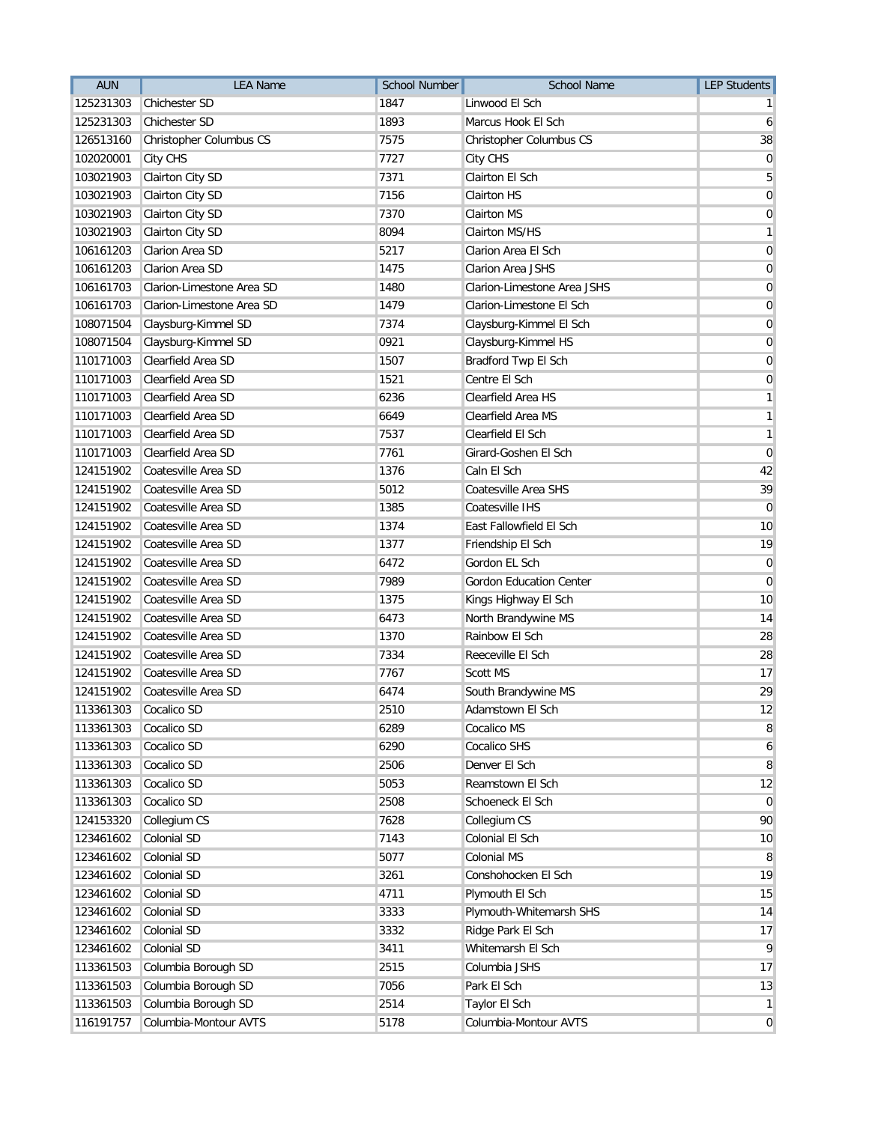| <b>AUN</b> | <b>LEA Name</b>           | <b>School Number</b> | <b>School Name</b>             | <b>LEP Students</b> |
|------------|---------------------------|----------------------|--------------------------------|---------------------|
| 125231303  | Chichester SD             | 1847                 | Linwood El Sch                 |                     |
| 125231303  | Chichester SD             | 1893                 | Marcus Hook El Sch             | 6                   |
| 126513160  | Christopher Columbus CS   | 7575                 | Christopher Columbus CS        | 38                  |
| 102020001  | City CHS                  | 7727                 | City CHS                       | 0                   |
| 103021903  | Clairton City SD          | 7371                 | Clairton El Sch                | 5                   |
| 103021903  | Clairton City SD          | 7156                 | <b>Clairton HS</b>             | 0                   |
| 103021903  | Clairton City SD          | 7370                 | <b>Clairton MS</b>             | 0                   |
| 103021903  | Clairton City SD          | 8094                 | Clairton MS/HS                 | 1                   |
| 106161203  | Clarion Area SD           | 5217                 | Clarion Area El Sch            | 0                   |
| 106161203  | Clarion Area SD           | 1475                 | <b>Clarion Area JSHS</b>       | 0                   |
| 106161703  | Clarion-Limestone Area SD | 1480                 | Clarion-Limestone Area JSHS    | 0                   |
| 106161703  | Clarion-Limestone Area SD | 1479                 | Clarion-Limestone El Sch       | $\overline{0}$      |
| 108071504  | Claysburg-Kimmel SD       | 7374                 | Claysburg-Kimmel El Sch        | 0                   |
| 108071504  | Claysburg-Kimmel SD       | 0921                 | Claysburg-Kimmel HS            | $\mathbf 0$         |
| 110171003  | Clearfield Area SD        | 1507                 | Bradford Twp El Sch            | $\overline{0}$      |
| 110171003  | Clearfield Area SD        | 1521                 | Centre El Sch                  | 0                   |
| 110171003  | Clearfield Area SD        | 6236                 | Clearfield Area HS             | 1                   |
| 110171003  | Clearfield Area SD        | 6649                 | Clearfield Area MS             | 1                   |
| 110171003  | Clearfield Area SD        | 7537                 | Clearfield El Sch              | 1                   |
| 110171003  | Clearfield Area SD        | 7761                 | Girard-Goshen El Sch           | 0                   |
| 124151902  | Coatesville Area SD       | 1376                 | Caln El Sch                    | 42                  |
| 124151902  | Coatesville Area SD       | 5012                 | Coatesville Area SHS           | 39                  |
| 124151902  | Coatesville Area SD       | 1385                 | Coatesville IHS                | 0                   |
| 124151902  | Coatesville Area SD       | 1374                 | East Fallowfield El Sch        | 10                  |
| 124151902  | Coatesville Area SD       | 1377                 | Friendship El Sch              | 19                  |
| 124151902  | Coatesville Area SD       | 6472                 | Gordon EL Sch                  | $\mathbf 0$         |
| 124151902  | Coatesville Area SD       | 7989                 | <b>Gordon Education Center</b> | 0                   |
| 124151902  | Coatesville Area SD       | 1375                 | Kings Highway El Sch           | 10                  |
| 124151902  | Coatesville Area SD       | 6473                 | North Brandywine MS            | 14                  |
| 124151902  | Coatesville Area SD       | 1370                 | Rainbow El Sch                 | 28                  |
| 124151902  | Coatesville Area SD       | 7334                 | Reeceville El Sch              | 28                  |
| 124151902  | Coatesville Area SD       | 7767                 | Scott MS                       | 17                  |
| 124151902  | Coatesville Area SD       | 6474                 | South Brandywine MS            | 29                  |
| 113361303  | Cocalico SD               | 2510                 | Adamstown El Sch               | 12                  |
| 113361303  | Cocalico SD               | 6289                 | Cocalico MS                    | 8                   |
| 113361303  | Cocalico SD               | 6290                 | Cocalico SHS                   | 6                   |
| 113361303  | Cocalico SD               | 2506                 | Denver El Sch                  | 8                   |
| 113361303  | Cocalico SD               | 5053                 | Reamstown El Sch               | 12                  |
| 113361303  | Cocalico SD               | 2508                 | Schoeneck El Sch               | $\mathbf 0$         |
| 124153320  | Collegium CS              | 7628                 | Collegium CS                   | 90                  |
| 123461602  | Colonial SD               | 7143                 | Colonial El Sch                | 10                  |
| 123461602  | Colonial SD               | 5077                 | Colonial MS                    | 8                   |
| 123461602  | Colonial SD               | 3261                 | Conshohocken El Sch            | 19                  |
| 123461602  | Colonial SD               | 4711                 | Plymouth El Sch                | 15                  |
| 123461602  | Colonial SD               | 3333                 | Plymouth-Whitemarsh SHS        | 14                  |
| 123461602  | Colonial SD               | 3332                 | Ridge Park El Sch              | 17                  |
| 123461602  | Colonial SD               | 3411                 | Whitemarsh El Sch              | 9                   |
| 113361503  | Columbia Borough SD       | 2515                 | Columbia JSHS                  | 17                  |
| 113361503  | Columbia Borough SD       | 7056                 | Park El Sch                    | 13                  |
| 113361503  | Columbia Borough SD       | 2514                 | Taylor El Sch                  | $\mathbf{1}$        |
| 116191757  | Columbia-Montour AVTS     | 5178                 | Columbia-Montour AVTS          | $\mathbf 0$         |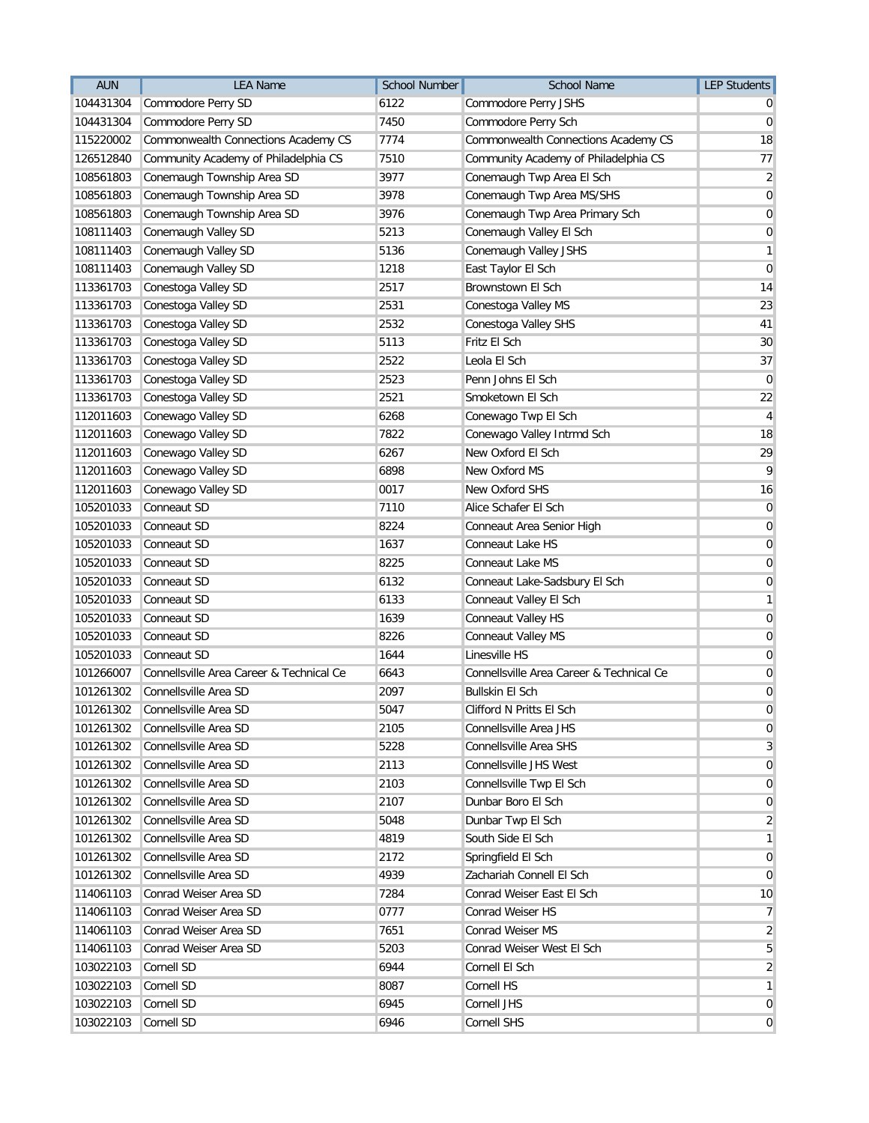| <b>AUN</b> | <b>LEA Name</b>                          | <b>School Number</b> | <b>School Name</b>                       | <b>LEP Students</b> |
|------------|------------------------------------------|----------------------|------------------------------------------|---------------------|
| 104431304  | Commodore Perry SD                       | 6122                 | Commodore Perry JSHS                     |                     |
| 104431304  | Commodore Perry SD                       | 7450                 | Commodore Perry Sch                      | 0                   |
| 115220002  | Commonwealth Connections Academy CS      | 7774                 | Commonwealth Connections Academy CS      | 18                  |
| 126512840  | Community Academy of Philadelphia CS     | 7510                 | Community Academy of Philadelphia CS     | 77                  |
| 108561803  | Conemaugh Township Area SD               | 3977                 | Conemaugh Twp Area El Sch                | $\overline{2}$      |
| 108561803  | Conemaugh Township Area SD               | 3978                 | Conemaugh Twp Area MS/SHS                | $\mathbf 0$         |
| 108561803  | Conemaugh Township Area SD               | 3976                 | Conemaugh Twp Area Primary Sch           | $\mathbf 0$         |
| 108111403  | Conemaugh Valley SD                      | 5213                 | Conemaugh Valley El Sch                  | 0                   |
| 108111403  | Conemaugh Valley SD                      | 5136                 | Conemaugh Valley JSHS                    | 1                   |
| 108111403  | Conemaugh Valley SD                      | 1218                 | East Taylor El Sch                       | $\mathbf 0$         |
| 113361703  | Conestoga Valley SD                      | 2517                 | Brownstown El Sch                        | 14                  |
| 113361703  | Conestoga Valley SD                      | 2531                 | Conestoga Valley MS                      | 23                  |
| 113361703  | Conestoga Valley SD                      | 2532                 | Conestoga Valley SHS                     | 41                  |
| 113361703  | Conestoga Valley SD                      | 5113                 | Fritz El Sch                             | 30                  |
| 113361703  | Conestoga Valley SD                      | 2522                 | Leola El Sch                             | 37                  |
| 113361703  | Conestoga Valley SD                      | 2523                 | Penn Johns El Sch                        | $\mathbf 0$         |
| 113361703  | Conestoga Valley SD                      | 2521                 | Smoketown El Sch                         | 22                  |
| 112011603  | Conewago Valley SD                       | 6268                 | Conewago Twp El Sch                      | 4                   |
| 112011603  | Conewago Valley SD                       | 7822                 | Conewago Valley Intrmd Sch               | 18                  |
| 112011603  | Conewago Valley SD                       | 6267                 | New Oxford El Sch                        | 29                  |
| 112011603  | Conewago Valley SD                       | 6898                 | New Oxford MS                            | 9                   |
| 112011603  | Conewago Valley SD                       | 0017                 | New Oxford SHS                           | 16                  |
| 105201033  | Conneaut SD                              | 7110                 | Alice Schafer El Sch                     | $\mathbf 0$         |
| 105201033  | Conneaut SD                              | 8224                 | Conneaut Area Senior High                | $\mathbf 0$         |
| 105201033  | Conneaut SD                              | 1637                 | Conneaut Lake HS                         | $\mathbf 0$         |
| 105201033  | Conneaut SD                              | 8225                 | Conneaut Lake MS                         | 0                   |
| 105201033  | Conneaut SD                              | 6132                 | Conneaut Lake-Sadsbury El Sch            | $\mathbf 0$         |
| 105201033  | Conneaut SD                              | 6133                 | Conneaut Valley El Sch                   | 1                   |
| 105201033  | Conneaut SD                              | 1639                 | Conneaut Valley HS                       | 0                   |
| 105201033  | Conneaut SD                              | 8226                 | Conneaut Valley MS                       | $\mathbf 0$         |
| 105201033  | Conneaut SD                              | 1644                 | Linesville HS                            | $\boldsymbol{0}$    |
| 101266007  | Connellsville Area Career & Technical Ce | 6643                 | Connellsville Area Career & Technical Ce | 0                   |
| 101261302  | Connellsville Area SD                    | 2097                 | <b>Bullskin El Sch</b>                   | 0                   |
| 101261302  | Connellsville Area SD                    | 5047                 | Clifford N Pritts El Sch                 | 0                   |
| 101261302  | Connellsville Area SD                    | 2105                 | Connellsville Area JHS                   | 0                   |
| 101261302  | Connellsville Area SD                    | 5228                 | Connellsville Area SHS                   | 3                   |
| 101261302  | Connellsville Area SD                    | 2113                 | Connellsville JHS West                   | 0                   |
| 101261302  | Connellsville Area SD                    | 2103                 | Connellsville Twp El Sch                 | 0                   |
| 101261302  | Connellsville Area SD                    | 2107                 | Dunbar Boro El Sch                       | 0                   |
| 101261302  | Connellsville Area SD                    | 5048                 | Dunbar Twp El Sch                        | 2                   |
| 101261302  | Connellsville Area SD                    | 4819                 | South Side El Sch                        | 1                   |
| 101261302  | Connellsville Area SD                    | 2172                 | Springfield El Sch                       | 0                   |
| 101261302  | Connellsville Area SD                    | 4939                 | Zachariah Connell El Sch                 | 0                   |
| 114061103  | Conrad Weiser Area SD                    | 7284                 | Conrad Weiser East El Sch                | 10                  |
| 114061103  | Conrad Weiser Area SD                    | 0777                 | Conrad Weiser HS                         | 7                   |
| 114061103  | Conrad Weiser Area SD                    | 7651                 | Conrad Weiser MS                         | 2                   |
| 114061103  | Conrad Weiser Area SD                    | 5203                 | Conrad Weiser West El Sch                | 5                   |
| 103022103  | Cornell SD                               | 6944                 | Cornell El Sch                           | 2                   |
| 103022103  | Cornell SD                               | 8087                 | Cornell HS                               | 1                   |
| 103022103  | Cornell SD                               | 6945                 | Cornell JHS                              | 0                   |
| 103022103  | Cornell SD                               | 6946                 | Cornell SHS                              | 0                   |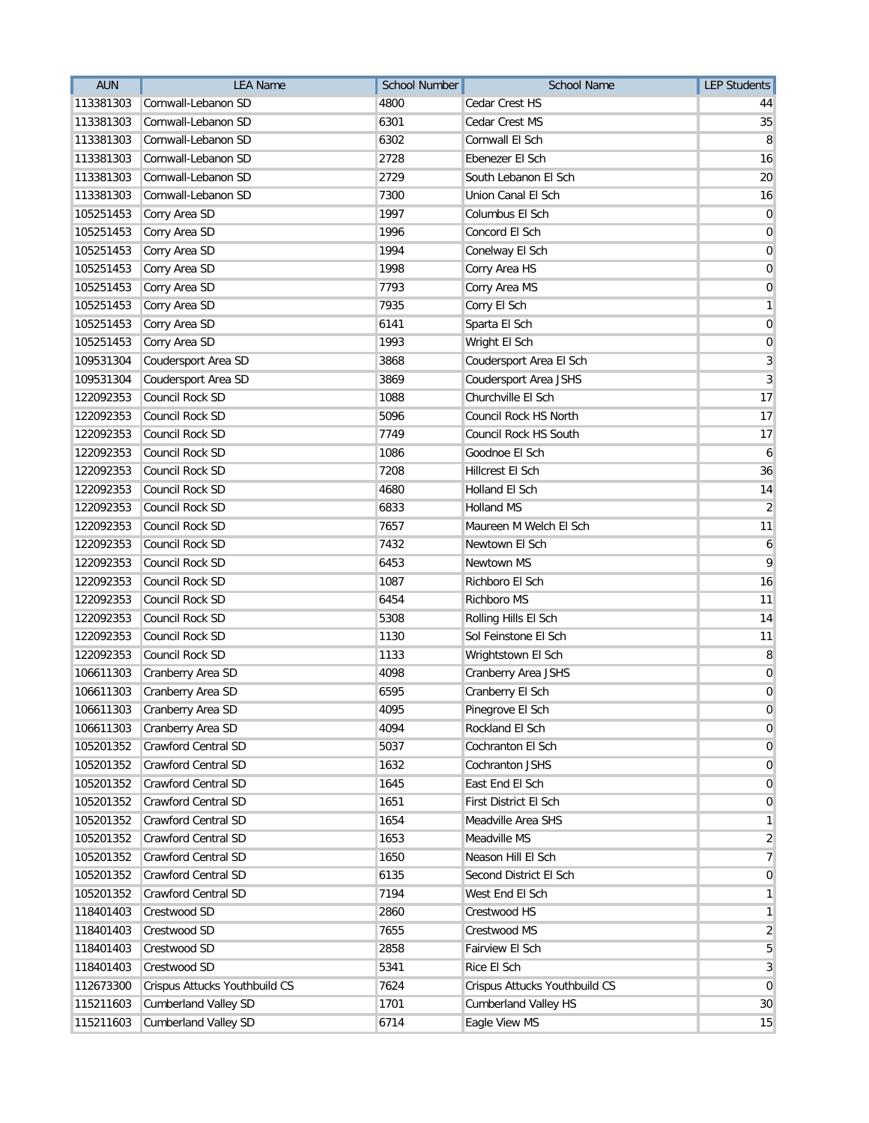| <b>AUN</b> | <b>LEA Name</b>               | <b>School Number</b> | <b>School Name</b>            | <b>LEP Students</b> |
|------------|-------------------------------|----------------------|-------------------------------|---------------------|
| 113381303  | Cornwall-Lebanon SD           | 4800                 | Cedar Crest HS                | 44                  |
| 113381303  | Cornwall-Lebanon SD           | 6301                 | Cedar Crest MS                | 35                  |
| 113381303  | Cornwall-Lebanon SD           | 6302                 | Cornwall El Sch               | 8                   |
| 113381303  | Cornwall-Lebanon SD           | 2728                 | Ebenezer El Sch               | 16                  |
| 113381303  | Cornwall-Lebanon SD           | 2729                 | South Lebanon El Sch          | 20                  |
| 113381303  | Cornwall-Lebanon SD           | 7300                 | Union Canal El Sch            | 16                  |
| 105251453  | Corry Area SD                 | 1997                 | Columbus El Sch               | $\mathbf 0$         |
| 105251453  | Corry Area SD                 | 1996                 | Concord El Sch                | 0                   |
| 105251453  | Corry Area SD                 | 1994                 | Conelway El Sch               | 0                   |
| 105251453  | Corry Area SD                 | 1998                 | Corry Area HS                 | 0                   |
| 105251453  | Corry Area SD                 | 7793                 | Corry Area MS                 | 0                   |
| 105251453  | Corry Area SD                 | 7935                 | Corry El Sch                  | 1                   |
| 105251453  | Corry Area SD                 | 6141                 | Sparta El Sch                 | $\mathbf 0$         |
| 105251453  | Corry Area SD                 | 1993                 | Wright El Sch                 | 0                   |
| 109531304  | Coudersport Area SD           | 3868                 | Coudersport Area El Sch       | 3                   |
| 109531304  | Coudersport Area SD           | 3869                 | Coudersport Area JSHS         | 3                   |
| 122092353  | Council Rock SD               | 1088                 | Churchville El Sch            | 17                  |
| 122092353  | Council Rock SD               | 5096                 | Council Rock HS North         | 17                  |
| 122092353  | Council Rock SD               | 7749                 | Council Rock HS South         | 17                  |
| 122092353  | Council Rock SD               | 1086                 | Goodnoe El Sch                | 6                   |
| 122092353  | Council Rock SD               | 7208                 | Hillcrest El Sch              | 36                  |
| 122092353  | Council Rock SD               | 4680                 | Holland El Sch                | 14                  |
| 122092353  | Council Rock SD               | 6833                 | <b>Holland MS</b>             | 2                   |
| 122092353  | Council Rock SD               | 7657                 | Maureen M Welch El Sch        | 11                  |
| 122092353  | Council Rock SD               | 7432                 | Newtown El Sch                | 6                   |
| 122092353  | Council Rock SD               | 6453                 | Newtown MS                    | 9                   |
| 122092353  | Council Rock SD               | 1087                 | Richboro El Sch               | 16                  |
| 122092353  | Council Rock SD               | 6454                 | Richboro MS                   | 11                  |
| 122092353  | Council Rock SD               | 5308                 | Rolling Hills El Sch          | 14                  |
| 122092353  | Council Rock SD               | 1130                 | Sol Feinstone El Sch          | 11                  |
| 122092353  | Council Rock SD               | 1133                 | Wrightstown El Sch            | 8                   |
| 106611303  | Cranberry Area SD             | 4098                 | Cranberry Area JSHS           | 0                   |
| 106611303  | Cranberry Area SD             | 6595                 | Cranberry El Sch              | $\mathbf 0$         |
|            | 106611303 Cranberry Area SD   | 4095                 | Pinegrove El Sch              | 0                   |
| 106611303  | Cranberry Area SD             | 4094                 | Rockland El Sch               | 0                   |
| 105201352  | Crawford Central SD           | 5037                 | Cochranton El Sch             | 0                   |
| 105201352  | Crawford Central SD           | 1632                 | Cochranton JSHS               | 0                   |
| 105201352  | Crawford Central SD           | 1645                 | East End El Sch               | $\mathbf{0}$        |
| 105201352  | Crawford Central SD           | 1651                 | First District El Sch         | $\overline{0}$      |
| 105201352  | Crawford Central SD           | 1654                 | Meadville Area SHS            | 1                   |
| 105201352  | Crawford Central SD           | 1653                 | Meadville MS                  | 2                   |
| 105201352  | Crawford Central SD           | 1650                 | Neason Hill El Sch            | 7                   |
| 105201352  | Crawford Central SD           | 6135                 | Second District El Sch        | 0                   |
| 105201352  | Crawford Central SD           | 7194                 | West End El Sch               | 1                   |
| 118401403  | Crestwood SD                  | 2860                 | Crestwood HS                  | 1                   |
| 118401403  | Crestwood SD                  | 7655                 | Crestwood MS                  | $\overline{2}$      |
| 118401403  | Crestwood SD                  | 2858                 | Fairview El Sch               | 5                   |
| 118401403  | Crestwood SD                  | 5341                 | Rice El Sch                   | 3                   |
| 112673300  | Crispus Attucks Youthbuild CS | 7624                 | Crispus Attucks Youthbuild CS | $\overline{0}$      |
| 115211603  | <b>Cumberland Valley SD</b>   | 1701                 | <b>Cumberland Valley HS</b>   | 30                  |
| 115211603  | <b>Cumberland Valley SD</b>   | 6714                 | Eagle View MS                 | 15                  |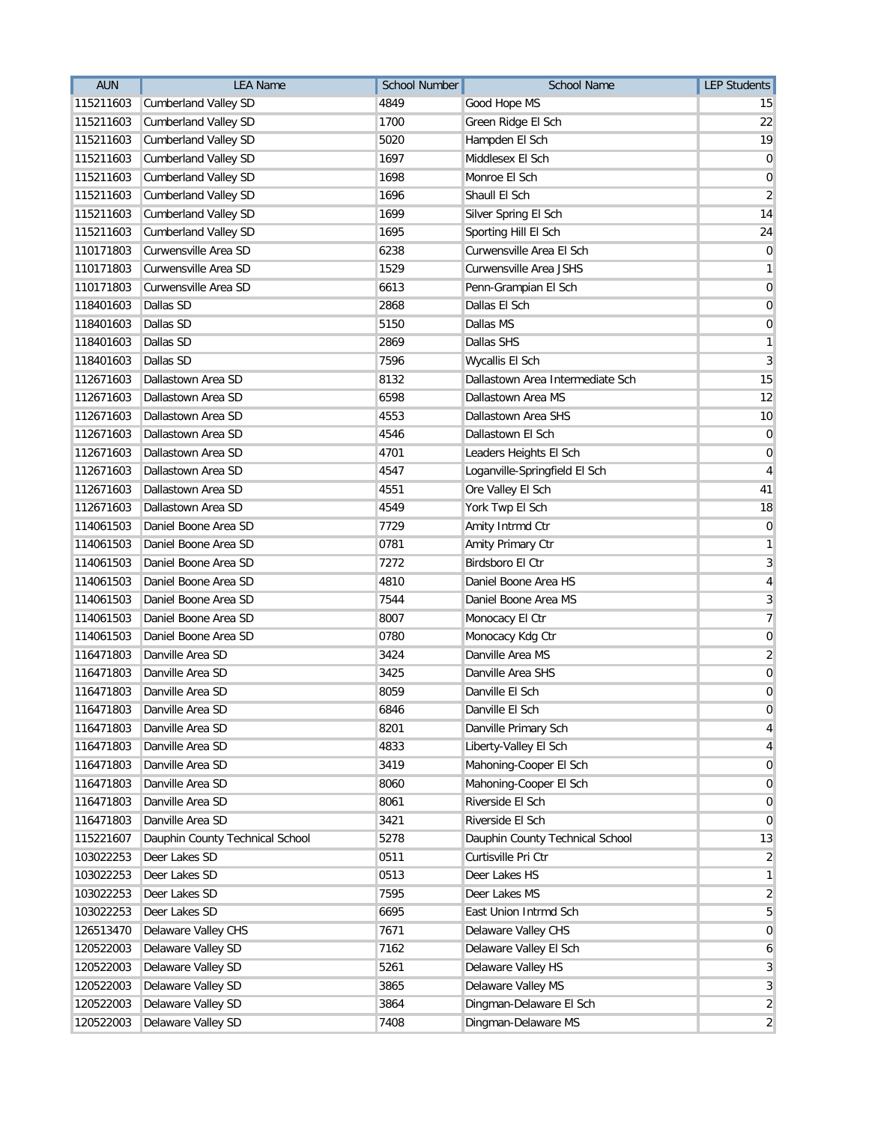| <b>AUN</b> | <b>LEA Name</b>                 | <b>School Number</b> | <b>School Name</b>               | <b>LEP Students</b>     |
|------------|---------------------------------|----------------------|----------------------------------|-------------------------|
| 115211603  | Cumberland Valley SD            | 4849                 | Good Hope MS                     | 15                      |
| 115211603  | <b>Cumberland Valley SD</b>     | 1700                 | Green Ridge El Sch               | 22                      |
| 115211603  | <b>Cumberland Valley SD</b>     | 5020                 | Hampden El Sch                   | 19                      |
| 115211603  | <b>Cumberland Valley SD</b>     | 1697                 | Middlesex El Sch                 | 0                       |
| 115211603  | <b>Cumberland Valley SD</b>     | 1698                 | Monroe El Sch                    | $\overline{0}$          |
| 115211603  | <b>Cumberland Valley SD</b>     | 1696                 | Shaull El Sch                    | $\overline{2}$          |
| 115211603  | <b>Cumberland Valley SD</b>     | 1699                 | Silver Spring El Sch             | 14                      |
| 115211603  | <b>Cumberland Valley SD</b>     | 1695                 | Sporting Hill El Sch             | 24                      |
| 110171803  | Curwensville Area SD            | 6238                 | Curwensville Area El Sch         | 0                       |
| 110171803  | Curwensville Area SD            | 1529                 | Curwensville Area JSHS           | 1                       |
| 110171803  | Curwensville Area SD            | 6613                 | Penn-Grampian El Sch             | $\overline{0}$          |
| 118401603  | Dallas SD                       | 2868                 | Dallas El Sch                    | $\mathbf 0$             |
| 118401603  | Dallas SD                       | 5150                 | Dallas MS                        | $\overline{0}$          |
| 118401603  | Dallas SD                       | 2869                 | Dallas SHS                       | 1                       |
| 118401603  | Dallas SD                       | 7596                 | Wycallis El Sch                  | 3                       |
| 112671603  | Dallastown Area SD              | 8132                 | Dallastown Area Intermediate Sch | 15                      |
| 112671603  | Dallastown Area SD              | 6598                 | Dallastown Area MS               | 12                      |
| 112671603  | Dallastown Area SD              | 4553                 | Dallastown Area SHS              | 10                      |
| 112671603  | Dallastown Area SD              | 4546                 | Dallastown El Sch                | $\mathbf 0$             |
| 112671603  | Dallastown Area SD              | 4701                 | Leaders Heights El Sch           | 0                       |
| 112671603  | Dallastown Area SD              | 4547                 | Loganville-Springfield El Sch    | 4                       |
| 112671603  | Dallastown Area SD              | 4551                 | Ore Valley El Sch                | 41                      |
| 112671603  | Dallastown Area SD              | 4549                 | York Twp El Sch                  | 18                      |
| 114061503  | Daniel Boone Area SD            | 7729                 | Amity Intrmd Ctr                 | $\mathbf 0$             |
| 114061503  | Daniel Boone Area SD            | 0781                 | Amity Primary Ctr                | 1                       |
| 114061503  | Daniel Boone Area SD            | 7272                 | Birdsboro El Ctr                 | 3                       |
| 114061503  | Daniel Boone Area SD            | 4810                 | Daniel Boone Area HS             | 4                       |
| 114061503  | Daniel Boone Area SD            | 7544                 | Daniel Boone Area MS             | 3                       |
| 114061503  | Daniel Boone Area SD            | 8007                 | Monocacy El Ctr                  | 7                       |
| 114061503  | Daniel Boone Area SD            | 0780                 | Monocacy Kdg Ctr                 | $\overline{0}$          |
| 116471803  | Danville Area SD                | 3424                 | Danville Area MS                 | $\overline{\mathbf{c}}$ |
| 116471803  | Danville Area SD                | 3425                 | Danville Area SHS                | 0                       |
| 116471803  | Danville Area SD                | 8059                 | Danville El Sch                  | 0                       |
| 116471803  | Danville Area SD                | 6846                 | Danville El Sch                  | 0                       |
| 116471803  | Danville Area SD                | 8201                 | Danville Primary Sch             | 4                       |
| 116471803  | Danville Area SD                | 4833                 | Liberty-Valley El Sch            | 4                       |
| 116471803  | Danville Area SD                | 3419                 | Mahoning-Cooper El Sch           | 0                       |
| 116471803  | Danville Area SD                | 8060                 | Mahoning-Cooper El Sch           | $\mathbf{0}$            |
| 116471803  | Danville Area SD                | 8061                 | Riverside El Sch                 | 0                       |
| 116471803  | Danville Area SD                | 3421                 | Riverside El Sch                 | 0                       |
| 115221607  | Dauphin County Technical School | 5278                 | Dauphin County Technical School  | 13                      |
| 103022253  | Deer Lakes SD                   | 0511                 | Curtisville Pri Ctr              | 2                       |
| 103022253  | Deer Lakes SD                   | 0513                 | Deer Lakes HS                    | 1                       |
| 103022253  | Deer Lakes SD                   | 7595                 | Deer Lakes MS                    | $\overline{2}$          |
| 103022253  | Deer Lakes SD                   | 6695                 | East Union Intrmd Sch            | 5                       |
| 126513470  | Delaware Valley CHS             | 7671                 | Delaware Valley CHS              | 0                       |
| 120522003  | Delaware Valley SD              | 7162                 | Delaware Valley El Sch           | 6                       |
| 120522003  | Delaware Valley SD              | 5261                 | Delaware Valley HS               | 3                       |
| 120522003  | Delaware Valley SD              | 3865                 | Delaware Valley MS               | 3                       |
| 120522003  | Delaware Valley SD              | 3864                 | Dingman-Delaware El Sch          | $\overline{2}$          |
| 120522003  | Delaware Valley SD              | 7408                 | Dingman-Delaware MS              | $\overline{2}$          |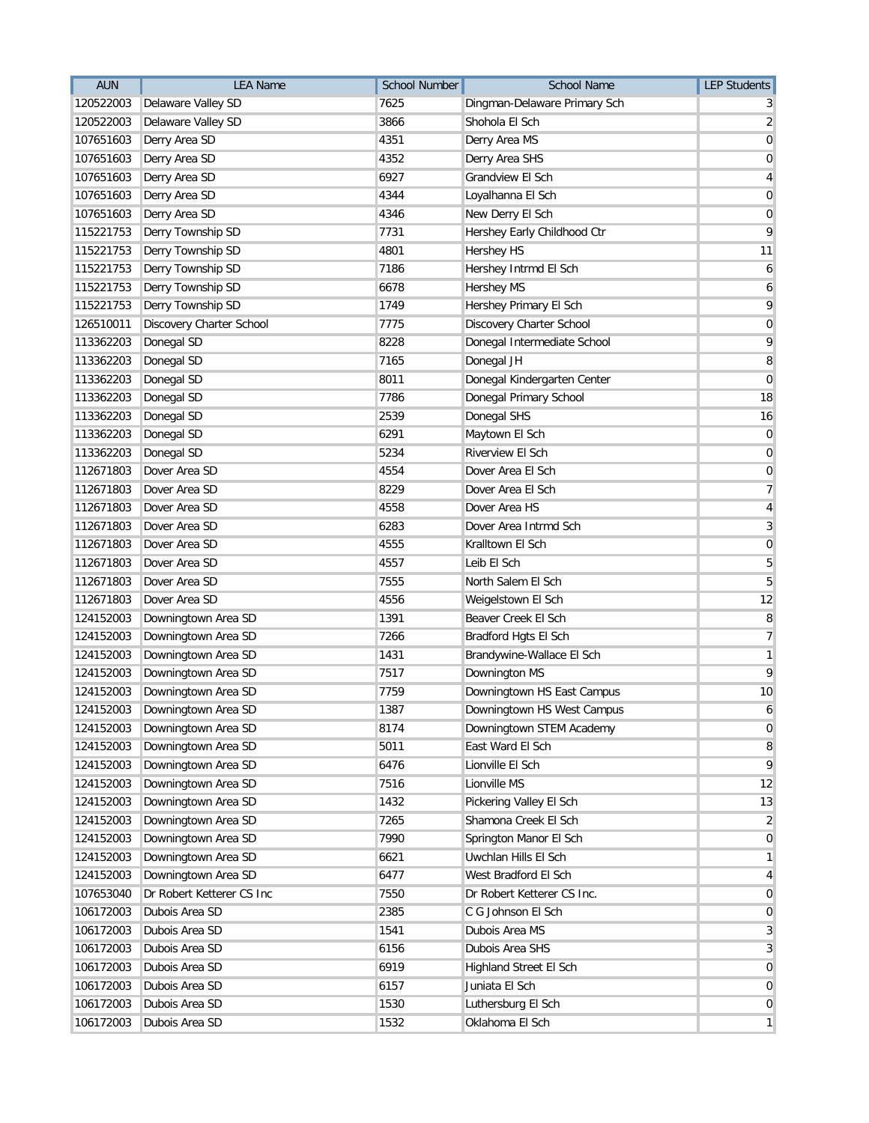| <b>AUN</b> | <b>LEA Name</b>           | <b>School Number</b> | <b>School Name</b>           | <b>LEP Students</b> |
|------------|---------------------------|----------------------|------------------------------|---------------------|
| 120522003  | Delaware Valley SD        | 7625                 | Dingman-Delaware Primary Sch |                     |
| 120522003  | Delaware Valley SD        | 3866                 | Shohola El Sch               | 2                   |
| 107651603  | Derry Area SD             | 4351                 | Derry Area MS                | 0                   |
| 107651603  | Derry Area SD             | 4352                 | Derry Area SHS               | 0                   |
| 107651603  | Derry Area SD             | 6927                 | Grandview El Sch             | 4                   |
| 107651603  | Derry Area SD             | 4344                 | Loyalhanna El Sch            | 0                   |
| 107651603  | Derry Area SD             | 4346                 | New Derry El Sch             | 0                   |
| 115221753  | Derry Township SD         | 7731                 | Hershey Early Childhood Ctr  | 9                   |
| 115221753  | Derry Township SD         | 4801                 | <b>Hershey HS</b>            | 11                  |
| 115221753  | Derry Township SD         | 7186                 | Hershey Intrmd El Sch        | 6                   |
| 115221753  | Derry Township SD         | 6678                 | <b>Hershey MS</b>            | 6                   |
| 115221753  | Derry Township SD         | 1749                 | Hershey Primary El Sch       | 9                   |
| 126510011  | Discovery Charter School  | 7775                 | Discovery Charter School     | $\mathbf 0$         |
| 113362203  | Donegal SD                | 8228                 | Donegal Intermediate School  | 9                   |
| 113362203  | Donegal SD                | 7165                 | Donegal JH                   | 8                   |
| 113362203  | Donegal SD                | 8011                 | Donegal Kindergarten Center  | 0                   |
| 113362203  | Donegal SD                | 7786                 | Donegal Primary School       | 18                  |
| 113362203  | Donegal SD                | 2539                 | Donegal SHS                  | 16                  |
| 113362203  | Donegal SD                | 6291                 | Maytown El Sch               | 0                   |
| 113362203  | Donegal SD                | 5234                 | Riverview El Sch             | 0                   |
| 112671803  | Dover Area SD             | 4554                 | Dover Area El Sch            | 0                   |
| 112671803  | Dover Area SD             | 8229                 | Dover Area El Sch            | 7                   |
| 112671803  | Dover Area SD             | 4558                 | Dover Area HS                | 4                   |
| 112671803  | Dover Area SD             | 6283                 | Dover Area Intrmd Sch        | 3                   |
| 112671803  | Dover Area SD             | 4555                 | Kralltown El Sch             | $\mathbf 0$         |
| 112671803  | Dover Area SD             | 4557                 | Leib El Sch                  | 5                   |
| 112671803  | Dover Area SD             | 7555                 | North Salem El Sch           | 5                   |
| 112671803  | Dover Area SD             | 4556                 | Weigelstown El Sch           | 12                  |
| 124152003  | Downingtown Area SD       | 1391                 | Beaver Creek El Sch          | 8                   |
| 124152003  | Downingtown Area SD       | 7266                 | Bradford Hgts El Sch         | 7                   |
| 124152003  | Downingtown Area SD       | 1431                 | Brandywine-Wallace El Sch    | 1                   |
| 124152003  | Downingtown Area SD       | 7517                 | Downington MS                | 9                   |
| 124152003  | Downingtown Area SD       | 7759                 | Downingtown HS East Campus   | 10                  |
| 124152003  | Downingtown Area SD       | 1387                 | Downingtown HS West Campus   | 6                   |
| 124152003  | Downingtown Area SD       | 8174                 | Downingtown STEM Academy     | 0                   |
| 124152003  | Downingtown Area SD       | 5011                 | East Ward El Sch             | 8                   |
| 124152003  | Downingtown Area SD       | 6476                 | Lionville El Sch             | 9                   |
| 124152003  | Downingtown Area SD       | 7516                 | Lionville MS                 | 12                  |
| 124152003  | Downingtown Area SD       | 1432                 | Pickering Valley El Sch      | 13                  |
| 124152003  | Downingtown Area SD       | 7265                 | Shamona Creek El Sch         | 2                   |
| 124152003  | Downingtown Area SD       | 7990                 | Springton Manor El Sch       | 0                   |
| 124152003  | Downingtown Area SD       | 6621                 | Uwchlan Hills El Sch         | 1                   |
| 124152003  | Downingtown Area SD       | 6477                 | West Bradford El Sch         | 4                   |
| 107653040  | Dr Robert Ketterer CS Inc | 7550                 | Dr Robert Ketterer CS Inc.   | $\mathbf 0$         |
| 106172003  | Dubois Area SD            | 2385                 | C G Johnson El Sch           | 0                   |
| 106172003  | Dubois Area SD            | 1541                 | Dubois Area MS               | 3                   |
| 106172003  | Dubois Area SD            | 6156                 | Dubois Area SHS              | 3                   |
| 106172003  | Dubois Area SD            | 6919                 | Highland Street El Sch       | 0                   |
| 106172003  | Dubois Area SD            | 6157                 | Juniata El Sch               | 0                   |
| 106172003  | Dubois Area SD            | 1530                 | Luthersburg El Sch           | 0                   |
| 106172003  | Dubois Area SD            | 1532                 | Oklahoma El Sch              | $\mathbf{1}$        |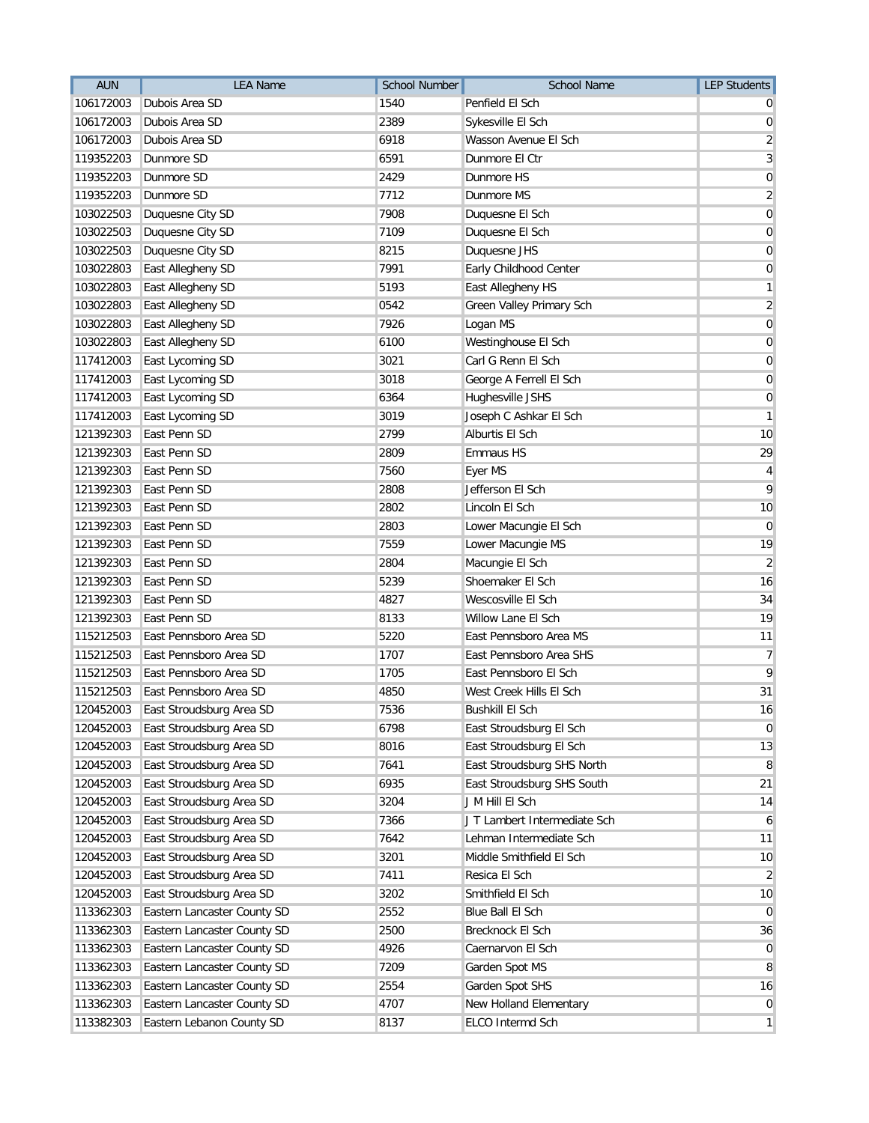| <b>AUN</b> | <b>LEA Name</b>             | <b>School Number</b> | <b>School Name</b>           | <b>LEP Students</b>     |
|------------|-----------------------------|----------------------|------------------------------|-------------------------|
| 106172003  | Dubois Area SD              | 1540                 | Penfield El Sch              |                         |
| 106172003  | Dubois Area SD              | 2389                 | Sykesville El Sch            | 0                       |
| 106172003  | Dubois Area SD              | 6918                 | Wasson Avenue El Sch         | $\overline{\mathbf{c}}$ |
| 119352203  | Dunmore SD                  | 6591                 | Dunmore El Ctr               | 3                       |
| 119352203  | Dunmore SD                  | 2429                 | Dunmore HS                   | $\mathbf 0$             |
| 119352203  | Dunmore SD                  | 7712                 | Dunmore MS                   | $\overline{2}$          |
| 103022503  | Duquesne City SD            | 7908                 | Duquesne El Sch              | 0                       |
| 103022503  | Duquesne City SD            | 7109                 | Duquesne El Sch              | 0                       |
| 103022503  | Duquesne City SD            | 8215                 | Duquesne JHS                 | 0                       |
| 103022803  | East Allegheny SD           | 7991                 | Early Childhood Center       | 0                       |
| 103022803  | East Allegheny SD           | 5193                 | East Allegheny HS            | 1                       |
| 103022803  | East Allegheny SD           | 0542                 | Green Valley Primary Sch     | $\overline{2}$          |
| 103022803  | East Allegheny SD           | 7926                 | Logan MS                     | $\mathbf 0$             |
| 103022803  | East Allegheny SD           | 6100                 | Westinghouse El Sch          | 0                       |
| 117412003  | East Lycoming SD            | 3021                 | Carl G Renn El Sch           | $\mathbf 0$             |
| 117412003  | East Lycoming SD            | 3018                 | George A Ferrell El Sch      | 0                       |
| 117412003  | East Lycoming SD            | 6364                 | Hughesville JSHS             | 0                       |
| 117412003  | East Lycoming SD            | 3019                 | Joseph C Ashkar El Sch       | 1                       |
| 121392303  | East Penn SD                | 2799                 | Alburtis El Sch              | 10                      |
| 121392303  | East Penn SD                | 2809                 | Emmaus HS                    | 29                      |
| 121392303  | East Penn SD                | 7560                 | Eyer MS                      | 4                       |
| 121392303  | East Penn SD                | 2808                 | Jefferson El Sch             | 9                       |
| 121392303  | East Penn SD                | 2802                 | Lincoln El Sch               | 10                      |
| 121392303  | East Penn SD                | 2803                 | Lower Macungie El Sch        | $\overline{0}$          |
| 121392303  | East Penn SD                | 7559                 | Lower Macungie MS            | 19                      |
| 121392303  | East Penn SD                | 2804                 | Macungie El Sch              | $\overline{2}$          |
| 121392303  | East Penn SD                | 5239                 | Shoemaker El Sch             | 16                      |
| 121392303  | East Penn SD                | 4827                 | Wescosville El Sch           | 34                      |
| 121392303  | East Penn SD                | 8133                 | Willow Lane El Sch           | 19                      |
| 115212503  | East Pennsboro Area SD      | 5220                 | East Pennsboro Area MS       | 11                      |
| 115212503  | East Pennsboro Area SD      | 1707                 | East Pennsboro Area SHS      | $\overline{7}$          |
| 115212503  | East Pennsboro Area SD      | 1705                 | East Pennsboro El Sch        | 9                       |
| 115212503  | East Pennsboro Area SD      | 4850                 | West Creek Hills El Sch      | 31                      |
| 120452003  | East Stroudsburg Area SD    | 7536                 | <b>Bushkill El Sch</b>       | 16                      |
| 120452003  | East Stroudsburg Area SD    | 6798                 | East Stroudsburg El Sch      | 0                       |
| 120452003  | East Stroudsburg Area SD    | 8016                 | East Stroudsburg El Sch      | 13                      |
| 120452003  | East Stroudsburg Area SD    | 7641                 | East Stroudsburg SHS North   | 8                       |
| 120452003  | East Stroudsburg Area SD    | 6935                 | East Stroudsburg SHS South   | 21                      |
| 120452003  | East Stroudsburg Area SD    | 3204                 | J M Hill El Sch              | 14                      |
| 120452003  | East Stroudsburg Area SD    | 7366                 | J T Lambert Intermediate Sch | 6                       |
| 120452003  | East Stroudsburg Area SD    | 7642                 | Lehman Intermediate Sch      | 11                      |
| 120452003  | East Stroudsburg Area SD    | 3201                 | Middle Smithfield El Sch     | 10                      |
| 120452003  | East Stroudsburg Area SD    | 7411                 | Resica El Sch                | $\overline{2}$          |
| 120452003  | East Stroudsburg Area SD    | 3202                 | Smithfield El Sch            | 10                      |
| 113362303  | Eastern Lancaster County SD | 2552                 | Blue Ball El Sch             | $\overline{0}$          |
| 113362303  | Eastern Lancaster County SD | 2500                 | Brecknock El Sch             | 36                      |
| 113362303  | Eastern Lancaster County SD | 4926                 | Caernarvon El Sch            | 0                       |
| 113362303  | Eastern Lancaster County SD | 7209                 | Garden Spot MS               | 8                       |
| 113362303  | Eastern Lancaster County SD | 2554                 | Garden Spot SHS              | 16                      |
| 113362303  | Eastern Lancaster County SD | 4707                 | New Holland Elementary       | $\mathbf 0$             |
| 113382303  | Eastern Lebanon County SD   | 8137                 | ELCO Intermd Sch             | $\mathbf{1}$            |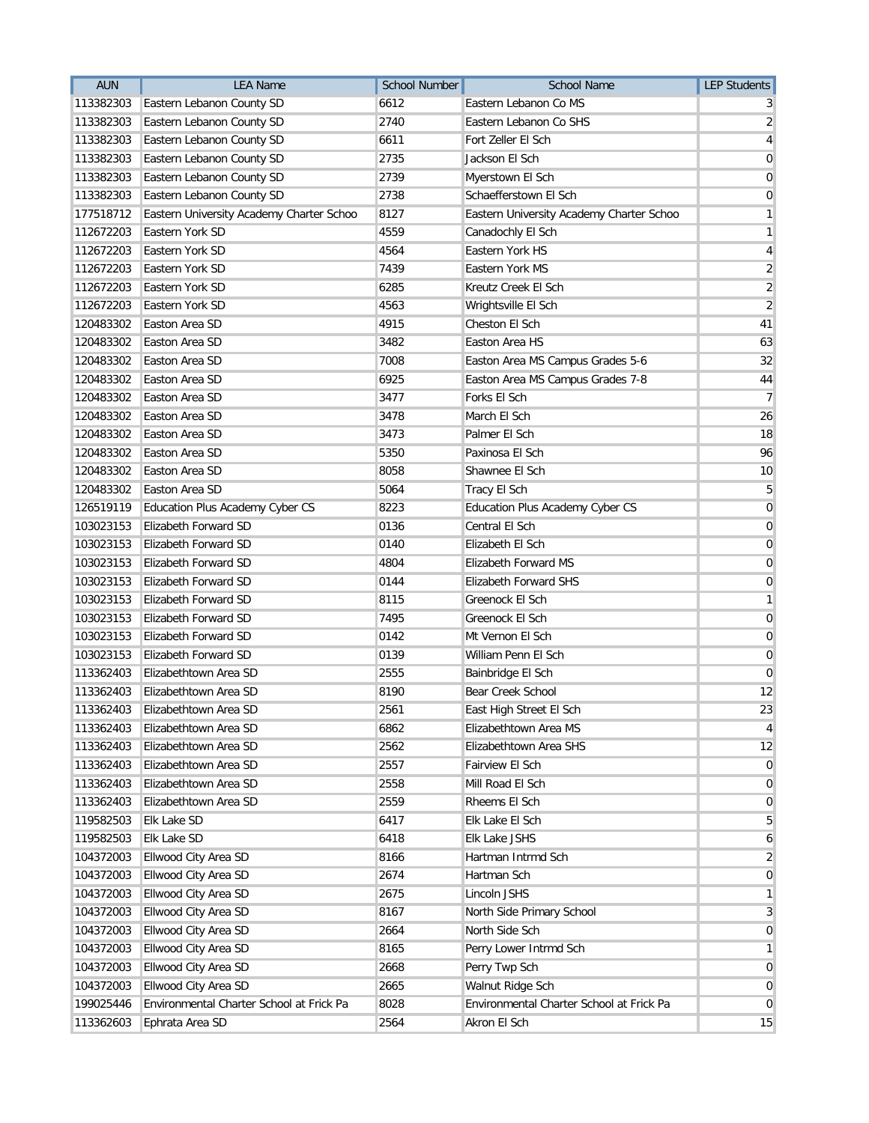| <b>AUN</b> | <b>LEA Name</b>                          | <b>School Number</b> | <b>School Name</b>                       | <b>LEP Students</b> |
|------------|------------------------------------------|----------------------|------------------------------------------|---------------------|
| 113382303  | Eastern Lebanon County SD                | 6612                 | Eastern Lebanon Co MS                    | 3                   |
| 113382303  | Eastern Lebanon County SD                | 2740                 | Eastern Lebanon Co SHS                   | $\overline{2}$      |
| 113382303  | Eastern Lebanon County SD                | 6611                 | Fort Zeller El Sch                       | 4                   |
| 113382303  | Eastern Lebanon County SD                | 2735                 | Jackson El Sch                           | 0                   |
| 113382303  | Eastern Lebanon County SD                | 2739                 | Myerstown El Sch                         | 0                   |
| 113382303  | Eastern Lebanon County SD                | 2738                 | Schaefferstown El Sch                    | 0                   |
| 177518712  | Eastern University Academy Charter Schoo | 8127                 | Eastern University Academy Charter Schoo | 1                   |
| 112672203  | Eastern York SD                          | 4559                 | Canadochly El Sch                        | 1                   |
| 112672203  | Eastern York SD                          | 4564                 | Eastern York HS                          | 4                   |
| 112672203  | Eastern York SD                          | 7439                 | Eastern York MS                          | $\overline{2}$      |
| 112672203  | Eastern York SD                          | 6285                 | Kreutz Creek El Sch                      | $\sqrt{2}$          |
| 112672203  | Eastern York SD                          | 4563                 | Wrightsville El Sch                      | $\overline{2}$      |
| 120483302  | Easton Area SD                           | 4915                 | Cheston El Sch                           | 41                  |
| 120483302  | Easton Area SD                           | 3482                 | Easton Area HS                           | 63                  |
| 120483302  | Easton Area SD                           | 7008                 | Easton Area MS Campus Grades 5-6         | 32                  |
| 120483302  | Easton Area SD                           | 6925                 | Easton Area MS Campus Grades 7-8         | 44                  |
| 120483302  | Easton Area SD                           | 3477                 | Forks El Sch                             | 7                   |
| 120483302  | Easton Area SD                           | 3478                 | March El Sch                             | 26                  |
| 120483302  | Easton Area SD                           | 3473                 | Palmer El Sch                            | 18                  |
| 120483302  | Easton Area SD                           | 5350                 | Paxinosa El Sch                          | 96                  |
| 120483302  | Easton Area SD                           | 8058                 | Shawnee El Sch                           | 10                  |
| 120483302  | Easton Area SD                           | 5064                 | Tracy El Sch                             | 5                   |
| 126519119  | Education Plus Academy Cyber CS          | 8223                 | Education Plus Academy Cyber CS          | $\mathbf 0$         |
| 103023153  | Elizabeth Forward SD                     | 0136                 | Central El Sch                           | $\overline{0}$      |
| 103023153  | Elizabeth Forward SD                     | 0140                 | Elizabeth El Sch                         | $\mathbf 0$         |
| 103023153  | Elizabeth Forward SD                     | 4804                 | Elizabeth Forward MS                     | $\mathbf 0$         |
| 103023153  | Elizabeth Forward SD                     | 0144                 | <b>Elizabeth Forward SHS</b>             | 0                   |
| 103023153  | Elizabeth Forward SD                     | 8115                 | Greenock El Sch                          | 1                   |
| 103023153  | Elizabeth Forward SD                     | 7495                 | Greenock El Sch                          | 0                   |
| 103023153  | Elizabeth Forward SD                     | 0142                 | Mt Vernon El Sch                         | 0                   |
| 103023153  | <b>Elizabeth Forward SD</b>              | 0139                 | William Penn El Sch                      | $\mathbf 0$         |
| 113362403  | Elizabethtown Area SD                    | 2555                 | Bainbridge El Sch                        | 0                   |
| 113362403  | Elizabethtown Area SD                    | 8190                 | Bear Creek School                        | 12                  |
| 113362403  | Elizabethtown Area SD                    | 2561                 | East High Street El Sch                  | 23                  |
| 113362403  | Elizabethtown Area SD                    | 6862                 | Elizabethtown Area MS                    | 4                   |
| 113362403  | Elizabethtown Area SD                    | 2562                 | Elizabethtown Area SHS                   | 12                  |
| 113362403  | Elizabethtown Area SD                    | 2557                 | Fairview El Sch                          | 0                   |
| 113362403  | Elizabethtown Area SD                    | 2558                 | Mill Road El Sch                         | $\overline{0}$      |
| 113362403  | Elizabethtown Area SD                    | 2559                 | Rheems El Sch                            | $\overline{0}$      |
| 119582503  | Elk Lake SD                              | 6417                 | Elk Lake El Sch                          | 5                   |
| 119582503  | Elk Lake SD                              | 6418                 | Elk Lake JSHS                            | 6                   |
| 104372003  | Ellwood City Area SD                     | 8166                 | Hartman Intrmd Sch                       | 2                   |
| 104372003  | Ellwood City Area SD                     | 2674                 | Hartman Sch                              | 0                   |
| 104372003  | Ellwood City Area SD                     | 2675                 | Lincoln JSHS                             | $\mathbf{1}$        |
| 104372003  | Ellwood City Area SD                     | 8167                 | North Side Primary School                | 3                   |
| 104372003  | Ellwood City Area SD                     | 2664                 | North Side Sch                           | 0                   |
| 104372003  | Ellwood City Area SD                     | 8165                 | Perry Lower Intrmd Sch                   | 1                   |
| 104372003  | Ellwood City Area SD                     | 2668                 | Perry Twp Sch                            | 0                   |
| 104372003  | Ellwood City Area SD                     | 2665                 | Walnut Ridge Sch                         | $\overline{0}$      |
| 199025446  | Environmental Charter School at Frick Pa | 8028                 | Environmental Charter School at Frick Pa | $\overline{0}$      |
| 113362603  | Ephrata Area SD                          | 2564                 | Akron El Sch                             | 15                  |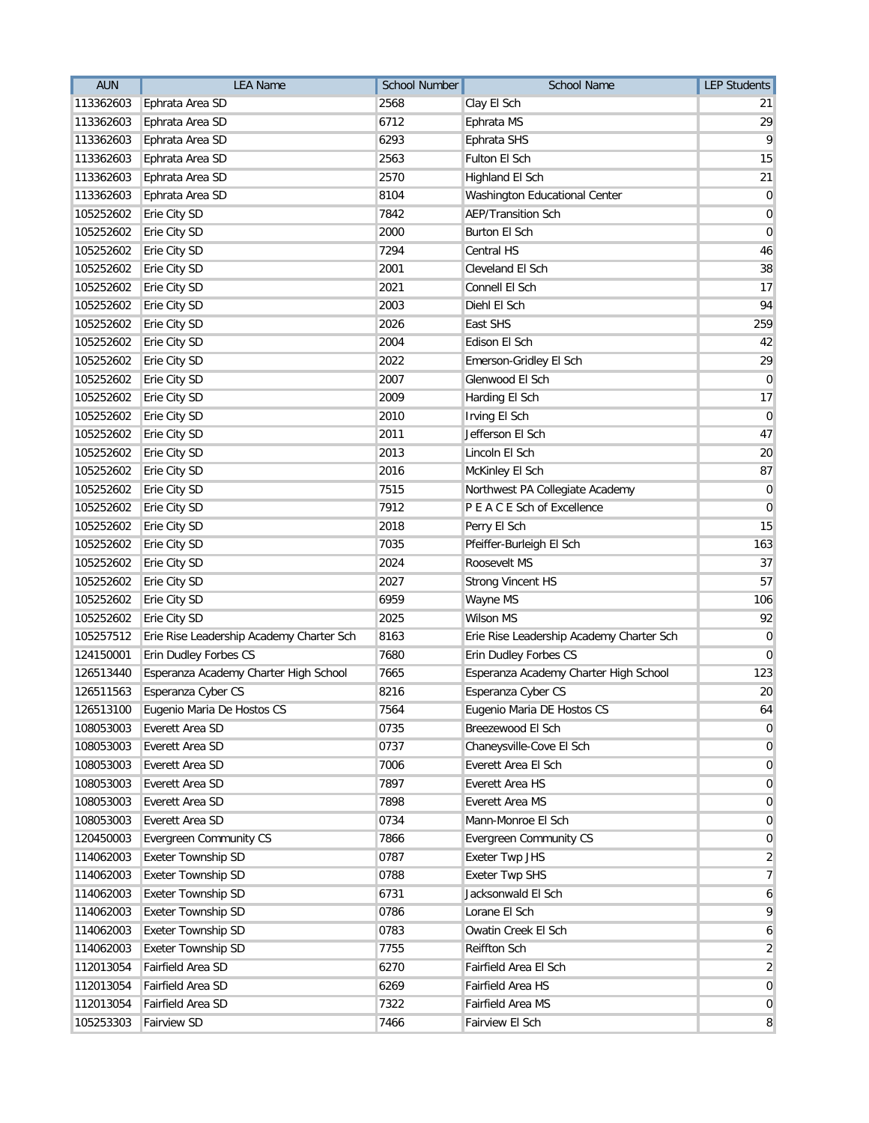| <b>AUN</b> | <b>LEA Name</b>                          | <b>School Number</b> | <b>School Name</b>                       | <b>LEP Students</b> |
|------------|------------------------------------------|----------------------|------------------------------------------|---------------------|
| 113362603  | Ephrata Area SD                          | 2568                 | Clay El Sch                              | 21                  |
| 113362603  | Ephrata Area SD                          | 6712                 | Ephrata MS                               | 29                  |
| 113362603  | Ephrata Area SD                          | 6293                 | Ephrata SHS                              | 9                   |
| 113362603  | Ephrata Area SD                          | 2563                 | <b>Fulton El Sch</b>                     | 15                  |
| 113362603  | Ephrata Area SD                          | 2570                 | Highland El Sch                          | 21                  |
| 113362603  | Ephrata Area SD                          | 8104                 | Washington Educational Center            | 0                   |
| 105252602  | Erie City SD                             | 7842                 | <b>AEP/Transition Sch</b>                | $\mathbf 0$         |
| 105252602  | Erie City SD                             | 2000                 | Burton El Sch                            | 0                   |
| 105252602  | Erie City SD                             | 7294                 | Central HS                               | 46                  |
| 105252602  | Erie City SD                             | 2001                 | Cleveland El Sch                         | 38                  |
| 105252602  | Erie City SD                             | 2021                 | Connell El Sch                           | 17                  |
| 105252602  | Erie City SD                             | 2003                 | Diehl El Sch                             | 94                  |
| 105252602  | Erie City SD                             | 2026                 | East SHS                                 | 259                 |
| 105252602  | Erie City SD                             | 2004                 | Edison El Sch                            | 42                  |
| 105252602  | Erie City SD                             | 2022                 | Emerson-Gridley El Sch                   | 29                  |
| 105252602  | Erie City SD                             | 2007                 | Glenwood El Sch                          | $\mathbf 0$         |
| 105252602  | Erie City SD                             | 2009                 | Harding El Sch                           | 17                  |
| 105252602  | Erie City SD                             | 2010                 | Irving El Sch                            | 0                   |
| 105252602  | Erie City SD                             | 2011                 | Jefferson El Sch                         | 47                  |
| 105252602  | Erie City SD                             | 2013                 | Lincoln El Sch                           | 20                  |
| 105252602  | Erie City SD                             | 2016                 | McKinley El Sch                          | 87                  |
| 105252602  | Erie City SD                             | 7515                 | Northwest PA Collegiate Academy          | 0                   |
| 105252602  | Erie City SD                             | 7912                 | P E A C E Sch of Excellence              | 0                   |
| 105252602  | Erie City SD                             | 2018                 | Perry El Sch                             | 15                  |
| 105252602  | Erie City SD                             | 7035                 | Pfeiffer-Burleigh El Sch                 | 163                 |
| 105252602  | Erie City SD                             | 2024                 | Roosevelt MS                             | 37                  |
| 105252602  | Erie City SD                             | 2027                 | <b>Strong Vincent HS</b>                 | 57                  |
| 105252602  | Erie City SD                             | 6959                 | Wayne MS                                 | 106                 |
| 105252602  | Erie City SD                             | 2025                 | <b>Wilson MS</b>                         | 92                  |
| 105257512  | Erie Rise Leadership Academy Charter Sch | 8163                 | Erie Rise Leadership Academy Charter Sch | 0                   |
| 124150001  | Erin Dudley Forbes CS                    | 7680                 | Erin Dudley Forbes CS                    | 0                   |
| 126513440  | Esperanza Academy Charter High School    | 7665                 | Esperanza Academy Charter High School    | 123                 |
| 126511563  | Esperanza Cyber CS                       | 8216                 | Esperanza Cyber CS                       | 20                  |
|            | 126513100 Eugenio Maria De Hostos CS     | 7564                 | Eugenio Maria DE Hostos CS               | 64                  |
| 108053003  | Everett Area SD                          | 0735                 | Breezewood El Sch                        | 0                   |
| 108053003  | Everett Area SD                          | 0737                 | Chaneysville-Cove El Sch                 | 0                   |
| 108053003  | Everett Area SD                          | 7006                 | Everett Area El Sch                      | 0                   |
| 108053003  | Everett Area SD                          | 7897                 | Everett Area HS                          | $\overline{0}$      |
| 108053003  | Everett Area SD                          | 7898                 | Everett Area MS                          | $\overline{0}$      |
| 108053003  | Everett Area SD                          | 0734                 | Mann-Monroe El Sch                       | 0                   |
| 120450003  | <b>Evergreen Community CS</b>            | 7866                 | <b>Evergreen Community CS</b>            | 0                   |
| 114062003  | Exeter Township SD                       | 0787                 | Exeter Twp JHS                           | 2                   |
| 114062003  | Exeter Township SD                       | 0788                 | <b>Exeter Twp SHS</b>                    | $\overline{7}$      |
| 114062003  | <b>Exeter Township SD</b>                | 6731                 | Jacksonwald El Sch                       | 6                   |
| 114062003  | Exeter Township SD                       | 0786                 | Lorane El Sch                            | 9                   |
| 114062003  | Exeter Township SD                       | 0783                 | Owatin Creek El Sch                      | 6                   |
| 114062003  | Exeter Township SD                       | 7755                 | <b>Reiffton Sch</b>                      | 2                   |
| 112013054  | Fairfield Area SD                        | 6270                 | Fairfield Area El Sch                    | $\overline{2}$      |
| 112013054  | Fairfield Area SD                        | 6269                 | Fairfield Area HS                        | $\mathbf 0$         |
| 112013054  | Fairfield Area SD                        | 7322                 | Fairfield Area MS                        | 0                   |
| 105253303  | Fairview SD                              | 7466                 | Fairview El Sch                          | 8                   |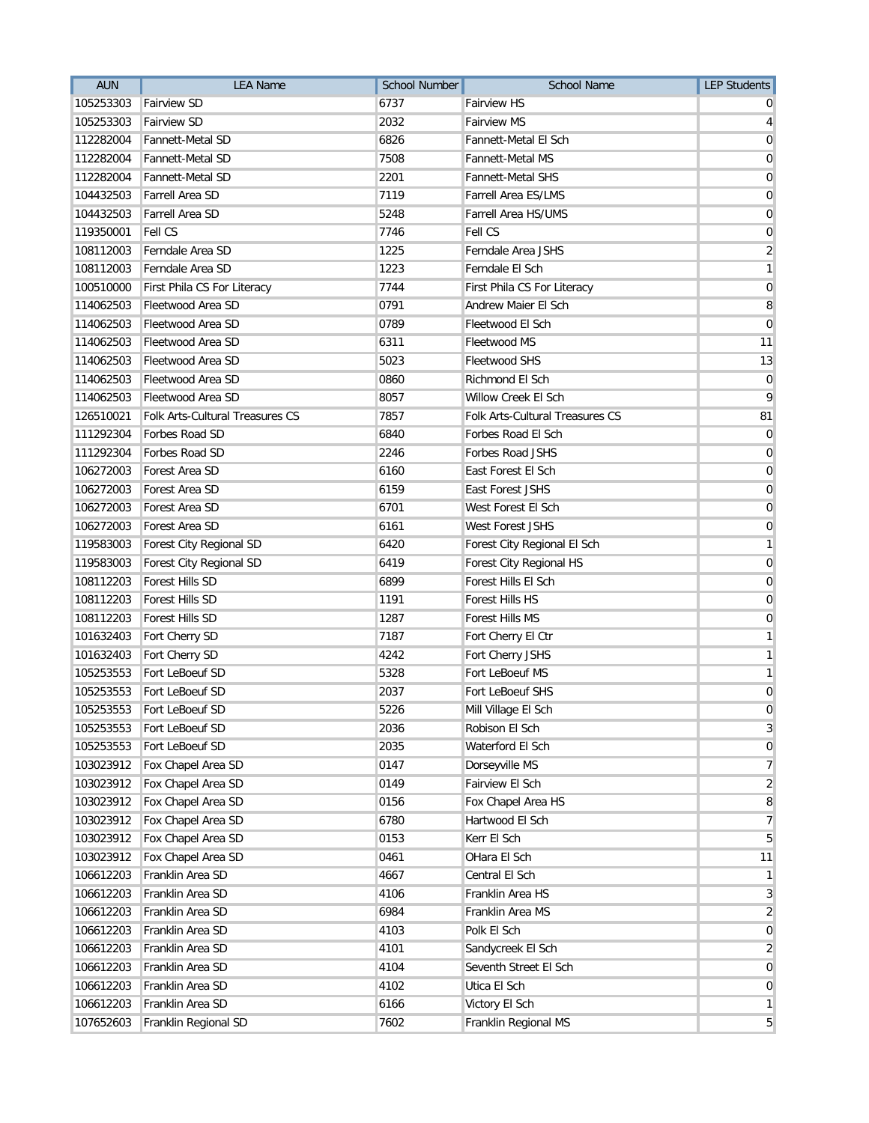| <b>AUN</b> | <b>LEA Name</b>                 | <b>School Number</b> | <b>School Name</b>              | <b>LEP Students</b>     |
|------------|---------------------------------|----------------------|---------------------------------|-------------------------|
| 105253303  | <b>Fairview SD</b>              | 6737                 | Fairview HS                     |                         |
| 105253303  | <b>Fairview SD</b>              | 2032                 | <b>Fairview MS</b>              | 4                       |
| 112282004  | Fannett-Metal SD                | 6826                 | Fannett-Metal El Sch            | 0                       |
| 112282004  | <b>Fannett-Metal SD</b>         | 7508                 | <b>Fannett-Metal MS</b>         | 0                       |
| 112282004  | Fannett-Metal SD                | 2201                 | <b>Fannett-Metal SHS</b>        | 0                       |
| 104432503  | Farrell Area SD                 | 7119                 | <b>Farrell Area ES/LMS</b>      | 0                       |
| 104432503  | Farrell Area SD                 | 5248                 | <b>Farrell Area HS/UMS</b>      | $\mathbf 0$             |
| 119350001  | Fell CS                         | 7746                 | Fell CS                         | 0                       |
| 108112003  | Ferndale Area SD                | 1225                 | Ferndale Area JSHS              | $\overline{\mathbf{c}}$ |
| 108112003  | Ferndale Area SD                | 1223                 | Ferndale El Sch                 | 1                       |
| 100510000  | First Phila CS For Literacy     | 7744                 | First Phila CS For Literacy     | 0                       |
| 114062503  | Fleetwood Area SD               | 0791                 | Andrew Maier El Sch             | 8                       |
| 114062503  | Fleetwood Area SD               | 0789                 | Fleetwood El Sch                | $\Omega$                |
| 114062503  | Fleetwood Area SD               | 6311                 | <b>Fleetwood MS</b>             | 11                      |
| 114062503  | Fleetwood Area SD               | 5023                 | <b>Fleetwood SHS</b>            | 13                      |
| 114062503  | Fleetwood Area SD               | 0860                 | Richmond El Sch                 | 0                       |
| 114062503  | Fleetwood Area SD               | 8057                 | Willow Creek El Sch             | 9                       |
| 126510021  | Folk Arts-Cultural Treasures CS | 7857                 | Folk Arts-Cultural Treasures CS | 81                      |
| 111292304  | Forbes Road SD                  | 6840                 | Forbes Road El Sch              | 0                       |
| 111292304  | Forbes Road SD                  | 2246                 | Forbes Road JSHS                | $\mathbf 0$             |
| 106272003  | Forest Area SD                  | 6160                 | East Forest El Sch              | 0                       |
| 106272003  | Forest Area SD                  | 6159                 | <b>East Forest JSHS</b>         | 0                       |
| 106272003  | Forest Area SD                  | 6701                 | West Forest El Sch              | 0                       |
| 106272003  | Forest Area SD                  | 6161                 | West Forest JSHS                | 0                       |
| 119583003  | Forest City Regional SD         | 6420                 | Forest City Regional El Sch     | 1                       |
| 119583003  | Forest City Regional SD         | 6419                 | Forest City Regional HS         | $\mathbf 0$             |
| 108112203  | <b>Forest Hills SD</b>          | 6899                 | Forest Hills El Sch             | 0                       |
| 108112203  | Forest Hills SD                 | 1191                 | Forest Hills HS                 | 0                       |
| 108112203  | Forest Hills SD                 | 1287                 | Forest Hills MS                 | 0                       |
| 101632403  | Fort Cherry SD                  | 7187                 | Fort Cherry El Ctr              | 1                       |
| 101632403  | Fort Cherry SD                  | 4242                 | Fort Cherry JSHS                | 1                       |
| 105253553  | Fort LeBoeuf SD                 | 5328                 | Fort LeBoeuf MS                 | 1                       |
| 105253553  | Fort LeBoeuf SD                 | 2037                 | Fort LeBoeuf SHS                | 0                       |
|            | 105253553 Fort LeBoeuf SD       | 5226                 | Mill Village El Sch             | 0                       |
| 105253553  | Fort LeBoeuf SD                 | 2036                 | Robison El Sch                  | 3                       |
| 105253553  | Fort LeBoeuf SD                 | 2035                 | Waterford El Sch                | 0                       |
| 103023912  | Fox Chapel Area SD              | 0147                 | Dorseyville MS                  | 7                       |
| 103023912  | Fox Chapel Area SD              | 0149                 | Fairview El Sch                 | $\overline{2}$          |
| 103023912  | Fox Chapel Area SD              | 0156                 | Fox Chapel Area HS              | 8                       |
| 103023912  | Fox Chapel Area SD              | 6780                 | Hartwood El Sch                 | 7                       |
| 103023912  | Fox Chapel Area SD              | 0153                 | Kerr El Sch                     | 5                       |
| 103023912  | Fox Chapel Area SD              | 0461                 | OHara El Sch                    | 11                      |
| 106612203  | Franklin Area SD                | 4667                 | Central El Sch                  | $\mathbf{1}$            |
| 106612203  | Franklin Area SD                | 4106                 | Franklin Area HS                | $\sqrt{3}$              |
| 106612203  | Franklin Area SD                | 6984                 | Franklin Area MS                | $\overline{\mathbf{c}}$ |
| 106612203  | Franklin Area SD                | 4103                 | Polk El Sch                     | 0                       |
| 106612203  | Franklin Area SD                | 4101                 | Sandycreek El Sch               | 2                       |
| 106612203  | Franklin Area SD                | 4104                 | Seventh Street El Sch           | $\mathbf 0$             |
| 106612203  | Franklin Area SD                | 4102                 | Utica El Sch                    | $\mathbf 0$             |
| 106612203  | Franklin Area SD                | 6166                 | Victory El Sch                  | $\mathbf{1}$            |
| 107652603  | Franklin Regional SD            | 7602                 | Franklin Regional MS            | 5                       |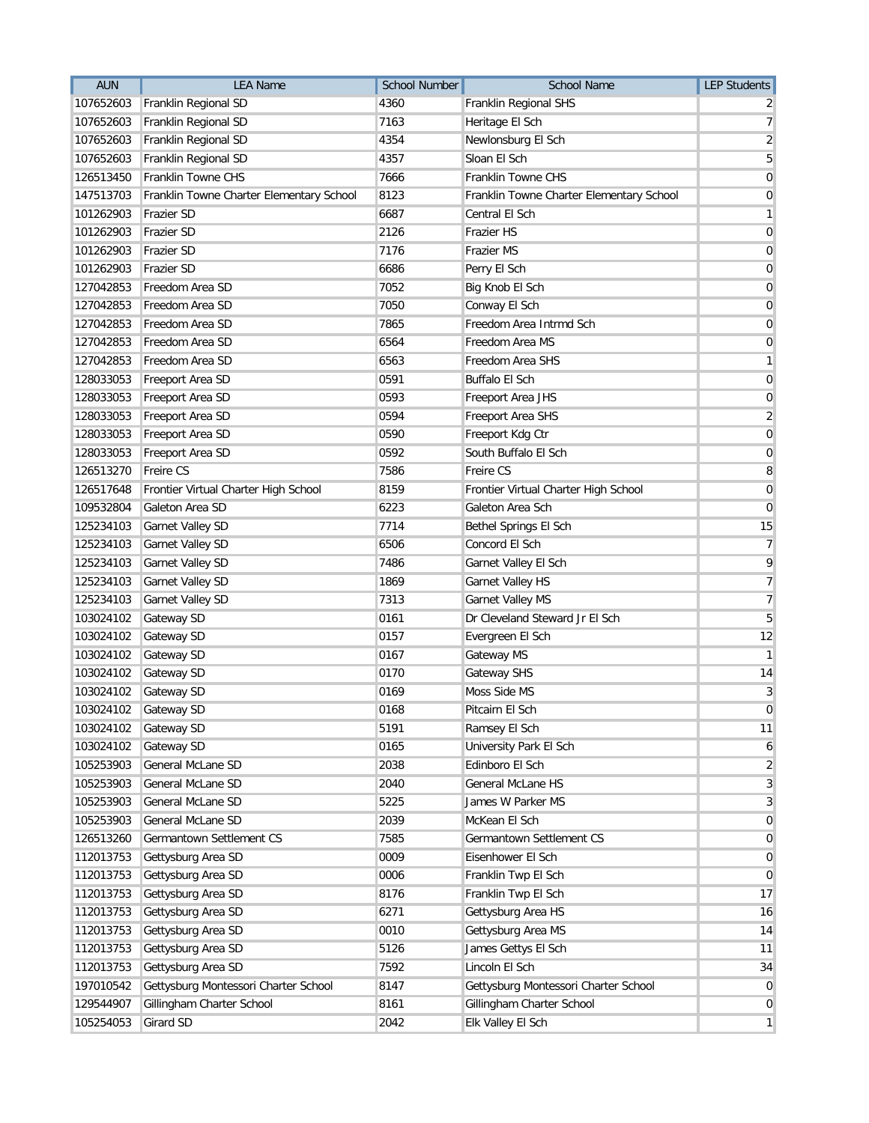| <b>AUN</b> | <b>LEA Name</b>                          | <b>School Number</b> | <b>School Name</b>                       | <b>LEP Students</b> |
|------------|------------------------------------------|----------------------|------------------------------------------|---------------------|
| 107652603  | Franklin Regional SD                     | 4360                 | Franklin Regional SHS                    |                     |
| 107652603  | Franklin Regional SD                     | 7163                 | Heritage El Sch                          | 7                   |
| 107652603  | Franklin Regional SD                     | 4354                 | Newlonsburg El Sch                       | $\overline{2}$      |
| 107652603  | Franklin Regional SD                     | 4357                 | Sloan El Sch                             | 5                   |
| 126513450  | Franklin Towne CHS                       | 7666                 | Franklin Towne CHS                       | 0                   |
| 147513703  | Franklin Towne Charter Elementary School | 8123                 | Franklin Towne Charter Elementary School | 0                   |
| 101262903  | Frazier SD                               | 6687                 | Central El Sch                           | 1                   |
| 101262903  | Frazier SD                               | 2126                 | Frazier HS                               | 0                   |
| 101262903  | Frazier SD                               | 7176                 | <b>Frazier MS</b>                        | 0                   |
| 101262903  | Frazier SD                               | 6686                 | Perry El Sch                             | 0                   |
| 127042853  | Freedom Area SD                          | 7052                 | Big Knob El Sch                          | 0                   |
| 127042853  | Freedom Area SD                          | 7050                 | Conway El Sch                            | $\mathbf 0$         |
| 127042853  | Freedom Area SD                          | 7865                 | Freedom Area Intrmd Sch                  | 0                   |
| 127042853  | Freedom Area SD                          | 6564                 | Freedom Area MS                          | 0                   |
| 127042853  | Freedom Area SD                          | 6563                 | Freedom Area SHS                         | 1                   |
| 128033053  | Freeport Area SD                         | 0591                 | <b>Buffalo El Sch</b>                    | 0                   |
| 128033053  | Freeport Area SD                         | 0593                 | Freeport Area JHS                        | 0                   |
| 128033053  | Freeport Area SD                         | 0594                 | Freeport Area SHS                        | $\overline{2}$      |
| 128033053  | Freeport Area SD                         | 0590                 | Freeport Kdg Ctr                         | $\mathbf 0$         |
| 128033053  | Freeport Area SD                         | 0592                 | South Buffalo El Sch                     | 0                   |
| 126513270  | Freire CS                                | 7586                 | <b>Freire CS</b>                         | 8                   |
| 126517648  | Frontier Virtual Charter High School     | 8159                 | Frontier Virtual Charter High School     | 0                   |
| 109532804  | Galeton Area SD                          | 6223                 | Galeton Area Sch                         | $\mathbf 0$         |
| 125234103  | Garnet Valley SD                         | 7714                 | Bethel Springs El Sch                    | 15                  |
| 125234103  | Garnet Valley SD                         | 6506                 | Concord El Sch                           | $\overline{7}$      |
| 125234103  | Garnet Valley SD                         | 7486                 | Garnet Valley El Sch                     | 9                   |
| 125234103  | Garnet Valley SD                         | 1869                 | <b>Garnet Valley HS</b>                  | $\overline{7}$      |
| 125234103  | Garnet Valley SD                         | 7313                 | <b>Garnet Valley MS</b>                  | 7                   |
| 103024102  | Gateway SD                               | 0161                 | Dr Cleveland Steward Jr El Sch           | 5                   |
| 103024102  | Gateway SD                               | 0157                 | Evergreen El Sch                         | 12                  |
| 103024102  | Gateway SD                               | 0167                 | Gateway MS                               | $\mathbf{1}$        |
| 103024102  | Gateway SD                               | 0170                 | <b>Gateway SHS</b>                       | 14                  |
| 103024102  | Gateway SD                               | 0169                 | Moss Side MS                             | 3                   |
| 103024102  | <b>Gateway SD</b>                        | 0168                 | Pitcairn El Sch                          | 0                   |
| 103024102  | Gateway SD                               | 5191                 | Ramsey El Sch                            | 11                  |
| 103024102  | Gateway SD                               | 0165                 | University Park El Sch                   | 6                   |
| 105253903  | General McLane SD                        | 2038                 | Edinboro El Sch                          | $\overline{2}$      |
| 105253903  | General McLane SD                        | 2040                 | General McLane HS                        | 3                   |
| 105253903  | General McLane SD                        | 5225                 | James W Parker MS                        | 3                   |
| 105253903  | General McLane SD                        | 2039                 | McKean El Sch                            | $\overline{0}$      |
| 126513260  | Germantown Settlement CS                 | 7585                 | Germantown Settlement CS                 | 0                   |
| 112013753  | Gettysburg Area SD                       | 0009                 | Eisenhower El Sch                        | 0                   |
| 112013753  | Gettysburg Area SD                       | 0006                 | Franklin Twp El Sch                      | $\mathbf 0$         |
| 112013753  | Gettysburg Area SD                       | 8176                 | Franklin Twp El Sch                      | 17                  |
| 112013753  | Gettysburg Area SD                       | 6271                 | Gettysburg Area HS                       | 16                  |
| 112013753  | Gettysburg Area SD                       | 0010                 | Gettysburg Area MS                       | 14                  |
| 112013753  | Gettysburg Area SD                       | 5126                 | James Gettys El Sch                      | 11                  |
| 112013753  | Gettysburg Area SD                       | 7592                 | Lincoln El Sch                           | 34                  |
| 197010542  | Gettysburg Montessori Charter School     | 8147                 | Gettysburg Montessori Charter School     | $\mathbf 0$         |
| 129544907  | Gillingham Charter School                | 8161                 | Gillingham Charter School                | 0                   |
| 105254053  | Girard SD                                | 2042                 | Elk Valley El Sch                        | $\mathbf{1}$        |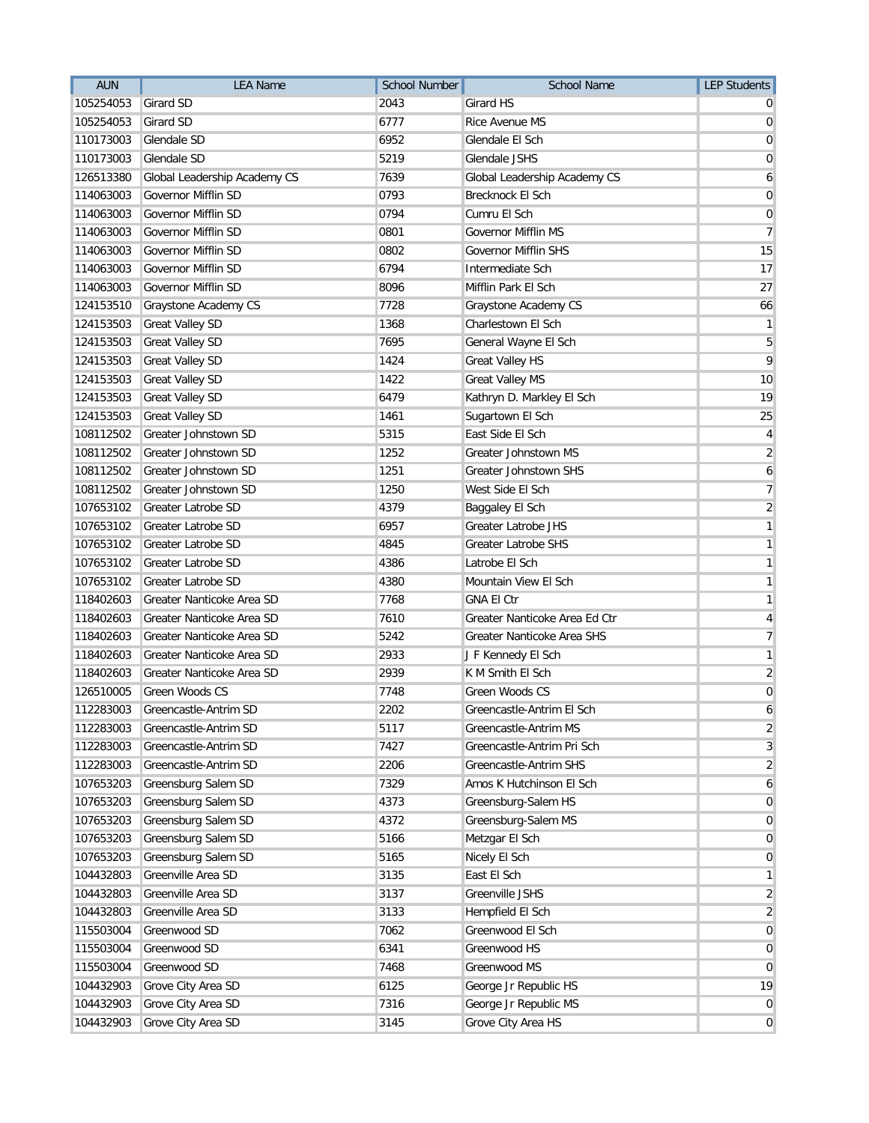| <b>AUN</b> | <b>LEA Name</b>              | <b>School Number</b> | <b>School Name</b>            | <b>LEP Students</b>     |
|------------|------------------------------|----------------------|-------------------------------|-------------------------|
| 105254053  | Girard SD                    | 2043                 | Girard HS                     |                         |
| 105254053  | <b>Girard SD</b>             | 6777                 | Rice Avenue MS                | 0                       |
| 110173003  | Glendale SD                  | 6952                 | Glendale El Sch               | 0                       |
| 110173003  | Glendale SD                  | 5219                 | Glendale JSHS                 | 0                       |
| 126513380  | Global Leadership Academy CS | 7639                 | Global Leadership Academy CS  | 6                       |
| 114063003  | Governor Mifflin SD          | 0793                 | Brecknock El Sch              | 0                       |
| 114063003  | Governor Mifflin SD          | 0794                 | Cumru El Sch                  | $\mathbf 0$             |
| 114063003  | Governor Mifflin SD          | 0801                 | <b>Governor Mifflin MS</b>    | $\overline{7}$          |
| 114063003  | Governor Mifflin SD          | 0802                 | <b>Governor Mifflin SHS</b>   | 15                      |
| 114063003  | Governor Mifflin SD          | 6794                 | Intermediate Sch              | 17                      |
| 114063003  | Governor Mifflin SD          | 8096                 | Mifflin Park El Sch           | 27                      |
| 124153510  | Graystone Academy CS         | 7728                 | Graystone Academy CS          | 66                      |
| 124153503  | <b>Great Valley SD</b>       | 1368                 | Charlestown El Sch            | 1                       |
| 124153503  | <b>Great Valley SD</b>       | 7695                 | General Wayne El Sch          | 5                       |
| 124153503  | <b>Great Valley SD</b>       | 1424                 | <b>Great Valley HS</b>        | 9                       |
| 124153503  | <b>Great Valley SD</b>       | 1422                 | <b>Great Valley MS</b>        | 10                      |
| 124153503  | <b>Great Valley SD</b>       | 6479                 | Kathryn D. Markley El Sch     | 19                      |
| 124153503  | <b>Great Valley SD</b>       | 1461                 | Sugartown El Sch              | 25                      |
| 108112502  | Greater Johnstown SD         | 5315                 | East Side El Sch              | 4                       |
| 108112502  | Greater Johnstown SD         | 1252                 | Greater Johnstown MS          | 2                       |
| 108112502  | Greater Johnstown SD         | 1251                 | Greater Johnstown SHS         | 6                       |
| 108112502  | Greater Johnstown SD         | 1250                 | West Side El Sch              | 7                       |
| 107653102  | Greater Latrobe SD           | 4379                 | Baggaley El Sch               | 2                       |
| 107653102  | Greater Latrobe SD           | 6957                 | <b>Greater Latrobe JHS</b>    | 1                       |
| 107653102  | Greater Latrobe SD           | 4845                 | Greater Latrobe SHS           | 1                       |
| 107653102  | Greater Latrobe SD           | 4386                 | Latrobe El Sch                | 1                       |
| 107653102  | <b>Greater Latrobe SD</b>    | 4380                 | Mountain View El Sch          | 1                       |
| 118402603  | Greater Nanticoke Area SD    | 7768                 | <b>GNA El Ctr</b>             | 1                       |
| 118402603  | Greater Nanticoke Area SD    | 7610                 | Greater Nanticoke Area Ed Ctr | 4                       |
| 118402603  | Greater Nanticoke Area SD    | 5242                 | Greater Nanticoke Area SHS    | $\overline{7}$          |
| 118402603  | Greater Nanticoke Area SD    | 2933                 | J F Kennedy El Sch            | 1                       |
| 118402603  | Greater Nanticoke Area SD    | 2939                 | K M Smith El Sch              | $\overline{\mathbf{c}}$ |
| 126510005  | Green Woods CS               | 7748                 | Green Woods CS                | 0                       |
| 112283003  | Greencastle-Antrim SD        | 2202                 | Greencastle-Antrim El Sch     | 6                       |
| 112283003  | Greencastle-Antrim SD        | 5117                 | Greencastle-Antrim MS         | $\overline{2}$          |
| 112283003  | Greencastle-Antrim SD        | 7427                 | Greencastle-Antrim Pri Sch    | 3                       |
| 112283003  | Greencastle-Antrim SD        | 2206                 | Greencastle-Antrim SHS        | $\overline{2}$          |
| 107653203  | Greensburg Salem SD          | 7329                 | Amos K Hutchinson El Sch      | 6                       |
| 107653203  | Greensburg Salem SD          | 4373                 | Greensburg-Salem HS           | $\overline{0}$          |
| 107653203  | Greensburg Salem SD          | 4372                 | Greensburg-Salem MS           | 0                       |
| 107653203  | Greensburg Salem SD          | 5166                 | Metzgar El Sch                | $\overline{0}$          |
| 107653203  | Greensburg Salem SD          | 5165                 | Nicely El Sch                 | 0                       |
| 104432803  | Greenville Area SD           | 3135                 | East El Sch                   | 1                       |
| 104432803  | Greenville Area SD           | 3137                 | Greenville JSHS               | $\overline{2}$          |
| 104432803  | Greenville Area SD           | 3133                 | Hempfield El Sch              | $\overline{2}$          |
| 115503004  | Greenwood SD                 | 7062                 | Greenwood El Sch              | $\overline{0}$          |
| 115503004  | Greenwood SD                 | 6341                 | Greenwood HS                  | 0                       |
| 115503004  | Greenwood SD                 | 7468                 | Greenwood MS                  | 0                       |
| 104432903  | Grove City Area SD           | 6125                 | George Jr Republic HS         | 19                      |
| 104432903  | Grove City Area SD           | 7316                 | George Jr Republic MS         | 0                       |
| 104432903  | Grove City Area SD           | 3145                 | Grove City Area HS            | $\mathbf{0}$            |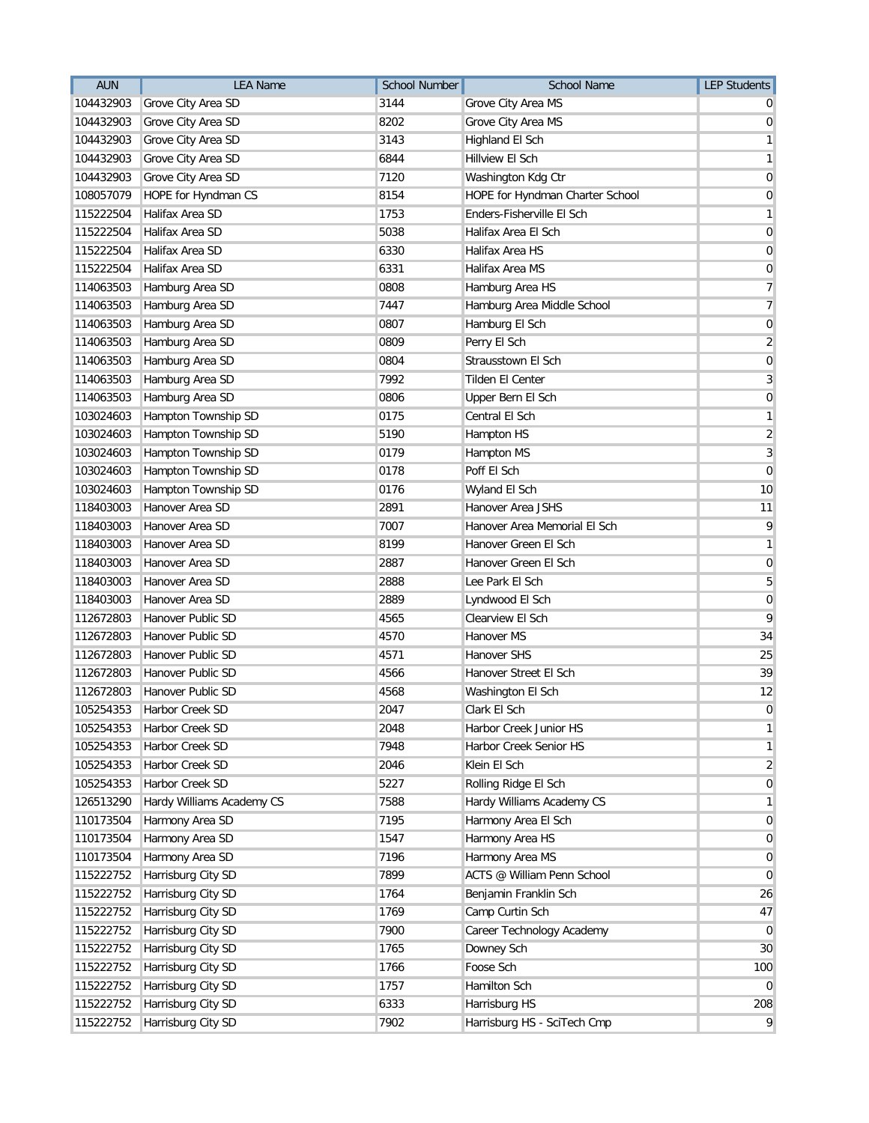| <b>AUN</b> | <b>LEA Name</b>           | <b>School Number</b> | <b>School Name</b>              | <b>LEP Students</b>     |
|------------|---------------------------|----------------------|---------------------------------|-------------------------|
| 104432903  | Grove City Area SD        | 3144                 | Grove City Area MS              |                         |
| 104432903  | Grove City Area SD        | 8202                 | Grove City Area MS              | 0                       |
| 104432903  | Grove City Area SD        | 3143                 | Highland El Sch                 | 1                       |
| 104432903  | Grove City Area SD        | 6844                 | Hillview El Sch                 | 1                       |
| 104432903  | Grove City Area SD        | 7120                 | Washington Kdg Ctr              | 0                       |
| 108057079  | HOPE for Hyndman CS       | 8154                 | HOPE for Hyndman Charter School | 0                       |
| 115222504  | Halifax Area SD           | 1753                 | Enders-Fisherville El Sch       | 1                       |
| 115222504  | Halifax Area SD           | 5038                 | Halifax Area El Sch             | $\mathbf 0$             |
| 115222504  | Halifax Area SD           | 6330                 | <b>Halifax Area HS</b>          | 0                       |
| 115222504  | Halifax Area SD           | 6331                 | Halifax Area MS                 | 0                       |
| 114063503  | Hamburg Area SD           | 0808                 | Hamburg Area HS                 | 7                       |
| 114063503  | Hamburg Area SD           | 7447                 | Hamburg Area Middle School      | 7                       |
| 114063503  | Hamburg Area SD           | 0807                 | Hamburg El Sch                  | 0                       |
| 114063503  | Hamburg Area SD           | 0809                 | Perry El Sch                    | $\overline{2}$          |
| 114063503  | Hamburg Area SD           | 0804                 | <b>Strausstown El Sch</b>       | $\overline{0}$          |
| 114063503  | Hamburg Area SD           | 7992                 | <b>Tilden El Center</b>         | 3                       |
| 114063503  | Hamburg Area SD           | 0806                 | Upper Bern El Sch               | 0                       |
| 103024603  | Hampton Township SD       | 0175                 | Central El Sch                  | 1                       |
| 103024603  | Hampton Township SD       | 5190                 | Hampton HS                      | $\overline{\mathbf{c}}$ |
| 103024603  | Hampton Township SD       | 0179                 | Hampton MS                      | 3                       |
| 103024603  | Hampton Township SD       | 0178                 | Poff El Sch                     | $\mathbf 0$             |
| 103024603  | Hampton Township SD       | 0176                 | Wyland El Sch                   | 10                      |
| 118403003  | Hanover Area SD           | 2891                 | Hanover Area JSHS               | 11                      |
| 118403003  | Hanover Area SD           | 7007                 | Hanover Area Memorial El Sch    | 9                       |
| 118403003  | Hanover Area SD           | 8199                 | Hanover Green El Sch            | 1                       |
| 118403003  | Hanover Area SD           | 2887                 | Hanover Green El Sch            | $\mathbf 0$             |
| 118403003  | Hanover Area SD           | 2888                 | Lee Park El Sch                 | 5                       |
| 118403003  | Hanover Area SD           | 2889                 | Lyndwood El Sch                 | 0                       |
| 112672803  | Hanover Public SD         | 4565                 | Clearview El Sch                | 9                       |
| 112672803  | Hanover Public SD         | 4570                 | Hanover MS                      | 34                      |
| 112672803  | Hanover Public SD         | 4571                 | <b>Hanover SHS</b>              | 25                      |
| 112672803  | Hanover Public SD         | 4566                 | Hanover Street El Sch           | 39                      |
| 112672803  | Hanover Public SD         | 4568                 | Washington El Sch               | 12                      |
| 105254353  | Harbor Creek SD           | 2047                 | Clark El Sch                    | 0                       |
| 105254353  | Harbor Creek SD           | 2048                 | Harbor Creek Junior HS          | 1                       |
| 105254353  | Harbor Creek SD           | 7948                 | Harbor Creek Senior HS          | 1                       |
| 105254353  | Harbor Creek SD           | 2046                 | Klein El Sch                    | 2                       |
| 105254353  | Harbor Creek SD           | 5227                 | Rolling Ridge El Sch            | $\overline{0}$          |
| 126513290  | Hardy Williams Academy CS | 7588                 | Hardy Williams Academy CS       | 1                       |
| 110173504  | Harmony Area SD           | 7195                 | Harmony Area El Sch             | $\overline{0}$          |
| 110173504  | Harmony Area SD           | 1547                 | Harmony Area HS                 | 0                       |
| 110173504  | Harmony Area SD           | 7196                 | Harmony Area MS                 | 0                       |
| 115222752  | Harrisburg City SD        | 7899                 | ACTS @ William Penn School      | $\overline{0}$          |
| 115222752  | Harrisburg City SD        | 1764                 | Benjamin Franklin Sch           | 26                      |
| 115222752  | Harrisburg City SD        | 1769                 | Camp Curtin Sch                 | 47                      |
| 115222752  | Harrisburg City SD        | 7900                 | Career Technology Academy       | $\overline{0}$          |
| 115222752  | Harrisburg City SD        | 1765                 | Downey Sch                      | 30                      |
| 115222752  | Harrisburg City SD        | 1766                 | Foose Sch                       | 100                     |
| 115222752  | Harrisburg City SD        | 1757                 | Hamilton Sch                    | $\overline{0}$          |
| 115222752  | Harrisburg City SD        | 6333                 | Harrisburg HS                   | 208                     |
| 115222752  | Harrisburg City SD        | 7902                 | Harrisburg HS - SciTech Cmp     | 9                       |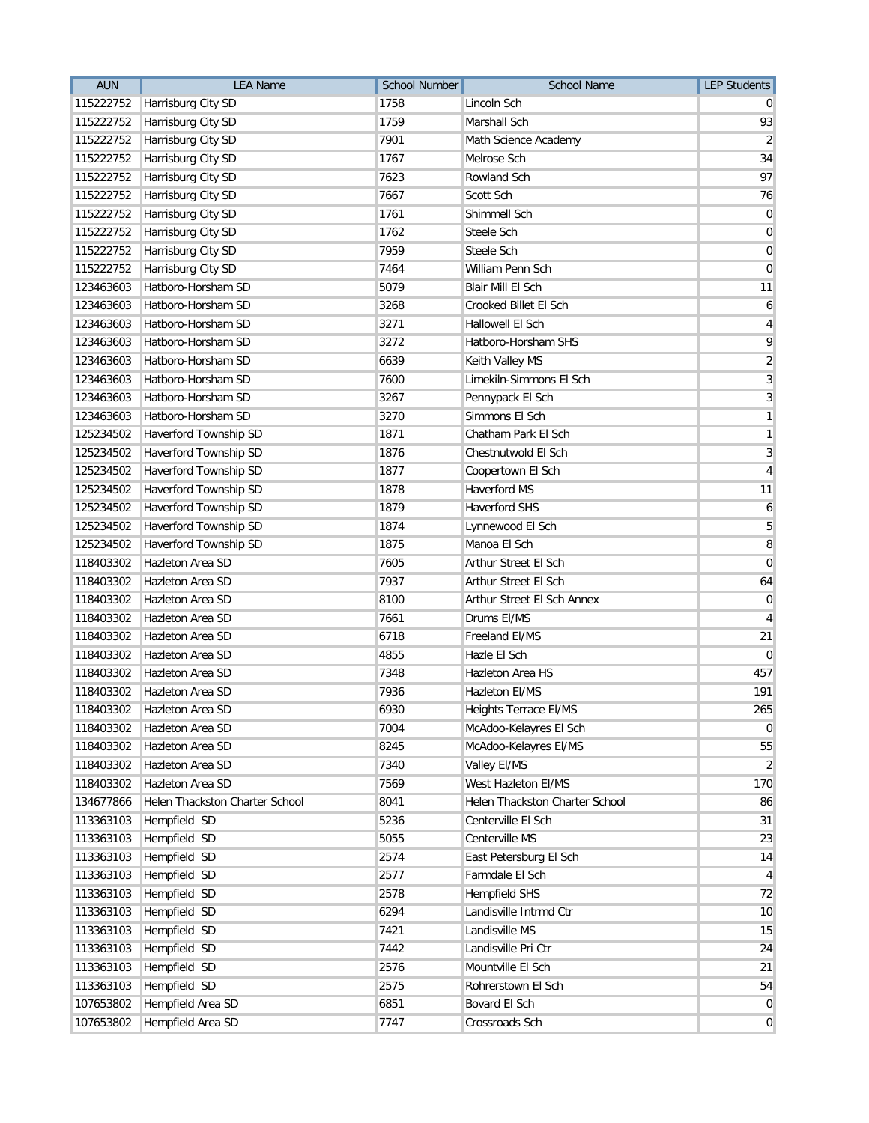| <b>AUN</b> | <b>LEA Name</b>                | <b>School Number</b> | School Name                    | <b>LEP Students</b> |
|------------|--------------------------------|----------------------|--------------------------------|---------------------|
| 115222752  | Harrisburg City SD             | 1758                 | Lincoln Sch                    |                     |
| 115222752  | Harrisburg City SD             | 1759                 | Marshall Sch                   | 93                  |
| 115222752  | Harrisburg City SD             | 7901                 | Math Science Academy           | $\overline{2}$      |
| 115222752  | Harrisburg City SD             | 1767                 | Melrose Sch                    | 34                  |
| 115222752  | Harrisburg City SD             | 7623                 | Rowland Sch                    | 97                  |
| 115222752  | Harrisburg City SD             | 7667                 | Scott Sch                      | 76                  |
| 115222752  | Harrisburg City SD             | 1761                 | Shimmell Sch                   | 0                   |
| 115222752  | Harrisburg City SD             | 1762                 | Steele Sch                     | $\mathbf 0$         |
| 115222752  | Harrisburg City SD             | 7959                 | Steele Sch                     | $\mathbf 0$         |
| 115222752  | Harrisburg City SD             | 7464                 | William Penn Sch               | 0                   |
| 123463603  | Hatboro-Horsham SD             | 5079                 | Blair Mill El Sch              | 11                  |
| 123463603  | Hatboro-Horsham SD             | 3268                 | Crooked Billet El Sch          | 6                   |
| 123463603  | Hatboro-Horsham SD             | 3271                 | <b>Hallowell El Sch</b>        | 4                   |
| 123463603  | Hatboro-Horsham SD             | 3272                 | Hatboro-Horsham SHS            | 9                   |
| 123463603  | Hatboro-Horsham SD             | 6639                 | Keith Valley MS                | $\overline{2}$      |
| 123463603  | Hatboro-Horsham SD             | 7600                 | Limekiln-Simmons El Sch        | $\overline{3}$      |
| 123463603  | Hatboro-Horsham SD             | 3267                 | Pennypack El Sch               | 3                   |
| 123463603  | Hatboro-Horsham SD             | 3270                 | Simmons El Sch                 | 1                   |
| 125234502  | Haverford Township SD          | 1871                 | Chatham Park El Sch            | 1                   |
| 125234502  | Haverford Township SD          | 1876                 | Chestnutwold El Sch            | 3                   |
| 125234502  | Haverford Township SD          | 1877                 | Coopertown El Sch              | $\overline{4}$      |
| 125234502  | Haverford Township SD          | 1878                 | <b>Haverford MS</b>            | 11                  |
| 125234502  | Haverford Township SD          | 1879                 | <b>Haverford SHS</b>           | 6                   |
| 125234502  | Haverford Township SD          | 1874                 | Lynnewood El Sch               | 5                   |
| 125234502  | Haverford Township SD          | 1875                 | Manoa El Sch                   | 8                   |
| 118403302  | Hazleton Area SD               | 7605                 | Arthur Street El Sch           | $\Omega$            |
| 118403302  | Hazleton Area SD               | 7937                 | Arthur Street El Sch           | 64                  |
| 118403302  | Hazleton Area SD               | 8100                 | Arthur Street El Sch Annex     | 0                   |
| 118403302  | Hazleton Area SD               | 7661                 | Drums EI/MS                    | 4                   |
| 118403302  | Hazleton Area SD               | 6718                 | Freeland EI/MS                 | 21                  |
| 118403302  | Hazleton Area SD               | 4855                 | Hazle El Sch                   | $\mathbf 0$         |
| 118403302  | Hazleton Area SD               | 7348                 | <b>Hazleton Area HS</b>        | 457                 |
| 118403302  | Hazleton Area SD               | 7936                 | <b>Hazleton EI/MS</b>          | 191                 |
| 118403302  | Hazleton Area SD               | 6930                 | Heights Terrace El/MS          | 265                 |
| 118403302  | Hazleton Area SD               | 7004                 | McAdoo-Kelayres El Sch         | 0                   |
| 118403302  | Hazleton Area SD               | 8245                 | McAdoo-Kelayres El/MS          | 55                  |
| 118403302  | Hazleton Area SD               | 7340                 | Valley El/MS                   | 2                   |
| 118403302  | Hazleton Area SD               | 7569                 | West Hazleton El/MS            | 170                 |
| 134677866  | Helen Thackston Charter School | 8041                 | Helen Thackston Charter School | 86                  |
| 113363103  | Hempfield SD                   | 5236                 | Centerville El Sch             | 31                  |
| 113363103  | Hempfield SD                   | 5055                 | Centerville MS                 | 23                  |
| 113363103  | Hempfield SD                   | 2574                 | East Petersburg El Sch         | 14                  |
| 113363103  | Hempfield SD                   | 2577                 | Farmdale El Sch                | 4                   |
| 113363103  | Hempfield SD                   | 2578                 | <b>Hempfield SHS</b>           | 72                  |
| 113363103  | Hempfield SD                   | 6294                 | Landisville Intrmd Ctr         | 10                  |
| 113363103  | Hempfield SD                   | 7421                 | Landisville MS                 | 15                  |
| 113363103  | Hempfield SD                   | 7442                 | Landisville Pri Ctr            | 24                  |
| 113363103  | Hempfield SD                   | 2576                 | Mountville El Sch              | 21                  |
| 113363103  | Hempfield SD                   | 2575                 | Rohrerstown El Sch             | 54                  |
| 107653802  | Hempfield Area SD              | 6851                 | Bovard El Sch                  | $\overline{0}$      |
| 107653802  | Hempfield Area SD              | 7747                 | Crossroads Sch                 | $\mathbf{0}$        |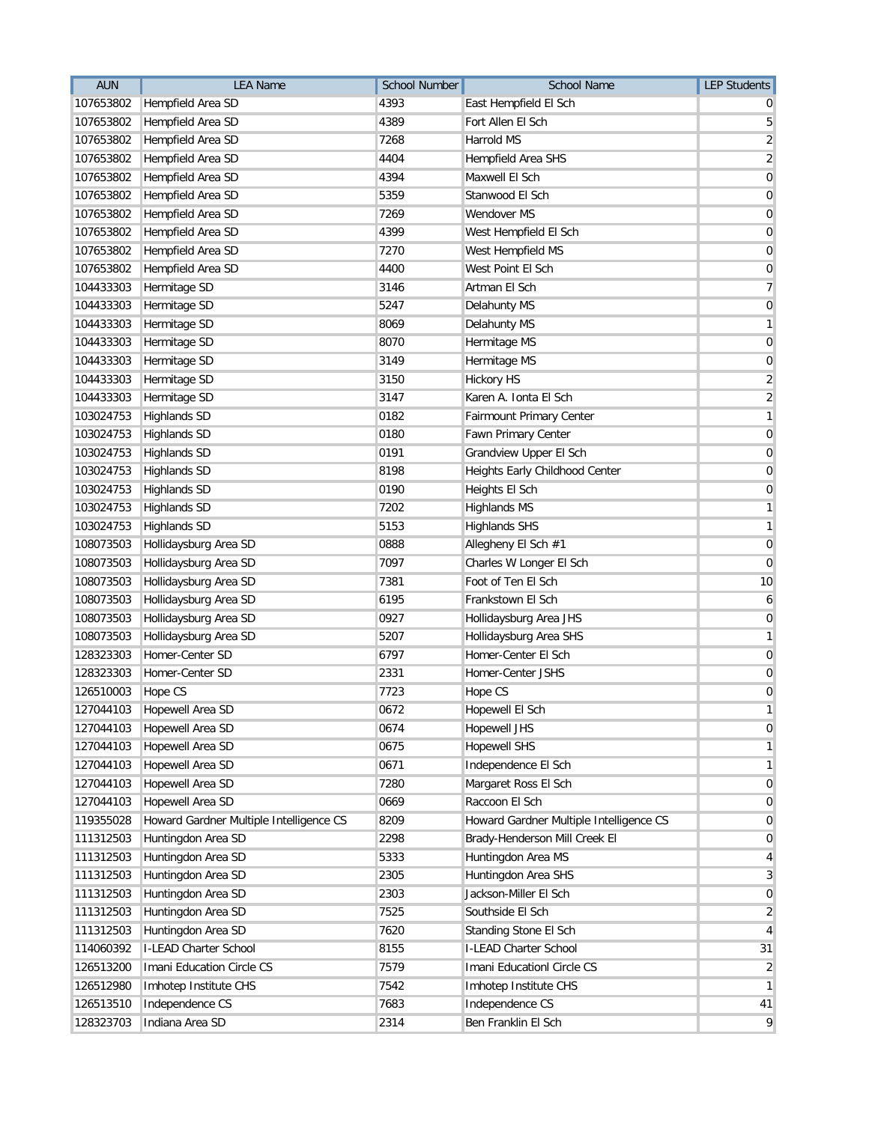| <b>AUN</b> | <b>LEA Name</b>                         | <b>School Number</b> | School Name                             | <b>LEP Students</b>     |
|------------|-----------------------------------------|----------------------|-----------------------------------------|-------------------------|
| 107653802  | Hempfield Area SD                       | 4393                 | East Hempfield El Sch                   |                         |
| 107653802  | Hempfield Area SD                       | 4389                 | Fort Allen El Sch                       | 5                       |
| 107653802  | Hempfield Area SD                       | 7268                 | Harrold MS                              | $\overline{\mathbf{c}}$ |
| 107653802  | Hempfield Area SD                       | 4404                 | Hempfield Area SHS                      | $\sqrt{2}$              |
| 107653802  | Hempfield Area SD                       | 4394                 | Maxwell El Sch                          | 0                       |
| 107653802  | Hempfield Area SD                       | 5359                 | Stanwood El Sch                         | 0                       |
| 107653802  | Hempfield Area SD                       | 7269                 | Wendover MS                             | 0                       |
| 107653802  | Hempfield Area SD                       | 4399                 | West Hempfield El Sch                   | 0                       |
| 107653802  | Hempfield Area SD                       | 7270                 | West Hempfield MS                       | 0                       |
| 107653802  | Hempfield Area SD                       | 4400                 | West Point El Sch                       | 0                       |
| 104433303  | Hermitage SD                            | 3146                 | Artman El Sch                           | 7                       |
| 104433303  | Hermitage SD                            | 5247                 | Delahunty MS                            | $\mathbf 0$             |
| 104433303  | Hermitage SD                            | 8069                 | Delahunty MS                            | 1                       |
| 104433303  | Hermitage SD                            | 8070                 | Hermitage MS                            | 0                       |
| 104433303  | Hermitage SD                            | 3149                 | Hermitage MS                            | 0                       |
| 104433303  | Hermitage SD                            | 3150                 | <b>Hickory HS</b>                       | $\overline{\mathbf{c}}$ |
| 104433303  | Hermitage SD                            | 3147                 | Karen A. Ionta El Sch                   | 2                       |
| 103024753  | <b>Highlands SD</b>                     | 0182                 | Fairmount Primary Center                | 1                       |
| 103024753  | <b>Highlands SD</b>                     | 0180                 | Fawn Primary Center                     | $\boldsymbol{0}$        |
| 103024753  | <b>Highlands SD</b>                     | 0191                 | Grandview Upper El Sch                  | 0                       |
| 103024753  | <b>Highlands SD</b>                     | 8198                 | Heights Early Childhood Center          | 0                       |
| 103024753  | <b>Highlands SD</b>                     | 0190                 | Heights El Sch                          | 0                       |
| 103024753  | <b>Highlands SD</b>                     | 7202                 | <b>Highlands MS</b>                     | 1                       |
| 103024753  | <b>Highlands SD</b>                     | 5153                 | <b>Highlands SHS</b>                    | 1                       |
| 108073503  | Hollidaysburg Area SD                   | 0888                 | Allegheny El Sch #1                     | $\boldsymbol{0}$        |
| 108073503  | Hollidaysburg Area SD                   | 7097                 | Charles W Longer El Sch                 | 0                       |
| 108073503  | Hollidaysburg Area SD                   | 7381                 | Foot of Ten El Sch                      | 10                      |
| 108073503  | Hollidaysburg Area SD                   | 6195                 | Frankstown El Sch                       | 6                       |
| 108073503  | Hollidaysburg Area SD                   | 0927                 | Hollidaysburg Area JHS                  | 0                       |
| 108073503  | Hollidaysburg Area SD                   | 5207                 | Hollidaysburg Area SHS                  | 1                       |
| 128323303  | Homer-Center SD                         | 6797                 | Homer-Center El Sch                     | 0                       |
| 128323303  | Homer-Center SD                         | 2331                 | Homer-Center JSHS                       | 0                       |
| 126510003  | Hope CS                                 | 7723                 | Hope CS                                 | $\mathbf 0$             |
| 127044103  | Hopewell Area SD                        | 0672                 | Hopewell El Sch                         | 1                       |
| 127044103  | Hopewell Area SD                        | 0674                 | <b>Hopewell JHS</b>                     | 0                       |
| 127044103  | Hopewell Area SD                        | 0675                 | <b>Hopewell SHS</b>                     | 1                       |
| 127044103  | <b>Hopewell Area SD</b>                 | 0671                 | Independence El Sch                     | 1                       |
| 127044103  | Hopewell Area SD                        | 7280                 | Margaret Ross El Sch                    | 0                       |
| 127044103  | Hopewell Area SD                        | 0669                 | Raccoon El Sch                          | $\overline{0}$          |
| 119355028  | Howard Gardner Multiple Intelligence CS | 8209                 | Howard Gardner Multiple Intelligence CS | 0                       |
| 111312503  | Huntingdon Area SD                      | 2298                 | Brady-Henderson Mill Creek El           | 0                       |
| 111312503  | Huntingdon Area SD                      | 5333                 | Huntingdon Area MS                      | 4                       |
| 111312503  | Huntingdon Area SD                      | 2305                 | Huntingdon Area SHS                     | 3                       |
| 111312503  | Huntingdon Area SD                      | 2303                 | Jackson-Miller El Sch                   | 0                       |
| 111312503  | Huntingdon Area SD                      | 7525                 | Southside El Sch                        | $\overline{2}$          |
| 111312503  | Huntingdon Area SD                      | 7620                 | Standing Stone El Sch                   | 4                       |
| 114060392  | I-LEAD Charter School                   | 8155                 | I-LEAD Charter School                   | 31                      |
| 126513200  | Imani Education Circle CS               | 7579                 | Imani Educationl Circle CS              | 2                       |
| 126512980  | Imhotep Institute CHS                   | 7542                 | Imhotep Institute CHS                   | 1                       |
| 126513510  | Independence CS                         | 7683                 | Independence CS                         | 41                      |
| 128323703  | Indiana Area SD                         | 2314                 | Ben Franklin El Sch                     | 9                       |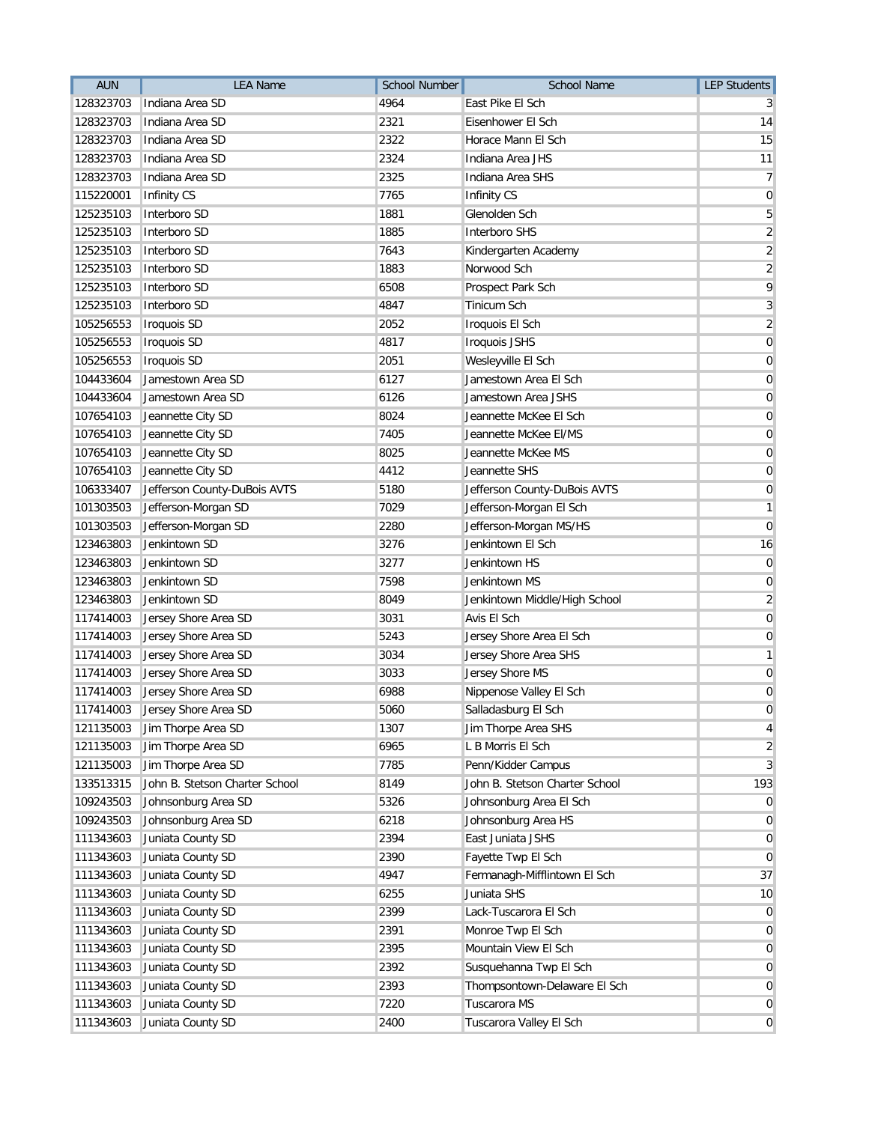| <b>AUN</b> | <b>LEA Name</b>                | <b>School Number</b> | <b>School Name</b>             | <b>LEP Students</b>     |
|------------|--------------------------------|----------------------|--------------------------------|-------------------------|
| 128323703  | Indiana Area SD                | 4964                 | East Pike El Sch               |                         |
| 128323703  | Indiana Area SD                | 2321                 | Eisenhower El Sch              | 14                      |
| 128323703  | Indiana Area SD                | 2322                 | Horace Mann El Sch             | 15                      |
| 128323703  | Indiana Area SD                | 2324                 | Indiana Area JHS               | 11                      |
| 128323703  | Indiana Area SD                | 2325                 | Indiana Area SHS               | 7                       |
| 115220001  | <b>Infinity CS</b>             | 7765                 | Infinity CS                    | $\mathbf 0$             |
| 125235103  | Interboro SD                   | 1881                 | Glenolden Sch                  | 5                       |
| 125235103  | Interboro SD                   | 1885                 | <b>Interboro SHS</b>           | $\overline{\mathbf{c}}$ |
| 125235103  | Interboro SD                   | 7643                 | Kindergarten Academy           | $\sqrt{2}$              |
| 125235103  | Interboro SD                   | 1883                 | Norwood Sch                    | $\overline{\mathbf{c}}$ |
| 125235103  | Interboro SD                   | 6508                 | Prospect Park Sch              | 9                       |
| 125235103  | Interboro SD                   | 4847                 | <b>Tinicum Sch</b>             | 3                       |
| 105256553  | <b>Iroquois SD</b>             | 2052                 | Iroquois El Sch                | $\overline{2}$          |
| 105256553  | <b>Iroquois SD</b>             | 4817                 | <b>Iroquois JSHS</b>           | 0                       |
| 105256553  | <b>Iroquois SD</b>             | 2051                 | Wesleyville El Sch             | $\mathbf 0$             |
| 104433604  | Jamestown Area SD              | 6127                 | Jamestown Area El Sch          | 0                       |
| 104433604  | Jamestown Area SD              | 6126                 | Jamestown Area JSHS            | 0                       |
| 107654103  | Jeannette City SD              | 8024                 | Jeannette McKee El Sch         | 0                       |
| 107654103  | Jeannette City SD              | 7405                 | Jeannette McKee EI/MS          | 0                       |
| 107654103  | Jeannette City SD              | 8025                 | Jeannette McKee MS             | 0                       |
| 107654103  | Jeannette City SD              | 4412                 | Jeannette SHS                  | 0                       |
| 106333407  | Jefferson County-DuBois AVTS   | 5180                 | Jefferson County-DuBois AVTS   | 0                       |
| 101303503  | Jefferson-Morgan SD            | 7029                 | Jefferson-Morgan El Sch        | 1                       |
| 101303503  | Jefferson-Morgan SD            | 2280                 | Jefferson-Morgan MS/HS         | $\overline{0}$          |
| 123463803  | Jenkintown SD                  | 3276                 | Jenkintown El Sch              | 16                      |
| 123463803  | Jenkintown SD                  | 3277                 | Jenkintown HS                  | 0                       |
| 123463803  | Jenkintown SD                  | 7598                 | Jenkintown MS                  | 0                       |
| 123463803  | Jenkintown SD                  | 8049                 | Jenkintown Middle/High School  | 2                       |
| 117414003  | Jersey Shore Area SD           | 3031                 | Avis El Sch                    | 0                       |
| 117414003  | Jersey Shore Area SD           | 5243                 | Jersey Shore Area El Sch       | 0                       |
| 117414003  | Jersey Shore Area SD           | 3034                 | Jersey Shore Area SHS          | 1                       |
| 117414003  | Jersey Shore Area SD           | 3033                 | Jersey Shore MS                | 0                       |
| 117414003  | Jersey Shore Area SD           | 6988                 | Nippenose Valley El Sch        | $\mathbf 0$             |
|            | 117414003 Jersey Shore Area SD | 5060                 | Salladasburg El Sch            | 0                       |
| 121135003  | Jim Thorpe Area SD             | 1307                 | Jim Thorpe Area SHS            | 4                       |
| 121135003  | Jim Thorpe Area SD             | 6965                 | L B Morris El Sch              | $\overline{2}$          |
| 121135003  | Jim Thorpe Area SD             | 7785                 | Penn/Kidder Campus             | 3                       |
| 133513315  | John B. Stetson Charter School | 8149                 | John B. Stetson Charter School | 193                     |
| 109243503  | Johnsonburg Area SD            | 5326                 | Johnsonburg Area El Sch        | $\overline{0}$          |
| 109243503  | Johnsonburg Area SD            | 6218                 | Johnsonburg Area HS            | $\overline{0}$          |
| 111343603  | Juniata County SD              | 2394                 | East Juniata JSHS              | 0                       |
| 111343603  | Juniata County SD              | 2390                 | Fayette Twp El Sch             | 0                       |
| 111343603  | Juniata County SD              | 4947                 | Fermanagh-Mifflintown El Sch   | 37                      |
| 111343603  | Juniata County SD              | 6255                 | Juniata SHS                    | 10                      |
| 111343603  | Juniata County SD              | 2399                 | Lack-Tuscarora El Sch          | $\mathbf 0$             |
| 111343603  | Juniata County SD              | 2391                 | Monroe Twp El Sch              | $\mathbf 0$             |
| 111343603  | Juniata County SD              | 2395                 | Mountain View El Sch           | 0                       |
| 111343603  | Juniata County SD              | 2392                 | Susquehanna Twp El Sch         | 0                       |
| 111343603  | Juniata County SD              | 2393                 | Thompsontown-Delaware El Sch   | $\overline{0}$          |
| 111343603  | Juniata County SD              | 7220                 | Tuscarora MS                   | 0                       |
| 111343603  | Juniata County SD              | 2400                 | Tuscarora Valley El Sch        | $\overline{0}$          |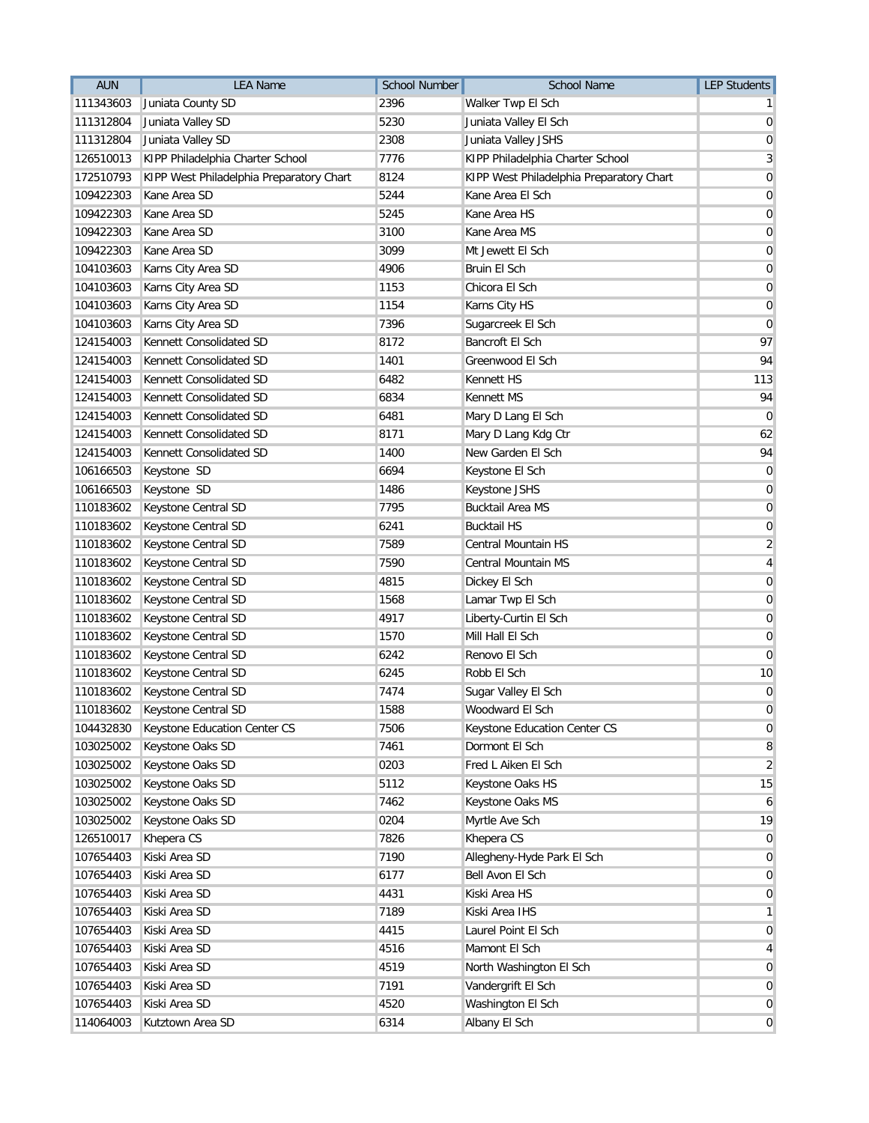| <b>AUN</b> | <b>LEA Name</b>                          | <b>School Number</b> | <b>School Name</b>                       | <b>LEP Students</b> |
|------------|------------------------------------------|----------------------|------------------------------------------|---------------------|
| 111343603  | Juniata County SD                        | 2396                 | Walker Twp El Sch                        |                     |
| 111312804  | Juniata Valley SD                        | 5230                 | Juniata Valley El Sch                    | 0                   |
| 111312804  | Juniata Valley SD                        | 2308                 | Juniata Valley JSHS                      | 0                   |
| 126510013  | KIPP Philadelphia Charter School         | 7776                 | KIPP Philadelphia Charter School         | 3                   |
| 172510793  | KIPP West Philadelphia Preparatory Chart | 8124                 | KIPP West Philadelphia Preparatory Chart | 0                   |
| 109422303  | Kane Area SD                             | 5244                 | Kane Area El Sch                         | 0                   |
| 109422303  | Kane Area SD                             | 5245                 | Kane Area HS                             | $\mathbf 0$         |
| 109422303  | Kane Area SD                             | 3100                 | Kane Area MS                             | 0                   |
| 109422303  | Kane Area SD                             | 3099                 | Mt Jewett El Sch                         | 0                   |
| 104103603  | Karns City Area SD                       | 4906                 | Bruin El Sch                             | 0                   |
| 104103603  | Karns City Area SD                       | 1153                 | Chicora El Sch                           | $\mathbf 0$         |
| 104103603  | Karns City Area SD                       | 1154                 | Karns City HS                            | 0                   |
| 104103603  | Karns City Area SD                       | 7396                 | Sugarcreek El Sch                        | 0                   |
| 124154003  | Kennett Consolidated SD                  | 8172                 | Bancroft El Sch                          | 97                  |
| 124154003  | Kennett Consolidated SD                  | 1401                 | Greenwood El Sch                         | 94                  |
| 124154003  | Kennett Consolidated SD                  | 6482                 | Kennett HS                               | 113                 |
| 124154003  | Kennett Consolidated SD                  | 6834                 | Kennett MS                               | 94                  |
| 124154003  | Kennett Consolidated SD                  | 6481                 | Mary D Lang El Sch                       | 0                   |
| 124154003  | Kennett Consolidated SD                  | 8171                 | Mary D Lang Kdg Ctr                      | 62                  |
| 124154003  | Kennett Consolidated SD                  | 1400                 | New Garden El Sch                        | 94                  |
| 106166503  | Keystone SD                              | 6694                 | Keystone El Sch                          | 0                   |
| 106166503  | Keystone SD                              | 1486                 | Keystone JSHS                            | 0                   |
| 110183602  | Keystone Central SD                      | 7795                 | <b>Bucktail Area MS</b>                  | 0                   |
| 110183602  | Keystone Central SD                      | 6241                 | <b>Bucktail HS</b>                       | $\mathbf 0$         |
| 110183602  | Keystone Central SD                      | 7589                 | Central Mountain HS                      | $\overline{2}$      |
| 110183602  | Keystone Central SD                      | 7590                 | Central Mountain MS                      | 4                   |
| 110183602  | Keystone Central SD                      | 4815                 | Dickey El Sch                            | 0                   |
| 110183602  | Keystone Central SD                      | 1568                 | Lamar Twp El Sch                         | 0                   |
| 110183602  | Keystone Central SD                      | 4917                 | Liberty-Curtin El Sch                    | 0                   |
| 110183602  | Keystone Central SD                      | 1570                 | Mill Hall El Sch                         | $\mathbf 0$         |
| 110183602  | Keystone Central SD                      | 6242                 | Renovo El Sch                            | $\mathbf 0$         |
| 110183602  | Keystone Central SD                      | 6245                 | Robb El Sch                              | 10                  |
| 110183602  | Keystone Central SD                      | 7474                 | Sugar Valley El Sch                      | 0                   |
| 110183602  | Keystone Central SD                      | 1588                 | Woodward El Sch                          | 0                   |
| 104432830  | Keystone Education Center CS             | 7506                 | Keystone Education Center CS             | 0                   |
| 103025002  | Keystone Oaks SD                         | 7461                 | Dormont El Sch                           | 8                   |
| 103025002  | Keystone Oaks SD                         | 0203                 | Fred L Aiken El Sch                      | $\overline{2}$      |
| 103025002  | Keystone Oaks SD                         | 5112                 | Keystone Oaks HS                         | 15                  |
| 103025002  | Keystone Oaks SD                         | 7462                 | Keystone Oaks MS                         | 6                   |
| 103025002  | Keystone Oaks SD                         | 0204                 | Myrtle Ave Sch                           | 19                  |
| 126510017  | Khepera CS                               | 7826                 | Khepera CS                               | 0                   |
| 107654403  | Kiski Area SD                            | 7190                 | Allegheny-Hyde Park El Sch               | 0                   |
| 107654403  | Kiski Area SD                            | 6177                 | Bell Avon El Sch                         | 0                   |
| 107654403  | Kiski Area SD                            | 4431                 | Kiski Area HS                            | 0                   |
| 107654403  | Kiski Area SD                            | 7189                 | Kiski Area IHS                           | 1                   |
| 107654403  | Kiski Area SD                            | 4415                 | Laurel Point El Sch                      | 0                   |
| 107654403  | Kiski Area SD                            | 4516                 | Mamont El Sch                            | 4                   |
| 107654403  | Kiski Area SD                            | 4519                 | North Washington El Sch                  | $\overline{0}$      |
| 107654403  | Kiski Area SD                            | 7191                 | Vandergrift El Sch                       | 0                   |
| 107654403  | Kiski Area SD                            | 4520                 | Washington El Sch                        | 0                   |
| 114064003  | Kutztown Area SD                         | 6314                 | Albany El Sch                            | $\overline{0}$      |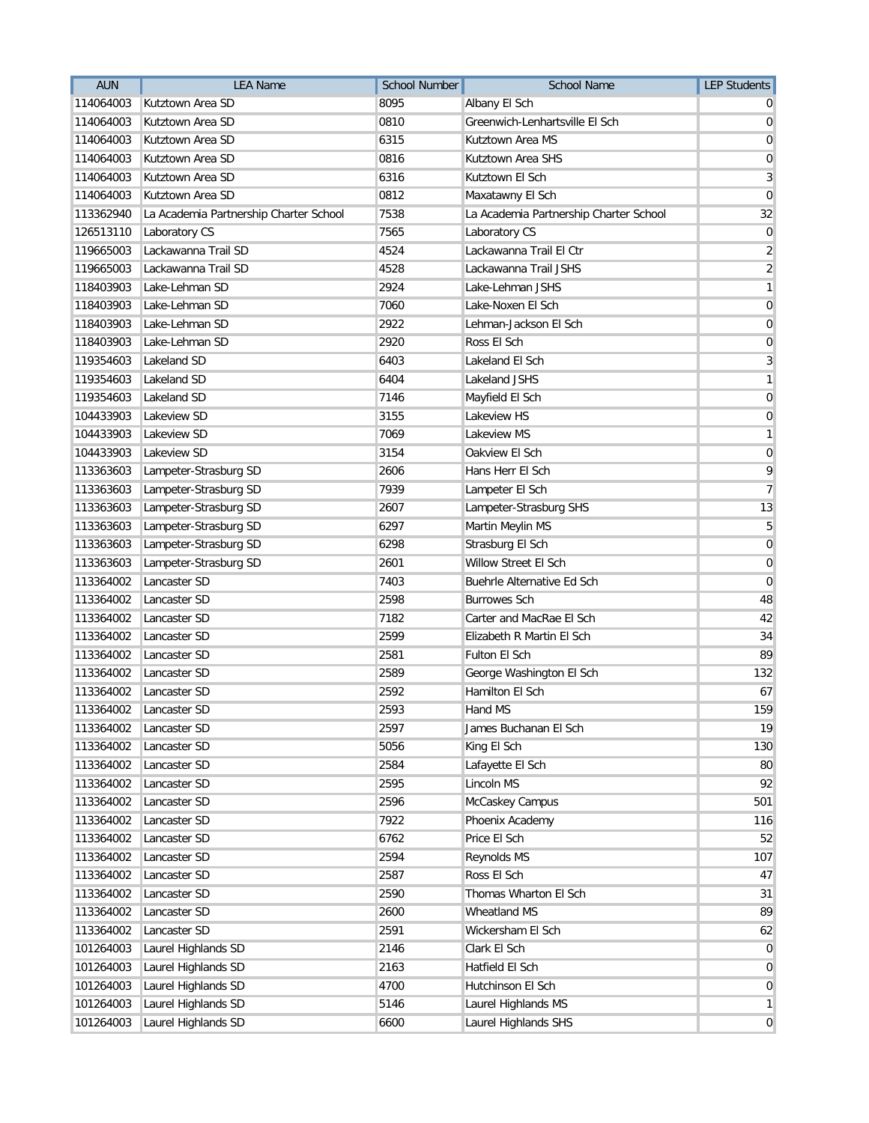| <b>AUN</b> | <b>LEA Name</b>                        | <b>School Number</b> | <b>School Name</b>                     | <b>LEP Students</b>     |
|------------|----------------------------------------|----------------------|----------------------------------------|-------------------------|
| 114064003  | Kutztown Area SD                       | 8095                 | Albany El Sch                          |                         |
| 114064003  | Kutztown Area SD                       | 0810                 | Greenwich-Lenhartsville El Sch         | 0                       |
| 114064003  | Kutztown Area SD                       | 6315                 | Kutztown Area MS                       | 0                       |
| 114064003  | Kutztown Area SD                       | 0816                 | Kutztown Area SHS                      | 0                       |
| 114064003  | Kutztown Area SD                       | 6316                 | Kutztown El Sch                        | 3                       |
| 114064003  | Kutztown Area SD                       | 0812                 | Maxatawny El Sch                       | 0                       |
| 113362940  | La Academia Partnership Charter School | 7538                 | La Academia Partnership Charter School | 32                      |
| 126513110  | Laboratory CS                          | 7565                 | Laboratory CS                          | 0                       |
| 119665003  | Lackawanna Trail SD                    | 4524                 | Lackawanna Trail El Ctr                | $\overline{2}$          |
| 119665003  | Lackawanna Trail SD                    | 4528                 | Lackawanna Trail JSHS                  | $\overline{\mathbf{c}}$ |
| 118403903  | Lake-Lehman SD                         | 2924                 | Lake-Lehman JSHS                       | 1                       |
| 118403903  | Lake-Lehman SD                         | 7060                 | Lake-Noxen El Sch                      | $\overline{0}$          |
| 118403903  | Lake-Lehman SD                         | 2922                 | Lehman-Jackson El Sch                  | 0                       |
| 118403903  | Lake-Lehman SD                         | 2920                 | Ross El Sch                            | 0                       |
| 119354603  | Lakeland SD                            | 6403                 | Lakeland El Sch                        | 3                       |
| 119354603  | Lakeland SD                            | 6404                 | <b>Lakeland JSHS</b>                   | 1                       |
| 119354603  | Lakeland SD                            | 7146                 | Mayfield El Sch                        | 0                       |
| 104433903  | Lakeview SD                            | 3155                 | Lakeview HS                            | $\overline{0}$          |
| 104433903  | Lakeview SD                            | 7069                 | Lakeview MS                            | 1                       |
| 104433903  | Lakeview SD                            | 3154                 | Oakview El Sch                         | 0                       |
| 113363603  | Lampeter-Strasburg SD                  | 2606                 | Hans Herr El Sch                       | 9                       |
| 113363603  | Lampeter-Strasburg SD                  | 7939                 | Lampeter El Sch                        | 7                       |
| 113363603  | Lampeter-Strasburg SD                  | 2607                 | Lampeter-Strasburg SHS                 | 13                      |
| 113363603  | Lampeter-Strasburg SD                  | 6297                 | Martin Meylin MS                       | 5                       |
| 113363603  | Lampeter-Strasburg SD                  | 6298                 | Strasburg El Sch                       | $\mathbf 0$             |
| 113363603  | Lampeter-Strasburg SD                  | 2601                 | Willow Street El Sch                   | $\mathbf 0$             |
| 113364002  | Lancaster SD                           | 7403                 | Buehrle Alternative Ed Sch             | $\mathbf 0$             |
| 113364002  | Lancaster SD                           | 2598                 | <b>Burrowes Sch</b>                    | 48                      |
| 113364002  | Lancaster SD                           | 7182                 | Carter and MacRae El Sch               | 42                      |
| 113364002  | Lancaster SD                           | 2599                 | Elizabeth R Martin El Sch              | 34                      |
| 113364002  | Lancaster SD                           | 2581                 | Fulton El Sch                          | 89                      |
| 113364002  | Lancaster SD                           | 2589                 | George Washington El Sch               | 132                     |
| 113364002  | Lancaster SD                           | 2592                 | Hamilton El Sch                        | 67                      |
| 113364002  | Lancaster SD                           | 2593                 | Hand MS                                | 159                     |
| 113364002  | Lancaster SD                           | 2597                 | James Buchanan El Sch                  | 19                      |
| 113364002  | Lancaster SD                           | 5056                 | King El Sch                            | 130                     |
| 113364002  | Lancaster SD                           | 2584                 | Lafayette El Sch                       | 80                      |
| 113364002  | Lancaster SD                           | 2595                 | Lincoln MS                             | 92                      |
| 113364002  | Lancaster SD                           | 2596                 | McCaskey Campus                        | 501                     |
| 113364002  | Lancaster SD                           | 7922                 | Phoenix Academy                        | 116                     |
| 113364002  | Lancaster SD                           | 6762                 | Price El Sch                           | 52                      |
| 113364002  | Lancaster SD                           | 2594                 | Reynolds MS                            | 107                     |
| 113364002  | Lancaster SD                           | 2587                 | Ross El Sch                            | 47                      |
| 113364002  | Lancaster SD                           | 2590                 | Thomas Wharton El Sch                  | 31                      |
| 113364002  | Lancaster SD                           | 2600                 | Wheatland MS                           | 89                      |
| 113364002  | Lancaster SD                           | 2591                 | Wickersham El Sch                      | 62                      |
| 101264003  | Laurel Highlands SD                    | 2146                 | Clark El Sch                           | 0                       |
| 101264003  | Laurel Highlands SD                    | 2163                 | Hatfield El Sch                        | 0                       |
| 101264003  | Laurel Highlands SD                    | 4700                 | Hutchinson El Sch                      | $\overline{0}$          |
| 101264003  | Laurel Highlands SD                    | 5146                 | Laurel Highlands MS                    | $\mathbf{1}$            |
| 101264003  | Laurel Highlands SD                    | 6600                 | Laurel Highlands SHS                   | $\overline{0}$          |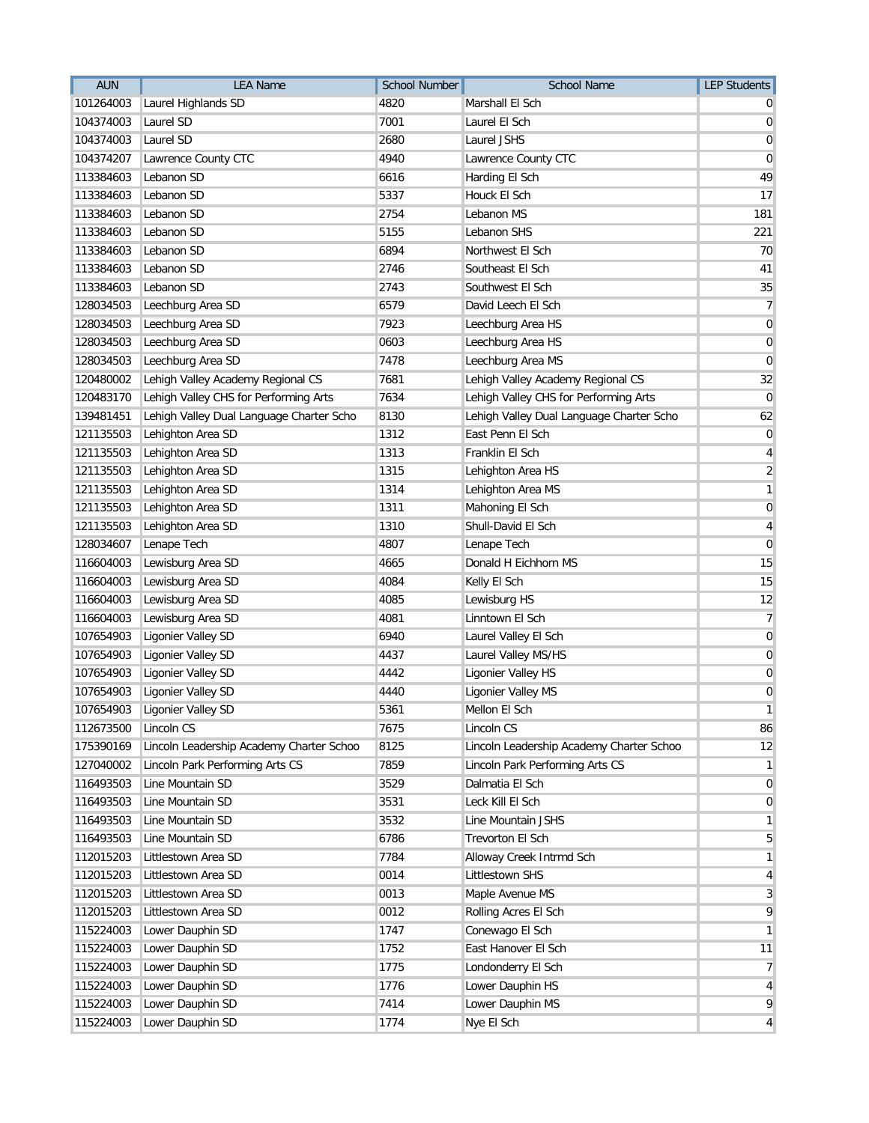| <b>AUN</b> | <b>LEA Name</b>                          | <b>School Number</b> | <b>School Name</b>                       | <b>LEP Students</b> |
|------------|------------------------------------------|----------------------|------------------------------------------|---------------------|
| 101264003  | Laurel Highlands SD                      | 4820                 | Marshall El Sch                          |                     |
| 104374003  | Laurel SD                                | 7001                 | Laurel El Sch                            | 0                   |
| 104374003  | Laurel SD                                | 2680                 | Laurel JSHS                              | 0                   |
| 104374207  | Lawrence County CTC                      | 4940                 | Lawrence County CTC                      | $\mathbf 0$         |
| 113384603  | Lebanon SD                               | 6616                 | Harding El Sch                           | 49                  |
| 113384603  | Lebanon SD                               | 5337                 | Houck El Sch                             | 17                  |
| 113384603  | Lebanon SD                               | 2754                 | Lebanon MS                               | 181                 |
| 113384603  | Lebanon SD                               | 5155                 | Lebanon SHS                              | 221                 |
| 113384603  | Lebanon SD                               | 6894                 | Northwest El Sch                         | 70                  |
| 113384603  | Lebanon SD                               | 2746                 | Southeast El Sch                         | 41                  |
| 113384603  | Lebanon SD                               | 2743                 | Southwest El Sch                         | 35                  |
| 128034503  | Leechburg Area SD                        | 6579                 | David Leech El Sch                       | $\overline{7}$      |
| 128034503  | Leechburg Area SD                        | 7923                 | Leechburg Area HS                        | $\boldsymbol{0}$    |
| 128034503  | Leechburg Area SD                        | 0603                 | Leechburg Area HS                        | 0                   |
| 128034503  | Leechburg Area SD                        | 7478                 | Leechburg Area MS                        | 0                   |
| 120480002  | Lehigh Valley Academy Regional CS        | 7681                 | Lehigh Valley Academy Regional CS        | 32                  |
| 120483170  | Lehigh Valley CHS for Performing Arts    | 7634                 | Lehigh Valley CHS for Performing Arts    | 0                   |
| 139481451  | Lehigh Valley Dual Language Charter Scho | 8130                 | Lehigh Valley Dual Language Charter Scho | 62                  |
| 121135503  | Lehighton Area SD                        | 1312                 | East Penn El Sch                         | $\boldsymbol{0}$    |
| 121135503  | Lehighton Area SD                        | 1313                 | Franklin El Sch                          | 4                   |
| 121135503  | Lehighton Area SD                        | 1315                 | Lehighton Area HS                        | $\sqrt{2}$          |
| 121135503  | Lehighton Area SD                        | 1314                 | Lehighton Area MS                        | 1                   |
| 121135503  | Lehighton Area SD                        | 1311                 | Mahoning El Sch                          | 0                   |
| 121135503  | Lehighton Area SD                        | 1310                 | Shull-David El Sch                       | 4                   |
| 128034607  | Lenape Tech                              | 4807                 | Lenape Tech                              | 0                   |
| 116604003  | Lewisburg Area SD                        | 4665                 | Donald H Eichhorn MS                     | 15                  |
| 116604003  | Lewisburg Area SD                        | 4084                 | Kelly El Sch                             | 15                  |
| 116604003  | Lewisburg Area SD                        | 4085                 | Lewisburg HS                             | 12                  |
| 116604003  | Lewisburg Area SD                        | 4081                 | Linntown El Sch                          | 7                   |
| 107654903  | Ligonier Valley SD                       | 6940                 | Laurel Valley El Sch                     | $\boldsymbol{0}$    |
| 107654903  | Ligonier Valley SD                       | 4437                 | Laurel Valley MS/HS                      | $\boldsymbol{0}$    |
| 107654903  | Ligonier Valley SD                       | 4442                 | Ligonier Valley HS                       | 0                   |
| 107654903  | Ligonier Valley SD                       | 4440                 | Ligonier Valley MS                       | $\mathbf 0$         |
|            | 107654903 Ligonier Valley SD             | 5361                 | Mellon El Sch                            | $\mathbf{1}$        |
| 112673500  | Lincoln CS                               | 7675                 | Lincoln CS                               | 86                  |
| 175390169  | Lincoln Leadership Academy Charter Schoo | 8125                 | Lincoln Leadership Academy Charter Schoo | 12                  |
| 127040002  | Lincoln Park Performing Arts CS          | 7859                 | Lincoln Park Performing Arts CS          | 1                   |
| 116493503  | Line Mountain SD                         | 3529                 | Dalmatia El Sch                          | 0                   |
| 116493503  | Line Mountain SD                         | 3531                 | Leck Kill El Sch                         | 0                   |
| 116493503  | Line Mountain SD                         | 3532                 | Line Mountain JSHS                       | 1                   |
| 116493503  | Line Mountain SD                         | 6786                 | <b>Trevorton El Sch</b>                  | 5                   |
| 112015203  | Littlestown Area SD                      | 7784                 | Alloway Creek Intrmd Sch                 | 1                   |
| 112015203  | Littlestown Area SD                      | 0014                 | Littlestown SHS                          | 4                   |
| 112015203  | Littlestown Area SD                      | 0013                 | Maple Avenue MS                          | 3                   |
| 112015203  | Littlestown Area SD                      | 0012                 | Rolling Acres El Sch                     | 9                   |
| 115224003  | Lower Dauphin SD                         | 1747                 | Conewago El Sch                          | 1                   |
| 115224003  | Lower Dauphin SD                         | 1752                 | East Hanover El Sch                      | 11                  |
| 115224003  | Lower Dauphin SD                         | 1775                 | Londonderry El Sch                       | 7                   |
| 115224003  | Lower Dauphin SD                         | 1776                 | Lower Dauphin HS                         | 4                   |
| 115224003  | Lower Dauphin SD                         | 7414                 | Lower Dauphin MS                         | 9                   |
| 115224003  | Lower Dauphin SD                         | 1774                 | Nye El Sch                               | 4                   |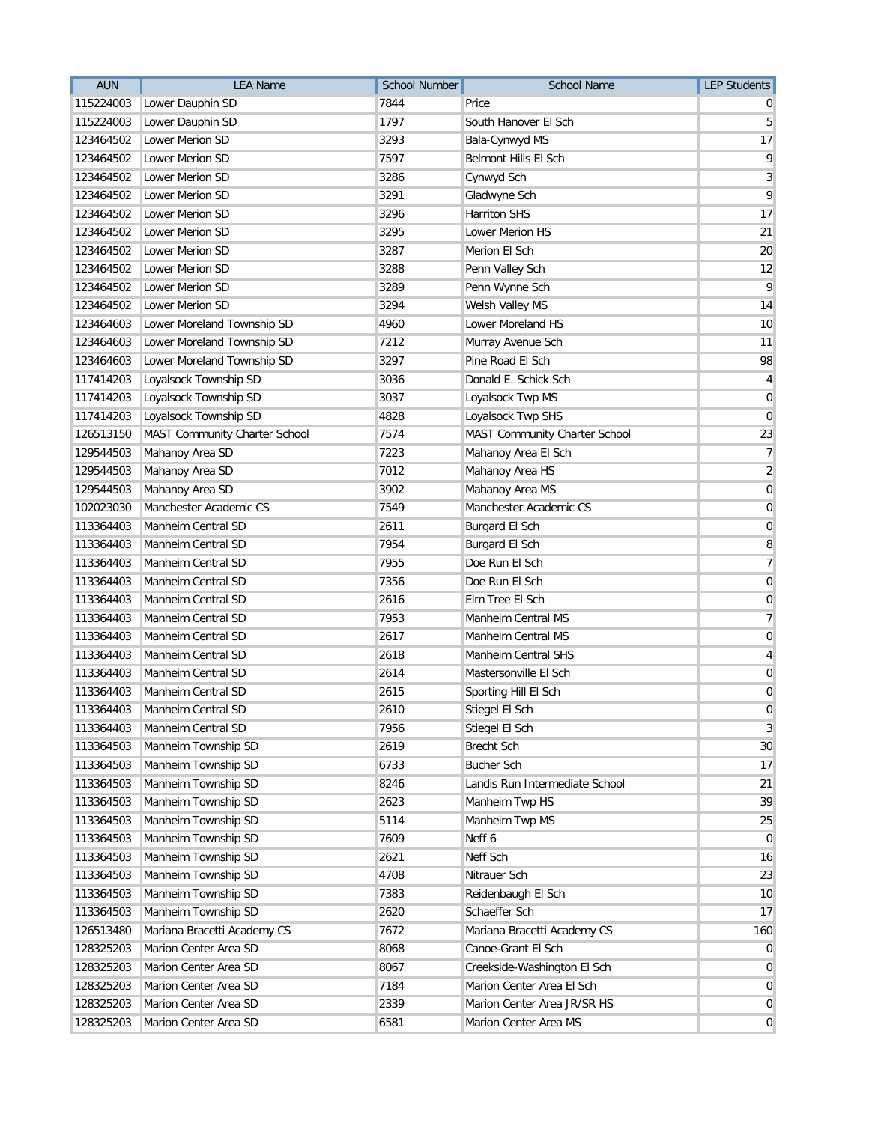| <b>AUN</b> | <b>LEA Name</b>               | <b>School Number</b> | <b>School Name</b>             | <b>LEP Students</b> |
|------------|-------------------------------|----------------------|--------------------------------|---------------------|
| 115224003  | Lower Dauphin SD              | 7844                 | Price                          |                     |
| 115224003  | Lower Dauphin SD              | 1797                 | South Hanover El Sch           | 5                   |
| 123464502  | Lower Merion SD               | 3293                 | Bala-Cynwyd MS                 | 17                  |
| 123464502  | Lower Merion SD               | 7597                 | Belmont Hills El Sch           | 9                   |
| 123464502  | Lower Merion SD               | 3286                 | Cynwyd Sch                     | 3                   |
| 123464502  | Lower Merion SD               | 3291                 | Gladwyne Sch                   | 9                   |
| 123464502  | Lower Merion SD               | 3296                 | <b>Harriton SHS</b>            | 17                  |
| 123464502  | Lower Merion SD               | 3295                 | Lower Merion HS                | 21                  |
| 123464502  | <b>Lower Merion SD</b>        | 3287                 | Merion El Sch                  | 20                  |
| 123464502  | Lower Merion SD               | 3288                 | Penn Valley Sch                | 12                  |
| 123464502  | Lower Merion SD               | 3289                 | Penn Wynne Sch                 | 9                   |
| 123464502  | Lower Merion SD               | 3294                 | Welsh Valley MS                | 14                  |
| 123464603  | Lower Moreland Township SD    | 4960                 | Lower Moreland HS              | 10                  |
| 123464603  | Lower Moreland Township SD    | 7212                 | Murray Avenue Sch              | 11                  |
| 123464603  | Lower Moreland Township SD    | 3297                 | Pine Road El Sch               | 98                  |
| 117414203  | Loyalsock Township SD         | 3036                 | Donald E. Schick Sch           | 4                   |
| 117414203  | Loyalsock Township SD         | 3037                 | Loyalsock Twp MS               | $\mathbf 0$         |
| 117414203  | Loyalsock Township SD         | 4828                 | Loyalsock Twp SHS              | $\mathbf 0$         |
| 126513150  | MAST Community Charter School | 7574                 | MAST Community Charter School  | 23                  |
| 129544503  | Mahanoy Area SD               | 7223                 | Mahanoy Area El Sch            | 7                   |
| 129544503  | Mahanoy Area SD               | 7012                 | Mahanoy Area HS                | $\sqrt{2}$          |
| 129544503  | Mahanoy Area SD               | 3902                 | Mahanoy Area MS                | $\mathbf 0$         |
| 102023030  | Manchester Academic CS        | 7549                 | Manchester Academic CS         | 0                   |
| 113364403  | Manheim Central SD            | 2611                 | Burgard El Sch                 | $\mathbf 0$         |
| 113364403  | Manheim Central SD            | 7954                 | Burgard El Sch                 | 8                   |
| 113364403  | Manheim Central SD            | 7955                 | Doe Run El Sch                 | $\overline{7}$      |
| 113364403  | Manheim Central SD            | 7356                 | Doe Run El Sch                 | $\mathbf 0$         |
| 113364403  | Manheim Central SD            | 2616                 | Elm Tree El Sch                | 0                   |
| 113364403  | Manheim Central SD            | 7953                 | Manheim Central MS             | 7                   |
| 113364403  | Manheim Central SD            | 2617                 | Manheim Central MS             | $\mathbf 0$         |
| 113364403  | Manheim Central SD            | 2618                 | Manheim Central SHS            | 4                   |
| 113364403  | Manheim Central SD            | 2614                 | Mastersonville El Sch          | 0                   |
| 113364403  | Manheim Central SD            | 2615                 | Sporting Hill El Sch           | 0                   |
| 113364403  | Manheim Central SD            | 2610                 | Stiegel El Sch                 | $\boldsymbol{0}$    |
| 113364403  | Manheim Central SD            | 7956                 | Stiegel El Sch                 | 3                   |
| 113364503  | Manheim Township SD           | 2619                 | <b>Brecht Sch</b>              | 30                  |
| 113364503  | Manheim Township SD           | 6733                 | <b>Bucher Sch</b>              | 17                  |
| 113364503  | Manheim Township SD           | 8246                 | Landis Run Intermediate School | 21                  |
| 113364503  | Manheim Township SD           | 2623                 | Manheim Twp HS                 | 39                  |
| 113364503  | Manheim Township SD           | 5114                 | Manheim Twp MS                 | 25                  |
| 113364503  | Manheim Township SD           | 7609                 | Neff 6                         | 0                   |
| 113364503  | Manheim Township SD           | 2621                 | Neff Sch                       | 16                  |
| 113364503  | Manheim Township SD           | 4708                 | Nitrauer Sch                   | 23                  |
| 113364503  | Manheim Township SD           | 7383                 | Reidenbaugh El Sch             | 10                  |
| 113364503  | Manheim Township SD           | 2620                 | Schaeffer Sch                  | 17                  |
| 126513480  | Mariana Bracetti Academy CS   | 7672                 | Mariana Bracetti Academy CS    | 160                 |
| 128325203  | Marion Center Area SD         | 8068                 | Canoe-Grant El Sch             | 0                   |
| 128325203  | Marion Center Area SD         | 8067                 | Creekside-Washington El Sch    | 0                   |
| 128325203  | Marion Center Area SD         | 7184                 | Marion Center Area El Sch      | $\mathbf 0$         |
| 128325203  | Marion Center Area SD         | 2339                 | Marion Center Area JR/SR HS    | 0                   |
| 128325203  | Marion Center Area SD         | 6581                 | Marion Center Area MS          | $\overline{0}$      |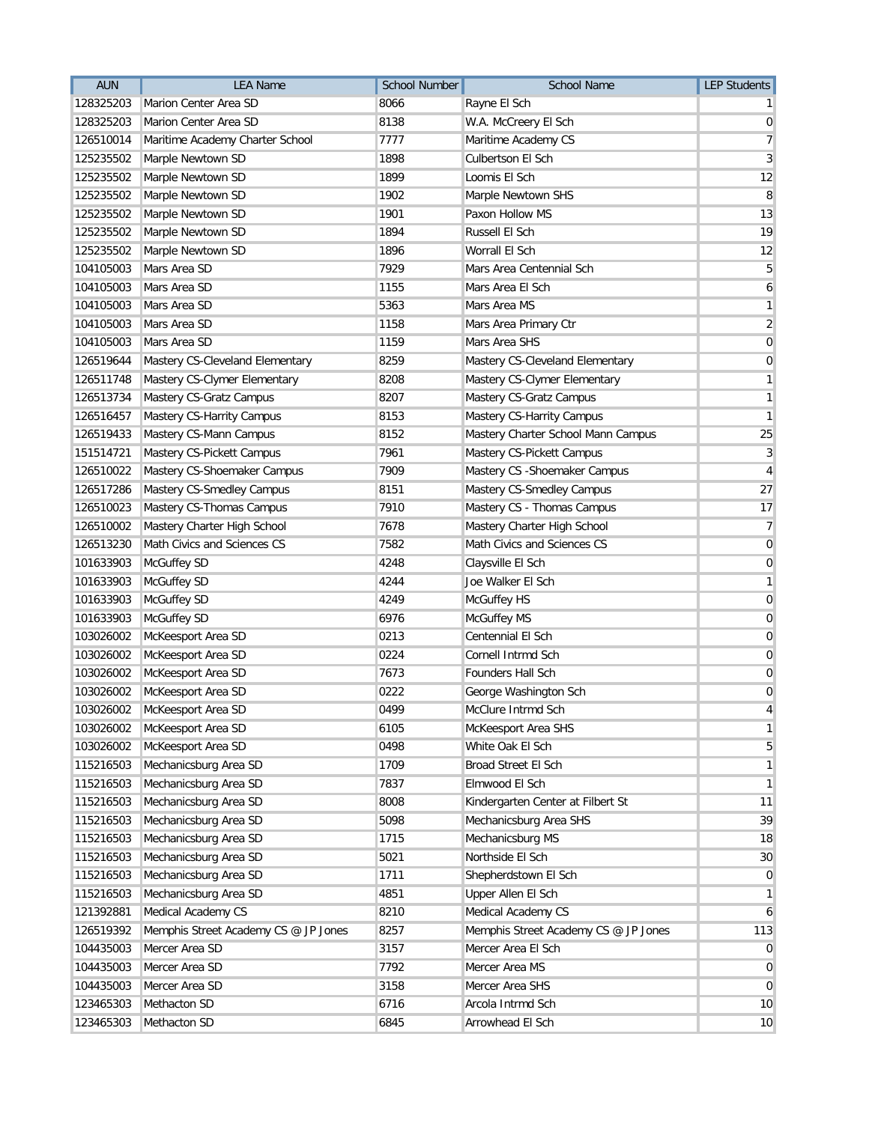| <b>AUN</b> | <b>LEA Name</b>                      | <b>School Number</b> | <b>School Name</b>                   | <b>LEP Students</b> |
|------------|--------------------------------------|----------------------|--------------------------------------|---------------------|
| 128325203  | Marion Center Area SD                | 8066                 | Rayne El Sch                         |                     |
| 128325203  | Marion Center Area SD                | 8138                 | W.A. McCreery El Sch                 | $\mathbf 0$         |
| 126510014  | Maritime Academy Charter School      | 7777                 | Maritime Academy CS                  | 7                   |
| 125235502  | Marple Newtown SD                    | 1898                 | <b>Culbertson El Sch</b>             | 3                   |
| 125235502  | Marple Newtown SD                    | 1899                 | Loomis El Sch                        | 12                  |
| 125235502  | Marple Newtown SD                    | 1902                 | Marple Newtown SHS                   | 8                   |
| 125235502  | Marple Newtown SD                    | 1901                 | Paxon Hollow MS                      | 13                  |
| 125235502  | Marple Newtown SD                    | 1894                 | Russell El Sch                       | 19                  |
| 125235502  | Marple Newtown SD                    | 1896                 | Worrall El Sch                       | 12                  |
| 104105003  | Mars Area SD                         | 7929                 | Mars Area Centennial Sch             | 5                   |
| 104105003  | Mars Area SD                         | 1155                 | Mars Area El Sch                     | 6                   |
| 104105003  | Mars Area SD                         | 5363                 | Mars Area MS                         | 1                   |
| 104105003  | Mars Area SD                         | 1158                 | Mars Area Primary Ctr                | $\overline{c}$      |
| 104105003  | Mars Area SD                         | 1159                 | Mars Area SHS                        | $\mathbf 0$         |
| 126519644  | Mastery CS-Cleveland Elementary      | 8259                 | Mastery CS-Cleveland Elementary      | 0                   |
| 126511748  | Mastery CS-Clymer Elementary         | 8208                 | Mastery CS-Clymer Elementary         | 1                   |
| 126513734  | Mastery CS-Gratz Campus              | 8207                 | Mastery CS-Gratz Campus              | 1                   |
| 126516457  | Mastery CS-Harrity Campus            | 8153                 | Mastery CS-Harrity Campus            | 1                   |
| 126519433  | Mastery CS-Mann Campus               | 8152                 | Mastery Charter School Mann Campus   | 25                  |
| 151514721  | Mastery CS-Pickett Campus            | 7961                 | Mastery CS-Pickett Campus            | 3                   |
| 126510022  | Mastery CS-Shoemaker Campus          | 7909                 | Mastery CS - Shoemaker Campus        | 4                   |
| 126517286  | Mastery CS-Smedley Campus            | 8151                 | Mastery CS-Smedley Campus            | 27                  |
| 126510023  | Mastery CS-Thomas Campus             | 7910                 | Mastery CS - Thomas Campus           | 17                  |
| 126510002  | Mastery Charter High School          | 7678                 | Mastery Charter High School          | 7                   |
| 126513230  | Math Civics and Sciences CS          | 7582                 | Math Civics and Sciences CS          | $\mathbf 0$         |
| 101633903  | McGuffey SD                          | 4248                 | Claysville El Sch                    | 0                   |
| 101633903  | McGuffey SD                          | 4244                 | Joe Walker El Sch                    | 1                   |
| 101633903  | McGuffey SD                          | 4249                 | McGuffey HS                          | 0                   |
| 101633903  | McGuffey SD                          | 6976                 | McGuffey MS                          | 0                   |
| 103026002  | McKeesport Area SD                   | 0213                 | Centennial El Sch                    | 0                   |
| 103026002  | McKeesport Area SD                   | 0224                 | Cornell Intrmd Sch                   | $\boldsymbol{0}$    |
| 103026002  | McKeesport Area SD                   | 7673                 | Founders Hall Sch                    | 0                   |
| 103026002  | McKeesport Area SD                   | 0222                 | George Washington Sch                | $\mathbf 0$         |
| 103026002  | McKeesport Area SD                   | 0499                 | McClure Intrmd Sch                   | 4                   |
| 103026002  | McKeesport Area SD                   | 6105                 | McKeesport Area SHS                  | 1                   |
| 103026002  | McKeesport Area SD                   | 0498                 | White Oak El Sch                     | 5                   |
| 115216503  | Mechanicsburg Area SD                | 1709                 | Broad Street El Sch                  | 1                   |
| 115216503  | Mechanicsburg Area SD                | 7837                 | Elmwood El Sch                       | 1                   |
| 115216503  | Mechanicsburg Area SD                | 8008                 | Kindergarten Center at Filbert St    | 11                  |
| 115216503  | Mechanicsburg Area SD                | 5098                 | Mechanicsburg Area SHS               | 39                  |
| 115216503  | Mechanicsburg Area SD                | 1715                 | Mechanicsburg MS                     | 18                  |
| 115216503  | Mechanicsburg Area SD                | 5021                 | Northside El Sch                     | 30                  |
| 115216503  | Mechanicsburg Area SD                | 1711                 | Shepherdstown El Sch                 | 0                   |
| 115216503  | Mechanicsburg Area SD                | 4851                 | Upper Allen El Sch                   | 1                   |
| 121392881  | Medical Academy CS                   | 8210                 | Medical Academy CS                   | 6                   |
| 126519392  | Memphis Street Academy CS @ JP Jones | 8257                 | Memphis Street Academy CS @ JP Jones | 113                 |
| 104435003  | Mercer Area SD                       | 3157                 | Mercer Area El Sch                   | 0                   |
| 104435003  | Mercer Area SD                       | 7792                 | Mercer Area MS                       | 0                   |
| 104435003  | Mercer Area SD                       | 3158                 | Mercer Area SHS                      | $\mathbf 0$         |
| 123465303  | Methacton SD                         | 6716                 | Arcola Intrmd Sch                    | 10                  |
| 123465303  | Methacton SD                         | 6845                 | Arrowhead El Sch                     | 10                  |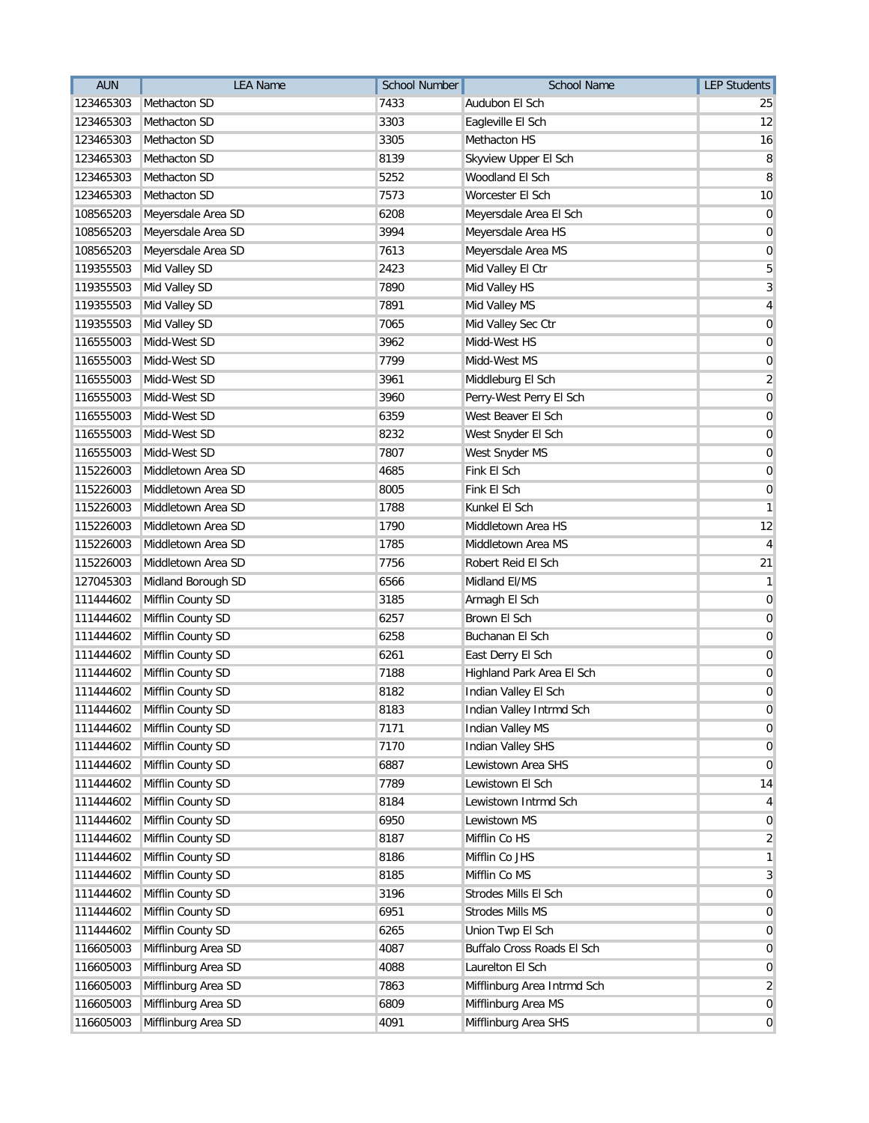| <b>AUN</b> | <b>LEA Name</b>             | <b>School Number</b> | <b>School Name</b>          | <b>LEP Students</b>     |
|------------|-----------------------------|----------------------|-----------------------------|-------------------------|
| 123465303  | Methacton SD                | 7433                 | Audubon El Sch              | 25                      |
| 123465303  | Methacton SD                | 3303                 | Eagleville El Sch           | 12                      |
| 123465303  | Methacton SD                | 3305                 | Methacton HS                | 16                      |
| 123465303  | Methacton SD                | 8139                 | Skyview Upper El Sch        | 8                       |
| 123465303  | Methacton SD                | 5252                 | Woodland El Sch             | 8                       |
| 123465303  | Methacton SD                | 7573                 | Worcester El Sch            | 10                      |
| 108565203  | Meyersdale Area SD          | 6208                 | Meyersdale Area El Sch      | $\mathbf 0$             |
| 108565203  | Meyersdale Area SD          | 3994                 | Meyersdale Area HS          | 0                       |
| 108565203  | Meyersdale Area SD          | 7613                 | Meyersdale Area MS          | 0                       |
| 119355503  | Mid Valley SD               | 2423                 | Mid Valley El Ctr           | 5                       |
| 119355503  | Mid Valley SD               | 7890                 | Mid Valley HS               | 3                       |
| 119355503  | Mid Valley SD               | 7891                 | Mid Valley MS               | 4                       |
| 119355503  | Mid Valley SD               | 7065                 | Mid Valley Sec Ctr          | 0                       |
| 116555003  | Midd-West SD                | 3962                 | Midd-West HS                | 0                       |
| 116555003  | Midd-West SD                | 7799                 | Midd-West MS                | 0                       |
| 116555003  | Midd-West SD                | 3961                 | Middleburg El Sch           | $\overline{\mathbf{c}}$ |
| 116555003  | Midd-West SD                | 3960                 | Perry-West Perry El Sch     | 0                       |
| 116555003  | Midd-West SD                | 6359                 | West Beaver El Sch          | $\overline{0}$          |
| 116555003  | Midd-West SD                | 8232                 | West Snyder El Sch          | 0                       |
| 116555003  | Midd-West SD                | 7807                 | West Snyder MS              | 0                       |
| 115226003  | Middletown Area SD          | 4685                 | Fink El Sch                 | 0                       |
| 115226003  | Middletown Area SD          | 8005                 | Fink El Sch                 | 0                       |
| 115226003  | Middletown Area SD          | 1788                 | Kunkel El Sch               | 1                       |
| 115226003  | Middletown Area SD          | 1790                 | Middletown Area HS          | 12                      |
| 115226003  | Middletown Area SD          | 1785                 | Middletown Area MS          | 4                       |
| 115226003  | Middletown Area SD          | 7756                 | Robert Reid El Sch          | 21                      |
| 127045303  | Midland Borough SD          | 6566                 | Midland El/MS               | 1                       |
| 111444602  | Mifflin County SD           | 3185                 | Armagh El Sch               | 0                       |
| 111444602  | Mifflin County SD           | 6257                 | Brown El Sch                | 0                       |
| 111444602  | Mifflin County SD           | 6258                 | Buchanan El Sch             | $\overline{0}$          |
| 111444602  | Mifflin County SD           | 6261                 | East Derry El Sch           | 0                       |
| 111444602  | Mifflin County SD           | 7188                 | Highland Park Area El Sch   | 0                       |
| 111444602  | Mifflin County SD           | 8182                 | Indian Valley El Sch        | 0                       |
|            | 111444602 Mifflin County SD | 8183                 | Indian Valley Intrmd Sch    | 0                       |
| 111444602  | Mifflin County SD           | 7171                 | Indian Valley MS            | $\overline{0}$          |
| 111444602  | Mifflin County SD           | 7170                 | Indian Valley SHS           | 0                       |
| 111444602  | Mifflin County SD           | 6887                 | Lewistown Area SHS          | $\mathbf 0$             |
| 111444602  | Mifflin County SD           | 7789                 | Lewistown El Sch            | 14                      |
| 111444602  | Mifflin County SD           | 8184                 | Lewistown Intrmd Sch        | 4                       |
| 111444602  | Mifflin County SD           | 6950                 | Lewistown MS                | 0                       |
| 111444602  | Mifflin County SD           | 8187                 | Mifflin Co HS               | $\overline{2}$          |
| 111444602  | Mifflin County SD           | 8186                 | Mifflin Co JHS              | 1                       |
| 111444602  | Mifflin County SD           | 8185                 | Mifflin Co MS               | 3                       |
| 111444602  | Mifflin County SD           | 3196                 | Strodes Mills El Sch        | $\overline{0}$          |
| 111444602  | Mifflin County SD           | 6951                 | <b>Strodes Mills MS</b>     | $\overline{0}$          |
| 111444602  | Mifflin County SD           | 6265                 | Union Twp El Sch            | $\overline{0}$          |
| 116605003  | Mifflinburg Area SD         | 4087                 | Buffalo Cross Roads El Sch  | 0                       |
| 116605003  | Mifflinburg Area SD         | 4088                 | Laurelton El Sch            | $\overline{0}$          |
| 116605003  | Mifflinburg Area SD         | 7863                 | Mifflinburg Area Intrmd Sch | $\overline{2}$          |
| 116605003  | Mifflinburg Area SD         | 6809                 | Mifflinburg Area MS         | $\overline{0}$          |
| 116605003  | Mifflinburg Area SD         | 4091                 | Mifflinburg Area SHS        | $\overline{0}$          |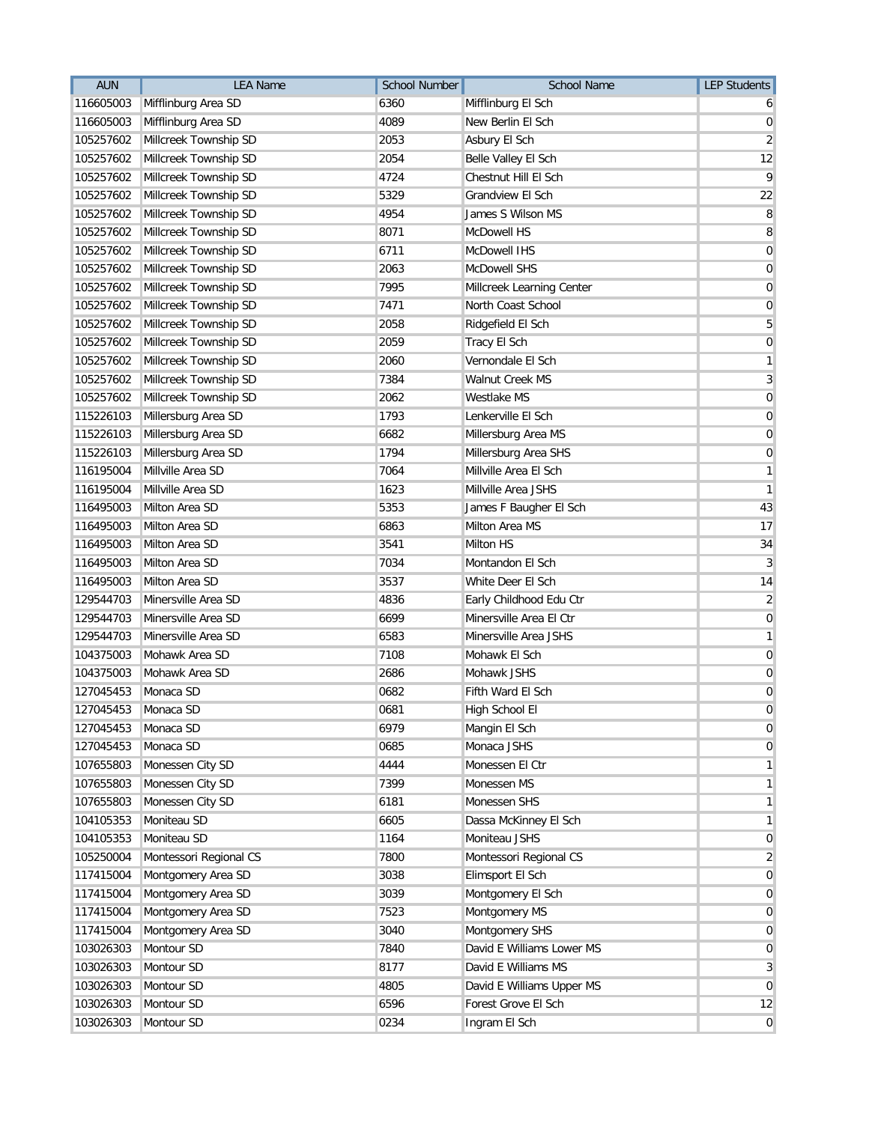| <b>AUN</b> | <b>LEA Name</b>        | <b>School Number</b> | <b>School Name</b>        | <b>LEP Students</b> |
|------------|------------------------|----------------------|---------------------------|---------------------|
| 116605003  | Mifflinburg Area SD    | 6360                 | Mifflinburg El Sch        | b                   |
| 116605003  | Mifflinburg Area SD    | 4089                 | New Berlin El Sch         | 0                   |
| 105257602  | Millcreek Township SD  | 2053                 | Asbury El Sch             | $\overline{2}$      |
| 105257602  | Millcreek Township SD  | 2054                 | Belle Valley El Sch       | 12                  |
| 105257602  | Millcreek Township SD  | 4724                 | Chestnut Hill El Sch      | 9                   |
| 105257602  | Millcreek Township SD  | 5329                 | Grandview El Sch          | 22                  |
| 105257602  | Millcreek Township SD  | 4954                 | James S Wilson MS         | 8                   |
| 105257602  | Millcreek Township SD  | 8071                 | McDowell HS               | 8                   |
| 105257602  | Millcreek Township SD  | 6711                 | McDowell IHS              | $\mathbf 0$         |
| 105257602  | Millcreek Township SD  | 2063                 | <b>McDowell SHS</b>       | 0                   |
| 105257602  | Millcreek Township SD  | 7995                 | Millcreek Learning Center | 0                   |
| 105257602  | Millcreek Township SD  | 7471                 | North Coast School        | $\overline{0}$      |
| 105257602  | Millcreek Township SD  | 2058                 | Ridgefield El Sch         | 5                   |
| 105257602  | Millcreek Township SD  | 2059                 | Tracy El Sch              | 0                   |
| 105257602  | Millcreek Township SD  | 2060                 | Vernondale El Sch         | 1                   |
| 105257602  | Millcreek Township SD  | 7384                 | <b>Walnut Creek MS</b>    | $\overline{3}$      |
| 105257602  | Millcreek Township SD  | 2062                 | Westlake MS               | 0                   |
| 115226103  | Millersburg Area SD    | 1793                 | Lenkerville El Sch        | 0                   |
| 115226103  | Millersburg Area SD    | 6682                 | Millersburg Area MS       | $\boldsymbol{0}$    |
| 115226103  | Millersburg Area SD    | 1794                 | Millersburg Area SHS      | 0                   |
| 116195004  | Millville Area SD      | 7064                 | Millville Area El Sch     | 1                   |
| 116195004  | Millville Area SD      | 1623                 | Millville Area JSHS       | 1                   |
| 116495003  | Milton Area SD         | 5353                 | James F Baugher El Sch    | 43                  |
| 116495003  | Milton Area SD         | 6863                 | Milton Area MS            | 17                  |
| 116495003  | Milton Area SD         | 3541                 | Milton HS                 | 34                  |
| 116495003  | Milton Area SD         | 7034                 | Montandon El Sch          | 3                   |
| 116495003  | Milton Area SD         | 3537                 | White Deer El Sch         | 14                  |
| 129544703  | Minersville Area SD    | 4836                 | Early Childhood Edu Ctr   | 2                   |
| 129544703  | Minersville Area SD    | 6699                 | Minersville Area El Ctr   | $\mathbf 0$         |
| 129544703  | Minersville Area SD    | 6583                 | Minersville Area JSHS     | 1                   |
| 104375003  | Mohawk Area SD         | 7108                 | Mohawk El Sch             | $\boldsymbol{0}$    |
| 104375003  | Mohawk Area SD         | 2686                 | Mohawk JSHS               | 0                   |
| 127045453  | Monaca SD              | 0682                 | Fifth Ward El Sch         | $\mathbf 0$         |
| 127045453  | Monaca SD              | 0681                 | High School El            | 0                   |
| 127045453  | Monaca SD              | 6979                 | Mangin El Sch             | 0                   |
| 127045453  | Monaca SD              | 0685                 | Monaca JSHS               | 0                   |
| 107655803  | Monessen City SD       | 4444                 | Monessen El Ctr           | 1                   |
| 107655803  | Monessen City SD       | 7399                 | Monessen MS               | 1                   |
| 107655803  | Monessen City SD       | 6181                 | Monessen SHS              | 1                   |
| 104105353  | Moniteau SD            | 6605                 | Dassa McKinney El Sch     | 1                   |
| 104105353  | Moniteau SD            | 1164                 | Moniteau JSHS             | $\overline{0}$      |
| 105250004  | Montessori Regional CS | 7800                 | Montessori Regional CS    | 2                   |
| 117415004  | Montgomery Area SD     | 3038                 | Elimsport El Sch          | $\mathbf 0$         |
| 117415004  | Montgomery Area SD     | 3039                 | Montgomery El Sch         | $\mathbf 0$         |
| 117415004  | Montgomery Area SD     | 7523                 | Montgomery MS             | $\overline{0}$      |
| 117415004  | Montgomery Area SD     | 3040                 | Montgomery SHS            | $\overline{0}$      |
| 103026303  | Montour SD             | 7840                 | David E Williams Lower MS | 0                   |
| 103026303  | Montour SD             | 8177                 | David E Williams MS       | 3                   |
| 103026303  | Montour SD             | 4805                 | David E Williams Upper MS | $\mathbf 0$         |
| 103026303  | Montour SD             | 6596                 | Forest Grove El Sch       | 12                  |
| 103026303  | Montour SD             | 0234                 | Ingram El Sch             | $\overline{0}$      |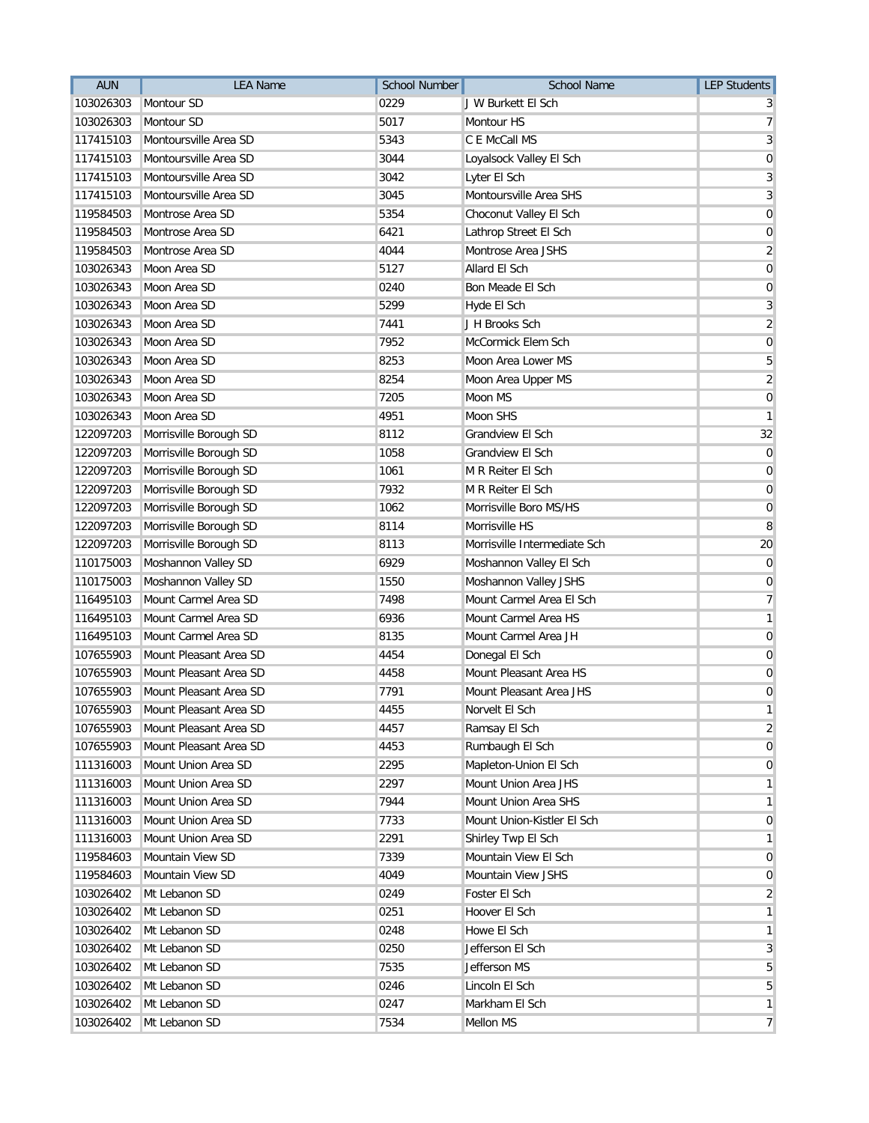| <b>AUN</b> | <b>LEA Name</b>        | <b>School Number</b> | <b>School Name</b>           | <b>LEP Students</b> |
|------------|------------------------|----------------------|------------------------------|---------------------|
| 103026303  | Montour SD             | 0229                 | J W Burkett El Sch           | 3                   |
| 103026303  | Montour SD             | 5017                 | Montour HS                   | 7                   |
| 117415103  | Montoursville Area SD  | 5343                 | C E McCall MS                | 3                   |
| 117415103  | Montoursville Area SD  | 3044                 | Loyalsock Valley El Sch      | $\mathbf 0$         |
| 117415103  | Montoursville Area SD  | 3042                 | Lyter El Sch                 | 3                   |
| 117415103  | Montoursville Area SD  | 3045                 | Montoursville Area SHS       | 3                   |
| 119584503  | Montrose Area SD       | 5354                 | Choconut Valley El Sch       | 0                   |
| 119584503  | Montrose Area SD       | 6421                 | Lathrop Street El Sch        | $\mathbf 0$         |
| 119584503  | Montrose Area SD       | 4044                 | Montrose Area JSHS           | $\overline{2}$      |
| 103026343  | Moon Area SD           | 5127                 | Allard El Sch                | 0                   |
| 103026343  | Moon Area SD           | 0240                 | Bon Meade El Sch             | 0                   |
| 103026343  | Moon Area SD           | 5299                 | Hyde El Sch                  | 3                   |
| 103026343  | Moon Area SD           | 7441                 | J H Brooks Sch               | $\overline{2}$      |
| 103026343  | Moon Area SD           | 7952                 | McCormick Elem Sch           | $\mathbf 0$         |
| 103026343  | Moon Area SD           | 8253                 | Moon Area Lower MS           | 5                   |
| 103026343  | Moon Area SD           | 8254                 | Moon Area Upper MS           | $\overline{2}$      |
| 103026343  | Moon Area SD           | 7205                 | Moon MS                      | 0                   |
| 103026343  | Moon Area SD           | 4951                 | Moon SHS                     | 1                   |
| 122097203  | Morrisville Borough SD | 8112                 | Grandview El Sch             | 32                  |
| 122097203  | Morrisville Borough SD | 1058                 | <b>Grandview El Sch</b>      | 0                   |
| 122097203  | Morrisville Borough SD | 1061                 | M R Reiter El Sch            | 0                   |
| 122097203  | Morrisville Borough SD | 7932                 | M R Reiter El Sch            | 0                   |
| 122097203  | Morrisville Borough SD | 1062                 | Morrisville Boro MS/HS       | 0                   |
| 122097203  | Morrisville Borough SD | 8114                 | Morrisville HS               | 8                   |
| 122097203  | Morrisville Borough SD | 8113                 | Morrisville Intermediate Sch | 20                  |
| 110175003  | Moshannon Valley SD    | 6929                 | Moshannon Valley El Sch      | $\overline{0}$      |
| 110175003  | Moshannon Valley SD    | 1550                 | Moshannon Valley JSHS        | 0                   |
| 116495103  | Mount Carmel Area SD   | 7498                 | Mount Carmel Area El Sch     | 7                   |
| 116495103  | Mount Carmel Area SD   | 6936                 | Mount Carmel Area HS         | 1                   |
| 116495103  | Mount Carmel Area SD   | 8135                 | Mount Carmel Area JH         | $\overline{0}$      |
| 107655903  | Mount Pleasant Area SD | 4454                 | Donegal El Sch               | 0                   |
| 107655903  | Mount Pleasant Area SD | 4458                 | Mount Pleasant Area HS       | 0                   |
| 107655903  | Mount Pleasant Area SD | 7791                 | Mount Pleasant Area JHS      | 0                   |
| 107655903  | Mount Pleasant Area SD | 4455                 | Norvelt El Sch               | $\mathbf{1}$        |
| 107655903  | Mount Pleasant Area SD | 4457                 | Ramsay El Sch                | $\overline{2}$      |
| 107655903  | Mount Pleasant Area SD | 4453                 | Rumbaugh El Sch              | 0                   |
| 111316003  | Mount Union Area SD    | 2295                 | Mapleton-Union El Sch        | 0                   |
| 111316003  | Mount Union Area SD    | 2297                 | Mount Union Area JHS         | 1                   |
| 111316003  | Mount Union Area SD    | 7944                 | Mount Union Area SHS         | 1                   |
| 111316003  | Mount Union Area SD    | 7733                 | Mount Union-Kistler El Sch   | $\overline{0}$      |
| 111316003  | Mount Union Area SD    | 2291                 | Shirley Twp El Sch           | 1                   |
| 119584603  | Mountain View SD       | 7339                 | Mountain View El Sch         | $\overline{0}$      |
| 119584603  | Mountain View SD       | 4049                 | Mountain View JSHS           | 0                   |
| 103026402  | Mt Lebanon SD          | 0249                 | Foster El Sch                | $\overline{2}$      |
| 103026402  | Mt Lebanon SD          | 0251                 | Hoover El Sch                | 1                   |
| 103026402  | Mt Lebanon SD          | 0248                 | Howe El Sch                  | 1                   |
| 103026402  | Mt Lebanon SD          | 0250                 | Jefferson El Sch             | 3                   |
| 103026402  | Mt Lebanon SD          | 7535                 | Jefferson MS                 | 5                   |
| 103026402  | Mt Lebanon SD          | 0246                 | Lincoln El Sch               | 5                   |
| 103026402  | Mt Lebanon SD          | 0247                 | Markham El Sch               | $\mathbf{1}$        |
| 103026402  | Mt Lebanon SD          | 7534                 | Mellon MS                    | $\overline{7}$      |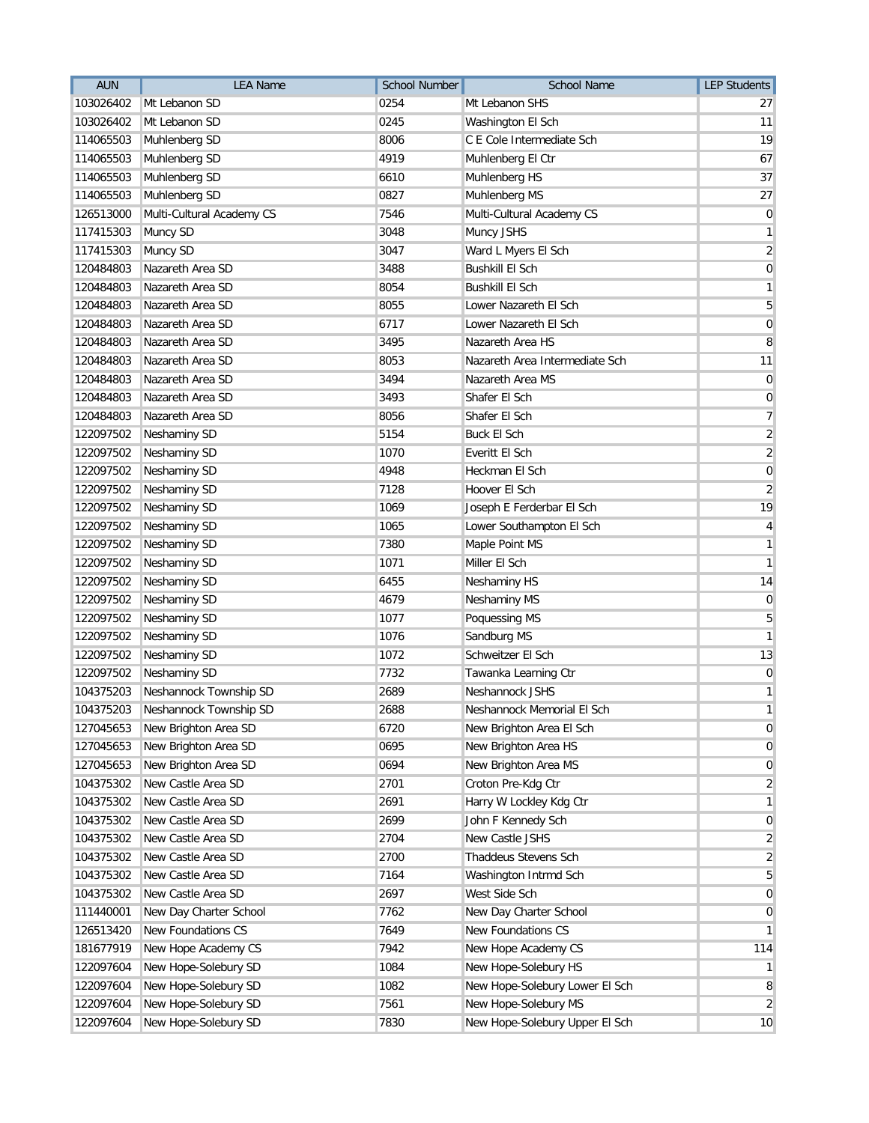| <b>AUN</b> | <b>LEA Name</b>           | <b>School Number</b> | <b>School Name</b>             | <b>LEP Students</b>     |
|------------|---------------------------|----------------------|--------------------------------|-------------------------|
| 103026402  | Mt Lebanon SD             | 0254                 | Mt Lebanon SHS                 | 27                      |
| 103026402  | Mt Lebanon SD             | 0245                 | Washington El Sch              | 11                      |
| 114065503  | Muhlenberg SD             | 8006                 | C E Cole Intermediate Sch      | 19                      |
| 114065503  | Muhlenberg SD             | 4919                 | Muhlenberg El Ctr              | 67                      |
| 114065503  | Muhlenberg SD             | 6610                 | Muhlenberg HS                  | 37                      |
| 114065503  | Muhlenberg SD             | 0827                 | Muhlenberg MS                  | 27                      |
| 126513000  | Multi-Cultural Academy CS | 7546                 | Multi-Cultural Academy CS      | $\mathbf 0$             |
| 117415303  | Muncy SD                  | 3048                 | Muncy JSHS                     | 1                       |
| 117415303  | Muncy SD                  | 3047                 | Ward L Myers El Sch            | $\overline{2}$          |
| 120484803  | Nazareth Area SD          | 3488                 | <b>Bushkill El Sch</b>         | 0                       |
| 120484803  | Nazareth Area SD          | 8054                 | <b>Bushkill El Sch</b>         | 1                       |
| 120484803  | Nazareth Area SD          | 8055                 | Lower Nazareth El Sch          | 5                       |
| 120484803  | Nazareth Area SD          | 6717                 | Lower Nazareth El Sch          | $\mathbf 0$             |
| 120484803  | Nazareth Area SD          | 3495                 | Nazareth Area HS               | 8                       |
| 120484803  | Nazareth Area SD          | 8053                 | Nazareth Area Intermediate Sch | 11                      |
| 120484803  | Nazareth Area SD          | 3494                 | Nazareth Area MS               | 0                       |
| 120484803  | Nazareth Area SD          | 3493                 | Shafer El Sch                  | 0                       |
| 120484803  | Nazareth Area SD          | 8056                 | Shafer El Sch                  | $\overline{7}$          |
| 122097502  | Neshaminy SD              | 5154                 | <b>Buck El Sch</b>             | $\overline{\mathbf{c}}$ |
| 122097502  | Neshaminy SD              | 1070                 | Everitt El Sch                 | $\sqrt{2}$              |
| 122097502  | Neshaminy SD              | 4948                 | <b>Heckman El Sch</b>          | 0                       |
| 122097502  | Neshaminy SD              | 7128                 | Hoover El Sch                  | $\overline{2}$          |
| 122097502  | Neshaminy SD              | 1069                 | Joseph E Ferderbar El Sch      | 19                      |
| 122097502  | Neshaminy SD              | 1065                 | Lower Southampton El Sch       | 4                       |
| 122097502  | <b>Neshaminy SD</b>       | 7380                 | Maple Point MS                 | 1                       |
| 122097502  | Neshaminy SD              | 1071                 | Miller El Sch                  | 1                       |
| 122097502  | Neshaminy SD              | 6455                 | Neshaminy HS                   | 14                      |
| 122097502  | Neshaminy SD              | 4679                 | Neshaminy MS                   | 0                       |
| 122097502  | Neshaminy SD              | 1077                 | Poquessing MS                  | 5                       |
| 122097502  | Neshaminy SD              | 1076                 | Sandburg MS                    | 1                       |
| 122097502  | Neshaminy SD              | 1072                 | Schweitzer El Sch              | 13                      |
| 122097502  | Neshaminy SD              | 7732                 | Tawanka Learning Ctr           | $\boldsymbol{0}$        |
| 104375203  | Neshannock Township SD    | 2689                 | Neshannock JSHS                | 1                       |
| 104375203  | Neshannock Township SD    | 2688                 | Neshannock Memorial El Sch     | 1                       |
| 127045653  | New Brighton Area SD      | 6720                 | New Brighton Area El Sch       | 0                       |
| 127045653  | New Brighton Area SD      | 0695                 | New Brighton Area HS           | 0                       |
| 127045653  | New Brighton Area SD      | 0694                 | New Brighton Area MS           | 0                       |
| 104375302  | New Castle Area SD        | 2701                 | Croton Pre-Kdg Ctr             | 2                       |
| 104375302  | New Castle Area SD        | 2691                 | Harry W Lockley Kdg Ctr        | 1                       |
| 104375302  | New Castle Area SD        | 2699                 | John F Kennedy Sch             | 0                       |
| 104375302  | New Castle Area SD        | 2704                 | New Castle JSHS                | 2                       |
| 104375302  | New Castle Area SD        | 2700                 | Thaddeus Stevens Sch           | 2                       |
| 104375302  | New Castle Area SD        | 7164                 | Washington Intrmd Sch          | 5                       |
| 104375302  | New Castle Area SD        | 2697                 | West Side Sch                  | 0                       |
| 111440001  | New Day Charter School    | 7762                 | New Day Charter School         | 0                       |
| 126513420  | New Foundations CS        | 7649                 | New Foundations CS             | 1                       |
| 181677919  | New Hope Academy CS       | 7942                 | New Hope Academy CS            | 114                     |
| 122097604  | New Hope-Solebury SD      | 1084                 | New Hope-Solebury HS           | 1                       |
| 122097604  | New Hope-Solebury SD      | 1082                 | New Hope-Solebury Lower El Sch | 8                       |
| 122097604  | New Hope-Solebury SD      | 7561                 | New Hope-Solebury MS           | 2                       |
| 122097604  | New Hope-Solebury SD      | 7830                 | New Hope-Solebury Upper El Sch | 10                      |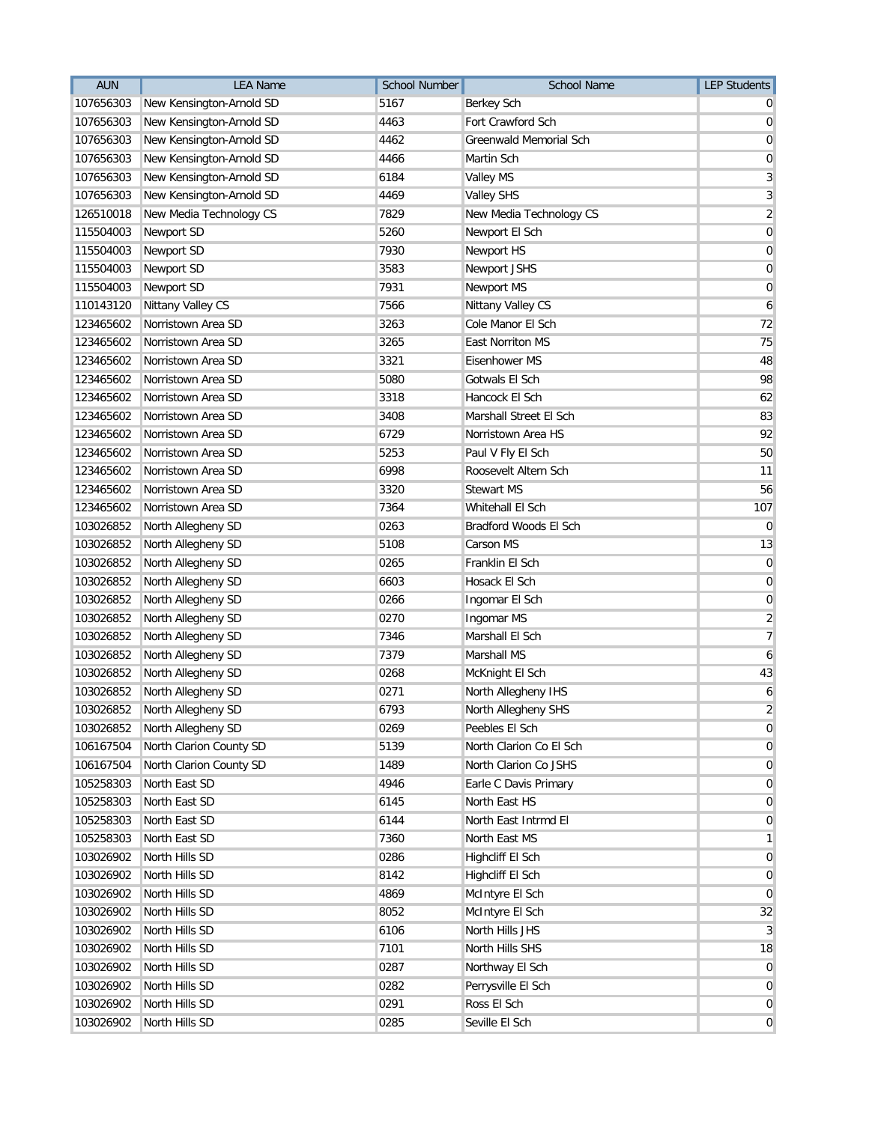| <b>AUN</b> | <b>LEA Name</b>              | <b>School Number</b> | <b>School Name</b>            | <b>LEP Students</b> |
|------------|------------------------------|----------------------|-------------------------------|---------------------|
| 107656303  | New Kensington-Arnold SD     | 5167                 | Berkey Sch                    |                     |
| 107656303  | New Kensington-Arnold SD     | 4463                 | Fort Crawford Sch             | 0                   |
| 107656303  | New Kensington-Arnold SD     | 4462                 | <b>Greenwald Memorial Sch</b> | 0                   |
| 107656303  | New Kensington-Arnold SD     | 4466                 | Martin Sch                    | 0                   |
| 107656303  | New Kensington-Arnold SD     | 6184                 | <b>Valley MS</b>              | 3                   |
| 107656303  | New Kensington-Arnold SD     | 4469                 | <b>Valley SHS</b>             | 3                   |
| 126510018  | New Media Technology CS      | 7829                 | New Media Technology CS       | $\overline{2}$      |
| 115504003  | Newport SD                   | 5260                 | Newport El Sch                | $\mathbf 0$         |
| 115504003  | Newport SD                   | 7930                 | Newport HS                    | 0                   |
| 115504003  | Newport SD                   | 3583                 | Newport JSHS                  | 0                   |
| 115504003  | Newport SD                   | 7931                 | Newport MS                    | $\mathbf 0$         |
| 110143120  | Nittany Valley CS            | 7566                 | Nittany Valley CS             | 6                   |
| 123465602  | Norristown Area SD           | 3263                 | Cole Manor El Sch             | 72                  |
| 123465602  | Norristown Area SD           | 3265                 | <b>East Norriton MS</b>       | 75                  |
| 123465602  | Norristown Area SD           | 3321                 | Eisenhower MS                 | 48                  |
| 123465602  | Norristown Area SD           | 5080                 | Gotwals El Sch                | 98                  |
| 123465602  | Norristown Area SD           | 3318                 | Hancock El Sch                | 62                  |
| 123465602  | Norristown Area SD           | 3408                 | Marshall Street El Sch        | 83                  |
| 123465602  | Norristown Area SD           | 6729                 | Norristown Area HS            | 92                  |
| 123465602  | Norristown Area SD           | 5253                 | Paul V Fly El Sch             | 50                  |
| 123465602  | Norristown Area SD           | 6998                 | Roosevelt Altern Sch          | 11                  |
| 123465602  | Norristown Area SD           | 3320                 | <b>Stewart MS</b>             | 56                  |
| 123465602  | Norristown Area SD           | 7364                 | Whitehall El Sch              | 107                 |
| 103026852  | North Allegheny SD           | 0263                 | Bradford Woods El Sch         | $\overline{0}$      |
| 103026852  | North Allegheny SD           | 5108                 | Carson MS                     | 13                  |
| 103026852  | North Allegheny SD           | 0265                 | Franklin El Sch               | $\mathbf 0$         |
| 103026852  | North Allegheny SD           | 6603                 | Hosack El Sch                 | 0                   |
| 103026852  | North Allegheny SD           | 0266                 | Ingomar El Sch                | 0                   |
| 103026852  | North Allegheny SD           | 0270                 | Ingomar MS                    | $\overline{2}$      |
| 103026852  | North Allegheny SD           | 7346                 | Marshall El Sch               | 7                   |
| 103026852  | North Allegheny SD           | 7379                 | Marshall MS                   | 6                   |
| 103026852  | North Allegheny SD           | 0268                 | McKnight El Sch               | 43                  |
| 103026852  | North Allegheny SD           | 0271                 | North Allegheny IHS           | 6                   |
|            | 103026852 North Allegheny SD | 6793                 | North Allegheny SHS           | $\overline{c}$      |
| 103026852  | North Allegheny SD           | 0269                 | Peebles El Sch                | $\overline{0}$      |
| 106167504  | North Clarion County SD      | 5139                 | North Clarion Co El Sch       | 0                   |
| 106167504  | North Clarion County SD      | 1489                 | North Clarion Co JSHS         | 0                   |
| 105258303  | North East SD                | 4946                 | Earle C Davis Primary         | $\mathbf 0$         |
| 105258303  | North East SD                | 6145                 | North East HS                 | $\mathbf 0$         |
| 105258303  | North East SD                | 6144                 | North East Intrmd El          | 0                   |
| 105258303  | North East SD                | 7360                 | North East MS                 | 1                   |
| 103026902  | North Hills SD               | 0286                 | Highcliff El Sch              | 0                   |
| 103026902  | North Hills SD               | 8142                 | Highcliff El Sch              | 0                   |
| 103026902  | North Hills SD               | 4869                 | McIntyre El Sch               | $\overline{0}$      |
| 103026902  | North Hills SD               | 8052                 | McIntyre El Sch               | 32                  |
| 103026902  | North Hills SD               | 6106                 | North Hills JHS               | 3                   |
| 103026902  | North Hills SD               | 7101                 | North Hills SHS               | 18                  |
| 103026902  | North Hills SD               | 0287                 | Northway El Sch               | 0                   |
| 103026902  | North Hills SD               | 0282                 | Perrysville El Sch            | $\mathbf 0$         |
| 103026902  | North Hills SD               | 0291                 | Ross El Sch                   | 0                   |
| 103026902  | North Hills SD               | 0285                 | Seville El Sch                | $\overline{0}$      |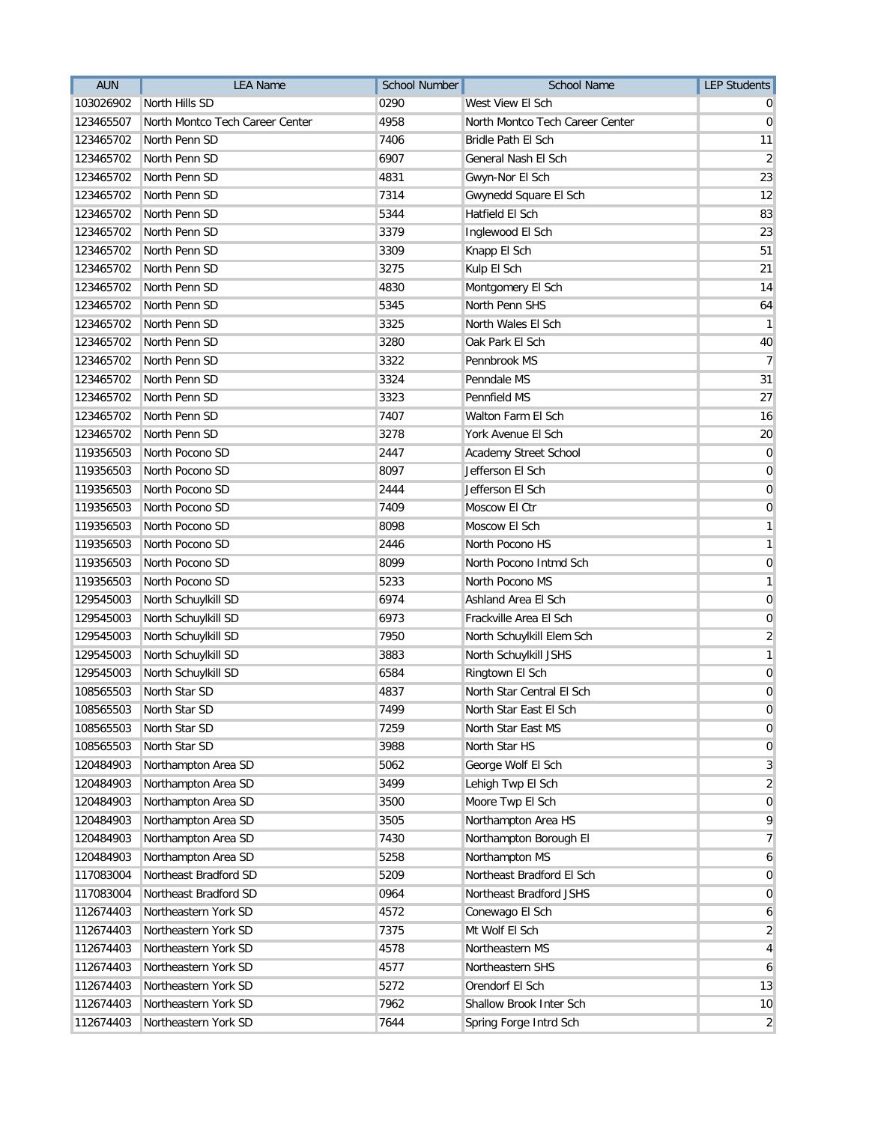| <b>AUN</b> | <b>LEA Name</b>                 | <b>School Number</b> | <b>School Name</b>              | <b>LEP Students</b> |
|------------|---------------------------------|----------------------|---------------------------------|---------------------|
| 103026902  | North Hills SD                  | 0290                 | West View El Sch                |                     |
| 123465507  | North Montco Tech Career Center | 4958                 | North Montco Tech Career Center | 0                   |
| 123465702  | North Penn SD                   | 7406                 | Bridle Path El Sch              | 11                  |
| 123465702  | North Penn SD                   | 6907                 | General Nash El Sch             | 2                   |
| 123465702  | North Penn SD                   | 4831                 | Gwyn-Nor El Sch                 | 23                  |
| 123465702  | North Penn SD                   | 7314                 | Gwynedd Square El Sch           | 12                  |
| 123465702  | North Penn SD                   | 5344                 | Hatfield El Sch                 | 83                  |
| 123465702  | North Penn SD                   | 3379                 | Inglewood El Sch                | 23                  |
| 123465702  | North Penn SD                   | 3309                 | Knapp El Sch                    | 51                  |
| 123465702  | North Penn SD                   | 3275                 | Kulp El Sch                     | 21                  |
| 123465702  | North Penn SD                   | 4830                 | Montgomery El Sch               | 14                  |
| 123465702  | North Penn SD                   | 5345                 | North Penn SHS                  | 64                  |
| 123465702  | North Penn SD                   | 3325                 | North Wales El Sch              | $\mathbf{1}$        |
| 123465702  | North Penn SD                   | 3280                 | Oak Park El Sch                 | 40                  |
| 123465702  | North Penn SD                   | 3322                 | Pennbrook MS                    | $\overline{7}$      |
| 123465702  | North Penn SD                   | 3324                 | Penndale MS                     | 31                  |
| 123465702  | North Penn SD                   | 3323                 | Pennfield MS                    | 27                  |
| 123465702  | North Penn SD                   | 7407                 | Walton Farm El Sch              | 16                  |
| 123465702  | North Penn SD                   | 3278                 | York Avenue El Sch              | 20                  |
| 119356503  | North Pocono SD                 | 2447                 | Academy Street School           | $\mathbf 0$         |
| 119356503  | North Pocono SD                 | 8097                 | Jefferson El Sch                | 0                   |
| 119356503  | North Pocono SD                 | 2444                 | Jefferson El Sch                | 0                   |
| 119356503  | North Pocono SD                 | 7409                 | Moscow El Ctr                   | 0                   |
| 119356503  | North Pocono SD                 | 8098                 | Moscow El Sch                   | 1                   |
| 119356503  | North Pocono SD                 | 2446                 | North Pocono HS                 | 1                   |
| 119356503  | North Pocono SD                 | 8099                 | North Pocono Intmd Sch          | 0                   |
| 119356503  | North Pocono SD                 | 5233                 | North Pocono MS                 | 1                   |
| 129545003  | North Schuylkill SD             | 6974                 | Ashland Area El Sch             | 0                   |
| 129545003  | North Schuylkill SD             | 6973                 | Frackville Area El Sch          | 0                   |
| 129545003  | North Schuylkill SD             | 7950                 | North Schuylkill Elem Sch       | $\overline{2}$      |
| 129545003  | North Schuylkill SD             | 3883                 | North Schuylkill JSHS           | 1                   |
| 129545003  | North Schuylkill SD             | 6584                 | Ringtown El Sch                 | 0                   |
| 108565503  | North Star SD                   | 4837                 | North Star Central El Sch       | 0                   |
| 108565503  | North Star SD                   | 7499                 | North Star East El Sch          | 0                   |
| 108565503  | North Star SD                   | 7259                 | North Star East MS              | $\mathbf 0$         |
| 108565503  | North Star SD                   | 3988                 | North Star HS                   | 0                   |
| 120484903  | Northampton Area SD             | 5062                 | George Wolf El Sch              | 3                   |
| 120484903  | Northampton Area SD             | 3499                 | Lehigh Twp El Sch               | $\overline{2}$      |
| 120484903  | Northampton Area SD             | 3500                 | Moore Twp El Sch                | $\mathbf 0$         |
| 120484903  | Northampton Area SD             | 3505                 | Northampton Area HS             | 9                   |
| 120484903  | Northampton Area SD             | 7430                 | Northampton Borough El          | 7                   |
| 120484903  | Northampton Area SD             | 5258                 | Northampton MS                  | 6                   |
| 117083004  | Northeast Bradford SD           | 5209                 | Northeast Bradford El Sch       | 0                   |
| 117083004  | Northeast Bradford SD           | 0964                 | Northeast Bradford JSHS         | $\mathbf 0$         |
| 112674403  | Northeastern York SD            | 4572                 | Conewago El Sch                 | 6                   |
| 112674403  | Northeastern York SD            | 7375                 | Mt Wolf El Sch                  | $\overline{2}$      |
| 112674403  | Northeastern York SD            | 4578                 | Northeastern MS                 | 4                   |
| 112674403  | Northeastern York SD            | 4577                 | Northeastern SHS                | 6                   |
| 112674403  | Northeastern York SD            | 5272                 | Orendorf El Sch                 | 13                  |
| 112674403  | Northeastern York SD            | 7962                 | Shallow Brook Inter Sch         | 10                  |
| 112674403  | Northeastern York SD            | 7644                 | Spring Forge Intrd Sch          | $\overline{2}$      |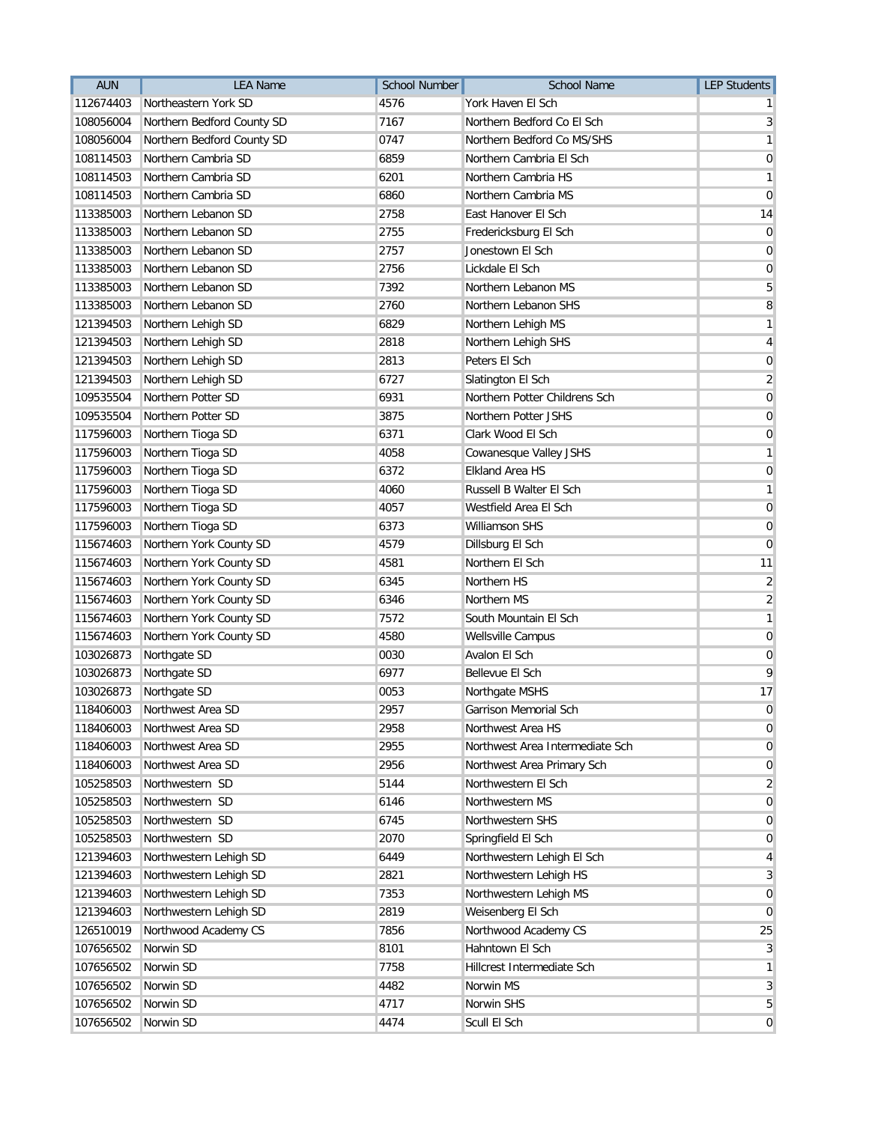| <b>AUN</b> | <b>LEA Name</b>            | School Number | <b>School Name</b>              | <b>LEP Students</b>     |
|------------|----------------------------|---------------|---------------------------------|-------------------------|
| 112674403  | Northeastern York SD       | 4576          | York Haven El Sch               |                         |
| 108056004  | Northern Bedford County SD | 7167          | Northern Bedford Co El Sch      | 3                       |
| 108056004  | Northern Bedford County SD | 0747          | Northern Bedford Co MS/SHS      | 1                       |
| 108114503  | Northern Cambria SD        | 6859          | Northern Cambria El Sch         | 0                       |
| 108114503  | Northern Cambria SD        | 6201          | Northern Cambria HS             | 1                       |
| 108114503  | Northern Cambria SD        | 6860          | Northern Cambria MS             | 0                       |
| 113385003  | Northern Lebanon SD        | 2758          | East Hanover El Sch             | 14                      |
| 113385003  | Northern Lebanon SD        | 2755          | Fredericksburg El Sch           | 0                       |
| 113385003  | Northern Lebanon SD        | 2757          | Jonestown El Sch                | 0                       |
| 113385003  | Northern Lebanon SD        | 2756          | Lickdale El Sch                 | 0                       |
| 113385003  | Northern Lebanon SD        | 7392          | Northern Lebanon MS             | 5                       |
| 113385003  | Northern Lebanon SD        | 2760          | Northern Lebanon SHS            | 8                       |
| 121394503  | Northern Lehigh SD         | 6829          | Northern Lehigh MS              | 1                       |
| 121394503  | Northern Lehigh SD         | 2818          | Northern Lehigh SHS             | $\overline{\mathbf{4}}$ |
| 121394503  | Northern Lehigh SD         | 2813          | Peters El Sch                   | $\mathbf 0$             |
| 121394503  | Northern Lehigh SD         | 6727          | Slatington El Sch               | $\overline{2}$          |
| 109535504  | Northern Potter SD         | 6931          | Northern Potter Childrens Sch   | $\mathbf 0$             |
| 109535504  | Northern Potter SD         | 3875          | Northern Potter JSHS            | $\mathbf 0$             |
| 117596003  | Northern Tioga SD          | 6371          | Clark Wood El Sch               | 0                       |
| 117596003  | Northern Tioga SD          | 4058          | Cowanesque Valley JSHS          | 1                       |
| 117596003  | Northern Tioga SD          | 6372          | <b>Elkland Area HS</b>          | 0                       |
| 117596003  | Northern Tioga SD          | 4060          | Russell B Walter El Sch         | 1                       |
| 117596003  | Northern Tioga SD          | 4057          | Westfield Area El Sch           | $\mathbf 0$             |
| 117596003  | Northern Tioga SD          | 6373          | Williamson SHS                  | $\mathbf 0$             |
| 115674603  | Northern York County SD    | 4579          | Dillsburg El Sch                | $\mathbf 0$             |
| 115674603  | Northern York County SD    | 4581          | Northern El Sch                 | 11                      |
| 115674603  | Northern York County SD    | 6345          | Northern HS                     | $\overline{2}$          |
| 115674603  | Northern York County SD    | 6346          | Northern MS                     | $\overline{\mathbf{c}}$ |
| 115674603  | Northern York County SD    | 7572          | South Mountain El Sch           | 1                       |
| 115674603  | Northern York County SD    | 4580          | Wellsville Campus               | $\mathbf 0$             |
| 103026873  | Northgate SD               | 0030          | Avalon El Sch                   | $\mathbf 0$             |
| 103026873  | Northgate SD               | 6977          | Bellevue El Sch                 | 9                       |
| 103026873  | Northgate SD               | 0053          | Northgate MSHS                  | 17                      |
| 118406003  | Northwest Area SD          | 2957          | Garrison Memorial Sch           | 0                       |
| 118406003  | Northwest Area SD          | 2958          | Northwest Area HS               | 0                       |
| 118406003  | Northwest Area SD          | 2955          | Northwest Area Intermediate Sch | 0                       |
| 118406003  | Northwest Area SD          | 2956          | Northwest Area Primary Sch      | $\mathbf 0$             |
| 105258503  | Northwestern SD            | 5144          | Northwestern El Sch             | $\overline{2}$          |
| 105258503  | Northwestern SD            | 6146          | Northwestern MS                 | $\overline{0}$          |
| 105258503  | Northwestern SD            | 6745          | Northwestern SHS                | 0                       |
| 105258503  | Northwestern SD            | 2070          | Springfield El Sch              | $\mathbf{0}$            |
| 121394603  | Northwestern Lehigh SD     | 6449          | Northwestern Lehigh El Sch      | 4                       |
| 121394603  | Northwestern Lehigh SD     | 2821          | Northwestern Lehigh HS          | $\mathbf{3}$            |
| 121394603  | Northwestern Lehigh SD     | 7353          | Northwestern Lehigh MS          | $\overline{0}$          |
| 121394603  | Northwestern Lehigh SD     | 2819          | Weisenberg El Sch               | $\overline{0}$          |
| 126510019  | Northwood Academy CS       | 7856          | Northwood Academy CS            | 25                      |
| 107656502  | Norwin SD                  | 8101          | Hahntown El Sch                 | 3                       |
| 107656502  | Norwin SD                  | 7758          | Hillcrest Intermediate Sch      | 1                       |
| 107656502  | Norwin SD                  | 4482          | Norwin MS                       | 3                       |
| 107656502  | Norwin SD                  | 4717          | Norwin SHS                      | 5                       |
| 107656502  | Norwin SD                  | 4474          | Scull El Sch                    | $\overline{0}$          |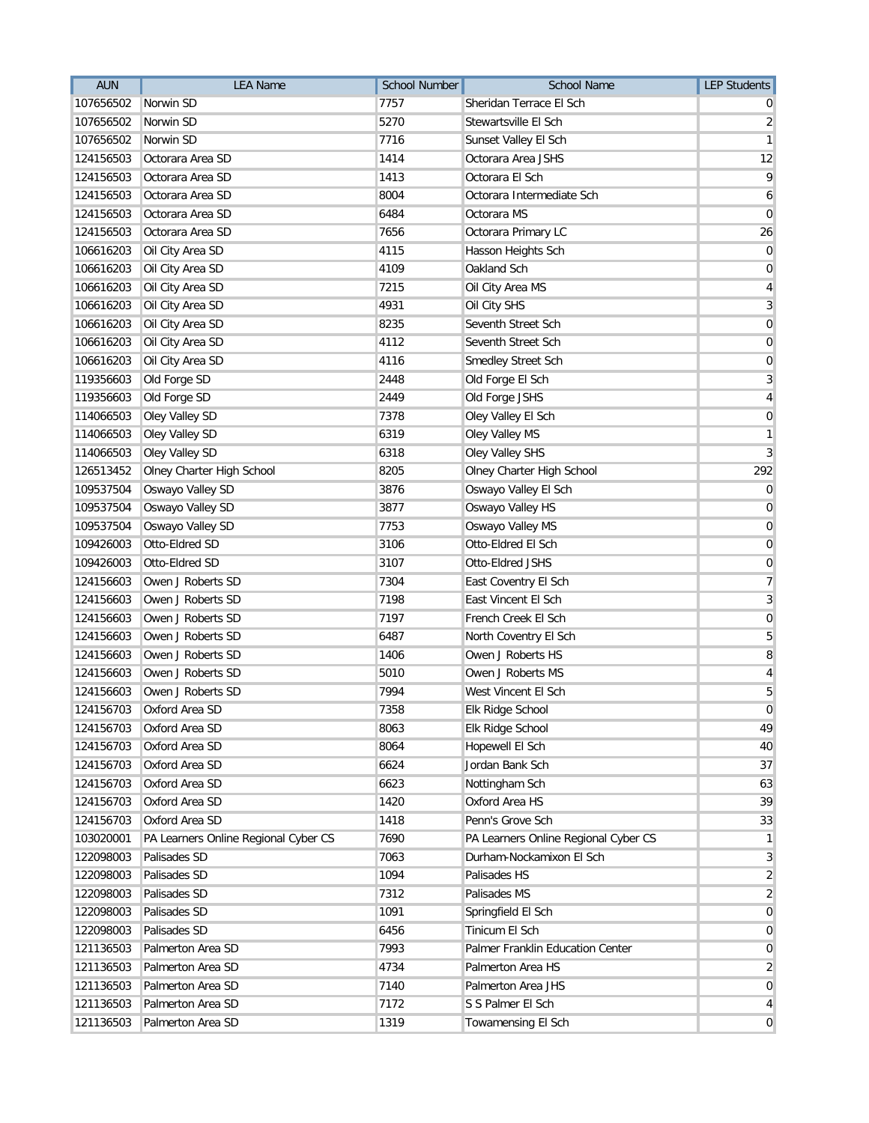| <b>AUN</b> | <b>LEA Name</b>                      | <b>School Number</b> | <b>School Name</b>                   | <b>LEP Students</b> |
|------------|--------------------------------------|----------------------|--------------------------------------|---------------------|
| 107656502  | Norwin SD                            | 7757                 | Sheridan Terrace El Sch              | U                   |
| 107656502  | Norwin SD                            | 5270                 | Stewartsville El Sch                 | 2                   |
| 107656502  | Norwin SD                            | 7716                 | Sunset Valley El Sch                 | 1                   |
| 124156503  | Octorara Area SD                     | 1414                 | Octorara Area JSHS                   | 12                  |
| 124156503  | Octorara Area SD                     | 1413                 | Octorara El Sch                      | 9                   |
| 124156503  | Octorara Area SD                     | 8004                 | Octorara Intermediate Sch            | 6                   |
| 124156503  | Octorara Area SD                     | 6484                 | Octorara MS                          | 0                   |
| 124156503  | Octorara Area SD                     | 7656                 | Octorara Primary LC                  | 26                  |
| 106616203  | Oil City Area SD                     | 4115                 | Hasson Heights Sch                   | 0                   |
| 106616203  | Oil City Area SD                     | 4109                 | Oakland Sch                          | 0                   |
| 106616203  | Oil City Area SD                     | 7215                 | Oil City Area MS                     | 4                   |
| 106616203  | Oil City Area SD                     | 4931                 | Oil City SHS                         | 3                   |
| 106616203  | Oil City Area SD                     | 8235                 | Seventh Street Sch                   | 0                   |
| 106616203  | Oil City Area SD                     | 4112                 | Seventh Street Sch                   | 0                   |
| 106616203  | Oil City Area SD                     | 4116                 | Smedley Street Sch                   | 0                   |
| 119356603  | Old Forge SD                         | 2448                 | Old Forge El Sch                     | 3                   |
| 119356603  | Old Forge SD                         | 2449                 | Old Forge JSHS                       | 4                   |
| 114066503  | Oley Valley SD                       | 7378                 | Oley Valley El Sch                   | 0                   |
| 114066503  | Oley Valley SD                       | 6319                 | Oley Valley MS                       | 1                   |
| 114066503  | Oley Valley SD                       | 6318                 | Oley Valley SHS                      | 3                   |
| 126513452  | Olney Charter High School            | 8205                 | Olney Charter High School            | 292                 |
| 109537504  | Oswayo Valley SD                     | 3876                 | Oswayo Valley El Sch                 | 0                   |
| 109537504  | Oswayo Valley SD                     | 3877                 | Oswayo Valley HS                     | 0                   |
| 109537504  | Oswayo Valley SD                     | 7753                 | Oswayo Valley MS                     | $\mathbf 0$         |
| 109426003  | Otto-Eldred SD                       | 3106                 | Otto-Eldred El Sch                   | $\mathbf 0$         |
| 109426003  | Otto-Eldred SD                       | 3107                 | Otto-Eldred JSHS                     | 0                   |
| 124156603  | Owen J Roberts SD                    | 7304                 | East Coventry El Sch                 | 7                   |
| 124156603  | Owen J Roberts SD                    | 7198                 | East Vincent El Sch                  | 3                   |
| 124156603  | Owen J Roberts SD                    | 7197                 | French Creek El Sch                  | 0                   |
| 124156603  | Owen J Roberts SD                    | 6487                 | North Coventry El Sch                | 5                   |
| 124156603  | Owen J Roberts SD                    | 1406                 | Owen J Roberts HS                    | 8                   |
| 124156603  | Owen J Roberts SD                    | 5010                 | Owen J Roberts MS                    | 4                   |
| 124156603  | Owen J Roberts SD                    | 7994                 | West Vincent El Sch                  | 5                   |
| 124156703  | Oxford Area SD                       | 7358                 | Elk Ridge School                     | $\boldsymbol{0}$    |
| 124156703  | Oxford Area SD                       | 8063                 | Elk Ridge School                     | 49                  |
| 124156703  | Oxford Area SD                       | 8064                 | Hopewell El Sch                      | 40                  |
| 124156703  | Oxford Area SD                       | 6624                 | Jordan Bank Sch                      | 37                  |
| 124156703  | Oxford Area SD                       | 6623                 | Nottingham Sch                       | 63                  |
| 124156703  | Oxford Area SD                       | 1420                 | Oxford Area HS                       | 39                  |
| 124156703  | Oxford Area SD                       | 1418                 | Penn's Grove Sch                     | 33                  |
| 103020001  | PA Learners Online Regional Cyber CS | 7690                 | PA Learners Online Regional Cyber CS | 1                   |
| 122098003  | Palisades SD                         | 7063                 | Durham-Nockamixon El Sch             | 3                   |
| 122098003  | Palisades SD                         | 1094                 | Palisades HS                         | $\overline{2}$      |
| 122098003  | Palisades SD                         | 7312                 | Palisades MS                         | $\overline{2}$      |
| 122098003  | Palisades SD                         | 1091                 | Springfield El Sch                   | $\overline{0}$      |
| 122098003  | Palisades SD                         | 6456                 | Tinicum El Sch                       | 0                   |
| 121136503  | Palmerton Area SD                    | 7993                 | Palmer Franklin Education Center     | 0                   |
| 121136503  | Palmerton Area SD                    | 4734                 | Palmerton Area HS                    | 2                   |
| 121136503  | Palmerton Area SD                    | 7140                 | Palmerton Area JHS                   | $\overline{0}$      |
| 121136503  | Palmerton Area SD                    | 7172                 | S S Palmer El Sch                    | 4                   |
| 121136503  | Palmerton Area SD                    | 1319                 | Towamensing El Sch                   | $\mathbf{0}$        |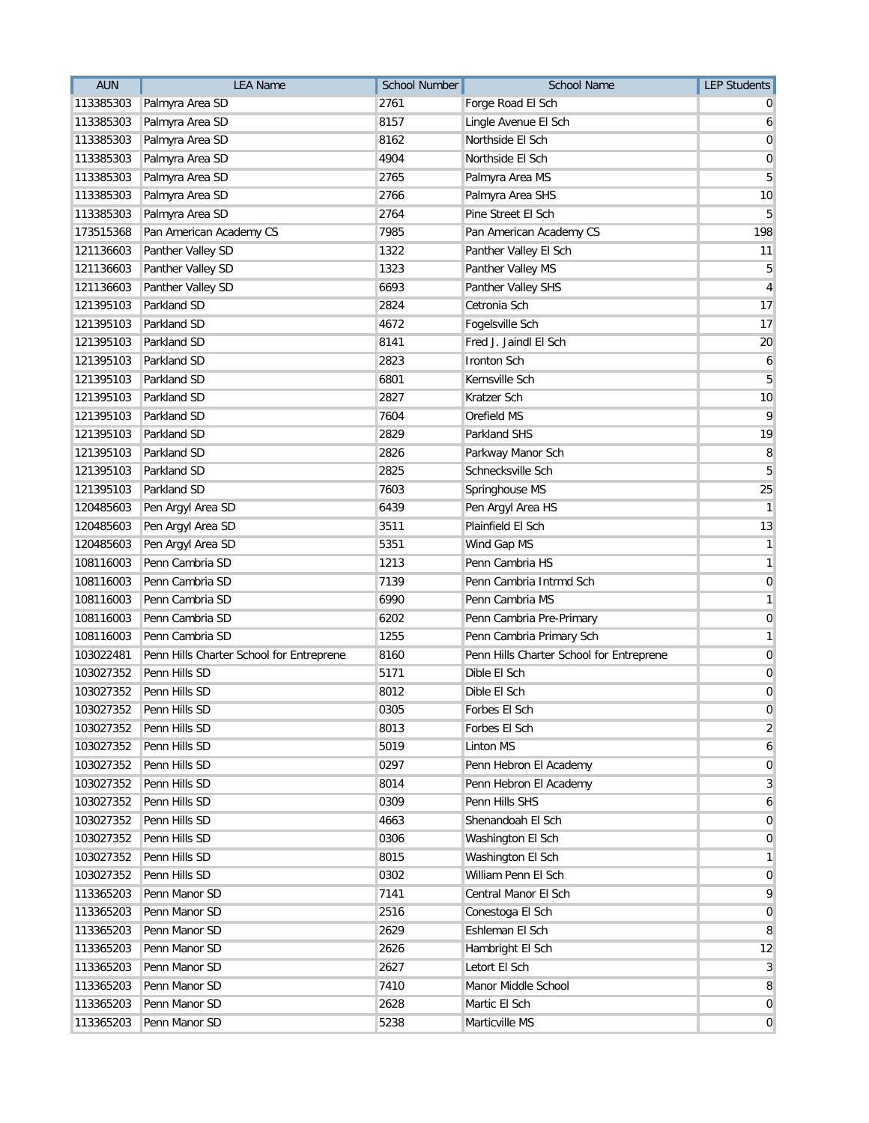| <b>AUN</b> | <b>LEA Name</b>                          | <b>School Number</b> | <b>School Name</b>                       | <b>LEP Students</b> |
|------------|------------------------------------------|----------------------|------------------------------------------|---------------------|
| 113385303  | Palmyra Area SD                          | 2761                 | Forge Road El Sch                        |                     |
| 113385303  | Palmyra Area SD                          | 8157                 | Lingle Avenue El Sch                     | 6                   |
| 113385303  | Palmyra Area SD                          | 8162                 | Northside El Sch                         | 0                   |
| 113385303  | Palmyra Area SD                          | 4904                 | Northside El Sch                         | 0                   |
| 113385303  | Palmyra Area SD                          | 2765                 | Palmyra Area MS                          | 5                   |
| 113385303  | Palmyra Area SD                          | 2766                 | Palmyra Area SHS                         | 10                  |
| 113385303  | Palmyra Area SD                          | 2764                 | Pine Street El Sch                       | 5                   |
| 173515368  | Pan American Academy CS                  | 7985                 | Pan American Academy CS                  | 198                 |
| 121136603  | Panther Valley SD                        | 1322                 | Panther Valley El Sch                    | 11                  |
| 121136603  | Panther Valley SD                        | 1323                 | Panther Valley MS                        | 5                   |
| 121136603  | Panther Valley SD                        | 6693                 | Panther Valley SHS                       | 4                   |
| 121395103  | Parkland SD                              | 2824                 | Cetronia Sch                             | 17                  |
| 121395103  | Parkland SD                              | 4672                 | Fogelsville Sch                          | 17                  |
| 121395103  | Parkland SD                              | 8141                 | Fred J. Jaindl El Sch                    | 20                  |
| 121395103  | Parkland SD                              | 2823                 | <b>Ironton Sch</b>                       | 6                   |
| 121395103  | Parkland SD                              | 6801                 | Kernsville Sch                           | 5                   |
| 121395103  | Parkland SD                              | 2827                 | <b>Kratzer Sch</b>                       | 10                  |
| 121395103  | Parkland SD                              | 7604                 | Orefield MS                              | 9                   |
| 121395103  | Parkland SD                              | 2829                 | Parkland SHS                             | 19                  |
| 121395103  | Parkland SD                              | 2826                 | Parkway Manor Sch                        | 8                   |
| 121395103  | Parkland SD                              | 2825                 | Schnecksville Sch                        | 5                   |
| 121395103  | Parkland SD                              | 7603                 | Springhouse MS                           | 25                  |
| 120485603  | Pen Argyl Area SD                        | 6439                 | Pen Argyl Area HS                        | $\mathbf{1}$        |
| 120485603  | Pen Argyl Area SD                        | 3511                 | Plainfield El Sch                        | 13                  |
| 120485603  | Pen Argyl Area SD                        | 5351                 | Wind Gap MS                              | 1                   |
| 108116003  | Penn Cambria SD                          | 1213                 | Penn Cambria HS                          | 1                   |
| 108116003  | Penn Cambria SD                          | 7139                 | Penn Cambria Intrmd Sch                  | 0                   |
| 108116003  | Penn Cambria SD                          | 6990                 | Penn Cambria MS                          | 1                   |
| 108116003  | Penn Cambria SD                          | 6202                 | Penn Cambria Pre-Primary                 | 0                   |
| 108116003  | Penn Cambria SD                          | 1255                 | Penn Cambria Primary Sch                 | 1                   |
| 103022481  | Penn Hills Charter School for Entreprene | 8160                 | Penn Hills Charter School for Entreprene | 0                   |
| 103027352  | Penn Hills SD                            | 5171                 | Dible El Sch                             | 0                   |
| 103027352  | Penn Hills SD                            | 8012                 | Dible El Sch                             | 0                   |
|            | 103027352 Penn Hills SD                  | 0305                 | Forbes El Sch                            | 0                   |
| 103027352  | Penn Hills SD                            | 8013                 | Forbes El Sch                            | $\overline{2}$      |
| 103027352  | Penn Hills SD                            | 5019                 | <b>Linton MS</b>                         | 6                   |
| 103027352  | Penn Hills SD                            | 0297                 | Penn Hebron El Academy                   | $\overline{0}$      |
| 103027352  | Penn Hills SD                            | 8014                 | Penn Hebron El Academy                   | 3                   |
| 103027352  | Penn Hills SD                            | 0309                 | Penn Hills SHS                           | 6                   |
| 103027352  | Penn Hills SD                            | 4663                 | Shenandoah El Sch                        | 0                   |
| 103027352  | Penn Hills SD                            | 0306                 | Washington El Sch                        | 0                   |
| 103027352  | Penn Hills SD                            | 8015                 | Washington El Sch                        | 1                   |
| 103027352  | Penn Hills SD                            | 0302                 | William Penn El Sch                      | 0                   |
| 113365203  | Penn Manor SD                            | 7141                 | Central Manor El Sch                     | 9                   |
| 113365203  | Penn Manor SD                            | 2516                 | Conestoga El Sch                         | $\overline{0}$      |
| 113365203  | Penn Manor SD                            | 2629                 | Eshleman El Sch                          | 8                   |
| 113365203  | Penn Manor SD                            | 2626                 | Hambright El Sch                         | 12                  |
| 113365203  | Penn Manor SD                            | 2627                 | Letort El Sch                            | 3                   |
| 113365203  | Penn Manor SD                            | 7410                 | Manor Middle School                      | 8                   |
| 113365203  | Penn Manor SD                            | 2628                 | Martic El Sch                            | $\overline{0}$      |
| 113365203  | Penn Manor SD                            | 5238                 | Marticville MS                           | $\overline{0}$      |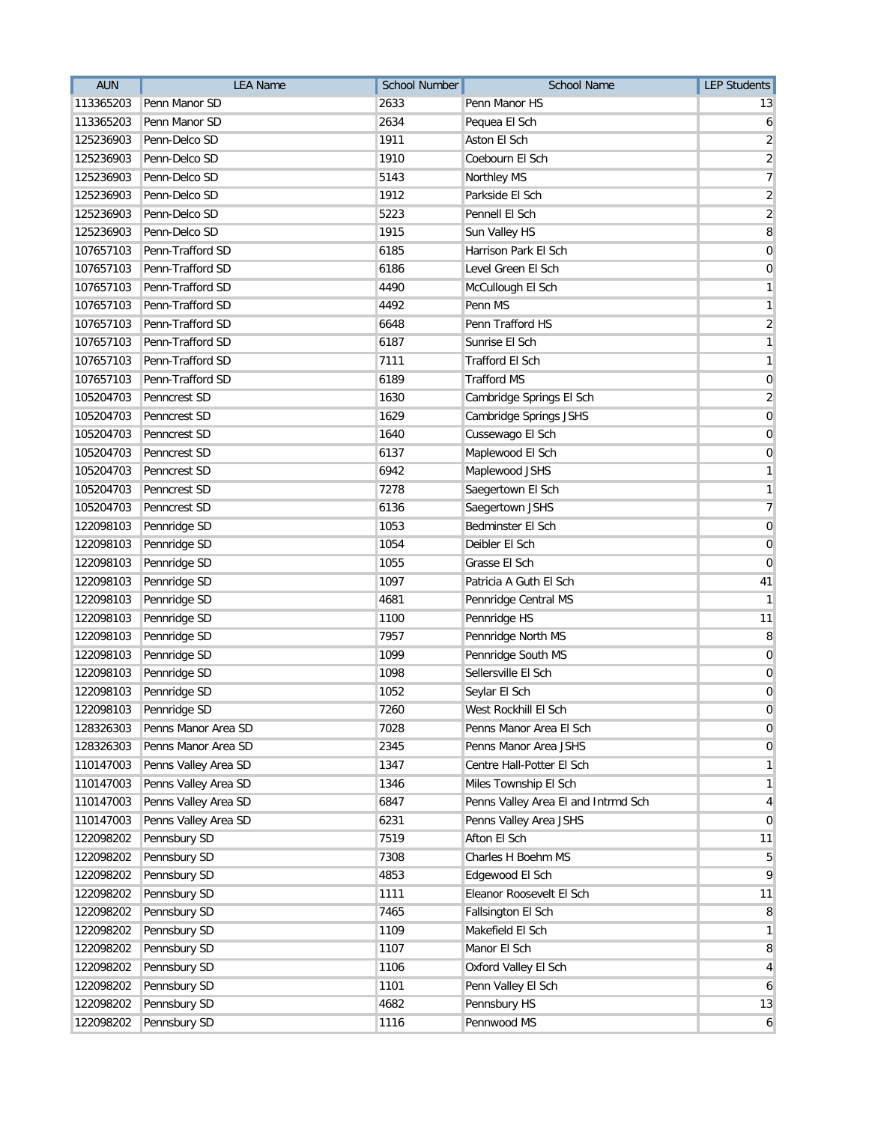| <b>AUN</b> | <b>LEA Name</b>        | <b>School Number</b> | School Name                         | <b>LEP Students</b>     |
|------------|------------------------|----------------------|-------------------------------------|-------------------------|
| 113365203  | Penn Manor SD          | 2633                 | Penn Manor HS                       | 13                      |
| 113365203  | Penn Manor SD          | 2634                 | Pequea El Sch                       | 6                       |
| 125236903  | Penn-Delco SD          | 1911                 | Aston El Sch                        | $\overline{\mathbf{c}}$ |
| 125236903  | Penn-Delco SD          | 1910                 | Coebourn El Sch                     | $\overline{2}$          |
| 125236903  | Penn-Delco SD          | 5143                 | Northley MS                         | 7                       |
| 125236903  | Penn-Delco SD          | 1912                 | Parkside El Sch                     | $\overline{2}$          |
| 125236903  | Penn-Delco SD          | 5223                 | Pennell El Sch                      | $\overline{2}$          |
| 125236903  | Penn-Delco SD          | 1915                 | Sun Valley HS                       | $\overline{\bf 8}$      |
| 107657103  | Penn-Trafford SD       | 6185                 | Harrison Park El Sch                | $\mathbf 0$             |
| 107657103  | Penn-Trafford SD       | 6186                 | Level Green El Sch                  | 0                       |
| 107657103  | Penn-Trafford SD       | 4490                 | McCullough El Sch                   | 1                       |
| 107657103  | Penn-Trafford SD       | 4492                 | Penn MS                             | $\mathbf{1}$            |
| 107657103  | Penn-Trafford SD       | 6648                 | Penn Trafford HS                    | $\overline{c}$          |
| 107657103  | Penn-Trafford SD       | 6187                 | Sunrise El Sch                      | 1                       |
| 107657103  | Penn-Trafford SD       | 7111                 | <b>Trafford El Sch</b>              | 1                       |
| 107657103  | Penn-Trafford SD       | 6189                 | <b>Trafford MS</b>                  | $\mathbf 0$             |
| 105204703  | Penncrest SD           | 1630                 | Cambridge Springs El Sch            | $\overline{2}$          |
| 105204703  | <b>Penncrest SD</b>    | 1629                 | Cambridge Springs JSHS              | $\mathbf 0$             |
| 105204703  | Penncrest SD           | 1640                 | Cussewago El Sch                    | $\mathbf 0$             |
| 105204703  | Penncrest SD           | 6137                 | Maplewood El Sch                    | $\overline{0}$          |
| 105204703  | Penncrest SD           | 6942                 | Maplewood JSHS                      | 1                       |
| 105204703  | Penncrest SD           | 7278                 | Saegertown El Sch                   | 1                       |
| 105204703  | Penncrest SD           | 6136                 | Saegertown JSHS                     | $\overline{7}$          |
| 122098103  | Pennridge SD           | 1053                 | Bedminster El Sch                   | $\mathbf 0$             |
| 122098103  | Pennridge SD           | 1054                 | Deibler El Sch                      | $\mathbf 0$             |
| 122098103  | Pennridge SD           | 1055                 | Grasse El Sch                       | $\overline{0}$          |
| 122098103  | Pennridge SD           | 1097                 | Patricia A Guth El Sch              | 41                      |
| 122098103  | Pennridge SD           | 4681                 | Pennridge Central MS                | $\mathbf{1}$            |
| 122098103  | Pennridge SD           | 1100                 | Pennridge HS                        | 11                      |
| 122098103  | Pennridge SD           | 7957                 | Pennridge North MS                  | 8                       |
| 122098103  | Pennridge SD           | 1099                 | Pennridge South MS                  | 0                       |
| 122098103  | Pennridge SD           | 1098                 | Sellersville El Sch                 | 0                       |
| 122098103  | Pennridge SD           | 1052                 | Seylar El Sch                       | $\mathbf 0$             |
|            | 122098103 Pennridge SD | 7260                 | West Rockhill El Sch                | 0                       |
| 128326303  | Penns Manor Area SD    | 7028                 | Penns Manor Area El Sch             | 0                       |
| 128326303  | Penns Manor Area SD    | 2345                 | Penns Manor Area JSHS               | 0                       |
| 110147003  | Penns Valley Area SD   | 1347                 | Centre Hall-Potter El Sch           | $\mathbf{1}$            |
| 110147003  | Penns Valley Area SD   | 1346                 | Miles Township El Sch               | $\mathbf{1}$            |
| 110147003  | Penns Valley Area SD   | 6847                 | Penns Valley Area El and Intrmd Sch | $\overline{4}$          |
| 110147003  | Penns Valley Area SD   | 6231                 | Penns Valley Area JSHS              | $\overline{0}$          |
| 122098202  | Pennsbury SD           | 7519                 | Afton El Sch                        | 11                      |
| 122098202  | Pennsbury SD           | 7308                 | Charles H Boehm MS                  | 5                       |
| 122098202  | Pennsbury SD           | 4853                 | Edgewood El Sch                     | 9                       |
| 122098202  | Pennsbury SD           | 1111                 | Eleanor Roosevelt El Sch            | 11                      |
| 122098202  | Pennsbury SD           | 7465                 | Fallsington El Sch                  | 8                       |
| 122098202  | Pennsbury SD           | 1109                 | Makefield El Sch                    | $\mathbf{1}$            |
| 122098202  | Pennsbury SD           | 1107                 | Manor El Sch                        | 8                       |
| 122098202  | Pennsbury SD           | 1106                 | Oxford Valley El Sch                | 4                       |
| 122098202  | Pennsbury SD           | 1101                 | Penn Valley El Sch                  | 6                       |
| 122098202  | Pennsbury SD           | 4682                 | Pennsbury HS                        | 13                      |
| 122098202  | Pennsbury SD           | 1116                 | Pennwood MS                         | 6                       |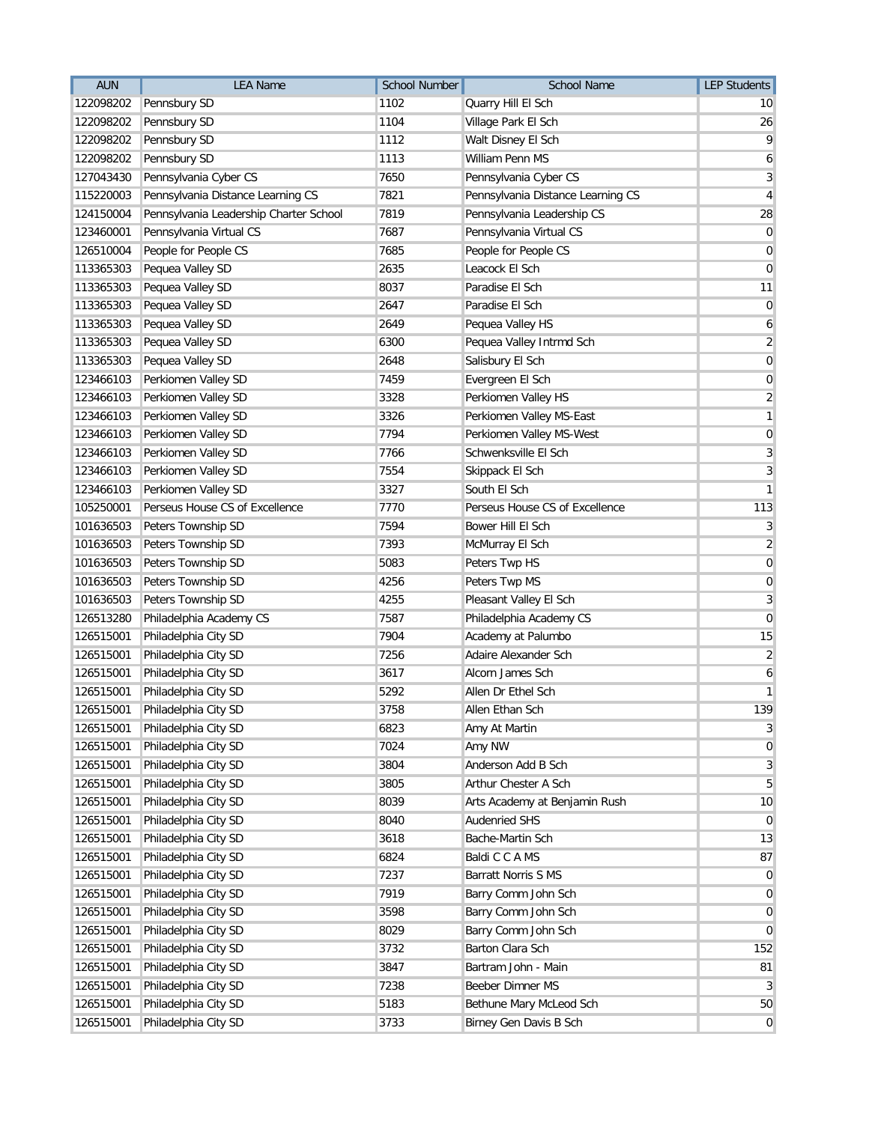| <b>AUN</b> | <b>LEA Name</b>                        | School Number | <b>School Name</b>                | <b>LEP Students</b> |
|------------|----------------------------------------|---------------|-----------------------------------|---------------------|
| 122098202  | Pennsbury SD                           | 1102          | Quarry Hill El Sch                | 10                  |
| 122098202  | Pennsbury SD                           | 1104          | Village Park El Sch               | 26                  |
| 122098202  | Pennsbury SD                           | 1112          | Walt Disney El Sch                | 9                   |
| 122098202  | Pennsbury SD                           | 1113          | William Penn MS                   | 6                   |
| 127043430  | Pennsylvania Cyber CS                  | 7650          | Pennsylvania Cyber CS             | 3                   |
| 115220003  | Pennsylvania Distance Learning CS      | 7821          | Pennsylvania Distance Learning CS | 4                   |
| 124150004  | Pennsylvania Leadership Charter School | 7819          | Pennsylvania Leadership CS        | 28                  |
| 123460001  | Pennsylvania Virtual CS                | 7687          | Pennsylvania Virtual CS           | $\mathbf 0$         |
| 126510004  | People for People CS                   | 7685          | People for People CS              | 0                   |
| 113365303  | Pequea Valley SD                       | 2635          | Leacock El Sch                    | $\mathbf 0$         |
| 113365303  | Pequea Valley SD                       | 8037          | Paradise El Sch                   | 11                  |
| 113365303  | Pequea Valley SD                       | 2647          | Paradise El Sch                   | $\mathbf 0$         |
| 113365303  | Pequea Valley SD                       | 2649          | Pequea Valley HS                  | 6                   |
| 113365303  | Pequea Valley SD                       | 6300          | Pequea Valley Intrmd Sch          | $\overline{2}$      |
| 113365303  | Pequea Valley SD                       | 2648          | Salisbury El Sch                  | 0                   |
| 123466103  | Perkiomen Valley SD                    | 7459          | Evergreen El Sch                  | 0                   |
| 123466103  | Perkiomen Valley SD                    | 3328          | Perkiomen Valley HS               | $\overline{2}$      |
| 123466103  | Perkiomen Valley SD                    | 3326          | Perkiomen Valley MS-East          | 1                   |
| 123466103  | Perkiomen Valley SD                    | 7794          | Perkiomen Valley MS-West          | $\mathbf 0$         |
| 123466103  | Perkiomen Valley SD                    | 7766          | Schwenksville El Sch              | 3                   |
| 123466103  | Perkiomen Valley SD                    | 7554          | Skippack El Sch                   | 3                   |
| 123466103  | Perkiomen Valley SD                    | 3327          | South El Sch                      | 1                   |
| 105250001  | Perseus House CS of Excellence         | 7770          | Perseus House CS of Excellence    | 113                 |
| 101636503  | Peters Township SD                     | 7594          | Bower Hill El Sch                 | 3                   |
| 101636503  | Peters Township SD                     | 7393          | McMurray El Sch                   | $\overline{2}$      |
| 101636503  | Peters Township SD                     | 5083          | Peters Twp HS                     | 0                   |
| 101636503  | Peters Township SD                     | 4256          | Peters Twp MS                     | $\mathbf 0$         |
| 101636503  | Peters Township SD                     | 4255          | Pleasant Valley El Sch            | 3                   |
| 126513280  | Philadelphia Academy CS                | 7587          | Philadelphia Academy CS           | $\mathbf 0$         |
| 126515001  | Philadelphia City SD                   | 7904          | Academy at Palumbo                | 15                  |
| 126515001  | Philadelphia City SD                   | 7256          | Adaire Alexander Sch              | $\overline{2}$      |
| 126515001  | Philadelphia City SD                   | 3617          | Alcorn James Sch                  | 6                   |
| 126515001  | Philadelphia City SD                   | 5292          | Allen Dr Ethel Sch                | 1                   |
|            | 126515001 Philadelphia City SD         | 3758          | Allen Ethan Sch                   | 139                 |
| 126515001  | Philadelphia City SD                   | 6823          | Amy At Martin                     | 3                   |
| 126515001  | Philadelphia City SD                   | 7024          | Amy NW                            | $\mathbf 0$         |
| 126515001  | Philadelphia City SD                   | 3804          | Anderson Add B Sch                | 3                   |
| 126515001  | Philadelphia City SD                   | 3805          | Arthur Chester A Sch              | 5                   |
| 126515001  | Philadelphia City SD                   | 8039          | Arts Academy at Benjamin Rush     | 10                  |
| 126515001  | Philadelphia City SD                   | 8040          | <b>Audenried SHS</b>              | 0                   |
| 126515001  | Philadelphia City SD                   | 3618          | Bache-Martin Sch                  | 13                  |
| 126515001  | Philadelphia City SD                   | 6824          | Baldi C C A MS                    | 87                  |
| 126515001  | Philadelphia City SD                   | 7237          | <b>Barratt Norris S MS</b>        | $\mathbf 0$         |
| 126515001  | Philadelphia City SD                   | 7919          | Barry Comm John Sch               | $\mathbf 0$         |
| 126515001  | Philadelphia City SD                   | 3598          | Barry Comm John Sch               | $\mathbf 0$         |
| 126515001  | Philadelphia City SD                   | 8029          | Barry Comm John Sch               | $\mathbf 0$         |
| 126515001  | Philadelphia City SD                   | 3732          | Barton Clara Sch                  | 152                 |
| 126515001  | Philadelphia City SD                   | 3847          | Bartram John - Main               | 81                  |
| 126515001  | Philadelphia City SD                   | 7238          | Beeber Dimner MS                  | 3                   |
| 126515001  | Philadelphia City SD                   | 5183          | Bethune Mary McLeod Sch           | 50                  |
| 126515001  | Philadelphia City SD                   | 3733          | Birney Gen Davis B Sch            | $\mathbf 0$         |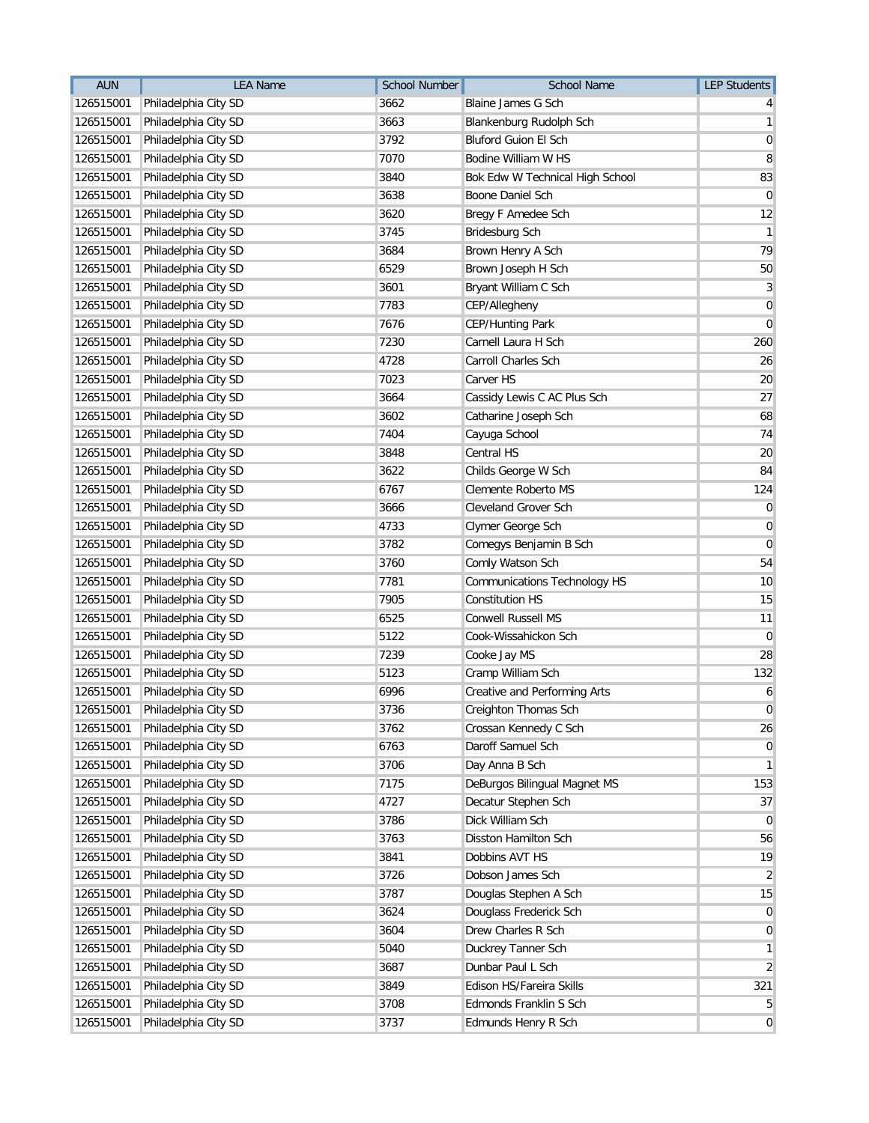| AUN       | <b>LEA Name</b>      | <b>School Number</b> | <b>School Name</b>                  | <b>LEP Students</b> |
|-----------|----------------------|----------------------|-------------------------------------|---------------------|
| 126515001 | Philadelphia City SD | 3662                 | Blaine James G Sch                  | 4                   |
| 126515001 | Philadelphia City SD | 3663                 | Blankenburg Rudolph Sch             | $\mathbf{1}$        |
| 126515001 | Philadelphia City SD | 3792                 | Bluford Guion El Sch                | 0                   |
| 126515001 | Philadelphia City SD | 7070                 | Bodine William W HS                 | 8                   |
| 126515001 | Philadelphia City SD | 3840                 | Bok Edw W Technical High School     | 83                  |
| 126515001 | Philadelphia City SD | 3638                 | Boone Daniel Sch                    | $\mathbf 0$         |
| 126515001 | Philadelphia City SD | 3620                 | Bregy F Amedee Sch                  | 12                  |
| 126515001 | Philadelphia City SD | 3745                 | Bridesburg Sch                      | 1                   |
| 126515001 | Philadelphia City SD | 3684                 | Brown Henry A Sch                   | 79                  |
| 126515001 | Philadelphia City SD | 6529                 | Brown Joseph H Sch                  | 50                  |
| 126515001 | Philadelphia City SD | 3601                 | Bryant William C Sch                | 3                   |
| 126515001 | Philadelphia City SD | 7783                 | CEP/Allegheny                       | $\mathbf 0$         |
| 126515001 | Philadelphia City SD | 7676                 | <b>CEP/Hunting Park</b>             | $\mathbf 0$         |
| 126515001 | Philadelphia City SD | 7230                 | Carnell Laura H Sch                 | 260                 |
| 126515001 | Philadelphia City SD | 4728                 | Carroll Charles Sch                 | 26                  |
| 126515001 | Philadelphia City SD | 7023                 | Carver HS                           | 20                  |
| 126515001 | Philadelphia City SD | 3664                 | Cassidy Lewis C AC Plus Sch         | 27                  |
| 126515001 | Philadelphia City SD | 3602                 | Catharine Joseph Sch                | 68                  |
| 126515001 | Philadelphia City SD | 7404                 | Cayuga School                       | 74                  |
| 126515001 | Philadelphia City SD | 3848                 | Central HS                          | 20                  |
| 126515001 | Philadelphia City SD | 3622                 | Childs George W Sch                 | 84                  |
| 126515001 | Philadelphia City SD | 6767                 | Clemente Roberto MS                 | 124                 |
| 126515001 | Philadelphia City SD | 3666                 | Cleveland Grover Sch                | $\overline{0}$      |
| 126515001 | Philadelphia City SD | 4733                 | Clymer George Sch                   | 0                   |
| 126515001 | Philadelphia City SD | 3782                 | Comegys Benjamin B Sch              | $\mathbf 0$         |
| 126515001 | Philadelphia City SD | 3760                 | Comly Watson Sch                    | 54                  |
| 126515001 | Philadelphia City SD | 7781                 | <b>Communications Technology HS</b> | 10                  |
| 126515001 | Philadelphia City SD | 7905                 | <b>Constitution HS</b>              | 15                  |
| 126515001 | Philadelphia City SD | 6525                 | <b>Conwell Russell MS</b>           | 11                  |
| 126515001 | Philadelphia City SD | 5122                 | Cook-Wissahickon Sch                | 0                   |
| 126515001 | Philadelphia City SD | 7239                 | Cooke Jay MS                        | 28                  |
| 126515001 | Philadelphia City SD | 5123                 | Cramp William Sch                   | 132                 |
| 126515001 | Philadelphia City SD | 6996                 | <b>Creative and Performing Arts</b> | 6                   |
| 126515001 | Philadelphia City SD | 3736                 | Creighton Thomas Sch                | $\Omega$            |
| 126515001 | Philadelphia City SD | 3762                 | Crossan Kennedy C Sch               | 26                  |
| 126515001 | Philadelphia City SD | 6763                 | Daroff Samuel Sch                   | $\overline{0}$      |
| 126515001 | Philadelphia City SD | 3706                 | Day Anna B Sch                      | $\mathbf{1}$        |
| 126515001 | Philadelphia City SD | 7175                 | DeBurgos Bilingual Magnet MS        | 153                 |
| 126515001 | Philadelphia City SD | 4727                 | Decatur Stephen Sch                 | 37                  |
| 126515001 | Philadelphia City SD | 3786                 | Dick William Sch                    | $\overline{0}$      |
| 126515001 | Philadelphia City SD | 3763                 | Disston Hamilton Sch                | 56                  |
| 126515001 | Philadelphia City SD | 3841                 | Dobbins AVT HS                      | 19                  |
| 126515001 | Philadelphia City SD | 3726                 | Dobson James Sch                    | 2                   |
| 126515001 | Philadelphia City SD | 3787                 | Douglas Stephen A Sch               | 15                  |
| 126515001 | Philadelphia City SD | 3624                 | Douglass Frederick Sch              | $\overline{0}$      |
| 126515001 | Philadelphia City SD | 3604                 | Drew Charles R Sch                  | $\overline{0}$      |
| 126515001 | Philadelphia City SD | 5040                 | Duckrey Tanner Sch                  | $\mathbf{1}$        |
| 126515001 | Philadelphia City SD | 3687                 | Dunbar Paul L Sch                   | $\overline{2}$      |
| 126515001 | Philadelphia City SD | 3849                 | Edison HS/Fareira Skills            | 321                 |
| 126515001 | Philadelphia City SD | 3708                 | Edmonds Franklin S Sch              | 5                   |
| 126515001 | Philadelphia City SD | 3737                 | Edmunds Henry R Sch                 | $\overline{0}$      |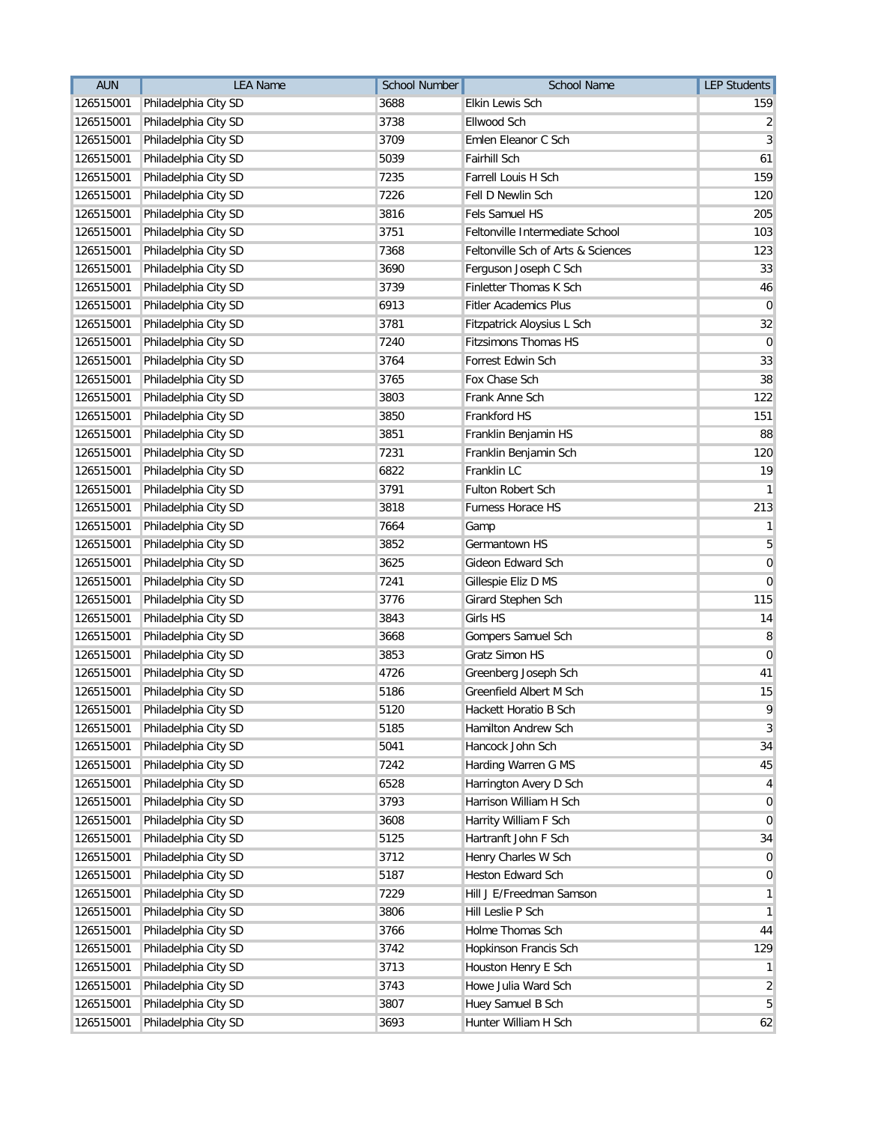| <b>AUN</b> | <b>LEA Name</b>      | <b>School Number</b> | School Name                        | <b>LEP Students</b> |
|------------|----------------------|----------------------|------------------------------------|---------------------|
| 126515001  | Philadelphia City SD | 3688                 | <b>Elkin Lewis Sch</b>             | 159                 |
| 126515001  | Philadelphia City SD | 3738                 | Ellwood Sch                        | 2                   |
| 126515001  | Philadelphia City SD | 3709                 | Emlen Eleanor C Sch                | 3                   |
| 126515001  | Philadelphia City SD | 5039                 | <b>Fairhill Sch</b>                | 61                  |
| 126515001  | Philadelphia City SD | 7235                 | Farrell Louis H Sch                | 159                 |
| 126515001  | Philadelphia City SD | 7226                 | Fell D Newlin Sch                  | 120                 |
| 126515001  | Philadelphia City SD | 3816                 | Fels Samuel HS                     | 205                 |
| 126515001  | Philadelphia City SD | 3751                 | Feltonville Intermediate School    | 103                 |
| 126515001  | Philadelphia City SD | 7368                 | Feltonville Sch of Arts & Sciences | 123                 |
| 126515001  | Philadelphia City SD | 3690                 | Ferguson Joseph C Sch              | 33                  |
| 126515001  | Philadelphia City SD | 3739                 | Finletter Thomas K Sch             | 46                  |
| 126515001  | Philadelphia City SD | 6913                 | <b>Fitler Academics Plus</b>       | $\overline{0}$      |
| 126515001  | Philadelphia City SD | 3781                 | Fitzpatrick Aloysius L Sch         | 32                  |
| 126515001  | Philadelphia City SD | 7240                 | <b>Fitzsimons Thomas HS</b>        | $\mathbf 0$         |
| 126515001  | Philadelphia City SD | 3764                 | Forrest Edwin Sch                  | 33                  |
| 126515001  | Philadelphia City SD | 3765                 | Fox Chase Sch                      | 38                  |
| 126515001  | Philadelphia City SD | 3803                 | Frank Anne Sch                     | 122                 |
| 126515001  | Philadelphia City SD | 3850                 | Frankford HS                       | 151                 |
| 126515001  | Philadelphia City SD | 3851                 | Franklin Benjamin HS               | 88                  |
| 126515001  | Philadelphia City SD | 7231                 | Franklin Benjamin Sch              | 120                 |
| 126515001  | Philadelphia City SD | 6822                 | Franklin LC                        | 19                  |
| 126515001  | Philadelphia City SD | 3791                 | <b>Fulton Robert Sch</b>           | $\mathbf{1}$        |
| 126515001  | Philadelphia City SD | 3818                 | Furness Horace HS                  | 213                 |
| 126515001  | Philadelphia City SD | 7664                 | Gamp                               | 1                   |
| 126515001  | Philadelphia City SD | 3852                 | Germantown HS                      | 5                   |
| 126515001  | Philadelphia City SD | 3625                 | Gideon Edward Sch                  | $\mathbf 0$         |
| 126515001  | Philadelphia City SD | 7241                 | Gillespie Eliz D MS                | $\mathbf 0$         |
| 126515001  | Philadelphia City SD | 3776                 | Girard Stephen Sch                 | 115                 |
| 126515001  | Philadelphia City SD | 3843                 | Girls HS                           | 14                  |
| 126515001  | Philadelphia City SD | 3668                 | Gompers Samuel Sch                 | 8                   |
| 126515001  | Philadelphia City SD | 3853                 | Gratz Simon HS                     | 0                   |
| 126515001  | Philadelphia City SD | 4726                 | Greenberg Joseph Sch               | 41                  |
| 126515001  | Philadelphia City SD | 5186                 | Greenfield Albert M Sch            | 15                  |
| 126515001  | Philadelphia City SD | 5120                 | Hackett Horatio B Sch              | 9                   |
| 126515001  | Philadelphia City SD | 5185                 | Hamilton Andrew Sch                | 3                   |
| 126515001  | Philadelphia City SD | 5041                 | Hancock John Sch                   | 34                  |
| 126515001  | Philadelphia City SD | 7242                 | Harding Warren G MS                | 45                  |
| 126515001  | Philadelphia City SD | 6528                 | Harrington Avery D Sch             | 4                   |
| 126515001  | Philadelphia City SD | 3793                 | Harrison William H Sch             | $\mathbf 0$         |
| 126515001  | Philadelphia City SD | 3608                 | Harrity William F Sch              | $\mathbf 0$         |
| 126515001  | Philadelphia City SD | 5125                 | Hartranft John F Sch               | 34                  |
| 126515001  | Philadelphia City SD | 3712                 | Henry Charles W Sch                | 0                   |
| 126515001  | Philadelphia City SD | 5187                 | <b>Heston Edward Sch</b>           | 0                   |
| 126515001  | Philadelphia City SD | 7229                 | Hill J E/Freedman Samson           | 1                   |
| 126515001  | Philadelphia City SD | 3806                 | Hill Leslie P Sch                  | $\mathbf{1}$        |
| 126515001  | Philadelphia City SD | 3766                 | Holme Thomas Sch                   | 44                  |
| 126515001  | Philadelphia City SD | 3742                 | Hopkinson Francis Sch              | 129                 |
| 126515001  | Philadelphia City SD | 3713                 | Houston Henry E Sch                |                     |
| 126515001  | Philadelphia City SD | 3743                 | Howe Julia Ward Sch                | 2                   |
| 126515001  | Philadelphia City SD | 3807                 | Huey Samuel B Sch                  | 5                   |
| 126515001  | Philadelphia City SD | 3693                 | Hunter William H Sch               | 62                  |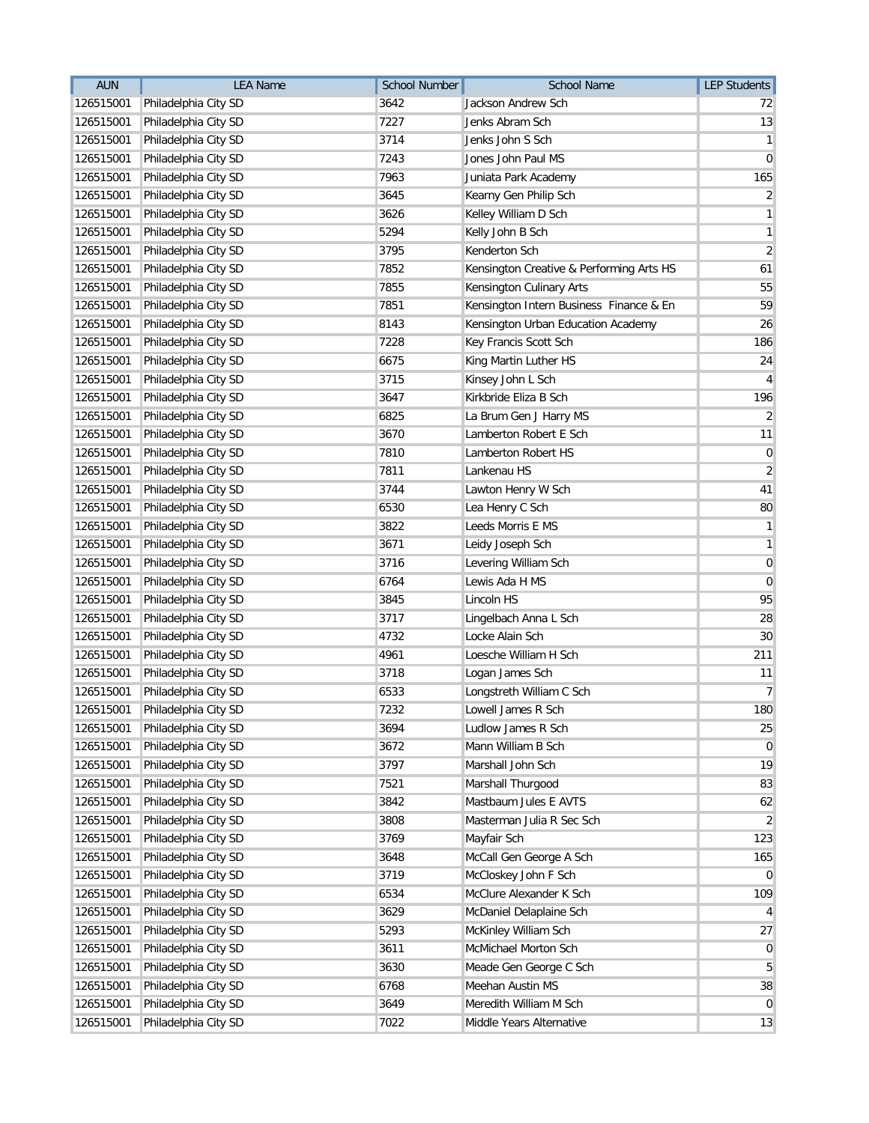| <b>AUN</b> | <b>LEA Name</b>                | School Number | School Name                              | <b>LEP Students</b> |
|------------|--------------------------------|---------------|------------------------------------------|---------------------|
| 126515001  | Philadelphia City SD           | 3642          | Jackson Andrew Sch                       | 72                  |
| 126515001  | Philadelphia City SD           | 7227          | Jenks Abram Sch                          | 13                  |
| 126515001  | Philadelphia City SD           | 3714          | Jenks John S Sch                         | 1                   |
| 126515001  | Philadelphia City SD           | 7243          | Jones John Paul MS                       | 0                   |
| 126515001  | Philadelphia City SD           | 7963          | Juniata Park Academy                     | 165                 |
| 126515001  | Philadelphia City SD           | 3645          | Kearny Gen Philip Sch                    | $\overline{2}$      |
| 126515001  | Philadelphia City SD           | 3626          | Kelley William D Sch                     | 1                   |
| 126515001  | Philadelphia City SD           | 5294          | Kelly John B Sch                         | 1                   |
| 126515001  | Philadelphia City SD           | 3795          | Kenderton Sch                            | $\overline{2}$      |
| 126515001  | Philadelphia City SD           | 7852          | Kensington Creative & Performing Arts HS | 61                  |
| 126515001  | Philadelphia City SD           | 7855          | Kensington Culinary Arts                 | 55                  |
| 126515001  | Philadelphia City SD           | 7851          | Kensington Intern Business Finance & En  | 59                  |
| 126515001  | Philadelphia City SD           | 8143          | Kensington Urban Education Academy       | 26                  |
| 126515001  | Philadelphia City SD           | 7228          | Key Francis Scott Sch                    | 186                 |
| 126515001  | Philadelphia City SD           | 6675          | King Martin Luther HS                    | 24                  |
| 126515001  | Philadelphia City SD           | 3715          | Kinsey John L Sch                        | 4                   |
| 126515001  | Philadelphia City SD           | 3647          | Kirkbride Eliza B Sch                    | 196                 |
| 126515001  | Philadelphia City SD           | 6825          | La Brum Gen J Harry MS                   | $\overline{2}$      |
| 126515001  | Philadelphia City SD           | 3670          | Lamberton Robert E Sch                   | 11                  |
| 126515001  | Philadelphia City SD           | 7810          | Lamberton Robert HS                      | 0                   |
| 126515001  | Philadelphia City SD           | 7811          | Lankenau HS                              | $\overline{2}$      |
| 126515001  | Philadelphia City SD           | 3744          | Lawton Henry W Sch                       | 41                  |
| 126515001  | Philadelphia City SD           | 6530          | Lea Henry C Sch                          | 80                  |
| 126515001  | Philadelphia City SD           | 3822          | Leeds Morris E MS                        | 1                   |
| 126515001  | Philadelphia City SD           | 3671          | Leidy Joseph Sch                         | 1                   |
| 126515001  | Philadelphia City SD           | 3716          | Levering William Sch                     | $\mathbf 0$         |
| 126515001  | Philadelphia City SD           | 6764          | Lewis Ada H MS                           | $\mathbf 0$         |
| 126515001  | Philadelphia City SD           | 3845          | Lincoln HS                               | 95                  |
| 126515001  | Philadelphia City SD           | 3717          | Lingelbach Anna L Sch                    | 28                  |
| 126515001  | Philadelphia City SD           | 4732          | Locke Alain Sch                          | 30                  |
| 126515001  | Philadelphia City SD           | 4961          | Loesche William H Sch                    | 211                 |
| 126515001  | Philadelphia City SD           | 3718          | Logan James Sch                          | 11                  |
| 126515001  | Philadelphia City SD           | 6533          | Longstreth William C Sch                 | $\overline{7}$      |
|            | 126515001 Philadelphia City SD | 7232          | Lowell James R Sch                       | 180                 |
| 126515001  | Philadelphia City SD           | 3694          | Ludlow James R Sch                       | 25                  |
| 126515001  | Philadelphia City SD           | 3672          | Mann William B Sch                       | $\mathbf 0$         |
| 126515001  | Philadelphia City SD           | 3797          | Marshall John Sch                        | 19                  |
| 126515001  | Philadelphia City SD           | 7521          | Marshall Thurgood                        | 83                  |
| 126515001  | Philadelphia City SD           | 3842          | Mastbaum Jules E AVTS                    | 62                  |
| 126515001  | Philadelphia City SD           | 3808          | Masterman Julia R Sec Sch                | 2                   |
| 126515001  | Philadelphia City SD           | 3769          | Mayfair Sch                              | 123                 |
| 126515001  | Philadelphia City SD           | 3648          | McCall Gen George A Sch                  | 165                 |
| 126515001  | Philadelphia City SD           | 3719          | McCloskey John F Sch                     | $\overline{0}$      |
| 126515001  | Philadelphia City SD           | 6534          | McClure Alexander K Sch                  | 109                 |
| 126515001  | Philadelphia City SD           | 3629          | McDaniel Delaplaine Sch                  |                     |
| 126515001  | Philadelphia City SD           | 5293          | McKinley William Sch                     | 27                  |
| 126515001  | Philadelphia City SD           | 3611          | McMichael Morton Sch                     | 0                   |
| 126515001  | Philadelphia City SD           | 3630          | Meade Gen George C Sch                   | 5                   |
| 126515001  | Philadelphia City SD           | 6768          | Meehan Austin MS                         | 38                  |
| 126515001  | Philadelphia City SD           | 3649          | Meredith William M Sch                   | $\overline{0}$      |
| 126515001  | Philadelphia City SD           | 7022          | Middle Years Alternative                 | 13                  |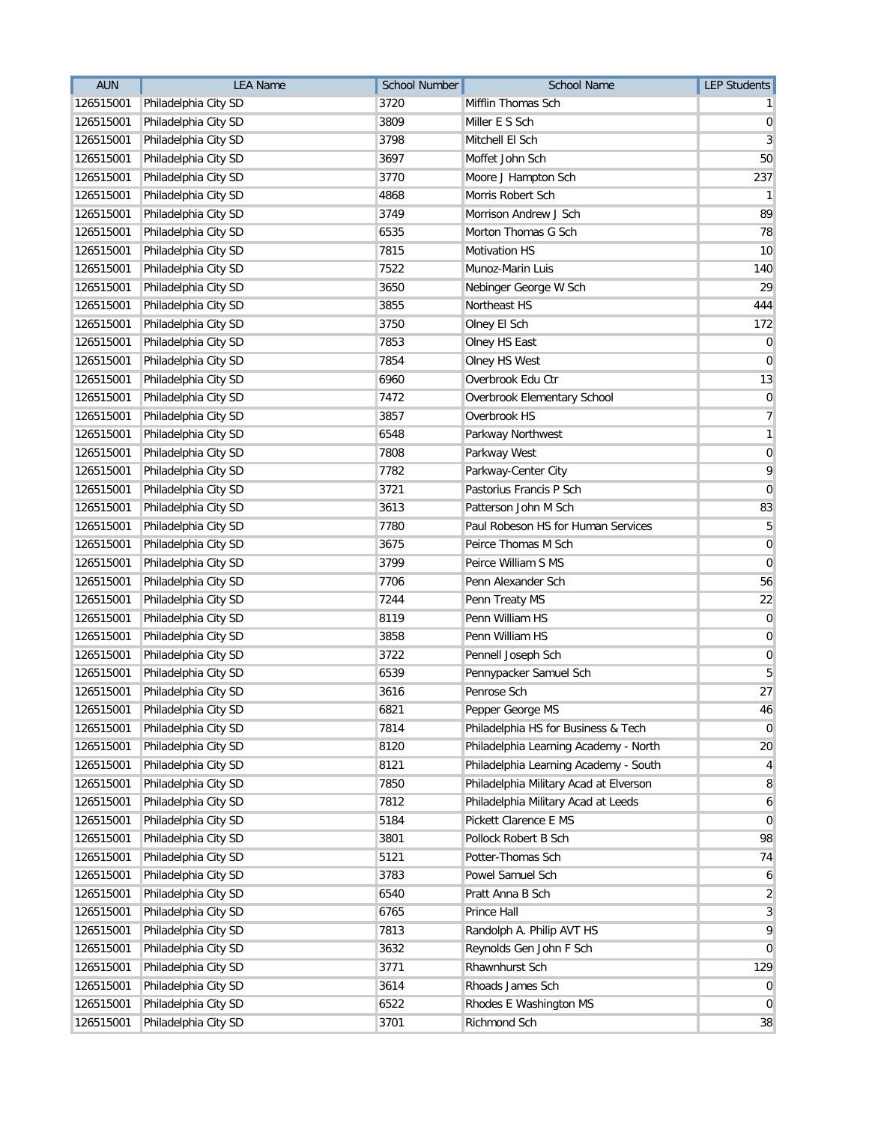| <b>AUN</b> | <b>LEA Name</b>                | <b>School Number</b> | School Name                            | <b>LEP Students</b> |
|------------|--------------------------------|----------------------|----------------------------------------|---------------------|
| 126515001  | Philadelphia City SD           | 3720                 | Mifflin Thomas Sch                     |                     |
| 126515001  | Philadelphia City SD           | 3809                 | Miller E S Sch                         | 0                   |
| 126515001  | Philadelphia City SD           | 3798                 | Mitchell El Sch                        | 3                   |
| 126515001  | Philadelphia City SD           | 3697                 | Moffet John Sch                        | 50                  |
| 126515001  | Philadelphia City SD           | 3770                 | Moore J Hampton Sch                    | 237                 |
| 126515001  | Philadelphia City SD           | 4868                 | Morris Robert Sch                      | -1                  |
| 126515001  | Philadelphia City SD           | 3749                 | Morrison Andrew J Sch                  | 89                  |
| 126515001  | Philadelphia City SD           | 6535                 | Morton Thomas G Sch                    | 78                  |
| 126515001  | Philadelphia City SD           | 7815                 | <b>Motivation HS</b>                   | 10                  |
| 126515001  | Philadelphia City SD           | 7522                 | Munoz-Marin Luis                       | 140                 |
| 126515001  | Philadelphia City SD           | 3650                 | Nebinger George W Sch                  | 29                  |
| 126515001  | Philadelphia City SD           | 3855                 | Northeast HS                           | 444                 |
| 126515001  | Philadelphia City SD           | 3750                 | Olney El Sch                           | 172                 |
| 126515001  | Philadelphia City SD           | 7853                 | Olney HS East                          | $\mathbf 0$         |
| 126515001  | Philadelphia City SD           | 7854                 | Olney HS West                          | 0                   |
| 126515001  | Philadelphia City SD           | 6960                 | Overbrook Edu Ctr                      | 13                  |
| 126515001  | Philadelphia City SD           | 7472                 | Overbrook Elementary School            | 0                   |
| 126515001  | Philadelphia City SD           | 3857                 | Overbrook HS                           | 7                   |
| 126515001  | Philadelphia City SD           | 6548                 | Parkway Northwest                      | 1                   |
| 126515001  | Philadelphia City SD           | 7808                 | Parkway West                           | 0                   |
| 126515001  | Philadelphia City SD           | 7782                 | Parkway-Center City                    | 9                   |
| 126515001  | Philadelphia City SD           | 3721                 | Pastorius Francis P Sch                | 0                   |
| 126515001  | Philadelphia City SD           | 3613                 | Patterson John M Sch                   | 83                  |
| 126515001  | Philadelphia City SD           | 7780                 | Paul Robeson HS for Human Services     | 5                   |
| 126515001  | Philadelphia City SD           | 3675                 | Peirce Thomas M Sch                    | $\mathbf 0$         |
| 126515001  | Philadelphia City SD           | 3799                 | Peirce William S MS                    | $\mathbf 0$         |
| 126515001  | Philadelphia City SD           | 7706                 | Penn Alexander Sch                     | 56                  |
| 126515001  | Philadelphia City SD           | 7244                 | Penn Treaty MS                         | 22                  |
| 126515001  | Philadelphia City SD           | 8119                 | Penn William HS                        | $\mathbf 0$         |
| 126515001  | Philadelphia City SD           | 3858                 | Penn William HS                        | $\mathbf 0$         |
| 126515001  | Philadelphia City SD           | 3722                 | Pennell Joseph Sch                     | $\mathbf 0$         |
| 126515001  | Philadelphia City SD           | 6539                 | Pennypacker Samuel Sch                 | 5                   |
| 126515001  | Philadelphia City SD           | 3616                 | Penrose Sch                            | 27                  |
|            | 126515001 Philadelphia City SD | 6821                 | Pepper George MS                       | $46\,$              |
| 126515001  | Philadelphia City SD           | 7814                 | Philadelphia HS for Business & Tech    | 0                   |
| 126515001  | Philadelphia City SD           | 8120                 | Philadelphia Learning Academy - North  | 20                  |
| 126515001  | Philadelphia City SD           | 8121                 | Philadelphia Learning Academy - South  | 4                   |
| 126515001  | Philadelphia City SD           | 7850                 | Philadelphia Military Acad at Elverson | 8                   |
| 126515001  | Philadelphia City SD           | 7812                 | Philadelphia Military Acad at Leeds    | 6                   |
| 126515001  | Philadelphia City SD           | 5184                 | Pickett Clarence E MS                  | $\mathbf 0$         |
| 126515001  | Philadelphia City SD           | 3801                 | Pollock Robert B Sch                   | 98                  |
| 126515001  | Philadelphia City SD           | 5121                 | Potter-Thomas Sch                      | 74                  |
| 126515001  | Philadelphia City SD           | 3783                 | Powel Samuel Sch                       | 6                   |
| 126515001  | Philadelphia City SD           | 6540                 | Pratt Anna B Sch                       | $\overline{c}$      |
| 126515001  | Philadelphia City SD           | 6765                 | Prince Hall                            | 3                   |
| 126515001  | Philadelphia City SD           | 7813                 | Randolph A. Philip AVT HS              | 9                   |
| 126515001  | Philadelphia City SD           | 3632                 | Reynolds Gen John F Sch                | $\overline{0}$      |
| 126515001  | Philadelphia City SD           | 3771                 | Rhawnhurst Sch                         | 129                 |
| 126515001  | Philadelphia City SD           | 3614                 | Rhoads James Sch                       | 0                   |
| 126515001  | Philadelphia City SD           | 6522                 | Rhodes E Washington MS                 | $\mathbf 0$         |
| 126515001  | Philadelphia City SD           | 3701                 | Richmond Sch                           | 38                  |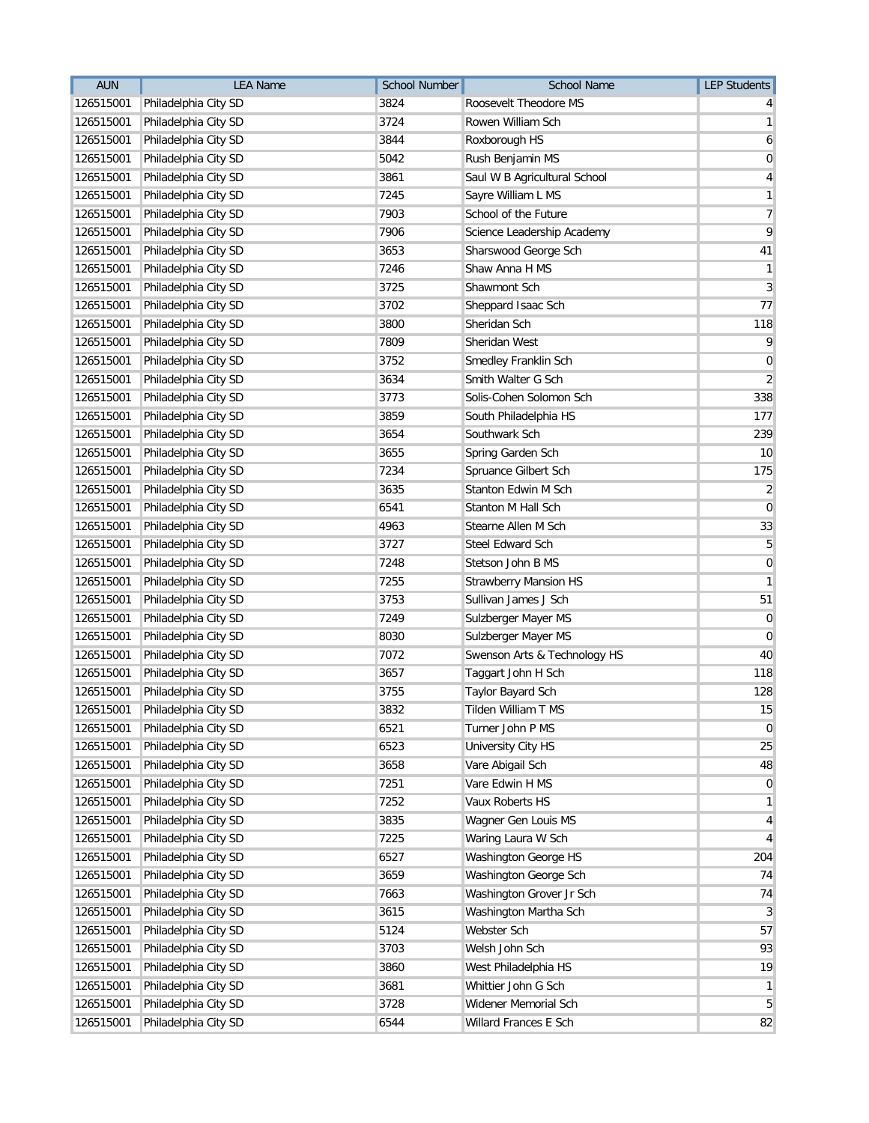| <b>AUN</b> | <b>LEA Name</b>                | <b>School Number</b> | School Name                  | <b>LEP Students</b> |
|------------|--------------------------------|----------------------|------------------------------|---------------------|
| 126515001  | Philadelphia City SD           | 3824                 | Roosevelt Theodore MS        |                     |
| 126515001  | Philadelphia City SD           | 3724                 | Rowen William Sch            | 1                   |
| 126515001  | Philadelphia City SD           | 3844                 | Roxborough HS                | 6                   |
| 126515001  | Philadelphia City SD           | 5042                 | Rush Benjamin MS             | 0                   |
| 126515001  | Philadelphia City SD           | 3861                 | Saul W B Agricultural School | 4                   |
| 126515001  | Philadelphia City SD           | 7245                 | Sayre William L MS           | 1                   |
| 126515001  | Philadelphia City SD           | 7903                 | School of the Future         | 7                   |
| 126515001  | Philadelphia City SD           | 7906                 | Science Leadership Academy   | 9                   |
| 126515001  | Philadelphia City SD           | 3653                 | Sharswood George Sch         | 41                  |
| 126515001  | Philadelphia City SD           | 7246                 | Shaw Anna H MS               | 1                   |
| 126515001  | Philadelphia City SD           | 3725                 | Shawmont Sch                 | 3                   |
| 126515001  | Philadelphia City SD           | 3702                 | Sheppard Isaac Sch           | 77                  |
| 126515001  | Philadelphia City SD           | 3800                 | Sheridan Sch                 | 118                 |
| 126515001  | Philadelphia City SD           | 7809                 | Sheridan West                | 9                   |
| 126515001  | Philadelphia City SD           | 3752                 | Smedley Franklin Sch         | 0                   |
| 126515001  | Philadelphia City SD           | 3634                 | Smith Walter G Sch           | 2                   |
| 126515001  | Philadelphia City SD           | 3773                 | Solis-Cohen Solomon Sch      | 338                 |
| 126515001  | Philadelphia City SD           | 3859                 | South Philadelphia HS        | 177                 |
| 126515001  | Philadelphia City SD           | 3654                 | Southwark Sch                | 239                 |
| 126515001  | Philadelphia City SD           | 3655                 | Spring Garden Sch            | 10                  |
| 126515001  | Philadelphia City SD           | 7234                 | Spruance Gilbert Sch         | 175                 |
| 126515001  | Philadelphia City SD           | 3635                 | Stanton Edwin M Sch          | 2                   |
| 126515001  | Philadelphia City SD           | 6541                 | Stanton M Hall Sch           | 0                   |
| 126515001  | Philadelphia City SD           | 4963                 | Stearne Allen M Sch          | 33                  |
| 126515001  | Philadelphia City SD           | 3727                 | Steel Edward Sch             | 5                   |
| 126515001  | Philadelphia City SD           | 7248                 | Stetson John B MS            | $\mathbf 0$         |
| 126515001  | Philadelphia City SD           | 7255                 | <b>Strawberry Mansion HS</b> | 1                   |
| 126515001  | Philadelphia City SD           | 3753                 | Sullivan James J Sch         | 51                  |
| 126515001  | Philadelphia City SD           | 7249                 | Sulzberger Mayer MS          | 0                   |
| 126515001  | Philadelphia City SD           | 8030                 | Sulzberger Mayer MS          | $\mathbf 0$         |
| 126515001  | Philadelphia City SD           | 7072                 | Swenson Arts & Technology HS | 40                  |
| 126515001  | Philadelphia City SD           | 3657                 | Taggart John H Sch           | 118                 |
| 126515001  | Philadelphia City SD           | 3755                 | Taylor Bayard Sch            | 128                 |
|            | 126515001 Philadelphia City SD | 3832                 | Tilden William T MS          | 15                  |
| 126515001  | Philadelphia City SD           | 6521                 | Turner John P MS             | 0                   |
| 126515001  | Philadelphia City SD           | 6523                 | University City HS           | 25                  |
| 126515001  | Philadelphia City SD           | 3658                 | Vare Abigail Sch             | 48                  |
| 126515001  | Philadelphia City SD           | 7251                 | Vare Edwin H MS              | $\mathbf 0$         |
| 126515001  | Philadelphia City SD           | 7252                 | Vaux Roberts HS              | 1                   |
| 126515001  | Philadelphia City SD           | 3835                 | Wagner Gen Louis MS          | 4                   |
| 126515001  | Philadelphia City SD           | 7225                 | Waring Laura W Sch           | 4                   |
| 126515001  | Philadelphia City SD           | 6527                 | <b>Washington George HS</b>  | 204                 |
| 126515001  | Philadelphia City SD           | 3659                 | Washington George Sch        | 74                  |
| 126515001  | Philadelphia City SD           | 7663                 | Washington Grover Jr Sch     | 74                  |
| 126515001  | Philadelphia City SD           | 3615                 | Washington Martha Sch        | 3                   |
| 126515001  | Philadelphia City SD           | 5124                 | Webster Sch                  | 57                  |
| 126515001  | Philadelphia City SD           | 3703                 | Welsh John Sch               | 93                  |
| 126515001  | Philadelphia City SD           | 3860                 | West Philadelphia HS         | 19                  |
| 126515001  | Philadelphia City SD           | 3681                 | Whittier John G Sch          | $\mathbf{1}$        |
| 126515001  | Philadelphia City SD           | 3728                 | Widener Memorial Sch         | 5                   |
| 126515001  | Philadelphia City SD           | 6544                 | Willard Frances E Sch        | 82                  |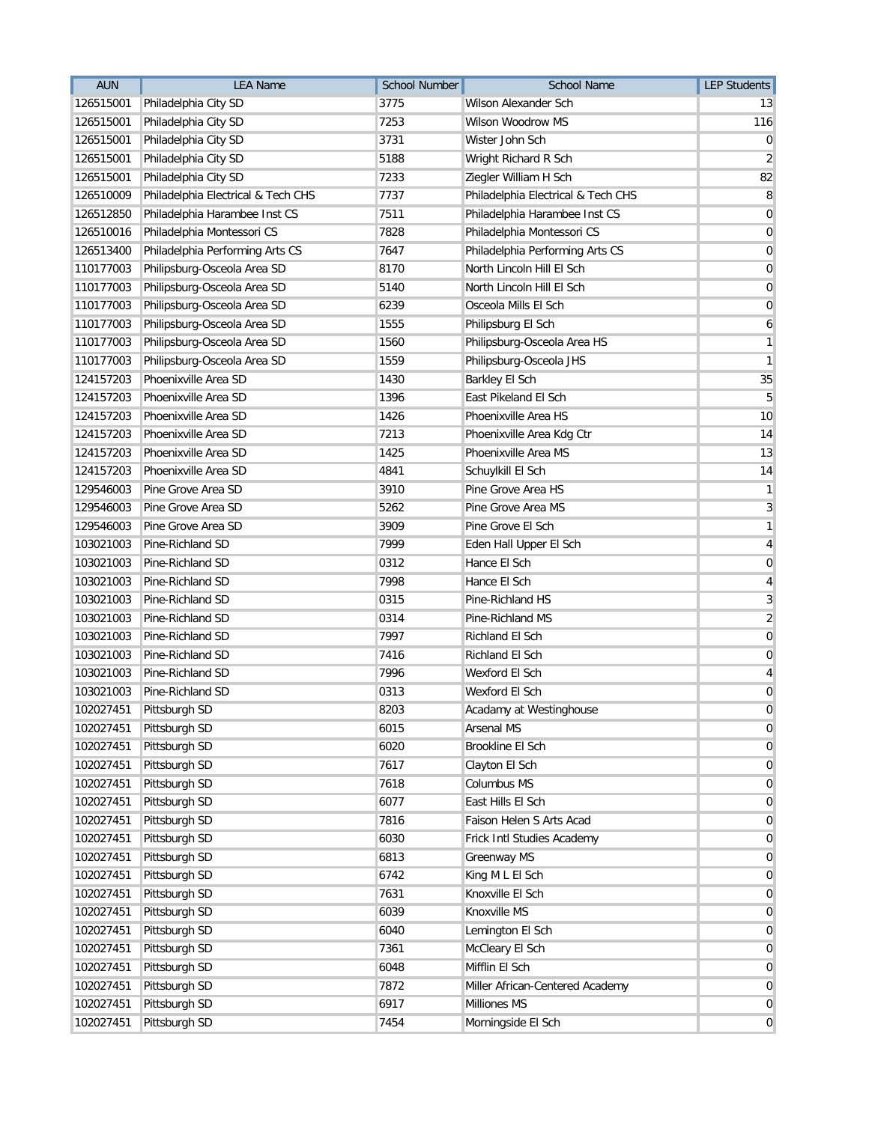| <b>AUN</b> | <b>LEA Name</b>                    | <b>School Number</b> | <b>School Name</b>                 | <b>LEP Students</b> |
|------------|------------------------------------|----------------------|------------------------------------|---------------------|
| 126515001  | Philadelphia City SD               | 3775                 | Wilson Alexander Sch               | 13                  |
| 126515001  | Philadelphia City SD               | 7253                 | Wilson Woodrow MS                  | 116                 |
| 126515001  | Philadelphia City SD               | 3731                 | Wister John Sch                    | 0                   |
| 126515001  | Philadelphia City SD               | 5188                 | Wright Richard R Sch               | 2                   |
| 126515001  | Philadelphia City SD               | 7233                 | Ziegler William H Sch              | 82                  |
| 126510009  | Philadelphia Electrical & Tech CHS | 7737                 | Philadelphia Electrical & Tech CHS | 8                   |
| 126512850  | Philadelphia Harambee Inst CS      | 7511                 | Philadelphia Harambee Inst CS      | 0                   |
| 126510016  | Philadelphia Montessori CS         | 7828                 | Philadelphia Montessori CS         | 0                   |
| 126513400  | Philadelphia Performing Arts CS    | 7647                 | Philadelphia Performing Arts CS    | 0                   |
| 110177003  | Philipsburg-Osceola Area SD        | 8170                 | North Lincoln Hill El Sch          | 0                   |
| 110177003  | Philipsburg-Osceola Area SD        | 5140                 | North Lincoln Hill El Sch          | 0                   |
| 110177003  | Philipsburg-Osceola Area SD        | 6239                 | Osceola Mills El Sch               | $\overline{0}$      |
| 110177003  | Philipsburg-Osceola Area SD        | 1555                 | Philipsburg El Sch                 | 6                   |
| 110177003  | Philipsburg-Osceola Area SD        | 1560                 | Philipsburg-Osceola Area HS        | 1                   |
| 110177003  | Philipsburg-Osceola Area SD        | 1559                 | Philipsburg-Osceola JHS            | 1                   |
| 124157203  | Phoenixville Area SD               | 1430                 | <b>Barkley El Sch</b>              | 35                  |
| 124157203  | Phoenixville Area SD               | 1396                 | East Pikeland El Sch               | 5                   |
| 124157203  | Phoenixville Area SD               | 1426                 | Phoenixville Area HS               | 10                  |
| 124157203  | Phoenixville Area SD               | 7213                 | Phoenixville Area Kdg Ctr          | 14                  |
| 124157203  | Phoenixville Area SD               | 1425                 | Phoenixville Area MS               | 13                  |
| 124157203  | Phoenixville Area SD               | 4841                 | Schuylkill El Sch                  | 14                  |
| 129546003  | Pine Grove Area SD                 | 3910                 | Pine Grove Area HS                 | 1                   |
| 129546003  | Pine Grove Area SD                 | 5262                 | Pine Grove Area MS                 | 3                   |
| 129546003  | Pine Grove Area SD                 | 3909                 | Pine Grove El Sch                  | 1                   |
| 103021003  | Pine-Richland SD                   | 7999                 | Eden Hall Upper El Sch             | 4                   |
| 103021003  | Pine-Richland SD                   | 0312                 | Hance El Sch                       | $\mathbf 0$         |
| 103021003  | Pine-Richland SD                   | 7998                 | Hance El Sch                       | 4                   |
| 103021003  | Pine-Richland SD                   | 0315                 | Pine-Richland HS                   | 3                   |
| 103021003  | Pine-Richland SD                   | 0314                 | Pine-Richland MS                   | $\overline{2}$      |
| 103021003  | Pine-Richland SD                   | 7997                 | Richland El Sch                    | 0                   |
| 103021003  | Pine-Richland SD                   | 7416                 | Richland El Sch                    | $\mathbf 0$         |
| 103021003  | Pine-Richland SD                   | 7996                 | Wexford El Sch                     | 4                   |
| 103021003  | Pine-Richland SD                   | 0313                 | Wexford El Sch                     | 0                   |
| 102027451  | Pittsburgh SD                      | 8203                 | Acadamy at Westinghouse            | 0                   |
| 102027451  | Pittsburgh SD                      | 6015                 | <b>Arsenal MS</b>                  | 0                   |
| 102027451  | Pittsburgh SD                      | 6020                 | Brookline El Sch                   | 0                   |
| 102027451  | Pittsburgh SD                      | 7617                 | Clayton El Sch                     | 0                   |
| 102027451  | Pittsburgh SD                      | 7618                 | Columbus MS                        | 0                   |
| 102027451  | Pittsburgh SD                      | 6077                 | East Hills El Sch                  | $\overline{0}$      |
| 102027451  | Pittsburgh SD                      | 7816                 | Faison Helen S Arts Acad           | $\overline{0}$      |
| 102027451  | Pittsburgh SD                      | 6030                 | Frick Intl Studies Academy         | 0                   |
| 102027451  | Pittsburgh SD                      | 6813                 | <b>Greenway MS</b>                 | 0                   |
| 102027451  | Pittsburgh SD                      | 6742                 | King M L El Sch                    | $\mathbf 0$         |
| 102027451  | Pittsburgh SD                      | 7631                 | Knoxville El Sch                   | 0                   |
| 102027451  | Pittsburgh SD                      | 6039                 | Knoxville MS                       | $\overline{0}$      |
| 102027451  | Pittsburgh SD                      | 6040                 | Lemington El Sch                   | $\overline{0}$      |
| 102027451  | Pittsburgh SD                      | 7361                 | McCleary El Sch                    | 0                   |
| 102027451  | Pittsburgh SD                      | 6048                 | Mifflin El Sch                     | 0                   |
| 102027451  | Pittsburgh SD                      | 7872                 | Miller African-Centered Academy    | $\mathbf 0$         |
| 102027451  | Pittsburgh SD                      | 6917                 | Milliones MS                       | 0                   |
| 102027451  | Pittsburgh SD                      | 7454                 | Morningside El Sch                 | $\overline{0}$      |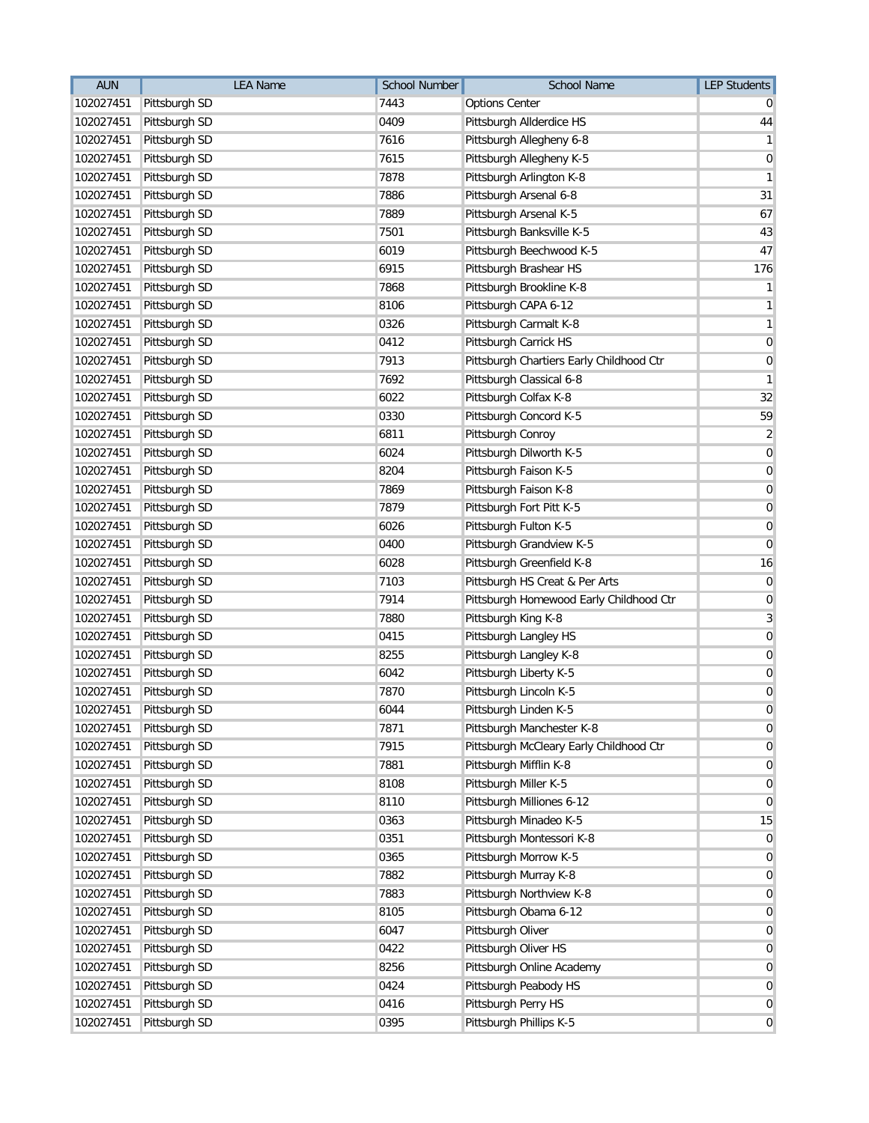| <b>AUN</b> | <b>LEA Name</b> | <b>School Number</b> | <b>School Name</b>                       | <b>LEP Students</b> |
|------------|-----------------|----------------------|------------------------------------------|---------------------|
| 102027451  | Pittsburgh SD   | 7443                 | <b>Options Center</b>                    |                     |
| 102027451  | Pittsburgh SD   | 0409                 | Pittsburgh Allderdice HS                 | 44                  |
| 102027451  | Pittsburgh SD   | 7616                 | Pittsburgh Allegheny 6-8                 | 1                   |
| 102027451  | Pittsburgh SD   | 7615                 | Pittsburgh Allegheny K-5                 | 0                   |
| 102027451  | Pittsburgh SD   | 7878                 | Pittsburgh Arlington K-8                 | 1                   |
| 102027451  | Pittsburgh SD   | 7886                 | Pittsburgh Arsenal 6-8                   | 31                  |
| 102027451  | Pittsburgh SD   | 7889                 | Pittsburgh Arsenal K-5                   | 67                  |
| 102027451  | Pittsburgh SD   | 7501                 | Pittsburgh Banksville K-5                | 43                  |
| 102027451  | Pittsburgh SD   | 6019                 | Pittsburgh Beechwood K-5                 | 47                  |
| 102027451  | Pittsburgh SD   | 6915                 | Pittsburgh Brashear HS                   | 176                 |
| 102027451  | Pittsburgh SD   | 7868                 | Pittsburgh Brookline K-8                 | 1                   |
| 102027451  | Pittsburgh SD   | 8106                 | Pittsburgh CAPA 6-12                     | $\mathbf{1}$        |
| 102027451  | Pittsburgh SD   | 0326                 | Pittsburgh Carmalt K-8                   | $\mathbf{1}$        |
| 102027451  | Pittsburgh SD   | 0412                 | Pittsburgh Carrick HS                    | $\overline{0}$      |
| 102027451  | Pittsburgh SD   | 7913                 | Pittsburgh Chartiers Early Childhood Ctr | 0                   |
| 102027451  | Pittsburgh SD   | 7692                 | Pittsburgh Classical 6-8                 | 1                   |
| 102027451  | Pittsburgh SD   | 6022                 | Pittsburgh Colfax K-8                    | 32                  |
| 102027451  | Pittsburgh SD   | 0330                 | Pittsburgh Concord K-5                   | 59                  |
| 102027451  | Pittsburgh SD   | 6811                 | Pittsburgh Conroy                        | $\overline{2}$      |
| 102027451  | Pittsburgh SD   | 6024                 | Pittsburgh Dilworth K-5                  | 0                   |
| 102027451  | Pittsburgh SD   | 8204                 | Pittsburgh Faison K-5                    | 0                   |
| 102027451  | Pittsburgh SD   | 7869                 | Pittsburgh Faison K-8                    | 0                   |
| 102027451  | Pittsburgh SD   | 7879                 | Pittsburgh Fort Pitt K-5                 | 0                   |
| 102027451  | Pittsburgh SD   | 6026                 | Pittsburgh Fulton K-5                    | 0                   |
| 102027451  | Pittsburgh SD   | 0400                 | Pittsburgh Grandview K-5                 | $\mathbf 0$         |
| 102027451  | Pittsburgh SD   | 6028                 | Pittsburgh Greenfield K-8                | 16                  |
| 102027451  | Pittsburgh SD   | 7103                 | Pittsburgh HS Creat & Per Arts           | $\overline{0}$      |
| 102027451  | Pittsburgh SD   | 7914                 | Pittsburgh Homewood Early Childhood Ctr  | 0                   |
| 102027451  | Pittsburgh SD   | 7880                 | Pittsburgh King K-8                      | 3                   |
| 102027451  | Pittsburgh SD   | 0415                 | Pittsburgh Langley HS                    | $\overline{0}$      |
| 102027451  | Pittsburgh SD   | 8255                 | Pittsburgh Langley K-8                   | 0                   |
| 102027451  | Pittsburgh SD   | 6042                 | Pittsburgh Liberty K-5                   | 0                   |
| 102027451  | Pittsburgh SD   | 7870                 | Pittsburgh Lincoln K-5                   | 0                   |
| 102027451  | Pittsburgh SD   | 6044                 | Pittsburgh Linden K-5                    | $\overline{0}$      |
| 102027451  | Pittsburgh SD   | 7871                 | Pittsburgh Manchester K-8                | 0                   |
| 102027451  | Pittsburgh SD   | 7915                 | Pittsburgh McCleary Early Childhood Ctr  | 0                   |
| 102027451  | Pittsburgh SD   | 7881                 | Pittsburgh Mifflin K-8                   | 0                   |
| 102027451  | Pittsburgh SD   | 8108                 | Pittsburgh Miller K-5                    | $\overline{0}$      |
| 102027451  | Pittsburgh SD   | 8110                 | Pittsburgh Milliones 6-12                | $\overline{0}$      |
| 102027451  | Pittsburgh SD   | 0363                 | Pittsburgh Minadeo K-5                   | 15                  |
| 102027451  | Pittsburgh SD   | 0351                 | Pittsburgh Montessori K-8                | 0                   |
| 102027451  | Pittsburgh SD   | 0365                 | Pittsburgh Morrow K-5                    | $\overline{0}$      |
| 102027451  | Pittsburgh SD   | 7882                 | Pittsburgh Murray K-8                    | 0                   |
| 102027451  | Pittsburgh SD   | 7883                 | Pittsburgh Northview K-8                 | $\overline{0}$      |
| 102027451  | Pittsburgh SD   | 8105                 | Pittsburgh Obama 6-12                    | $\overline{0}$      |
| 102027451  | Pittsburgh SD   | 6047                 | Pittsburgh Oliver                        | 0                   |
| 102027451  | Pittsburgh SD   | 0422                 | Pittsburgh Oliver HS                     | 0                   |
| 102027451  | Pittsburgh SD   | 8256                 | Pittsburgh Online Academy                | $\overline{0}$      |
| 102027451  | Pittsburgh SD   | 0424                 | Pittsburgh Peabody HS                    | $\overline{0}$      |
| 102027451  | Pittsburgh SD   | 0416                 | Pittsburgh Perry HS                      | $\overline{0}$      |
| 102027451  | Pittsburgh SD   | 0395                 | Pittsburgh Phillips K-5                  | $\overline{0}$      |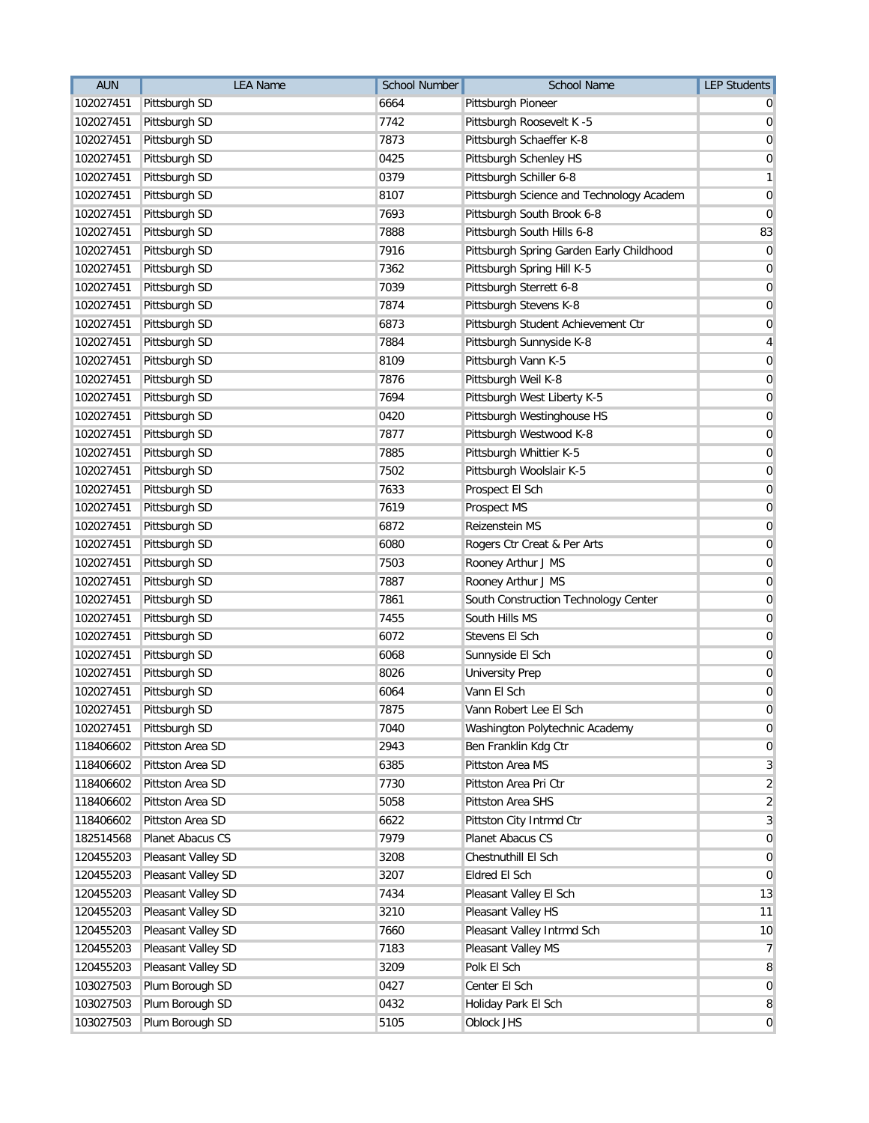| <b>AUN</b> | <b>LEA Name</b>         | <b>School Number</b> | School Name                              | <b>LEP Students</b> |
|------------|-------------------------|----------------------|------------------------------------------|---------------------|
| 102027451  | Pittsburgh SD           | 6664                 | Pittsburgh Pioneer                       |                     |
| 102027451  | Pittsburgh SD           | 7742                 | Pittsburgh Roosevelt K -5                | 0                   |
| 102027451  | Pittsburgh SD           | 7873                 | Pittsburgh Schaeffer K-8                 | 0                   |
| 102027451  | Pittsburgh SD           | 0425                 | Pittsburgh Schenley HS                   | 0                   |
| 102027451  | Pittsburgh SD           | 0379                 | Pittsburgh Schiller 6-8                  | 1                   |
| 102027451  | Pittsburgh SD           | 8107                 | Pittsburgh Science and Technology Academ | 0                   |
| 102027451  | Pittsburgh SD           | 7693                 | Pittsburgh South Brook 6-8               | 0                   |
| 102027451  | Pittsburgh SD           | 7888                 | Pittsburgh South Hills 6-8               | 83                  |
| 102027451  | Pittsburgh SD           | 7916                 | Pittsburgh Spring Garden Early Childhood | $\overline{0}$      |
| 102027451  | Pittsburgh SD           | 7362                 | Pittsburgh Spring Hill K-5               | 0                   |
| 102027451  | Pittsburgh SD           | 7039                 | Pittsburgh Sterrett 6-8                  | 0                   |
| 102027451  | Pittsburgh SD           | 7874                 | Pittsburgh Stevens K-8                   | 0                   |
| 102027451  | Pittsburgh SD           | 6873                 | Pittsburgh Student Achievement Ctr       | $\mathbf 0$         |
| 102027451  | Pittsburgh SD           | 7884                 | Pittsburgh Sunnyside K-8                 | 4                   |
| 102027451  | Pittsburgh SD           | 8109                 | Pittsburgh Vann K-5                      | 0                   |
| 102027451  | Pittsburgh SD           | 7876                 | Pittsburgh Weil K-8                      | 0                   |
| 102027451  | Pittsburgh SD           | 7694                 | Pittsburgh West Liberty K-5              | 0                   |
| 102027451  | Pittsburgh SD           | 0420                 | Pittsburgh Westinghouse HS               | $\mathbf 0$         |
| 102027451  | Pittsburgh SD           | 7877                 | Pittsburgh Westwood K-8                  | 0                   |
| 102027451  | Pittsburgh SD           | 7885                 | Pittsburgh Whittier K-5                  | $\mathbf 0$         |
| 102027451  | Pittsburgh SD           | 7502                 | Pittsburgh Woolslair K-5                 | 0                   |
| 102027451  | Pittsburgh SD           | 7633                 | Prospect El Sch                          | 0                   |
| 102027451  | Pittsburgh SD           | 7619                 | Prospect MS                              | 0                   |
| 102027451  | Pittsburgh SD           | 6872                 | Reizenstein MS                           | 0                   |
| 102027451  | Pittsburgh SD           | 6080                 | Rogers Ctr Creat & Per Arts              | 0                   |
| 102027451  | Pittsburgh SD           | 7503                 | Rooney Arthur J MS                       | 0                   |
| 102027451  | Pittsburgh SD           | 7887                 | Rooney Arthur J MS                       | $\mathbf 0$         |
| 102027451  | Pittsburgh SD           | 7861                 | South Construction Technology Center     | 0                   |
| 102027451  | Pittsburgh SD           | 7455                 | South Hills MS                           | 0                   |
| 102027451  | Pittsburgh SD           | 6072                 | Stevens El Sch                           | 0                   |
| 102027451  | Pittsburgh SD           | 6068                 | Sunnyside El Sch                         | 0                   |
| 102027451  | Pittsburgh SD           | 8026                 | <b>University Prep</b>                   | 0                   |
| 102027451  | Pittsburgh SD           | 6064                 | Vann El Sch                              | $\mathbf 0$         |
|            | 102027451 Pittsburgh SD | 7875                 | Vann Robert Lee El Sch                   | $\overline{0}$      |
| 102027451  | Pittsburgh SD           | 7040                 | Washington Polytechnic Academy           | 0                   |
| 118406602  | Pittston Area SD        | 2943                 | Ben Franklin Kdg Ctr                     | $\overline{0}$      |
| 118406602  | Pittston Area SD        | 6385                 | Pittston Area MS                         | 3                   |
| 118406602  | Pittston Area SD        | 7730                 | Pittston Area Pri Ctr                    | $\overline{2}$      |
| 118406602  | Pittston Area SD        | 5058                 | Pittston Area SHS                        | $\overline{2}$      |
| 118406602  | Pittston Area SD        | 6622                 | Pittston City Intrmd Ctr                 | 3                   |
| 182514568  | Planet Abacus CS        | 7979                 | Planet Abacus CS                         | 0                   |
| 120455203  | Pleasant Valley SD      | 3208                 | Chestnuthill El Sch                      | $\overline{0}$      |
| 120455203  | Pleasant Valley SD      | 3207                 | Eldred El Sch                            | $\overline{0}$      |
| 120455203  | Pleasant Valley SD      | 7434                 | Pleasant Valley El Sch                   | 13                  |
| 120455203  | Pleasant Valley SD      | 3210                 | Pleasant Valley HS                       | 11                  |
| 120455203  | Pleasant Valley SD      | 7660                 | Pleasant Valley Intrmd Sch               | 10                  |
| 120455203  | Pleasant Valley SD      | 7183                 | Pleasant Valley MS                       | $\overline{7}$      |
| 120455203  | Pleasant Valley SD      | 3209                 | Polk El Sch                              | 8                   |
| 103027503  | Plum Borough SD         | 0427                 | Center El Sch                            | $\overline{0}$      |
| 103027503  | Plum Borough SD         | 0432                 | Holiday Park El Sch                      | 8                   |
| 103027503  | Plum Borough SD         | 5105                 | Oblock JHS                               | $\overline{0}$      |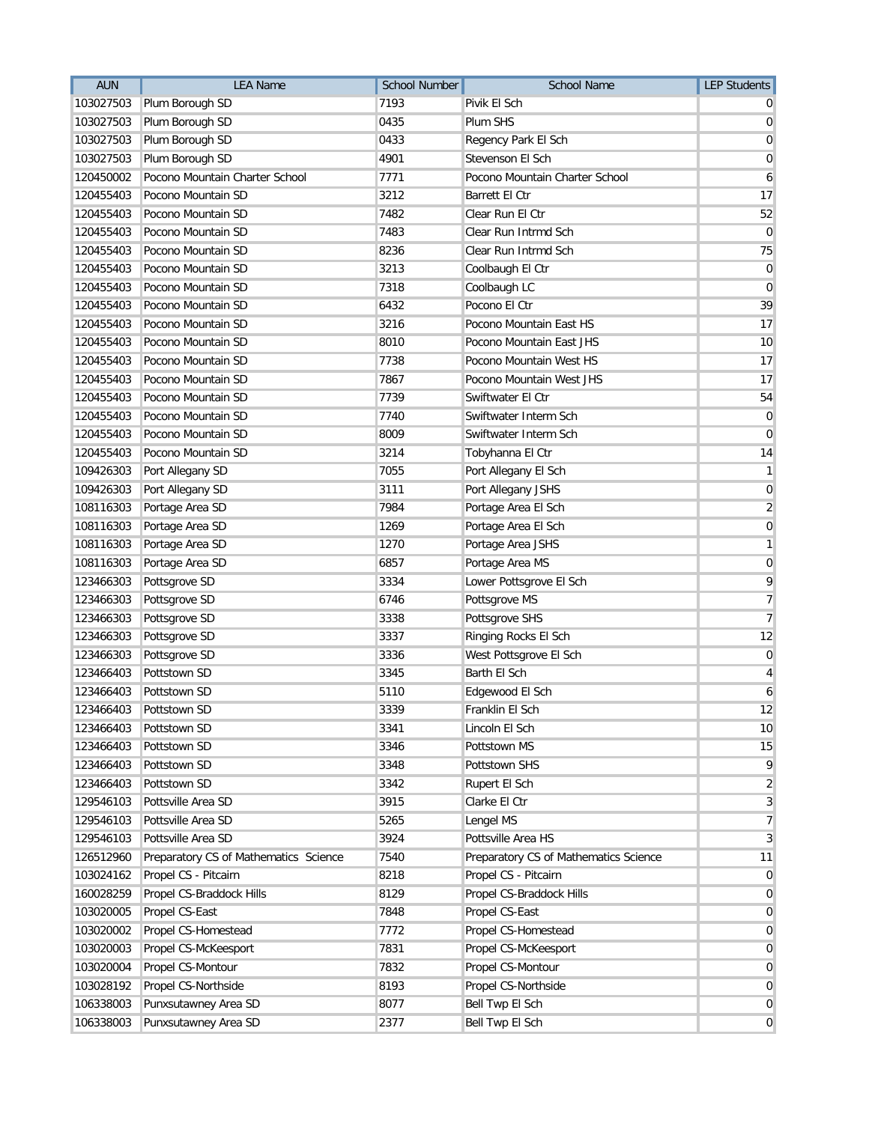| <b>AUN</b> | <b>LEA Name</b>                       | <b>School Number</b> | School Name                           | <b>LEP Students</b> |
|------------|---------------------------------------|----------------------|---------------------------------------|---------------------|
| 103027503  | Plum Borough SD                       | 7193                 | Pivik El Sch                          |                     |
| 103027503  | Plum Borough SD                       | 0435                 | Plum SHS                              | 0                   |
| 103027503  | Plum Borough SD                       | 0433                 | Regency Park El Sch                   | 0                   |
| 103027503  | Plum Borough SD                       | 4901                 | Stevenson El Sch                      | 0                   |
| 120450002  | Pocono Mountain Charter School        | 7771                 | Pocono Mountain Charter School        | 6                   |
| 120455403  | Pocono Mountain SD                    | 3212                 | Barrett El Ctr                        | 17                  |
| 120455403  | Pocono Mountain SD                    | 7482                 | Clear Run El Ctr                      | 52                  |
| 120455403  | Pocono Mountain SD                    | 7483                 | Clear Run Intrmd Sch                  | $\mathbf 0$         |
| 120455403  | Pocono Mountain SD                    | 8236                 | Clear Run Intrmd Sch                  | 75                  |
| 120455403  | Pocono Mountain SD                    | 3213                 | Coolbaugh El Ctr                      | $\boldsymbol{0}$    |
| 120455403  | Pocono Mountain SD                    | 7318                 | Coolbaugh LC                          | 0                   |
| 120455403  | Pocono Mountain SD                    | 6432                 | Pocono El Ctr                         | 39                  |
| 120455403  | Pocono Mountain SD                    | 3216                 | Pocono Mountain East HS               | 17                  |
| 120455403  | Pocono Mountain SD                    | 8010                 | Pocono Mountain East JHS              | 10                  |
| 120455403  | Pocono Mountain SD                    | 7738                 | Pocono Mountain West HS               | 17                  |
| 120455403  | Pocono Mountain SD                    | 7867                 | Pocono Mountain West JHS              | 17                  |
| 120455403  | Pocono Mountain SD                    | 7739                 | Swiftwater El Ctr                     | 54                  |
| 120455403  | Pocono Mountain SD                    | 7740                 | Swiftwater Interm Sch                 | $\mathbf 0$         |
| 120455403  | Pocono Mountain SD                    | 8009                 | Swiftwater Interm Sch                 | 0                   |
| 120455403  | Pocono Mountain SD                    | 3214                 | Tobyhanna El Ctr                      | 14                  |
| 109426303  | Port Allegany SD                      | 7055                 | Port Allegany El Sch                  | 1                   |
| 109426303  | Port Allegany SD                      | 3111                 | Port Allegany JSHS                    | 0                   |
| 108116303  | Portage Area SD                       | 7984                 | Portage Area El Sch                   | $\overline{2}$      |
| 108116303  | Portage Area SD                       | 1269                 | Portage Area El Sch                   | $\mathbf 0$         |
| 108116303  | Portage Area SD                       | 1270                 | Portage Area JSHS                     | 1                   |
| 108116303  | Portage Area SD                       | 6857                 | Portage Area MS                       | $\mathbf 0$         |
| 123466303  | Pottsgrove SD                         | 3334                 | Lower Pottsgrove El Sch               | 9                   |
| 123466303  | Pottsgrove SD                         | 6746                 | Pottsgrove MS                         | 7                   |
| 123466303  | Pottsgrove SD                         | 3338                 | Pottsgrove SHS                        | 7                   |
| 123466303  | Pottsgrove SD                         | 3337                 | Ringing Rocks El Sch                  | 12                  |
| 123466303  | Pottsgrove SD                         | 3336                 | West Pottsgrove El Sch                | $\mathbf 0$         |
| 123466403  | Pottstown SD                          | 3345                 | Barth El Sch                          | 4                   |
| 123466403  | Pottstown SD                          | 5110                 | Edgewood El Sch                       | 6                   |
| 123466403  | Pottstown SD                          | 3339                 | Franklin El Sch                       | 12                  |
| 123466403  | Pottstown SD                          | 3341                 | Lincoln El Sch                        | 10                  |
| 123466403  | Pottstown SD                          | 3346                 | Pottstown MS                          | 15                  |
| 123466403  | Pottstown SD                          | 3348                 | Pottstown SHS                         | 9                   |
| 123466403  | Pottstown SD                          | 3342                 | Rupert El Sch                         | $\overline{2}$      |
| 129546103  | Pottsville Area SD                    | 3915                 | Clarke El Ctr                         | 3                   |
| 129546103  | Pottsville Area SD                    | 5265                 | Lengel MS                             | 7                   |
| 129546103  | Pottsville Area SD                    | 3924                 | Pottsville Area HS                    | 3                   |
| 126512960  | Preparatory CS of Mathematics Science | 7540                 | Preparatory CS of Mathematics Science | 11                  |
| 103024162  | Propel CS - Pitcairn                  | 8218                 | Propel CS - Pitcairn                  | 0                   |
| 160028259  | Propel CS-Braddock Hills              | 8129                 | Propel CS-Braddock Hills              | 0                   |
| 103020005  | Propel CS-East                        | 7848                 | Propel CS-East                        | $\overline{0}$      |
| 103020002  | Propel CS-Homestead                   | 7772                 | Propel CS-Homestead                   | $\mathbf 0$         |
| 103020003  | Propel CS-McKeesport                  | 7831                 | Propel CS-McKeesport                  | 0                   |
| 103020004  | Propel CS-Montour                     | 7832                 | Propel CS-Montour                     | 0                   |
| 103028192  | Propel CS-Northside                   | 8193                 | Propel CS-Northside                   | 0                   |
| 106338003  | Punxsutawney Area SD                  | 8077                 | Bell Twp El Sch                       | 0                   |
| 106338003  | Punxsutawney Area SD                  | 2377                 | <b>Bell Twp El Sch</b>                | $\mathbf 0$         |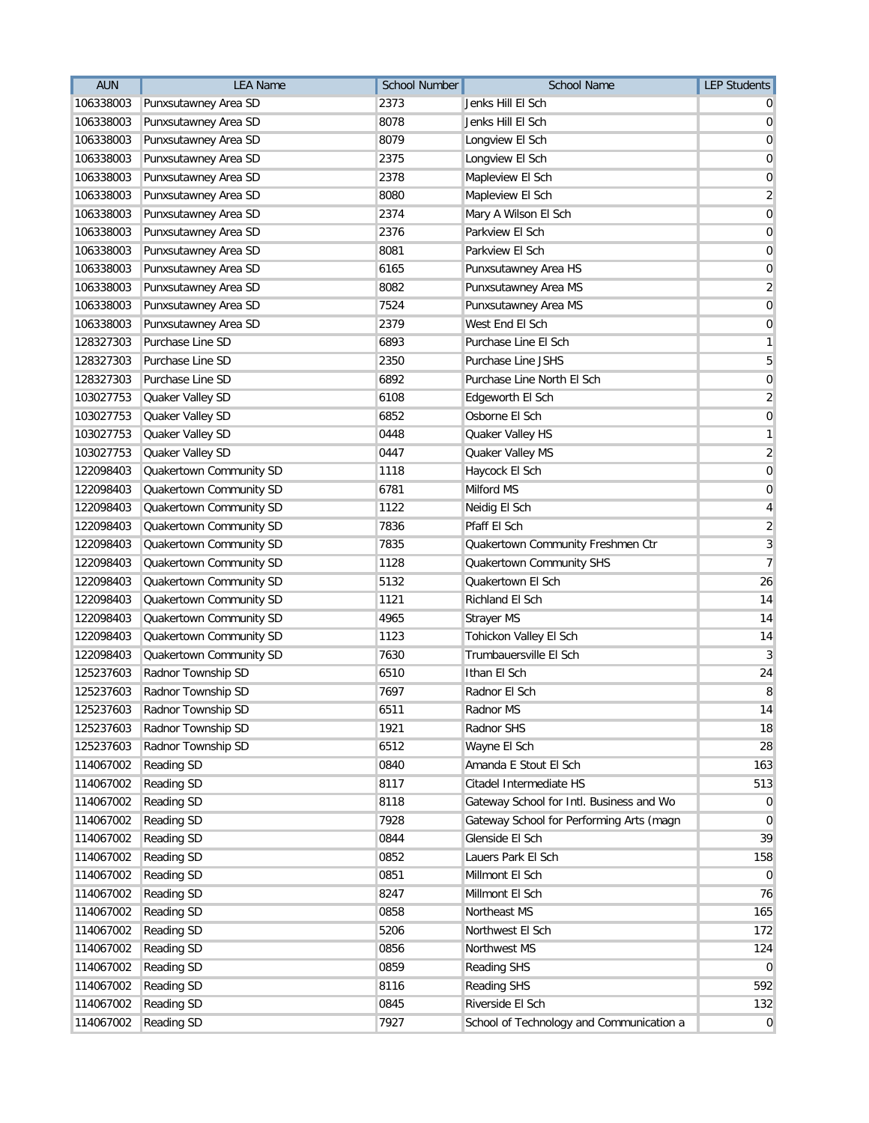| <b>AUN</b> | <b>LEA Name</b>         | <b>School Number</b> | <b>School Name</b>                       | <b>LEP Students</b>     |
|------------|-------------------------|----------------------|------------------------------------------|-------------------------|
| 106338003  | Punxsutawney Area SD    | 2373                 | Jenks Hill El Sch                        |                         |
| 106338003  | Punxsutawney Area SD    | 8078                 | Jenks Hill El Sch                        | 0                       |
| 106338003  | Punxsutawney Area SD    | 8079                 | Longview El Sch                          | 0                       |
| 106338003  | Punxsutawney Area SD    | 2375                 | Longview El Sch                          | 0                       |
| 106338003  | Punxsutawney Area SD    | 2378                 | Mapleview El Sch                         | $\mathbf 0$             |
| 106338003  | Punxsutawney Area SD    | 8080                 | Mapleview El Sch                         | $\overline{\mathbf{c}}$ |
| 106338003  | Punxsutawney Area SD    | 2374                 | Mary A Wilson El Sch                     | 0                       |
| 106338003  | Punxsutawney Area SD    | 2376                 | Parkview El Sch                          | 0                       |
| 106338003  | Punxsutawney Area SD    | 8081                 | Parkview El Sch                          | 0                       |
| 106338003  | Punxsutawney Area SD    | 6165                 | Punxsutawney Area HS                     | 0                       |
| 106338003  | Punxsutawney Area SD    | 8082                 | Punxsutawney Area MS                     | $\overline{2}$          |
| 106338003  | Punxsutawney Area SD    | 7524                 | Punxsutawney Area MS                     | $\mathbf 0$             |
| 106338003  | Punxsutawney Area SD    | 2379                 | West End El Sch                          | 0                       |
| 128327303  | Purchase Line SD        | 6893                 | Purchase Line El Sch                     | 1                       |
| 128327303  | Purchase Line SD        | 2350                 | Purchase Line JSHS                       | 5                       |
| 128327303  | Purchase Line SD        | 6892                 | Purchase Line North El Sch               | 0                       |
| 103027753  | Quaker Valley SD        | 6108                 | Edgeworth El Sch                         | $\overline{2}$          |
| 103027753  | Quaker Valley SD        | 6852                 | Osborne El Sch                           | $\mathbf 0$             |
| 103027753  | Quaker Valley SD        | 0448                 | Quaker Valley HS                         | 1                       |
| 103027753  | Quaker Valley SD        | 0447                 | Quaker Valley MS                         | $\overline{c}$          |
| 122098403  | Quakertown Community SD | 1118                 | Haycock El Sch                           | $\mathbf 0$             |
| 122098403  | Quakertown Community SD | 6781                 | Milford MS                               | 0                       |
| 122098403  | Quakertown Community SD | 1122                 | Neidig El Sch                            | 4                       |
| 122098403  | Quakertown Community SD | 7836                 | Pfaff El Sch                             | $\overline{2}$          |
| 122098403  | Quakertown Community SD | 7835                 | Quakertown Community Freshmen Ctr        | $\sqrt{3}$              |
| 122098403  | Quakertown Community SD | 1128                 | Quakertown Community SHS                 | $\overline{7}$          |
| 122098403  | Quakertown Community SD | 5132                 | Quakertown El Sch                        | 26                      |
| 122098403  | Quakertown Community SD | 1121                 | Richland El Sch                          | 14                      |
| 122098403  | Quakertown Community SD | 4965                 | <b>Strayer MS</b>                        | 14                      |
| 122098403  | Quakertown Community SD | 1123                 | Tohickon Valley El Sch                   | 14                      |
| 122098403  | Quakertown Community SD | 7630                 | Trumbauersville El Sch                   | 3                       |
| 125237603  | Radnor Township SD      | 6510                 | Ithan El Sch                             | 24                      |
| 125237603  | Radnor Township SD      | 7697                 | Radnor El Sch                            | 8                       |
| 125237603  | Radnor Township SD      | 6511                 | Radnor MS                                | 14                      |
| 125237603  | Radnor Township SD      | 1921                 | Radnor SHS                               | 18                      |
| 125237603  | Radnor Township SD      | 6512                 | Wayne El Sch                             | 28                      |
| 114067002  | Reading SD              | 0840                 | Amanda E Stout El Sch                    | 163                     |
| 114067002  | Reading SD              | 8117                 | Citadel Intermediate HS                  | 513                     |
| 114067002  | Reading SD              | 8118                 | Gateway School for Intl. Business and Wo | $\overline{0}$          |
| 114067002  | <b>Reading SD</b>       | 7928                 | Gateway School for Performing Arts (magn | 0                       |
| 114067002  | <b>Reading SD</b>       | 0844                 | Glenside El Sch                          | 39                      |
| 114067002  | <b>Reading SD</b>       | 0852                 | Lauers Park El Sch                       | 158                     |
| 114067002  | Reading SD              | 0851                 | Millmont El Sch                          | $\overline{0}$          |
| 114067002  | <b>Reading SD</b>       | 8247                 | Millmont El Sch                          | 76                      |
| 114067002  | <b>Reading SD</b>       | 0858                 | Northeast MS                             | 165                     |
| 114067002  | <b>Reading SD</b>       | 5206                 | Northwest El Sch                         | 172                     |
| 114067002  | <b>Reading SD</b>       | 0856                 | Northwest MS                             | 124                     |
| 114067002  | <b>Reading SD</b>       | 0859                 | <b>Reading SHS</b>                       | 0                       |
| 114067002  | <b>Reading SD</b>       | 8116                 | <b>Reading SHS</b>                       | 592                     |
| 114067002  | Reading SD              | 0845                 | Riverside El Sch                         | 132                     |
| 114067002  | Reading SD              | 7927                 | School of Technology and Communication a | $\overline{0}$          |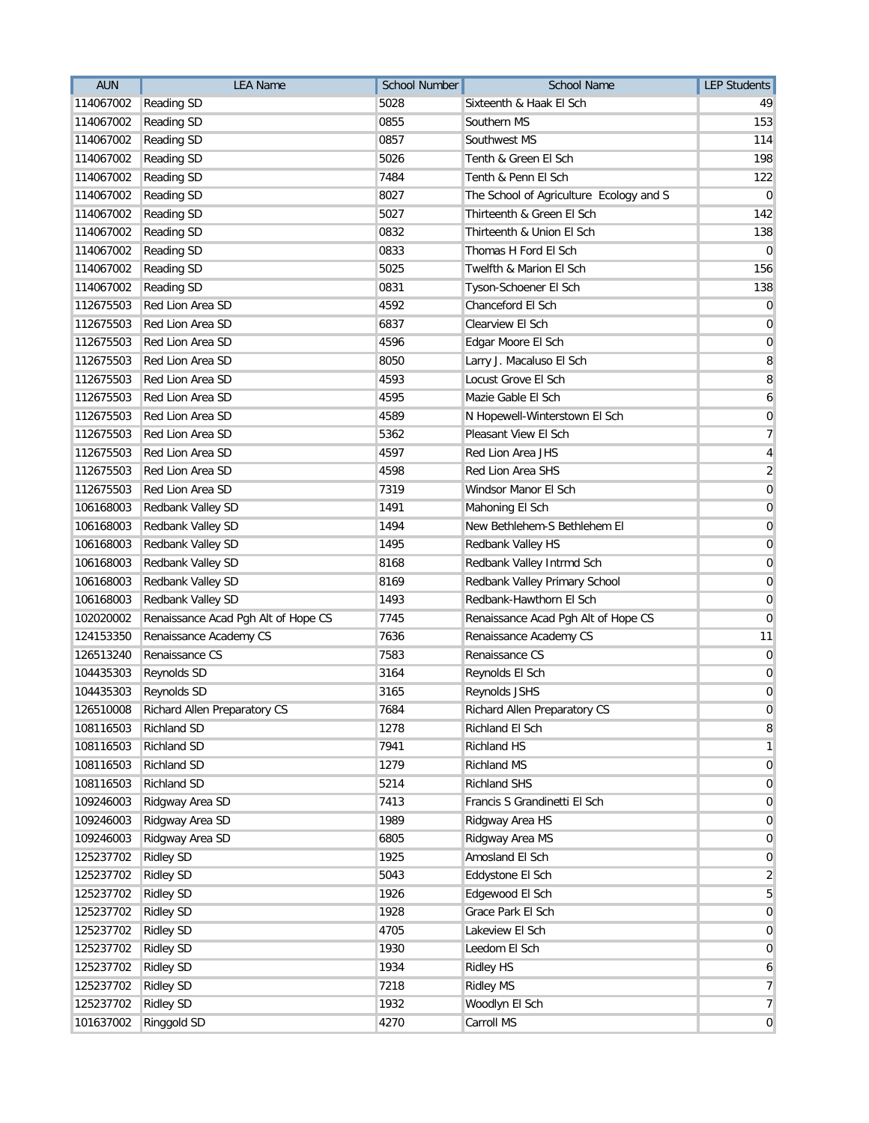| <b>AUN</b> | <b>LEA Name</b>                        | <b>School Number</b> | <b>School Name</b>                      | <b>LEP Students</b>     |
|------------|----------------------------------------|----------------------|-----------------------------------------|-------------------------|
| 114067002  | <b>Reading SD</b>                      | 5028                 | Sixteenth & Haak El Sch                 | 49                      |
| 114067002  | <b>Reading SD</b>                      | 0855                 | Southern MS                             | 153                     |
| 114067002  | <b>Reading SD</b>                      | 0857                 | Southwest MS                            | 114                     |
| 114067002  | <b>Reading SD</b>                      | 5026                 | Tenth & Green El Sch                    | 198                     |
| 114067002  | Reading SD                             | 7484                 | Tenth & Penn El Sch                     | 122                     |
| 114067002  | <b>Reading SD</b>                      | 8027                 | The School of Agriculture Ecology and S | 0                       |
| 114067002  | <b>Reading SD</b>                      | 5027                 | Thirteenth & Green El Sch               | 142                     |
| 114067002  | Reading SD                             | 0832                 | Thirteenth & Union El Sch               | 138                     |
| 114067002  | <b>Reading SD</b>                      | 0833                 | Thomas H Ford El Sch                    | 0                       |
| 114067002  | Reading SD                             | 5025                 | Twelfth & Marion El Sch                 | 156                     |
| 114067002  | <b>Reading SD</b>                      | 0831                 | Tyson-Schoener El Sch                   | 138                     |
| 112675503  | Red Lion Area SD                       | 4592                 | Chanceford El Sch                       | $\overline{0}$          |
| 112675503  | Red Lion Area SD                       | 6837                 | Clearview El Sch                        | $\mathbf 0$             |
| 112675503  | Red Lion Area SD                       | 4596                 | Edgar Moore El Sch                      | $\mathbf 0$             |
| 112675503  | Red Lion Area SD                       | 8050                 | Larry J. Macaluso El Sch                | 8                       |
| 112675503  | Red Lion Area SD                       | 4593                 | Locust Grove El Sch                     | 8                       |
| 112675503  | Red Lion Area SD                       | 4595                 | Mazie Gable El Sch                      | 6                       |
| 112675503  | Red Lion Area SD                       | 4589                 | N Hopewell-Winterstown El Sch           | $\mathbf 0$             |
| 112675503  | Red Lion Area SD                       | 5362                 | Pleasant View El Sch                    | $\overline{7}$          |
| 112675503  | Red Lion Area SD                       | 4597                 | Red Lion Area JHS                       | $\overline{\mathbf{4}}$ |
| 112675503  | Red Lion Area SD                       | 4598                 | Red Lion Area SHS                       | $\overline{2}$          |
| 112675503  | Red Lion Area SD                       | 7319                 | Windsor Manor El Sch                    | 0                       |
| 106168003  | Redbank Valley SD                      | 1491                 | Mahoning El Sch                         | 0                       |
| 106168003  | Redbank Valley SD                      | 1494                 | New Bethlehem-S Bethlehem El            | $\mathbf 0$             |
| 106168003  | Redbank Valley SD                      | 1495                 | Redbank Valley HS                       | $\mathbf 0$             |
| 106168003  | <b>Redbank Valley SD</b>               | 8168                 | Redbank Valley Intrmd Sch               | $\mathbf 0$             |
| 106168003  | Redbank Valley SD                      | 8169                 | Redbank Valley Primary School           | $\mathbf 0$             |
| 106168003  | Redbank Valley SD                      | 1493                 | Redbank-Hawthorn El Sch                 | 0                       |
| 102020002  | Renaissance Acad Pgh Alt of Hope CS    | 7745                 | Renaissance Acad Pgh Alt of Hope CS     | 0                       |
| 124153350  | Renaissance Academy CS                 | 7636                 | Renaissance Academy CS                  | 11                      |
| 126513240  | Renaissance CS                         | 7583                 | Renaissance CS                          | 0                       |
| 104435303  | Reynolds SD                            | 3164                 | Reynolds El Sch                         | 0                       |
| 104435303  | Reynolds SD                            | 3165                 | Reynolds JSHS                           | 0                       |
|            | 126510008 Richard Allen Preparatory CS | 7684                 | Richard Allen Preparatory CS            | 0                       |
| 108116503  | <b>Richland SD</b>                     | 1278                 | Richland El Sch                         | 8                       |
| 108116503  | <b>Richland SD</b>                     | 7941                 | Richland HS                             | 1                       |
| 108116503  | Richland SD                            | 1279                 | <b>Richland MS</b>                      | $\mathbf 0$             |
| 108116503  | <b>Richland SD</b>                     | 5214                 | Richland SHS                            | $\overline{0}$          |
| 109246003  | Ridgway Area SD                        | 7413                 | Francis S Grandinetti El Sch            | $\mathbf 0$             |
| 109246003  | Ridgway Area SD                        | 1989                 | Ridgway Area HS                         | 0                       |
| 109246003  | Ridgway Area SD                        | 6805                 | Ridgway Area MS                         | $\mathbf 0$             |
| 125237702  | <b>Ridley SD</b>                       | 1925                 | Amosland El Sch                         | 0                       |
| 125237702  | <b>Ridley SD</b>                       | 5043                 | Eddystone El Sch                        | $\overline{2}$          |
| 125237702  | <b>Ridley SD</b>                       | 1926                 | Edgewood El Sch                         | 5                       |
| 125237702  | <b>Ridley SD</b>                       | 1928                 | Grace Park El Sch                       | $\mathbf 0$             |
| 125237702  | <b>Ridley SD</b>                       | 4705                 | Lakeview El Sch                         | 0                       |
| 125237702  | <b>Ridley SD</b>                       | 1930                 | Leedom El Sch                           | 0                       |
| 125237702  | <b>Ridley SD</b>                       | 1934                 | Ridley HS                               | 6                       |
| 125237702  | <b>Ridley SD</b>                       | 7218                 | <b>Ridley MS</b>                        | 7                       |
| 125237702  | <b>Ridley SD</b>                       | 1932                 | Woodlyn El Sch                          | 7                       |
| 101637002  | Ringgold SD                            | 4270                 | Carroll MS                              | $\overline{0}$          |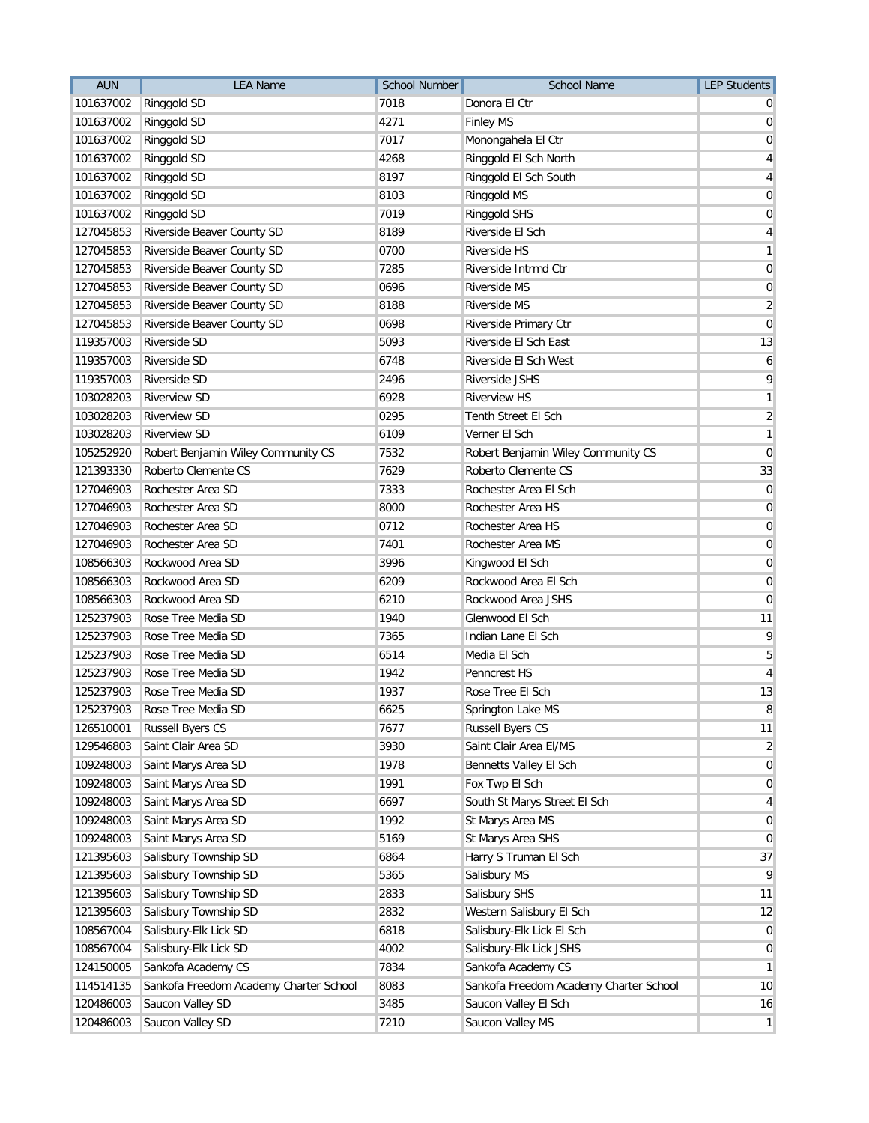| <b>AUN</b> | <b>LEA Name</b>                        | <b>School Number</b> | <b>School Name</b>                     | <b>LEP Students</b> |
|------------|----------------------------------------|----------------------|----------------------------------------|---------------------|
| 101637002  | Ringgold SD                            | 7018                 | Donora El Ctr                          |                     |
| 101637002  | Ringgold SD                            | 4271                 | <b>Finley MS</b>                       | 0                   |
| 101637002  | Ringgold SD                            | 7017                 | Monongahela El Ctr                     | 0                   |
| 101637002  | Ringgold SD                            | 4268                 | Ringgold El Sch North                  | 4                   |
| 101637002  | Ringgold SD                            | 8197                 | Ringgold El Sch South                  | 4                   |
| 101637002  | Ringgold SD                            | 8103                 | Ringgold MS                            | 0                   |
| 101637002  | Ringgold SD                            | 7019                 | Ringgold SHS                           | 0                   |
| 127045853  | Riverside Beaver County SD             | 8189                 | Riverside El Sch                       | 4                   |
| 127045853  | Riverside Beaver County SD             | 0700                 | Riverside HS                           | 1                   |
| 127045853  | Riverside Beaver County SD             | 7285                 | Riverside Intrmd Ctr                   | 0                   |
| 127045853  | Riverside Beaver County SD             | 0696                 | <b>Riverside MS</b>                    | 0                   |
| 127045853  | Riverside Beaver County SD             | 8188                 | <b>Riverside MS</b>                    | $\overline{2}$      |
| 127045853  | Riverside Beaver County SD             | 0698                 | Riverside Primary Ctr                  | 0                   |
| 119357003  | Riverside SD                           | 5093                 | Riverside El Sch East                  | 13                  |
| 119357003  | Riverside SD                           | 6748                 | Riverside El Sch West                  | 6                   |
| 119357003  | Riverside SD                           | 2496                 | Riverside JSHS                         | 9                   |
| 103028203  | <b>Riverview SD</b>                    | 6928                 | <b>Riverview HS</b>                    | 1                   |
| 103028203  | <b>Riverview SD</b>                    | 0295                 | Tenth Street El Sch                    | $\overline{2}$      |
| 103028203  | <b>Riverview SD</b>                    | 6109                 | Verner El Sch                          | 1                   |
| 105252920  | Robert Benjamin Wiley Community CS     | 7532                 | Robert Benjamin Wiley Community CS     | 0                   |
| 121393330  | Roberto Clemente CS                    | 7629                 | Roberto Clemente CS                    | 33                  |
| 127046903  | Rochester Area SD                      | 7333                 | Rochester Area El Sch                  | 0                   |
| 127046903  | Rochester Area SD                      | 8000                 | Rochester Area HS                      | 0                   |
| 127046903  | Rochester Area SD                      | 0712                 | Rochester Area HS                      | $\mathbf 0$         |
| 127046903  | Rochester Area SD                      | 7401                 | Rochester Area MS                      | $\mathbf 0$         |
| 108566303  | Rockwood Area SD                       | 3996                 | Kingwood El Sch                        | $\mathbf 0$         |
| 108566303  | Rockwood Area SD                       | 6209                 | Rockwood Area El Sch                   | 0                   |
| 108566303  | Rockwood Area SD                       | 6210                 | Rockwood Area JSHS                     | 0                   |
| 125237903  | Rose Tree Media SD                     | 1940                 | Glenwood El Sch                        | 11                  |
| 125237903  | Rose Tree Media SD                     | 7365                 | Indian Lane El Sch                     | 9                   |
| 125237903  | Rose Tree Media SD                     | 6514                 | Media El Sch                           | 5                   |
| 125237903  | Rose Tree Media SD                     | 1942                 | Penncrest HS                           | 4                   |
| 125237903  | Rose Tree Media SD                     | 1937                 | Rose Tree El Sch                       | 13                  |
| 125237903  | Rose Tree Media SD                     | 6625                 | Springton Lake MS                      | 8                   |
| 126510001  | <b>Russell Byers CS</b>                | 7677                 | Russell Byers CS                       | 11                  |
| 129546803  | Saint Clair Area SD                    | 3930                 | Saint Clair Area El/MS                 | 2                   |
| 109248003  | Saint Marys Area SD                    | 1978                 | Bennetts Valley El Sch                 | 0                   |
| 109248003  | Saint Marys Area SD                    | 1991                 | Fox Twp El Sch                         | 0                   |
| 109248003  | Saint Marys Area SD                    | 6697                 | South St Marys Street El Sch           | 4                   |
| 109248003  | Saint Marys Area SD                    | 1992                 | St Marys Area MS                       | 0                   |
| 109248003  | Saint Marys Area SD                    | 5169                 | St Marys Area SHS                      | 0                   |
| 121395603  | Salisbury Township SD                  | 6864                 | Harry S Truman El Sch                  | 37                  |
| 121395603  | Salisbury Township SD                  | 5365                 | Salisbury MS                           | 9                   |
| 121395603  | Salisbury Township SD                  | 2833                 | Salisbury SHS                          | 11                  |
| 121395603  | Salisbury Township SD                  | 2832                 | Western Salisbury El Sch               | 12                  |
| 108567004  | Salisbury-Elk Lick SD                  | 6818                 | Salisbury-Elk Lick El Sch              | 0                   |
| 108567004  | Salisbury-Elk Lick SD                  | 4002                 | Salisbury-Elk Lick JSHS                | 0                   |
| 124150005  | Sankofa Academy CS                     | 7834                 | Sankofa Academy CS                     | 1                   |
| 114514135  | Sankofa Freedom Academy Charter School | 8083                 | Sankofa Freedom Academy Charter School | 10                  |
| 120486003  | Saucon Valley SD                       | 3485                 | Saucon Valley El Sch                   | 16                  |
| 120486003  | Saucon Valley SD                       | 7210                 | Saucon Valley MS                       | 1                   |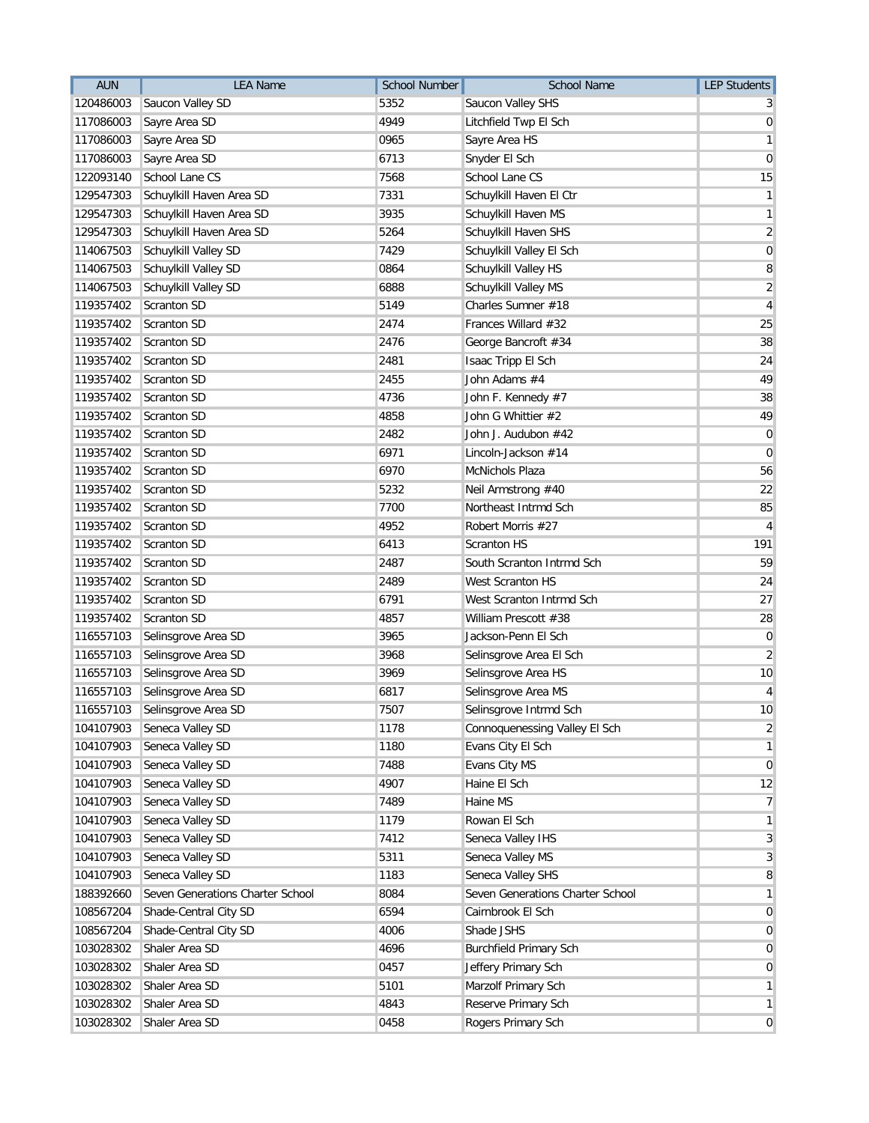| <b>AUN</b> | <b>LEA Name</b>                  | <b>School Number</b> | School Name                      | <b>LEP Students</b> |
|------------|----------------------------------|----------------------|----------------------------------|---------------------|
| 120486003  | Saucon Valley SD                 | 5352                 | Saucon Valley SHS                |                     |
| 117086003  | Sayre Area SD                    | 4949                 | Litchfield Twp El Sch            | $\mathbf 0$         |
| 117086003  | Sayre Area SD                    | 0965                 | Sayre Area HS                    | 1                   |
| 117086003  | Sayre Area SD                    | 6713                 | Snyder El Sch                    | 0                   |
| 122093140  | School Lane CS                   | 7568                 | School Lane CS                   | 15                  |
| 129547303  | Schuylkill Haven Area SD         | 7331                 | Schuylkill Haven El Ctr          | 1                   |
| 129547303  | Schuylkill Haven Area SD         | 3935                 | Schuylkill Haven MS              | 1                   |
| 129547303  | Schuylkill Haven Area SD         | 5264                 | Schuylkill Haven SHS             | $\sqrt{2}$          |
| 114067503  | Schuylkill Valley SD             | 7429                 | Schuylkill Valley El Sch         | 0                   |
| 114067503  | Schuylkill Valley SD             | 0864                 | Schuylkill Valley HS             | 8                   |
| 114067503  | Schuylkill Valley SD             | 6888                 | Schuylkill Valley MS             | $\overline{2}$      |
| 119357402  | Scranton SD                      | 5149                 | Charles Sumner #18               | 4                   |
| 119357402  | Scranton SD                      | 2474                 | Frances Willard #32              | 25                  |
| 119357402  | Scranton SD                      | 2476                 | George Bancroft #34              | 38                  |
| 119357402  | Scranton SD                      | 2481                 | Isaac Tripp El Sch               | 24                  |
| 119357402  | Scranton SD                      | 2455                 | John Adams #4                    | 49                  |
| 119357402  | Scranton SD                      | 4736                 | John F. Kennedy #7               | 38                  |
| 119357402  | Scranton SD                      | 4858                 | John G Whittier #2               | 49                  |
| 119357402  | Scranton SD                      | 2482                 | John J. Audubon #42              | 0                   |
| 119357402  | Scranton SD                      | 6971                 | Lincoln-Jackson #14              | 0                   |
| 119357402  | Scranton SD                      | 6970                 | <b>McNichols Plaza</b>           | 56                  |
| 119357402  | Scranton SD                      | 5232                 | Neil Armstrong #40               | 22                  |
| 119357402  | Scranton SD                      | 7700                 | Northeast Intrmd Sch             | 85                  |
| 119357402  | Scranton SD                      | 4952                 | Robert Morris #27                | 4                   |
| 119357402  | Scranton SD                      | 6413                 | <b>Scranton HS</b>               | 191                 |
| 119357402  | Scranton SD                      | 2487                 | South Scranton Intrmd Sch        | 59                  |
| 119357402  | Scranton SD                      | 2489                 | West Scranton HS                 | 24                  |
| 119357402  | Scranton SD                      | 6791                 | West Scranton Intrmd Sch         | 27                  |
| 119357402  | Scranton SD                      | 4857                 | William Prescott #38             | 28                  |
| 116557103  | Selinsgrove Area SD              | 3965                 | Jackson-Penn El Sch              | $\boldsymbol{0}$    |
| 116557103  | Selinsgrove Area SD              | 3968                 | Selinsgrove Area El Sch          | $\overline{2}$      |
| 116557103  | Selinsgrove Area SD              | 3969                 | Selinsgrove Area HS              | 10                  |
| 116557103  | Selinsgrove Area SD              | 6817                 | Selinsgrove Area MS              | 4                   |
| 116557103  | Selinsgrove Area SD              | 7507                 | Selinsgrove Intrmd Sch           | 10                  |
| 104107903  | Seneca Valley SD                 | 1178                 | Connoquenessing Valley El Sch    | 2                   |
| 104107903  | Seneca Valley SD                 | 1180                 | Evans City El Sch                | 1                   |
| 104107903  | Seneca Valley SD                 | 7488                 | Evans City MS                    | $\mathbf 0$         |
| 104107903  | Seneca Valley SD                 | 4907                 | Haine El Sch                     | 12                  |
| 104107903  | Seneca Valley SD                 | 7489                 | Haine MS                         | 7                   |
| 104107903  | Seneca Valley SD                 | 1179                 | Rowan El Sch                     | 1                   |
| 104107903  | Seneca Valley SD                 | 7412                 | Seneca Valley IHS                | 3                   |
| 104107903  | Seneca Valley SD                 | 5311                 | Seneca Valley MS                 | 3                   |
| 104107903  | Seneca Valley SD                 | 1183                 | Seneca Valley SHS                | 8                   |
| 188392660  | Seven Generations Charter School | 8084                 | Seven Generations Charter School | $\mathbf{1}$        |
| 108567204  | Shade-Central City SD            | 6594                 | Cairnbrook El Sch                | $\mathbf 0$         |
| 108567204  | Shade-Central City SD            | 4006                 | Shade JSHS                       | 0                   |
| 103028302  | Shaler Area SD                   | 4696                 | <b>Burchfield Primary Sch</b>    | 0                   |
| 103028302  | Shaler Area SD                   | 0457                 | Jeffery Primary Sch              | 0                   |
| 103028302  | Shaler Area SD                   | 5101                 | Marzolf Primary Sch              | 1                   |
| 103028302  | Shaler Area SD                   | 4843                 | Reserve Primary Sch              | 1                   |
| 103028302  | Shaler Area SD                   | 0458                 | Rogers Primary Sch               | $\overline{0}$      |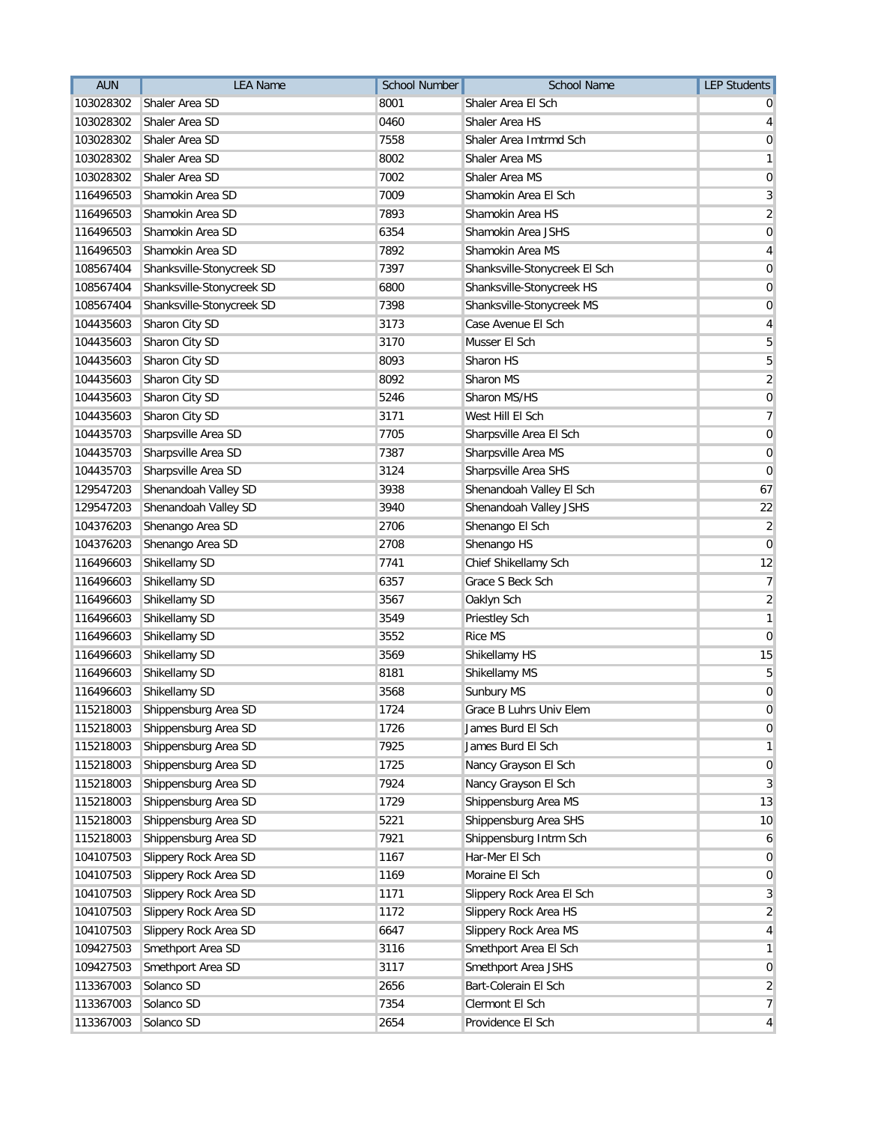| <b>AUN</b> | <b>LEA Name</b>           | <b>School Number</b> | <b>School Name</b>            | <b>LEP Students</b>     |
|------------|---------------------------|----------------------|-------------------------------|-------------------------|
| 103028302  | Shaler Area SD            | 8001                 | Shaler Area El Sch            |                         |
| 103028302  | Shaler Area SD            | 0460                 | Shaler Area HS                | 4                       |
| 103028302  | Shaler Area SD            | 7558                 | Shaler Area Imtrmd Sch        | 0                       |
| 103028302  | Shaler Area SD            | 8002                 | Shaler Area MS                | 1                       |
| 103028302  | Shaler Area SD            | 7002                 | Shaler Area MS                | 0                       |
| 116496503  | Shamokin Area SD          | 7009                 | Shamokin Area El Sch          | 3                       |
| 116496503  | Shamokin Area SD          | 7893                 | Shamokin Area HS              | $\overline{c}$          |
| 116496503  | Shamokin Area SD          | 6354                 | Shamokin Area JSHS            | 0                       |
| 116496503  | Shamokin Area SD          | 7892                 | Shamokin Area MS              | 4                       |
| 108567404  | Shanksville-Stonycreek SD | 7397                 | Shanksville-Stonycreek El Sch | 0                       |
| 108567404  | Shanksville-Stonycreek SD | 6800                 | Shanksville-Stonycreek HS     | 0                       |
| 108567404  | Shanksville-Stonycreek SD | 7398                 | Shanksville-Stonycreek MS     | 0                       |
| 104435603  | Sharon City SD            | 3173                 | Case Avenue El Sch            | 4                       |
| 104435603  | Sharon City SD            | 3170                 | Musser El Sch                 | 5                       |
| 104435603  | Sharon City SD            | 8093                 | Sharon HS                     | 5                       |
| 104435603  | Sharon City SD            | 8092                 | Sharon MS                     | $\overline{\mathbf{c}}$ |
| 104435603  | Sharon City SD            | 5246                 | Sharon MS/HS                  | 0                       |
| 104435603  | Sharon City SD            | 3171                 | West Hill El Sch              | 7                       |
| 104435703  | Sharpsville Area SD       | 7705                 | Sharpsville Area El Sch       | $\boldsymbol{0}$        |
| 104435703  | Sharpsville Area SD       | 7387                 | Sharpsville Area MS           | 0                       |
| 104435703  | Sharpsville Area SD       | 3124                 | Sharpsville Area SHS          | $\mathbf 0$             |
| 129547203  | Shenandoah Valley SD      | 3938                 | Shenandoah Valley El Sch      | 67                      |
| 129547203  | Shenandoah Valley SD      | 3940                 | Shenandoah Valley JSHS        | 22                      |
| 104376203  | Shenango Area SD          | 2706                 | Shenango El Sch               | 2                       |
| 104376203  | Shenango Area SD          | 2708                 | Shenango HS                   | $\overline{0}$          |
| 116496603  | Shikellamy SD             | 7741                 | Chief Shikellamy Sch          | 12                      |
| 116496603  | Shikellamy SD             | 6357                 | Grace S Beck Sch              | 7                       |
| 116496603  | Shikellamy SD             | 3567                 | Oaklyn Sch                    | $\overline{\mathbf{c}}$ |
| 116496603  | Shikellamy SD             | 3549                 | <b>Priestley Sch</b>          | 1                       |
| 116496603  | Shikellamy SD             | 3552                 | <b>Rice MS</b>                | 0                       |
| 116496603  | Shikellamy SD             | 3569                 | Shikellamy HS                 | 15                      |
| 116496603  | Shikellamy SD             | 8181                 | Shikellamy MS                 | 5                       |
| 116496603  | Shikellamy SD             | 3568                 | Sunbury MS                    | $\mathbf 0$             |
| 115218003  | Shippensburg Area SD      | 1724                 | Grace B Luhrs Univ Elem       | 0                       |
| 115218003  | Shippensburg Area SD      | 1726                 | James Burd El Sch             | 0                       |
| 115218003  | Shippensburg Area SD      | 7925                 | James Burd El Sch             | 1                       |
| 115218003  | Shippensburg Area SD      | 1725                 | Nancy Grayson El Sch          | $\mathbf 0$             |
| 115218003  | Shippensburg Area SD      | 7924                 | Nancy Grayson El Sch          | 3                       |
| 115218003  | Shippensburg Area SD      | 1729                 | Shippensburg Area MS          | 13                      |
| 115218003  | Shippensburg Area SD      | 5221                 | Shippensburg Area SHS         | 10                      |
| 115218003  | Shippensburg Area SD      | 7921                 | Shippensburg Intrm Sch        | 6                       |
| 104107503  | Slippery Rock Area SD     | 1167                 | Har-Mer El Sch                | 0                       |
| 104107503  | Slippery Rock Area SD     | 1169                 | Moraine El Sch                | $\mathbf 0$             |
| 104107503  | Slippery Rock Area SD     | 1171                 | Slippery Rock Area El Sch     | $\mathbf{3}$            |
| 104107503  | Slippery Rock Area SD     | 1172                 | Slippery Rock Area HS         | $\overline{2}$          |
| 104107503  | Slippery Rock Area SD     | 6647                 | Slippery Rock Area MS         | 4                       |
| 109427503  | Smethport Area SD         | 3116                 | Smethport Area El Sch         | 1                       |
| 109427503  | Smethport Area SD         | 3117                 | Smethport Area JSHS           | 0                       |
| 113367003  | Solanco SD                | 2656                 | Bart-Colerain El Sch          | $\overline{2}$          |
| 113367003  | Solanco SD                | 7354                 | Clermont El Sch               | 7                       |
| 113367003  | Solanco SD                | 2654                 | Providence El Sch             | 4                       |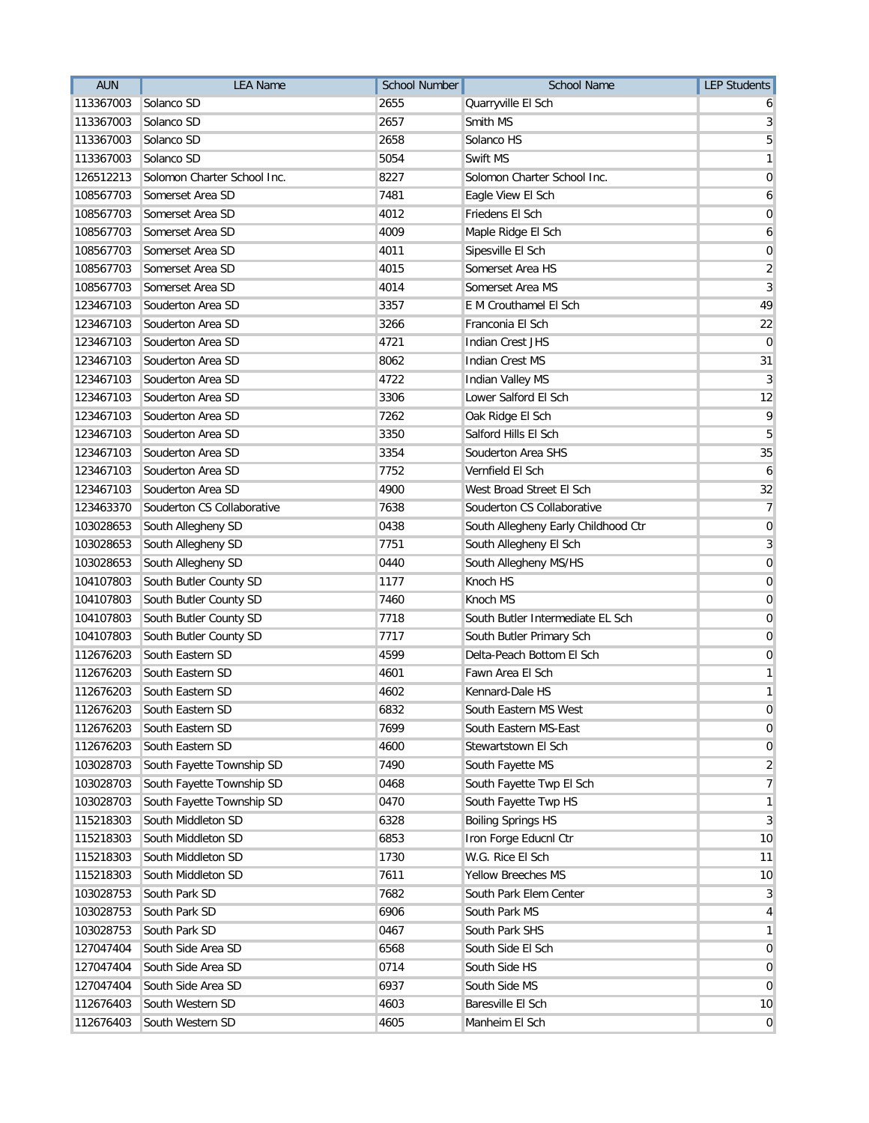| <b>AUN</b> | <b>LEA Name</b>             | <b>School Number</b> | <b>School Name</b>                  | <b>LEP Students</b> |
|------------|-----------------------------|----------------------|-------------------------------------|---------------------|
| 113367003  | Solanco SD                  | 2655                 | Quarryville El Sch                  | 6                   |
| 113367003  | Solanco SD                  | 2657                 | Smith MS                            | 3                   |
| 113367003  | Solanco SD                  | 2658                 | Solanco HS                          | 5                   |
| 113367003  | Solanco SD                  | 5054                 | Swift MS                            | 1                   |
| 126512213  | Solomon Charter School Inc. | 8227                 | Solomon Charter School Inc.         | 0                   |
| 108567703  | Somerset Area SD            | 7481                 | Eagle View El Sch                   | 6                   |
| 108567703  | Somerset Area SD            | 4012                 | Friedens El Sch                     | 0                   |
| 108567703  | Somerset Area SD            | 4009                 | Maple Ridge El Sch                  | 6                   |
| 108567703  | Somerset Area SD            | 4011                 | Sipesville El Sch                   | $\mathbf 0$         |
| 108567703  | Somerset Area SD            | 4015                 | Somerset Area HS                    | $\overline{2}$      |
| 108567703  | Somerset Area SD            | 4014                 | Somerset Area MS                    | 3                   |
| 123467103  | Souderton Area SD           | 3357                 | E M Crouthamel El Sch               | 49                  |
| 123467103  | Souderton Area SD           | 3266                 | Franconia El Sch                    | 22                  |
| 123467103  | Souderton Area SD           | 4721                 | <b>Indian Crest JHS</b>             | $\Omega$            |
| 123467103  | Souderton Area SD           | 8062                 | <b>Indian Crest MS</b>              | 31                  |
| 123467103  | Souderton Area SD           | 4722                 | <b>Indian Valley MS</b>             | 3                   |
| 123467103  | Souderton Area SD           | 3306                 | Lower Salford El Sch                | 12                  |
| 123467103  | Souderton Area SD           | 7262                 | Oak Ridge El Sch                    | 9                   |
| 123467103  | Souderton Area SD           | 3350                 | Salford Hills El Sch                | 5                   |
| 123467103  | Souderton Area SD           | 3354                 | Souderton Area SHS                  | 35                  |
| 123467103  | Souderton Area SD           | 7752                 | Vernfield El Sch                    | 6                   |
| 123467103  | Souderton Area SD           | 4900                 | West Broad Street El Sch            | 32                  |
| 123463370  | Souderton CS Collaborative  | 7638                 | Souderton CS Collaborative          | 7                   |
| 103028653  | South Allegheny SD          | 0438                 | South Allegheny Early Childhood Ctr | $\mathbf 0$         |
| 103028653  | South Allegheny SD          | 7751                 | South Allegheny El Sch              | 3                   |
| 103028653  | South Allegheny SD          | 0440                 | South Allegheny MS/HS               | $\mathbf 0$         |
| 104107803  | South Butler County SD      | 1177                 | Knoch HS                            | $\overline{0}$      |
| 104107803  | South Butler County SD      | 7460                 | Knoch MS                            | 0                   |
| 104107803  | South Butler County SD      | 7718                 | South Butler Intermediate EL Sch    | 0                   |
| 104107803  | South Butler County SD      | 7717                 | South Butler Primary Sch            | 0                   |
| 112676203  | South Eastern SD            | 4599                 | Delta-Peach Bottom El Sch           | 0                   |
| 112676203  | South Eastern SD            | 4601                 | Fawn Area El Sch                    | 1                   |
| 112676203  | South Eastern SD            | 4602                 | Kennard-Dale HS                     | 1                   |
| 112676203  | South Eastern SD            | 6832                 | South Eastern MS West               | $\overline{0}$      |
| 112676203  | South Eastern SD            | 7699                 | South Eastern MS-East               | 0                   |
| 112676203  | South Eastern SD            | 4600                 | Stewartstown El Sch                 | 0                   |
| 103028703  | South Fayette Township SD   | 7490                 | South Fayette MS                    | $\overline{2}$      |
| 103028703  | South Fayette Township SD   | 0468                 | South Fayette Twp El Sch            | 7                   |
| 103028703  | South Fayette Township SD   | 0470                 | South Fayette Twp HS                | 1                   |
| 115218303  | South Middleton SD          | 6328                 | <b>Boiling Springs HS</b>           | 3                   |
| 115218303  | South Middleton SD          | 6853                 | Iron Forge Educnl Ctr               | 10                  |
| 115218303  | South Middleton SD          | 1730                 | W.G. Rice El Sch                    | 11                  |
| 115218303  | South Middleton SD          | 7611                 | Yellow Breeches MS                  | 10                  |
| 103028753  | South Park SD               | 7682                 | South Park Elem Center              | $\mathbf{3}$        |
| 103028753  | South Park SD               | 6906                 | South Park MS                       | 4                   |
| 103028753  | South Park SD               | 0467                 | South Park SHS                      | 1                   |
| 127047404  | South Side Area SD          | 6568                 | South Side El Sch                   | 0                   |
| 127047404  | South Side Area SD          | 0714                 | South Side HS                       | 0                   |
| 127047404  | South Side Area SD          | 6937                 | South Side MS                       | 0                   |
| 112676403  | South Western SD            | 4603                 | Baresville El Sch                   | 10                  |
| 112676403  | South Western SD            | 4605                 | Manheim El Sch                      | $\overline{0}$      |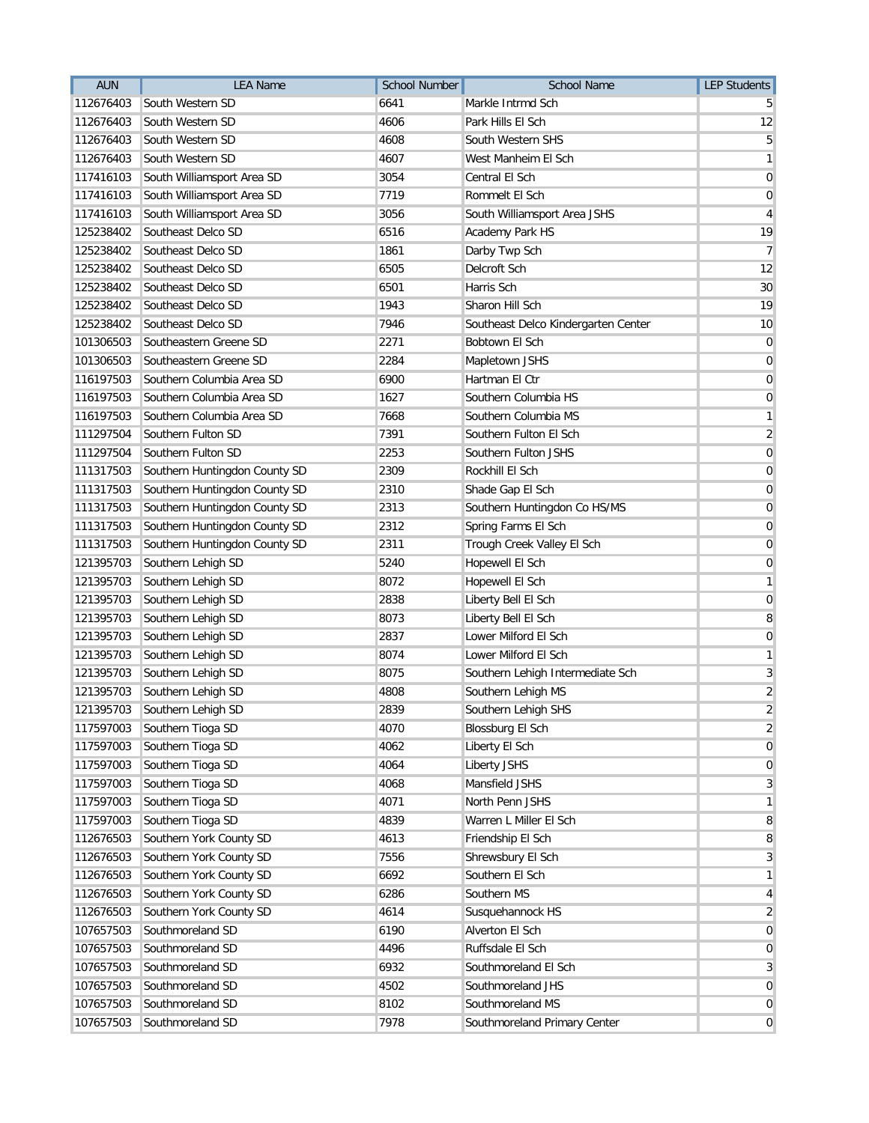| <b>AUN</b> | <b>LEA Name</b>               | <b>School Number</b> | <b>School Name</b>                  | <b>LEP Students</b> |
|------------|-------------------------------|----------------------|-------------------------------------|---------------------|
| 112676403  | South Western SD              | 6641                 | Markle Intrmd Sch                   |                     |
| 112676403  | South Western SD              | 4606                 | Park Hills El Sch                   | 12                  |
| 112676403  | South Western SD              | 4608                 | South Western SHS                   | 5                   |
| 112676403  | South Western SD              | 4607                 | West Manheim El Sch                 | 1                   |
| 117416103  | South Williamsport Area SD    | 3054                 | Central El Sch                      | 0                   |
| 117416103  | South Williamsport Area SD    | 7719                 | Rommelt El Sch                      | $\mathbf 0$         |
| 117416103  | South Williamsport Area SD    | 3056                 | South Williamsport Area JSHS        | 4                   |
| 125238402  | Southeast Delco SD            | 6516                 | Academy Park HS                     | 19                  |
| 125238402  | Southeast Delco SD            | 1861                 | Darby Twp Sch                       | 7                   |
| 125238402  | Southeast Delco SD            | 6505                 | Delcroft Sch                        | 12                  |
| 125238402  | Southeast Delco SD            | 6501                 | Harris Sch                          | 30                  |
| 125238402  | Southeast Delco SD            | 1943                 | Sharon Hill Sch                     | 19                  |
| 125238402  | Southeast Delco SD            | 7946                 | Southeast Delco Kindergarten Center | 10                  |
| 101306503  | Southeastern Greene SD        | 2271                 | Bobtown El Sch                      | 0                   |
| 101306503  | Southeastern Greene SD        | 2284                 | Mapletown JSHS                      | 0                   |
| 116197503  | Southern Columbia Area SD     | 6900                 | Hartman El Ctr                      | 0                   |
| 116197503  | Southern Columbia Area SD     | 1627                 | Southern Columbia HS                | 0                   |
| 116197503  | Southern Columbia Area SD     | 7668                 | Southern Columbia MS                | 1                   |
| 111297504  | Southern Fulton SD            | 7391                 | Southern Fulton El Sch              | $\overline{2}$      |
| 111297504  | Southern Fulton SD            | 2253                 | Southern Fulton JSHS                | $\mathbf 0$         |
| 111317503  | Southern Huntingdon County SD | 2309                 | Rockhill El Sch                     | 0                   |
| 111317503  | Southern Huntingdon County SD | 2310                 | Shade Gap El Sch                    | 0                   |
| 111317503  | Southern Huntingdon County SD | 2313                 | Southern Huntingdon Co HS/MS        | 0                   |
| 111317503  | Southern Huntingdon County SD | 2312                 | Spring Farms El Sch                 | $\mathbf 0$         |
| 111317503  | Southern Huntingdon County SD | 2311                 | Trough Creek Valley El Sch          | 0                   |
| 121395703  | Southern Lehigh SD            | 5240                 | Hopewell El Sch                     | 0                   |
| 121395703  | Southern Lehigh SD            | 8072                 | Hopewell El Sch                     | 1                   |
| 121395703  | Southern Lehigh SD            | 2838                 | Liberty Bell El Sch                 | 0                   |
| 121395703  | Southern Lehigh SD            | 8073                 | Liberty Bell El Sch                 | 8                   |
| 121395703  | Southern Lehigh SD            | 2837                 | Lower Milford El Sch                | $\overline{0}$      |
| 121395703  | Southern Lehigh SD            | 8074                 | Lower Milford El Sch                | 1                   |
| 121395703  | Southern Lehigh SD            | 8075                 | Southern Lehigh Intermediate Sch    | 3                   |
| 121395703  | Southern Lehigh SD            | 4808                 | Southern Lehigh MS                  | $\overline{2}$      |
| 121395703  | Southern Lehigh SD            | 2839                 | Southern Lehigh SHS                 | $\overline{c}$      |
| 117597003  | Southern Tioga SD             | 4070                 | <b>Blossburg El Sch</b>             | $\overline{2}$      |
| 117597003  | Southern Tioga SD             | 4062                 | Liberty El Sch                      | 0                   |
| 117597003  | Southern Tioga SD             | 4064                 | Liberty JSHS                        | $\mathbf 0$         |
| 117597003  | Southern Tioga SD             | 4068                 | Mansfield JSHS                      | 3                   |
| 117597003  | Southern Tioga SD             | 4071                 | North Penn JSHS                     | 1                   |
| 117597003  | Southern Tioga SD             | 4839                 | Warren L Miller El Sch              | 8                   |
| 112676503  | Southern York County SD       | 4613                 | Friendship El Sch                   | 8                   |
| 112676503  | Southern York County SD       | 7556                 | Shrewsbury El Sch                   | 3                   |
| 112676503  | Southern York County SD       | 6692                 | Southern El Sch                     | 1                   |
| 112676503  | Southern York County SD       | 6286                 | Southern MS                         | 4                   |
| 112676503  | Southern York County SD       | 4614                 | Susquehannock HS                    | $\overline{2}$      |
| 107657503  | Southmoreland SD              | 6190                 | Alverton El Sch                     | $\overline{0}$      |
| 107657503  | Southmoreland SD              | 4496                 | Ruffsdale El Sch                    | $\overline{0}$      |
| 107657503  | Southmoreland SD              | 6932                 | Southmoreland El Sch                | 3                   |
| 107657503  | Southmoreland SD              | 4502                 | Southmoreland JHS                   | $\mathbf 0$         |
| 107657503  | Southmoreland SD              | 8102                 | Southmoreland MS                    | 0                   |
| 107657503  | Southmoreland SD              | 7978                 | Southmoreland Primary Center        | $\mathbf{0}$        |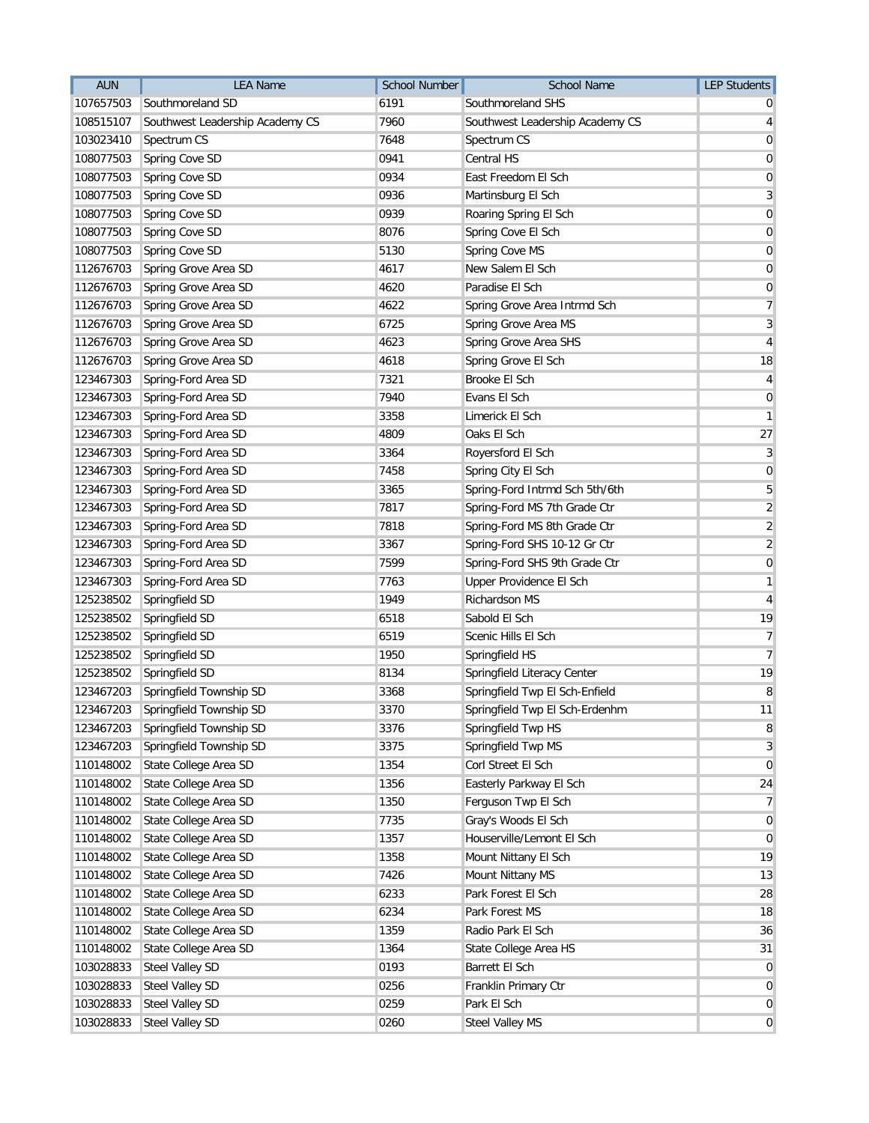| <b>AUN</b> | <b>LEA Name</b>                 | <b>School Number</b> | <b>School Name</b>              | <b>LEP Students</b> |
|------------|---------------------------------|----------------------|---------------------------------|---------------------|
| 107657503  | Southmoreland SD                | 6191                 | Southmoreland SHS               |                     |
| 108515107  | Southwest Leadership Academy CS | 7960                 | Southwest Leadership Academy CS | 4                   |
| 103023410  | Spectrum CS                     | 7648                 | Spectrum CS                     | 0                   |
| 108077503  | Spring Cove SD                  | 0941                 | Central HS                      | 0                   |
| 108077503  | Spring Cove SD                  | 0934                 | East Freedom El Sch             | 0                   |
| 108077503  | Spring Cove SD                  | 0936                 | Martinsburg El Sch              | 3                   |
| 108077503  | Spring Cove SD                  | 0939                 | Roaring Spring El Sch           | $\mathbf 0$         |
| 108077503  | Spring Cove SD                  | 8076                 | Spring Cove El Sch              | 0                   |
| 108077503  | Spring Cove SD                  | 5130                 | Spring Cove MS                  | $\mathbf 0$         |
| 112676703  | Spring Grove Area SD            | 4617                 | New Salem El Sch                | 0                   |
| 112676703  | Spring Grove Area SD            | 4620                 | Paradise El Sch                 | 0                   |
| 112676703  | Spring Grove Area SD            | 4622                 | Spring Grove Area Intrmd Sch    | 7                   |
| 112676703  | Spring Grove Area SD            | 6725                 | Spring Grove Area MS            | $\mathbf{3}$        |
| 112676703  | Spring Grove Area SD            | 4623                 | Spring Grove Area SHS           | $\overline{4}$      |
| 112676703  | Spring Grove Area SD            | 4618                 | Spring Grove El Sch             | 18                  |
| 123467303  | Spring-Ford Area SD             | 7321                 | Brooke El Sch                   | 4                   |
| 123467303  | Spring-Ford Area SD             | 7940                 | Evans El Sch                    | 0                   |
| 123467303  | Spring-Ford Area SD             | 3358                 | Limerick El Sch                 | 1                   |
| 123467303  | Spring-Ford Area SD             | 4809                 | Oaks El Sch                     | 27                  |
| 123467303  | Spring-Ford Area SD             | 3364                 | Royersford El Sch               | 3                   |
| 123467303  | Spring-Ford Area SD             | 7458                 | Spring City El Sch              | $\mathbf 0$         |
| 123467303  | Spring-Ford Area SD             | 3365                 | Spring-Ford Intrmd Sch 5th/6th  | 5                   |
| 123467303  | Spring-Ford Area SD             | 7817                 | Spring-Ford MS 7th Grade Ctr    | $\overline{2}$      |
| 123467303  | Spring-Ford Area SD             | 7818                 | Spring-Ford MS 8th Grade Ctr    | $\overline{2}$      |
| 123467303  | Spring-Ford Area SD             | 3367                 | Spring-Ford SHS 10-12 Gr Ctr    | $\overline{2}$      |
| 123467303  | Spring-Ford Area SD             | 7599                 | Spring-Ford SHS 9th Grade Ctr   | $\mathbf 0$         |
| 123467303  | Spring-Ford Area SD             | 7763                 | Upper Providence El Sch         | 1                   |
| 125238502  | Springfield SD                  | 1949                 | Richardson MS                   | 4                   |
| 125238502  | Springfield SD                  | 6518                 | Sabold El Sch                   | 19                  |
| 125238502  | Springfield SD                  | 6519                 | Scenic Hills El Sch             | 7                   |
| 125238502  | Springfield SD                  | 1950                 | Springfield HS                  | $\overline{7}$      |
| 125238502  | Springfield SD                  | 8134                 | Springfield Literacy Center     | 19                  |
| 123467203  | Springfield Township SD         | 3368                 | Springfield Twp El Sch-Enfield  | 8                   |
| 123467203  | Springfield Township SD         | 3370                 | Springfield Twp El Sch-Erdenhm  | 11                  |
| 123467203  | Springfield Township SD         | 3376                 | Springfield Twp HS              | 8                   |
| 123467203  | Springfield Township SD         | 3375                 | Springfield Twp MS              | 3                   |
| 110148002  | State College Area SD           | 1354                 | Corl Street El Sch              | $\mathbf 0$         |
| 110148002  | State College Area SD           | 1356                 | Easterly Parkway El Sch         | 24                  |
| 110148002  | State College Area SD           | 1350                 | Ferguson Twp El Sch             | 7                   |
| 110148002  | State College Area SD           | 7735                 | Gray's Woods El Sch             | 0                   |
| 110148002  | State College Area SD           | 1357                 | Houserville/Lemont El Sch       | 0                   |
| 110148002  | State College Area SD           | 1358                 | Mount Nittany El Sch            | 19                  |
| 110148002  | State College Area SD           | 7426                 | Mount Nittany MS                | 13                  |
| 110148002  | State College Area SD           | 6233                 | Park Forest El Sch              | 28                  |
| 110148002  | State College Area SD           | 6234                 | Park Forest MS                  | 18                  |
| 110148002  | State College Area SD           | 1359                 | Radio Park El Sch               | 36                  |
| 110148002  | State College Area SD           | 1364                 | State College Area HS           | 31                  |
| 103028833  | Steel Valley SD                 | 0193                 | Barrett El Sch                  | 0                   |
| 103028833  | Steel Valley SD                 | 0256                 | Franklin Primary Ctr            | $\mathbf 0$         |
| 103028833  | Steel Valley SD                 | 0259                 | Park El Sch                     | 0                   |
| 103028833  | Steel Valley SD                 | 0260                 | <b>Steel Valley MS</b>          | $\overline{0}$      |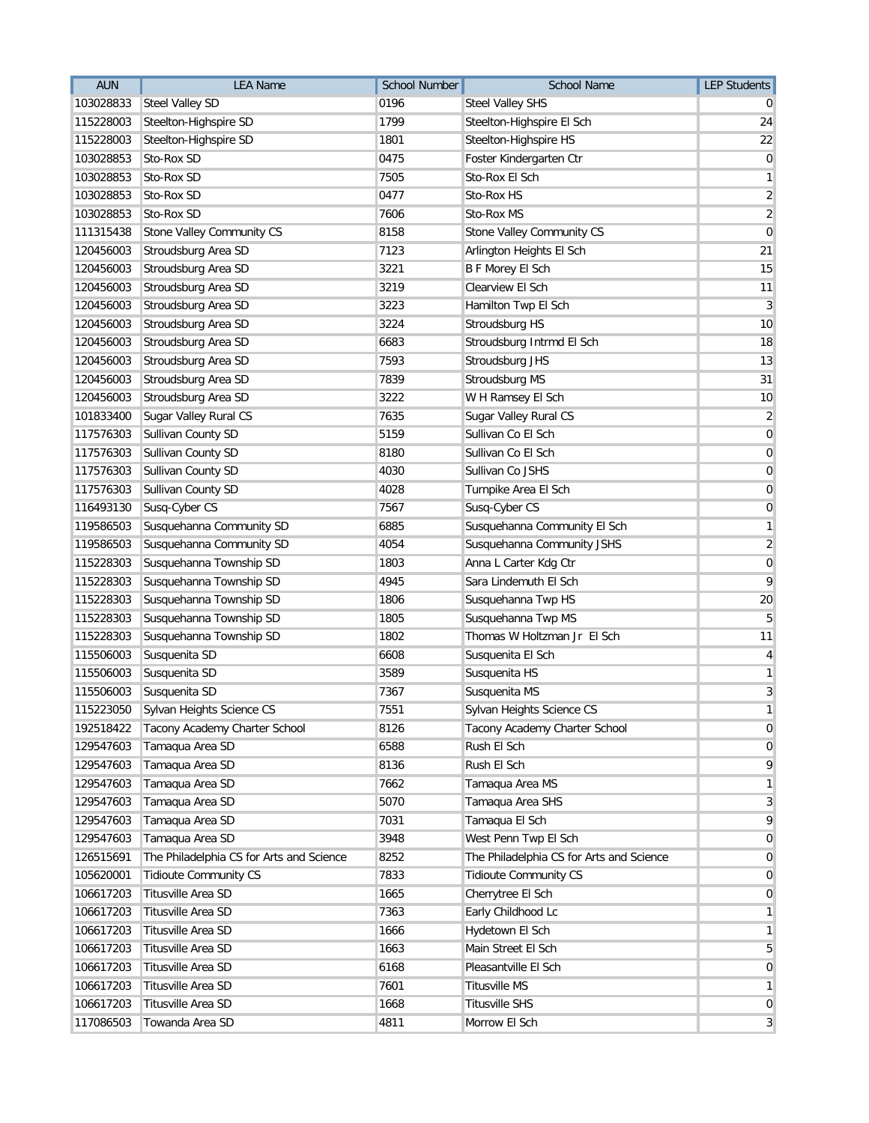| <b>AUN</b> | <b>LEA Name</b>                          | <b>School Number</b> | <b>School Name</b>                       | <b>LEP Students</b> |
|------------|------------------------------------------|----------------------|------------------------------------------|---------------------|
| 103028833  | <b>Steel Valley SD</b>                   | 0196                 | <b>Steel Valley SHS</b>                  |                     |
| 115228003  | Steelton-Highspire SD                    | 1799                 | Steelton-Highspire El Sch                | 24                  |
| 115228003  | Steelton-Highspire SD                    | 1801                 | Steelton-Highspire HS                    | 22                  |
| 103028853  | Sto-Rox SD                               | 0475                 | Foster Kindergarten Ctr                  | 0                   |
| 103028853  | Sto-Rox SD                               | 7505                 | Sto-Rox El Sch                           | 1                   |
| 103028853  | Sto-Rox SD                               | 0477                 | Sto-Rox HS                               | $\overline{c}$      |
| 103028853  | Sto-Rox SD                               | 7606                 | Sto-Rox MS                               | $\overline{c}$      |
| 111315438  | Stone Valley Community CS                | 8158                 | Stone Valley Community CS                | $\mathbf 0$         |
| 120456003  | Stroudsburg Area SD                      | 7123                 | Arlington Heights El Sch                 | 21                  |
| 120456003  | Stroudsburg Area SD                      | 3221                 | <b>B F Morey El Sch</b>                  | 15                  |
| 120456003  | Stroudsburg Area SD                      | 3219                 | Clearview El Sch                         | 11                  |
| 120456003  | Stroudsburg Area SD                      | 3223                 | Hamilton Twp El Sch                      | 3                   |
| 120456003  | Stroudsburg Area SD                      | 3224                 | Stroudsburg HS                           | 10                  |
| 120456003  | Stroudsburg Area SD                      | 6683                 | Stroudsburg Intrmd El Sch                | 18                  |
| 120456003  | Stroudsburg Area SD                      | 7593                 | Stroudsburg JHS                          | 13                  |
| 120456003  | Stroudsburg Area SD                      | 7839                 | <b>Stroudsburg MS</b>                    | 31                  |
| 120456003  | Stroudsburg Area SD                      | 3222                 | W H Ramsey El Sch                        | 10                  |
| 101833400  | Sugar Valley Rural CS                    | 7635                 | Sugar Valley Rural CS                    | $\overline{2}$      |
| 117576303  | Sullivan County SD                       | 5159                 | Sullivan Co El Sch                       | $\mathbf 0$         |
| 117576303  | Sullivan County SD                       | 8180                 | Sullivan Co El Sch                       | 0                   |
| 117576303  | Sullivan County SD                       | 4030                 | Sullivan Co JSHS                         | $\overline{0}$      |
| 117576303  | Sullivan County SD                       | 4028                 | Turnpike Area El Sch                     | 0                   |
| 116493130  | Susq-Cyber CS                            | 7567                 | Susq-Cyber CS                            | 0                   |
| 119586503  | Susquehanna Community SD                 | 6885                 | Susquehanna Community El Sch             | 1                   |
| 119586503  | Susquehanna Community SD                 | 4054                 | Susquehanna Community JSHS               | $\overline{2}$      |
| 115228303  | Susquehanna Township SD                  | 1803                 | Anna L Carter Kdg Ctr                    | 0                   |
| 115228303  | Susquehanna Township SD                  | 4945                 | Sara Lindemuth El Sch                    | 9                   |
| 115228303  | Susquehanna Township SD                  | 1806                 | Susquehanna Twp HS                       | 20                  |
| 115228303  | Susquehanna Township SD                  | 1805                 | Susquehanna Twp MS                       | 5                   |
| 115228303  | Susquehanna Township SD                  | 1802                 | Thomas W Holtzman Jr El Sch              | 11                  |
| 115506003  | Susquenita SD                            | 6608                 | Susquenita El Sch                        | 4                   |
| 115506003  | Susquenita SD                            | 3589                 | Susquenita HS                            | 1                   |
| 115506003  | Susquenita SD                            | 7367                 | Susquenita MS                            | 3                   |
| 115223050  | Sylvan Heights Science CS                | 7551                 | Sylvan Heights Science CS                | $\mathbf{1}$        |
| 192518422  | Tacony Academy Charter School            | 8126                 | Tacony Academy Charter School            | $\overline{0}$      |
| 129547603  | Tamaqua Area SD                          | 6588                 | Rush El Sch                              | 0                   |
| 129547603  | Tamaqua Area SD                          | 8136                 | Rush El Sch                              | 9                   |
| 129547603  | Tamaqua Area SD                          | 7662                 | Tamaqua Area MS                          | 1                   |
| 129547603  | Tamaqua Area SD                          | 5070                 | Tamaqua Area SHS                         | 3                   |
| 129547603  | Tamaqua Area SD                          | 7031                 | Tamaqua El Sch                           | 9                   |
| 129547603  | Tamaqua Area SD                          | 3948                 | West Penn Twp El Sch                     | $\overline{0}$      |
| 126515691  | The Philadelphia CS for Arts and Science | 8252                 | The Philadelphia CS for Arts and Science | 0                   |
| 105620001  | <b>Tidioute Community CS</b>             | 7833                 | <b>Tidioute Community CS</b>             | 0                   |
| 106617203  | Titusville Area SD                       | 1665                 | Cherrytree El Sch                        | 0                   |
| 106617203  | Titusville Area SD                       | 7363                 | Early Childhood Lc                       | 1                   |
| 106617203  | Titusville Area SD                       | 1666                 | Hydetown El Sch                          | 1                   |
| 106617203  | Titusville Area SD                       | 1663                 | Main Street El Sch                       | 5                   |
| 106617203  | Titusville Area SD                       | 6168                 | Pleasantville El Sch                     | 0                   |
| 106617203  | Titusville Area SD                       | 7601                 | <b>Titusville MS</b>                     | 1                   |
| 106617203  | Titusville Area SD                       | 1668                 | <b>Titusville SHS</b>                    | 0                   |
| 117086503  | Towanda Area SD                          | 4811                 | Morrow El Sch                            | $\mathbf{3}$        |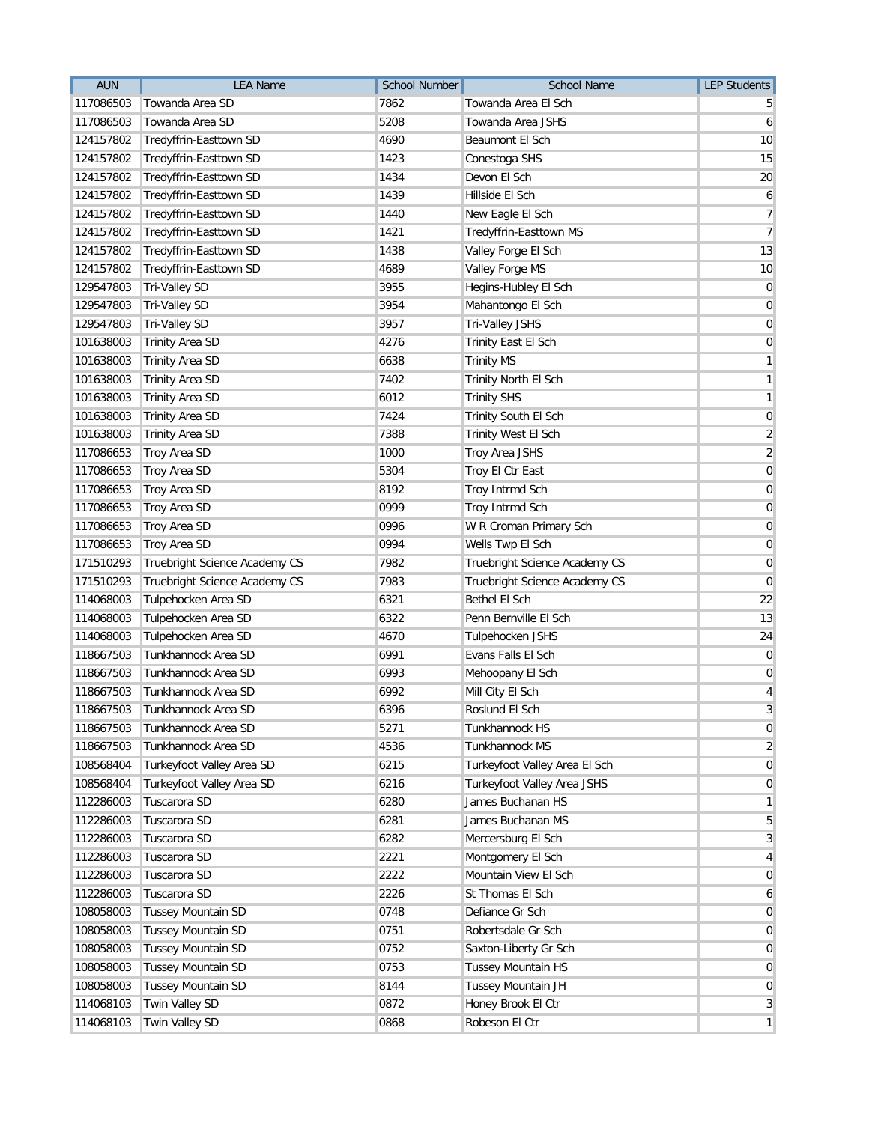| <b>AUN</b> | <b>LEA Name</b>               | School Number | <b>School Name</b>            | <b>LEP Students</b> |
|------------|-------------------------------|---------------|-------------------------------|---------------------|
| 117086503  | Towanda Area SD               | 7862          | Towanda Area El Sch           |                     |
| 117086503  | Towanda Area SD               | 5208          | Towanda Area JSHS             | 6                   |
| 124157802  | Tredyffrin-Easttown SD        | 4690          | Beaumont El Sch               | 10                  |
| 124157802  | Tredyffrin-Easttown SD        | 1423          | Conestoga SHS                 | 15                  |
| 124157802  | Tredyffrin-Easttown SD        | 1434          | Devon El Sch                  | 20                  |
| 124157802  | Tredyffrin-Easttown SD        | 1439          | Hillside El Sch               | 6                   |
| 124157802  | Tredyffrin-Easttown SD        | 1440          | New Eagle El Sch              | $\overline{7}$      |
| 124157802  | Tredyffrin-Easttown SD        | 1421          | Tredyffrin-Easttown MS        | $\overline{7}$      |
| 124157802  | Tredyffrin-Easttown SD        | 1438          | Valley Forge El Sch           | 13                  |
| 124157802  | Tredyffrin-Easttown SD        | 4689          | Valley Forge MS               | 10                  |
| 129547803  | <b>Tri-Valley SD</b>          | 3955          | Hegins-Hubley El Sch          | $\mathbf 0$         |
| 129547803  | <b>Tri-Valley SD</b>          | 3954          | Mahantongo El Sch             | $\mathbf 0$         |
| 129547803  | <b>Tri-Valley SD</b>          | 3957          | Tri-Valley JSHS               | $\overline{0}$      |
| 101638003  | <b>Trinity Area SD</b>        | 4276          | Trinity East El Sch           | $\overline{0}$      |
| 101638003  | <b>Trinity Area SD</b>        | 6638          | <b>Trinity MS</b>             | 1                   |
| 101638003  | <b>Trinity Area SD</b>        | 7402          | Trinity North El Sch          | 1                   |
| 101638003  | <b>Trinity Area SD</b>        | 6012          | <b>Trinity SHS</b>            | 1                   |
| 101638003  | <b>Trinity Area SD</b>        | 7424          | Trinity South El Sch          | 0                   |
| 101638003  | <b>Trinity Area SD</b>        | 7388          | Trinity West El Sch           | $\overline{c}$      |
| 117086653  | Troy Area SD                  | 1000          | Troy Area JSHS                | $\sqrt{2}$          |
| 117086653  | Troy Area SD                  | 5304          | Troy El Ctr East              | $\mathbf 0$         |
| 117086653  | Troy Area SD                  | 8192          | Troy Intrmd Sch               | 0                   |
| 117086653  | Troy Area SD                  | 0999          | Troy Intrmd Sch               | $\mathbf 0$         |
| 117086653  | Troy Area SD                  | 0996          | W R Croman Primary Sch        | $\mathbf 0$         |
| 117086653  | Troy Area SD                  | 0994          | Wells Twp El Sch              | $\mathbf 0$         |
| 171510293  | Truebright Science Academy CS | 7982          | Truebright Science Academy CS | 0                   |
| 171510293  | Truebright Science Academy CS | 7983          | Truebright Science Academy CS | 0                   |
| 114068003  | Tulpehocken Area SD           | 6321          | Bethel El Sch                 | 22                  |
| 114068003  | Tulpehocken Area SD           | 6322          | Penn Bernville El Sch         | 13                  |
| 114068003  | Tulpehocken Area SD           | 4670          | Tulpehocken JSHS              | 24                  |
| 118667503  | Tunkhannock Area SD           | 6991          | Evans Falls El Sch            | 0                   |
| 118667503  | Tunkhannock Area SD           | 6993          | Mehoopany El Sch              | 0                   |
| 118667503  | Tunkhannock Area SD           | 6992          | Mill City El Sch              | 4                   |
| 118667503  | Tunkhannock Area SD           | 6396          | Roslund El Sch                | 3                   |
| 118667503  | Tunkhannock Area SD           | 5271          | Tunkhannock HS                | $\mathbf 0$         |
| 118667503  | Tunkhannock Area SD           | 4536          | Tunkhannock MS                | 2                   |
| 108568404  | Turkeyfoot Valley Area SD     | 6215          | Turkeyfoot Valley Area El Sch | 0                   |
| 108568404  | Turkeyfoot Valley Area SD     | 6216          | Turkeyfoot Valley Area JSHS   | $\overline{0}$      |
| 112286003  | Tuscarora SD                  | 6280          | James Buchanan HS             | 1                   |
| 112286003  | Tuscarora SD                  | 6281          | James Buchanan MS             | 5                   |
| 112286003  | Tuscarora SD                  | 6282          | Mercersburg El Sch            | 3                   |
| 112286003  | Tuscarora SD                  | 2221          | Montgomery El Sch             | 4                   |
| 112286003  | Tuscarora SD                  | 2222          | Mountain View El Sch          | 0                   |
| 112286003  | Tuscarora SD                  | 2226          | St Thomas El Sch              | 6                   |
| 108058003  | <b>Tussey Mountain SD</b>     | 0748          | Defiance Gr Sch               | 0                   |
| 108058003  | <b>Tussey Mountain SD</b>     | 0751          | Robertsdale Gr Sch            | 0                   |
| 108058003  | <b>Tussey Mountain SD</b>     | 0752          | Saxton-Liberty Gr Sch         | 0                   |
| 108058003  | <b>Tussey Mountain SD</b>     | 0753          | Tussey Mountain HS            | 0                   |
| 108058003  | <b>Tussey Mountain SD</b>     | 8144          | Tussey Mountain JH            | $\overline{0}$      |
| 114068103  | Twin Valley SD                | 0872          | Honey Brook El Ctr            | 3                   |
| 114068103  | Twin Valley SD                | 0868          | Robeson El Ctr                | $\mathbf{1}$        |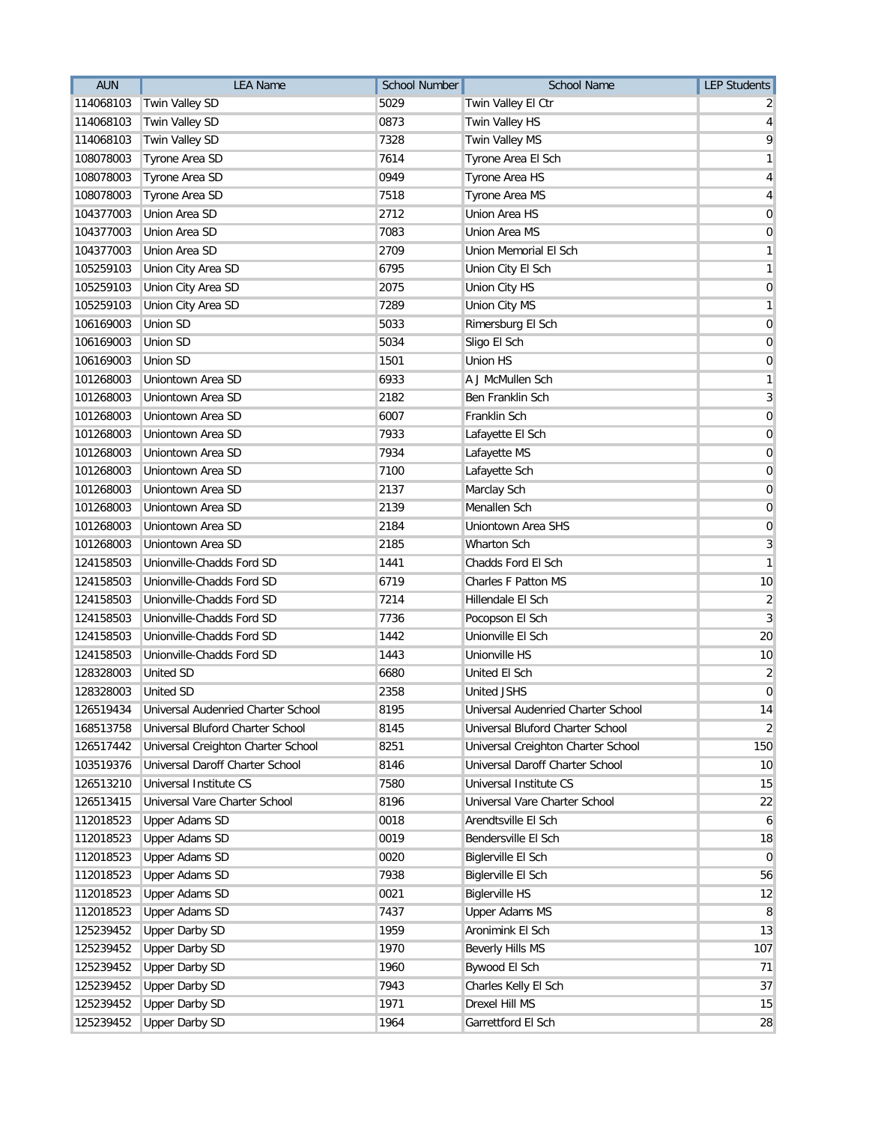| <b>AUN</b> | <b>LEA Name</b>                    | <b>School Number</b> | <b>School Name</b>                 | <b>LEP Students</b> |
|------------|------------------------------------|----------------------|------------------------------------|---------------------|
| 114068103  | Twin Valley SD                     | 5029                 | Twin Valley El Ctr                 |                     |
| 114068103  | Twin Valley SD                     | 0873                 | Twin Valley HS                     | 4                   |
| 114068103  | Twin Valley SD                     | 7328                 | Twin Valley MS                     | 9                   |
| 108078003  | Tyrone Area SD                     | 7614                 | Tyrone Area El Sch                 | 1                   |
| 108078003  | Tyrone Area SD                     | 0949                 | Tyrone Area HS                     | 4                   |
| 108078003  | Tyrone Area SD                     | 7518                 | Tyrone Area MS                     | 4                   |
| 104377003  | Union Area SD                      | 2712                 | Union Area HS                      | 0                   |
| 104377003  | Union Area SD                      | 7083                 | Union Area MS                      | 0                   |
| 104377003  | Union Area SD                      | 2709                 | Union Memorial El Sch              | 1                   |
| 105259103  | Union City Area SD                 | 6795                 | Union City El Sch                  | 1                   |
| 105259103  | Union City Area SD                 | 2075                 | Union City HS                      | 0                   |
| 105259103  | Union City Area SD                 | 7289                 | Union City MS                      | 1                   |
| 106169003  | <b>Union SD</b>                    | 5033                 | Rimersburg El Sch                  | 0                   |
| 106169003  | Union SD                           | 5034                 | Sligo El Sch                       | 0                   |
| 106169003  | <b>Union SD</b>                    | 1501                 | <b>Union HS</b>                    | 0                   |
| 101268003  | Uniontown Area SD                  | 6933                 | A J McMullen Sch                   | 1                   |
| 101268003  | Uniontown Area SD                  | 2182                 | Ben Franklin Sch                   | 3                   |
| 101268003  | Uniontown Area SD                  | 6007                 | Franklin Sch                       | $\mathbf 0$         |
| 101268003  | Uniontown Area SD                  | 7933                 | Lafayette El Sch                   | 0                   |
| 101268003  | Uniontown Area SD                  | 7934                 | Lafayette MS                       | 0                   |
| 101268003  | Uniontown Area SD                  | 7100                 | Lafayette Sch                      | 0                   |
| 101268003  | Uniontown Area SD                  | 2137                 | Marclay Sch                        | 0                   |
| 101268003  | Uniontown Area SD                  | 2139                 | Menallen Sch                       | 0                   |
| 101268003  | Uniontown Area SD                  | 2184                 | Uniontown Area SHS                 | $\mathbf 0$         |
| 101268003  | Uniontown Area SD                  | 2185                 | Wharton Sch                        | 3                   |
| 124158503  | Unionville-Chadds Ford SD          | 1441                 | Chadds Ford El Sch                 | 1                   |
| 124158503  | Unionville-Chadds Ford SD          | 6719                 | Charles F Patton MS                | 10                  |
| 124158503  | Unionville-Chadds Ford SD          | 7214                 | Hillendale El Sch                  | 2                   |
| 124158503  | Unionville-Chadds Ford SD          | 7736                 | Pocopson El Sch                    | 3                   |
| 124158503  | Unionville-Chadds Ford SD          | 1442                 | Unionville El Sch                  | 20                  |
| 124158503  | Unionville-Chadds Ford SD          | 1443                 | Unionville HS                      | 10                  |
| 128328003  | <b>United SD</b>                   | 6680                 | United El Sch                      | 2                   |
| 128328003  | <b>United SD</b>                   | 2358                 | <b>United JSHS</b>                 | $\mathbf 0$         |
| 126519434  | Universal Audenried Charter School | 8195                 | Universal Audenried Charter School | 14                  |
| 168513758  | Universal Bluford Charter School   | 8145                 | Universal Bluford Charter School   | $\overline{2}$      |
| 126517442  | Universal Creighton Charter School | 8251                 | Universal Creighton Charter School | 150                 |
| 103519376  | Universal Daroff Charter School    | 8146                 | Universal Daroff Charter School    | 10                  |
| 126513210  | Universal Institute CS             | 7580                 | Universal Institute CS             | 15                  |
| 126513415  | Universal Vare Charter School      | 8196                 | Universal Vare Charter School      | 22                  |
| 112018523  | <b>Upper Adams SD</b>              | 0018                 | Arendtsville El Sch                | 6                   |
| 112018523  | <b>Upper Adams SD</b>              | 0019                 | Bendersville El Sch                | 18                  |
| 112018523  | <b>Upper Adams SD</b>              | 0020                 | Biglerville El Sch                 | $\overline{0}$      |
| 112018523  | <b>Upper Adams SD</b>              | 7938                 | Biglerville El Sch                 | 56                  |
| 112018523  | <b>Upper Adams SD</b>              | 0021                 | <b>Biglerville HS</b>              | 12                  |
| 112018523  | <b>Upper Adams SD</b>              | 7437                 | <b>Upper Adams MS</b>              | 8                   |
| 125239452  | <b>Upper Darby SD</b>              | 1959                 | Aronimink El Sch                   | 13                  |
| 125239452  | <b>Upper Darby SD</b>              | 1970                 | <b>Beverly Hills MS</b>            | 107                 |
| 125239452  | <b>Upper Darby SD</b>              | 1960                 | Bywood El Sch                      | 71                  |
| 125239452  | <b>Upper Darby SD</b>              | 7943                 | Charles Kelly El Sch               | 37                  |
| 125239452  | <b>Upper Darby SD</b>              | 1971                 | Drexel Hill MS                     | 15                  |
| 125239452  | <b>Upper Darby SD</b>              | 1964                 | Garrettford El Sch                 | 28                  |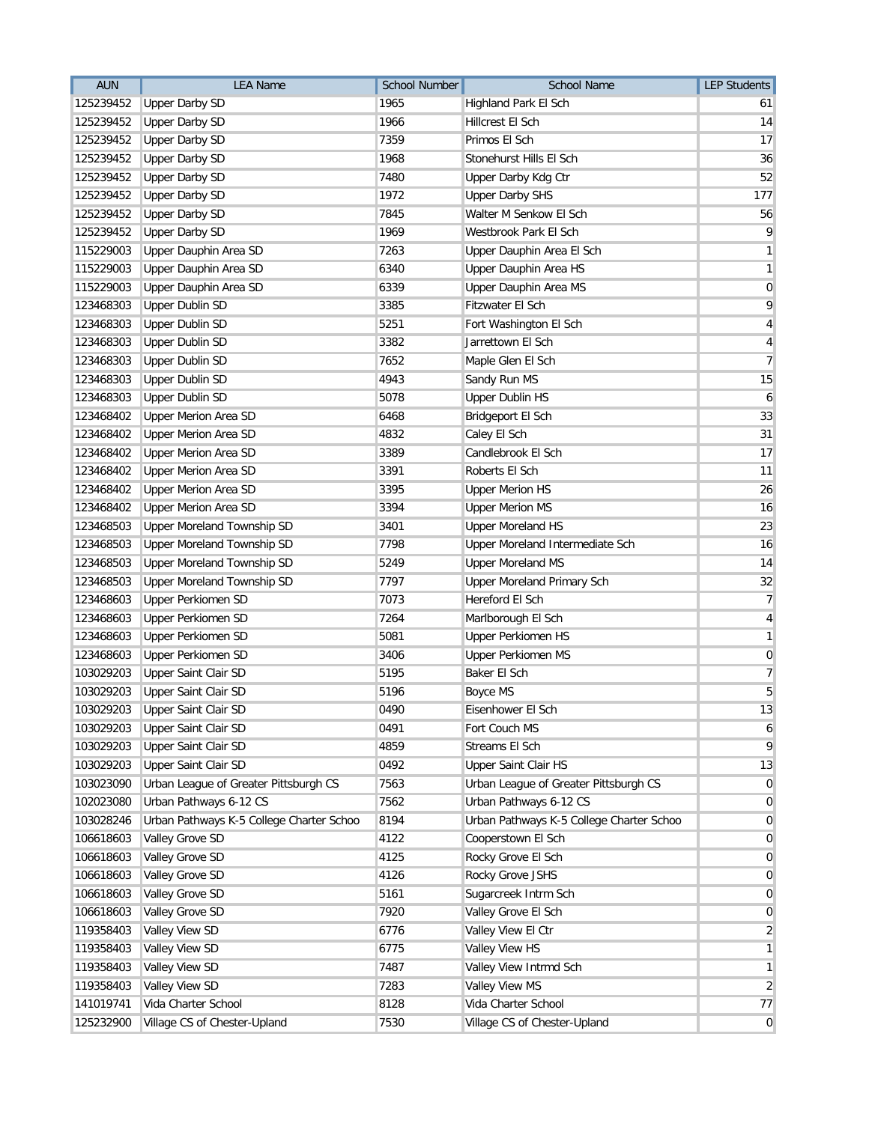| <b>AUN</b> | <b>LEA Name</b>                          | <b>School Number</b> | School Name                              | <b>LEP Students</b> |
|------------|------------------------------------------|----------------------|------------------------------------------|---------------------|
| 125239452  | <b>Upper Darby SD</b>                    | 1965                 | Highland Park El Sch                     | 61                  |
| 125239452  | <b>Upper Darby SD</b>                    | 1966                 | Hillcrest El Sch                         | 14                  |
| 125239452  | <b>Upper Darby SD</b>                    | 7359                 | Primos El Sch                            | 17                  |
| 125239452  | <b>Upper Darby SD</b>                    | 1968                 | Stonehurst Hills El Sch                  | 36                  |
| 125239452  | <b>Upper Darby SD</b>                    | 7480                 | Upper Darby Kdg Ctr                      | 52                  |
| 125239452  | <b>Upper Darby SD</b>                    | 1972                 | <b>Upper Darby SHS</b>                   | 177                 |
| 125239452  | <b>Upper Darby SD</b>                    | 7845                 | Walter M Senkow El Sch                   | 56                  |
| 125239452  | <b>Upper Darby SD</b>                    | 1969                 | Westbrook Park El Sch                    | 9                   |
| 115229003  | Upper Dauphin Area SD                    | 7263                 | Upper Dauphin Area El Sch                | 1                   |
| 115229003  | Upper Dauphin Area SD                    | 6340                 | Upper Dauphin Area HS                    | 1                   |
| 115229003  | Upper Dauphin Area SD                    | 6339                 | Upper Dauphin Area MS                    | 0                   |
| 123468303  | <b>Upper Dublin SD</b>                   | 3385                 | Fitzwater El Sch                         | 9                   |
| 123468303  | <b>Upper Dublin SD</b>                   | 5251                 | Fort Washington El Sch                   | 4                   |
| 123468303  | <b>Upper Dublin SD</b>                   | 3382                 | Jarrettown El Sch                        | 4                   |
| 123468303  | <b>Upper Dublin SD</b>                   | 7652                 | Maple Glen El Sch                        | 7                   |
| 123468303  | <b>Upper Dublin SD</b>                   | 4943                 | Sandy Run MS                             | 15                  |
| 123468303  | <b>Upper Dublin SD</b>                   | 5078                 | <b>Upper Dublin HS</b>                   | 6                   |
| 123468402  | <b>Upper Merion Area SD</b>              | 6468                 | Bridgeport El Sch                        | 33                  |
| 123468402  | <b>Upper Merion Area SD</b>              | 4832                 | Caley El Sch                             | 31                  |
| 123468402  | <b>Upper Merion Area SD</b>              | 3389                 | Candlebrook El Sch                       | 17                  |
| 123468402  | <b>Upper Merion Area SD</b>              | 3391                 | Roberts El Sch                           | 11                  |
| 123468402  | <b>Upper Merion Area SD</b>              | 3395                 | <b>Upper Merion HS</b>                   | 26                  |
| 123468402  | <b>Upper Merion Area SD</b>              | 3394                 | <b>Upper Merion MS</b>                   | 16                  |
| 123468503  | Upper Moreland Township SD               | 3401                 | <b>Upper Moreland HS</b>                 | 23                  |
| 123468503  | <b>Upper Moreland Township SD</b>        | 7798                 | Upper Moreland Intermediate Sch          | 16                  |
| 123468503  | Upper Moreland Township SD               | 5249                 | <b>Upper Moreland MS</b>                 | 14                  |
| 123468503  | Upper Moreland Township SD               | 7797                 | Upper Moreland Primary Sch               | 32                  |
| 123468603  | <b>Upper Perkiomen SD</b>                | 7073                 | Hereford El Sch                          | 7                   |
| 123468603  | Upper Perkiomen SD                       | 7264                 | Marlborough El Sch                       | 4                   |
| 123468603  | <b>Upper Perkiomen SD</b>                | 5081                 | <b>Upper Perkiomen HS</b>                | 1                   |
| 123468603  | <b>Upper Perkiomen SD</b>                | 3406                 | <b>Upper Perkiomen MS</b>                | $\boldsymbol{0}$    |
| 103029203  | Upper Saint Clair SD                     | 5195                 | Baker El Sch                             | 7                   |
| 103029203  | Upper Saint Clair SD                     | 5196                 | <b>Boyce MS</b>                          | 5                   |
| 103029203  | Upper Saint Clair SD                     | 0490                 | Eisenhower El Sch                        | $13\,$              |
| 103029203  | Upper Saint Clair SD                     | 0491                 | Fort Couch MS                            | 6                   |
| 103029203  | Upper Saint Clair SD                     | 4859                 | Streams El Sch                           | 9                   |
| 103029203  | <b>Upper Saint Clair SD</b>              | 0492                 | Upper Saint Clair HS                     | 13                  |
| 103023090  | Urban League of Greater Pittsburgh CS    | 7563                 | Urban League of Greater Pittsburgh CS    | 0                   |
| 102023080  | Urban Pathways 6-12 CS                   | 7562                 | Urban Pathways 6-12 CS                   | $\overline{0}$      |
| 103028246  | Urban Pathways K-5 College Charter Schoo | 8194                 | Urban Pathways K-5 College Charter Schoo | 0                   |
| 106618603  | Valley Grove SD                          | 4122                 | Cooperstown El Sch                       | 0                   |
| 106618603  | Valley Grove SD                          | 4125                 | Rocky Grove El Sch                       | 0                   |
| 106618603  | Valley Grove SD                          | 4126                 | Rocky Grove JSHS                         | 0                   |
| 106618603  | Valley Grove SD                          | 5161                 | Sugarcreek Intrm Sch                     | 0                   |
| 106618603  | Valley Grove SD                          | 7920                 | Valley Grove El Sch                      | 0                   |
| 119358403  | Valley View SD                           | 6776                 | Valley View El Ctr                       | $\overline{2}$      |
| 119358403  | Valley View SD                           | 6775                 | Valley View HS                           | 1                   |
| 119358403  | Valley View SD                           | 7487                 | Valley View Intrmd Sch                   | 1                   |
| 119358403  | Valley View SD                           | 7283                 | Valley View MS                           | $\overline{2}$      |
| 141019741  | Vida Charter School                      | 8128                 | Vida Charter School                      | 77                  |
| 125232900  | Village CS of Chester-Upland             | 7530                 | Village CS of Chester-Upland             | $\overline{0}$      |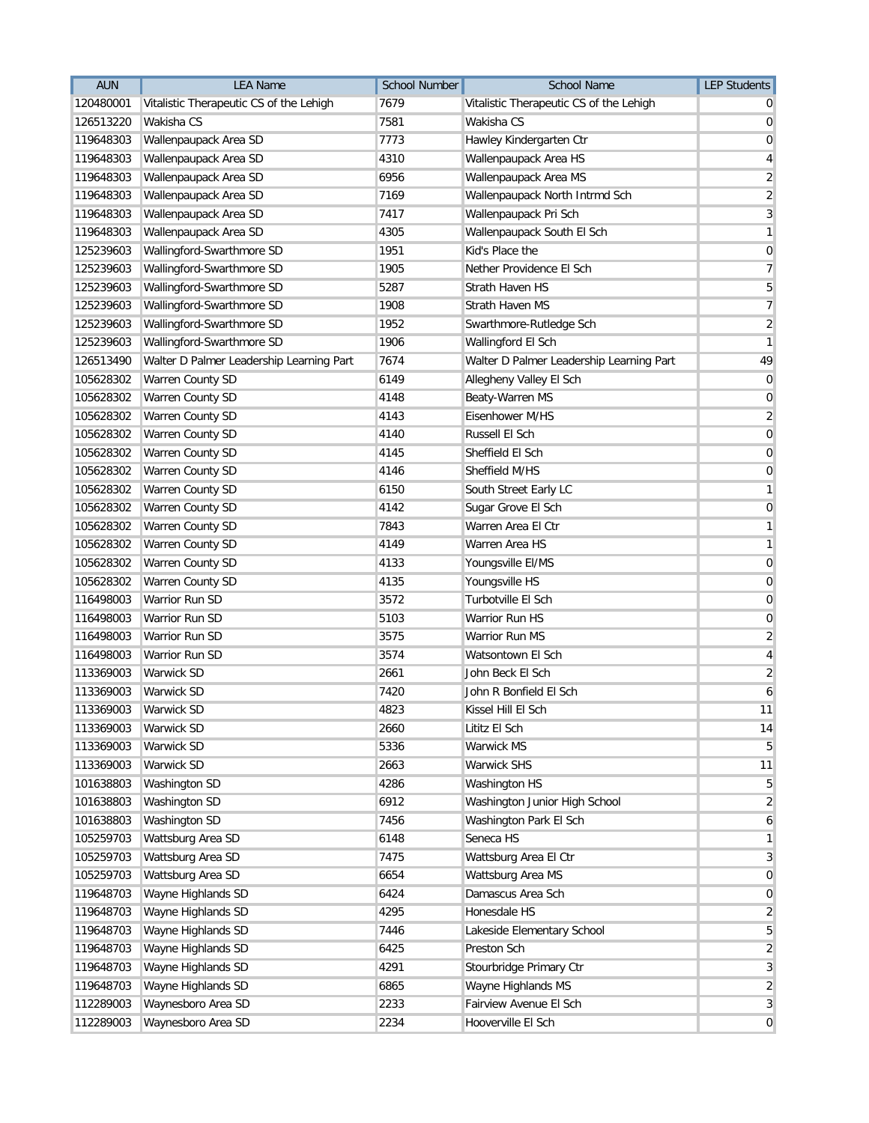| <b>AUN</b> | <b>LEA Name</b>                          | <b>School Number</b> | <b>School Name</b>                       | <b>LEP Students</b>     |
|------------|------------------------------------------|----------------------|------------------------------------------|-------------------------|
| 120480001  | Vitalistic Therapeutic CS of the Lehigh  | 7679                 | Vitalistic Therapeutic CS of the Lehigh  | 0                       |
| 126513220  | Wakisha CS                               | 7581                 | Wakisha CS                               | 0                       |
| 119648303  | Wallenpaupack Area SD                    | 7773                 | Hawley Kindergarten Ctr                  | 0                       |
| 119648303  | Wallenpaupack Area SD                    | 4310                 | Wallenpaupack Area HS                    | 4                       |
| 119648303  | Wallenpaupack Area SD                    | 6956                 | Wallenpaupack Area MS                    | $\overline{2}$          |
| 119648303  | Wallenpaupack Area SD                    | 7169                 | Wallenpaupack North Intrmd Sch           | $\overline{c}$          |
| 119648303  | Wallenpaupack Area SD                    | 7417                 | Wallenpaupack Pri Sch                    | 3                       |
| 119648303  | Wallenpaupack Area SD                    | 4305                 | Wallenpaupack South El Sch               | 1                       |
| 125239603  | Wallingford-Swarthmore SD                | 1951                 | Kid's Place the                          | 0                       |
| 125239603  | Wallingford-Swarthmore SD                | 1905                 | Nether Providence El Sch                 | 7                       |
| 125239603  | Wallingford-Swarthmore SD                | 5287                 | <b>Strath Haven HS</b>                   | 5                       |
| 125239603  | Wallingford-Swarthmore SD                | 1908                 | Strath Haven MS                          | $\overline{7}$          |
| 125239603  | Wallingford-Swarthmore SD                | 1952                 | Swarthmore-Rutledge Sch                  | $\sqrt{2}$              |
| 125239603  | Wallingford-Swarthmore SD                | 1906                 | Wallingford El Sch                       | 1                       |
| 126513490  | Walter D Palmer Leadership Learning Part | 7674                 | Walter D Palmer Leadership Learning Part | 49                      |
| 105628302  | Warren County SD                         | 6149                 | Allegheny Valley El Sch                  | 0                       |
| 105628302  | Warren County SD                         | 4148                 | Beaty-Warren MS                          | 0                       |
| 105628302  | Warren County SD                         | 4143                 | Eisenhower M/HS                          | $\overline{\mathbf{c}}$ |
| 105628302  | Warren County SD                         | 4140                 | Russell El Sch                           | $\mathbf 0$             |
| 105628302  | Warren County SD                         | 4145                 | Sheffield El Sch                         | 0                       |
| 105628302  | Warren County SD                         | 4146                 | Sheffield M/HS                           | 0                       |
| 105628302  | Warren County SD                         | 6150                 | South Street Early LC                    | 1                       |
| 105628302  | Warren County SD                         | 4142                 | Sugar Grove El Sch                       | 0                       |
| 105628302  | Warren County SD                         | 7843                 | Warren Area El Ctr                       | 1                       |
| 105628302  | Warren County SD                         | 4149                 | Warren Area HS                           | 1                       |
| 105628302  | Warren County SD                         | 4133                 | Youngsville El/MS                        | 0                       |
| 105628302  | Warren County SD                         | 4135                 | Youngsville HS                           | 0                       |
| 116498003  | Warrior Run SD                           | 3572                 | Turbotville El Sch                       | 0                       |
| 116498003  | Warrior Run SD                           | 5103                 | Warrior Run HS                           | 0                       |
| 116498003  | Warrior Run SD                           | 3575                 | Warrior Run MS                           | $\overline{2}$          |
| 116498003  | Warrior Run SD                           | 3574                 | Watsontown El Sch                        | 4                       |
| 113369003  | <b>Warwick SD</b>                        | 2661                 | John Beck El Sch                         | $\overline{\mathbf{c}}$ |
| 113369003  | <b>Warwick SD</b>                        | 7420                 | John R Bonfield El Sch                   | 6                       |
| 113369003  | Warwick SD                               | 4823                 | Kissel Hill El Sch                       | 11                      |
| 113369003  | Warwick SD                               | 2660                 | Lititz El Sch                            | 14                      |
| 113369003  | Warwick SD                               | 5336                 | Warwick MS                               | 5                       |
| 113369003  | Warwick SD                               | 2663                 | <b>Warwick SHS</b>                       | 11                      |
| 101638803  | Washington SD                            | 4286                 | Washington HS                            | 5                       |
| 101638803  | Washington SD                            | 6912                 | Washington Junior High School            | $\overline{2}$          |
| 101638803  | Washington SD                            | 7456                 | Washington Park El Sch                   | 6                       |
| 105259703  | Wattsburg Area SD                        | 6148                 | Seneca HS                                | 1                       |
| 105259703  | Wattsburg Area SD                        | 7475                 | Wattsburg Area El Ctr                    | 3                       |
| 105259703  | Wattsburg Area SD                        | 6654                 | Wattsburg Area MS                        | 0                       |
| 119648703  | Wayne Highlands SD                       | 6424                 | Damascus Area Sch                        | 0                       |
| 119648703  | Wayne Highlands SD                       | 4295                 | Honesdale HS                             | $\overline{2}$          |
| 119648703  | Wayne Highlands SD                       | 7446                 | Lakeside Elementary School               | 5                       |
| 119648703  | Wayne Highlands SD                       | 6425                 | Preston Sch                              | $\overline{2}$          |
| 119648703  | Wayne Highlands SD                       | 4291                 | Stourbridge Primary Ctr                  | 3                       |
| 119648703  | Wayne Highlands SD                       | 6865                 | Wayne Highlands MS                       | $\overline{2}$          |
| 112289003  | Waynesboro Area SD                       | 2233                 | Fairview Avenue El Sch                   | 3                       |
| 112289003  | Waynesboro Area SD                       | 2234                 | Hooverville El Sch                       | $\mathbf 0$             |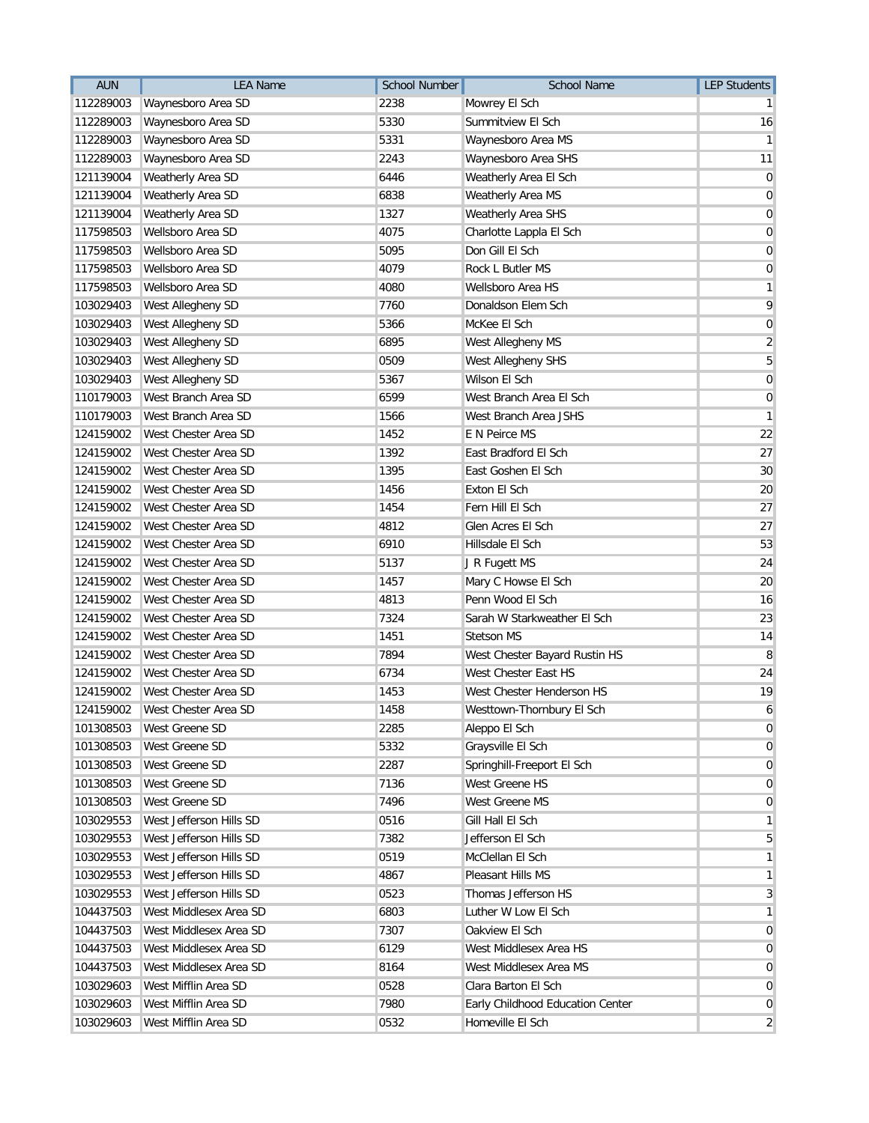| <b>AUN</b> | <b>LEA Name</b>         | <b>School Number</b> | <b>School Name</b>               | <b>LEP Students</b> |
|------------|-------------------------|----------------------|----------------------------------|---------------------|
| 112289003  | Waynesboro Area SD      | 2238                 | Mowrey El Sch                    |                     |
| 112289003  | Waynesboro Area SD      | 5330                 | Summitview El Sch                | 16                  |
| 112289003  | Waynesboro Area SD      | 5331                 | Waynesboro Area MS               | 1                   |
| 112289003  | Waynesboro Area SD      | 2243                 | Waynesboro Area SHS              | 11                  |
| 121139004  | Weatherly Area SD       | 6446                 | Weatherly Area El Sch            | $\mathbf 0$         |
| 121139004  | Weatherly Area SD       | 6838                 | Weatherly Area MS                | $\mathbf 0$         |
| 121139004  | Weatherly Area SD       | 1327                 | Weatherly Area SHS               | $\mathbf 0$         |
| 117598503  | Wellsboro Area SD       | 4075                 | Charlotte Lappla El Sch          | 0                   |
| 117598503  | Wellsboro Area SD       | 5095                 | Don Gill El Sch                  | 0                   |
| 117598503  | Wellsboro Area SD       | 4079                 | Rock L Butler MS                 | 0                   |
| 117598503  | Wellsboro Area SD       | 4080                 | Wellsboro Area HS                | 1                   |
| 103029403  | West Allegheny SD       | 7760                 | Donaldson Elem Sch               | 9                   |
| 103029403  | West Allegheny SD       | 5366                 | McKee El Sch                     | $\mathbf 0$         |
| 103029403  | West Allegheny SD       | 6895                 | West Allegheny MS                | $\sqrt{2}$          |
| 103029403  | West Allegheny SD       | 0509                 | West Allegheny SHS               | 5                   |
| 103029403  | West Allegheny SD       | 5367                 | Wilson El Sch                    | $\mathbf 0$         |
| 110179003  | West Branch Area SD     | 6599                 | West Branch Area El Sch          | 0                   |
| 110179003  | West Branch Area SD     | 1566                 | West Branch Area JSHS            | 1                   |
| 124159002  | West Chester Area SD    | 1452                 | E N Peirce MS                    | 22                  |
| 124159002  | West Chester Area SD    | 1392                 | East Bradford El Sch             | 27                  |
| 124159002  | West Chester Area SD    | 1395                 | East Goshen El Sch               | 30                  |
| 124159002  | West Chester Area SD    | 1456                 | Exton El Sch                     | 20                  |
| 124159002  | West Chester Area SD    | 1454                 | Fern Hill El Sch                 | 27                  |
| 124159002  | West Chester Area SD    | 4812                 | Glen Acres El Sch                | 27                  |
| 124159002  | West Chester Area SD    | 6910                 | Hillsdale El Sch                 | 53                  |
| 124159002  | West Chester Area SD    | 5137                 | J R Fugett MS                    | 24                  |
| 124159002  | West Chester Area SD    | 1457                 | Mary C Howse El Sch              | 20                  |
| 124159002  | West Chester Area SD    | 4813                 | Penn Wood El Sch                 | 16                  |
| 124159002  | West Chester Area SD    | 7324                 | Sarah W Starkweather El Sch      | 23                  |
| 124159002  | West Chester Area SD    | 1451                 | <b>Stetson MS</b>                | 14                  |
| 124159002  | West Chester Area SD    | 7894                 | West Chester Bayard Rustin HS    | 8                   |
| 124159002  | West Chester Area SD    | 6734                 | West Chester East HS             | 24                  |
| 124159002  | West Chester Area SD    | 1453                 | West Chester Henderson HS        | 19                  |
| 124159002  | West Chester Area SD    | 1458                 | Westtown-Thornbury El Sch        |                     |
| 101308503  | West Greene SD          | 2285                 | Aleppo El Sch                    | 0                   |
| 101308503  | West Greene SD          | 5332                 | Graysville El Sch                | 0                   |
| 101308503  | West Greene SD          | 2287                 | Springhill-Freeport El Sch       | 0                   |
| 101308503  | West Greene SD          | 7136                 | West Greene HS                   | $\overline{0}$      |
| 101308503  | West Greene SD          | 7496                 | West Greene MS                   | $\overline{0}$      |
| 103029553  | West Jefferson Hills SD | 0516                 | Gill Hall El Sch                 | 1                   |
| 103029553  | West Jefferson Hills SD | 7382                 | Jefferson El Sch                 | 5                   |
| 103029553  | West Jefferson Hills SD | 0519                 | McClellan El Sch                 |                     |
| 103029553  | West Jefferson Hills SD | 4867                 | Pleasant Hills MS                | 1                   |
| 103029553  | West Jefferson Hills SD | 0523                 | Thomas Jefferson HS              | 3                   |
| 104437503  | West Middlesex Area SD  | 6803                 | Luther W Low El Sch              |                     |
| 104437503  | West Middlesex Area SD  | 7307                 | Oakview El Sch                   | 0                   |
| 104437503  | West Middlesex Area SD  | 6129                 | West Middlesex Area HS           | 0                   |
| 104437503  | West Middlesex Area SD  | 8164                 | West Middlesex Area MS           | 0                   |
| 103029603  | West Mifflin Area SD    | 0528                 | Clara Barton El Sch              | $\overline{0}$      |
| 103029603  | West Mifflin Area SD    | 7980                 | Early Childhood Education Center | 0                   |
| 103029603  | West Mifflin Area SD    | 0532                 | Homeville El Sch                 | $\overline{2}$      |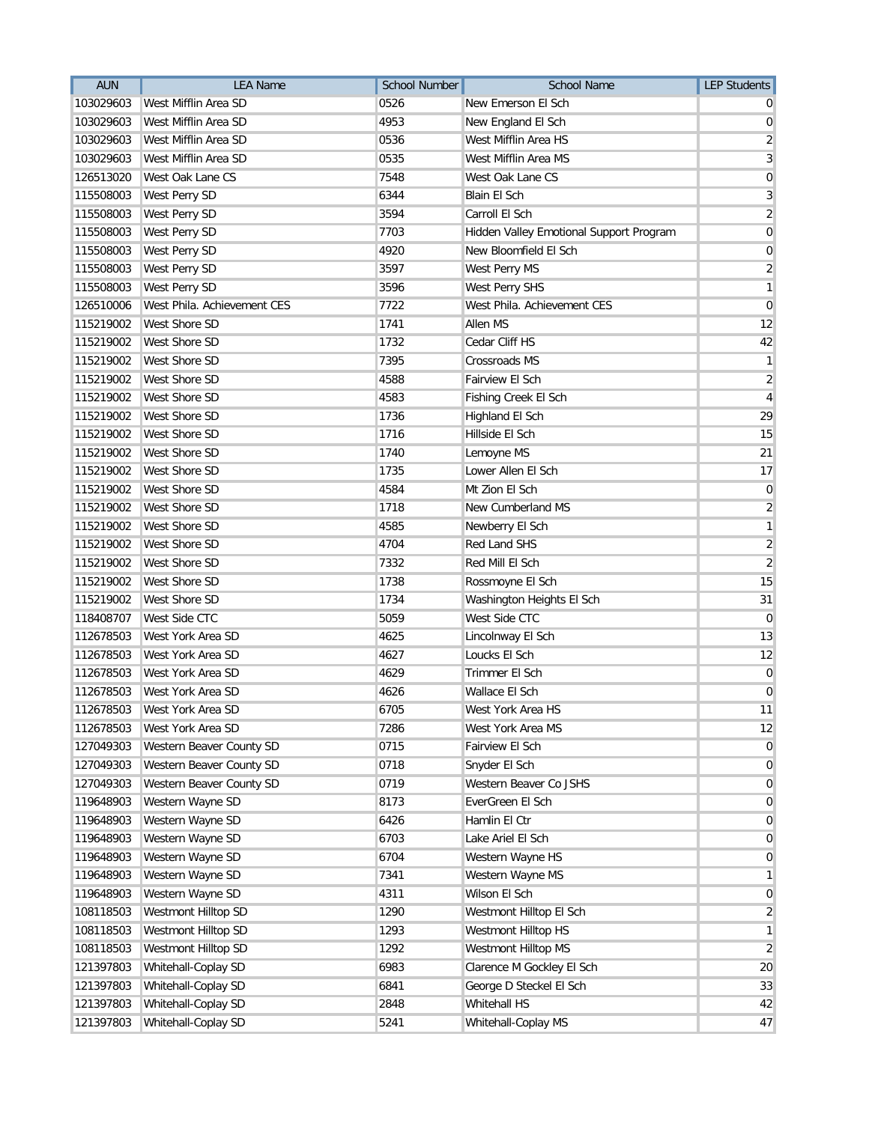| <b>AUN</b> | <b>LEA Name</b>             | <b>School Number</b> | <b>School Name</b>                      | <b>LEP Students</b>     |
|------------|-----------------------------|----------------------|-----------------------------------------|-------------------------|
| 103029603  | West Mifflin Area SD        | 0526                 | New Emerson El Sch                      |                         |
| 103029603  | West Mifflin Area SD        | 4953                 | New England El Sch                      | 0                       |
| 103029603  | West Mifflin Area SD        | 0536                 | West Mifflin Area HS                    | $\overline{\mathbf{c}}$ |
| 103029603  | West Mifflin Area SD        | 0535                 | West Mifflin Area MS                    | 3                       |
| 126513020  | West Oak Lane CS            | 7548                 | West Oak Lane CS                        | 0                       |
| 115508003  | West Perry SD               | 6344                 | <b>Blain El Sch</b>                     | 3                       |
| 115508003  | West Perry SD               | 3594                 | Carroll El Sch                          | $\overline{2}$          |
| 115508003  | West Perry SD               | 7703                 | Hidden Valley Emotional Support Program | $\mathbf 0$             |
| 115508003  | West Perry SD               | 4920                 | New Bloomfield El Sch                   | 0                       |
| 115508003  | West Perry SD               | 3597                 | West Perry MS                           | $\overline{2}$          |
| 115508003  | West Perry SD               | 3596                 | <b>West Perry SHS</b>                   | 1                       |
| 126510006  | West Phila. Achievement CES | 7722                 | West Phila. Achievement CES             | 0                       |
| 115219002  | West Shore SD               | 1741                 | Allen MS                                | 12                      |
| 115219002  | West Shore SD               | 1732                 | Cedar Cliff HS                          | 42                      |
| 115219002  | West Shore SD               | 7395                 | <b>Crossroads MS</b>                    | 1                       |
| 115219002  | <b>West Shore SD</b>        | 4588                 | Fairview El Sch                         | $\sqrt{2}$              |
| 115219002  | West Shore SD               | 4583                 | Fishing Creek El Sch                    | 4                       |
| 115219002  | <b>West Shore SD</b>        | 1736                 | Highland El Sch                         | 29                      |
| 115219002  | West Shore SD               | 1716                 | Hillside El Sch                         | 15                      |
| 115219002  | West Shore SD               | 1740                 | Lemoyne MS                              | 21                      |
| 115219002  | West Shore SD               | 1735                 | Lower Allen El Sch                      | 17                      |
| 115219002  | West Shore SD               | 4584                 | Mt Zion El Sch                          | 0                       |
| 115219002  | West Shore SD               | 1718                 | New Cumberland MS                       | $\overline{2}$          |
| 115219002  | West Shore SD               | 4585                 | Newberry El Sch                         | 1                       |
| 115219002  | West Shore SD               | 4704                 | Red Land SHS                            | $\sqrt{2}$              |
| 115219002  | West Shore SD               | 7332                 | Red Mill El Sch                         | $\overline{2}$          |
| 115219002  | West Shore SD               | 1738                 | Rossmoyne El Sch                        | 15                      |
| 115219002  | West Shore SD               | 1734                 | Washington Heights El Sch               | 31                      |
| 118408707  | West Side CTC               | 5059                 | West Side CTC                           | $\mathbf 0$             |
| 112678503  | West York Area SD           | 4625                 | Lincolnway El Sch                       | 13                      |
| 112678503  | West York Area SD           | 4627                 | Loucks El Sch                           | 12                      |
| 112678503  | West York Area SD           | 4629                 | Trimmer El Sch                          | $\mathbf 0$             |
| 112678503  | West York Area SD           | 4626                 | Wallace El Sch                          | 0                       |
| 112678503  | West York Area SD           | 6705                 | West York Area HS                       | 11                      |
| 112678503  | West York Area SD           | 7286                 | West York Area MS                       | 12                      |
| 127049303  | Western Beaver County SD    | 0715                 | Fairview El Sch                         | 0                       |
| 127049303  | Western Beaver County SD    | 0718                 | Snyder El Sch                           | 0                       |
| 127049303  | Western Beaver County SD    | 0719                 | Western Beaver Co JSHS                  | $\overline{0}$          |
| 119648903  | Western Wayne SD            | 8173                 | EverGreen El Sch                        | $\mathbf 0$             |
| 119648903  | Western Wayne SD            | 6426                 | Hamlin El Ctr                           | 0                       |
| 119648903  | Western Wayne SD            | 6703                 | Lake Ariel El Sch                       | 0                       |
| 119648903  | Western Wayne SD            | 6704                 | Western Wayne HS                        | 0                       |
| 119648903  | Western Wayne SD            | 7341                 | Western Wayne MS                        | 1                       |
| 119648903  | Western Wayne SD            | 4311                 | Wilson El Sch                           | $\mathbf 0$             |
| 108118503  | Westmont Hilltop SD         | 1290                 | Westmont Hilltop El Sch                 | $\overline{2}$          |
| 108118503  | Westmont Hilltop SD         | 1293                 | Westmont Hilltop HS                     | 1                       |
| 108118503  | Westmont Hilltop SD         | 1292                 | Westmont Hilltop MS                     | $\overline{2}$          |
| 121397803  | Whitehall-Coplay SD         | 6983                 | Clarence M Gockley El Sch               | 20                      |
| 121397803  | Whitehall-Coplay SD         | 6841                 | George D Steckel El Sch                 | 33                      |
| 121397803  | Whitehall-Coplay SD         | 2848                 | Whitehall HS                            | 42                      |
| 121397803  | Whitehall-Coplay SD         | 5241                 | Whitehall-Coplay MS                     | 47                      |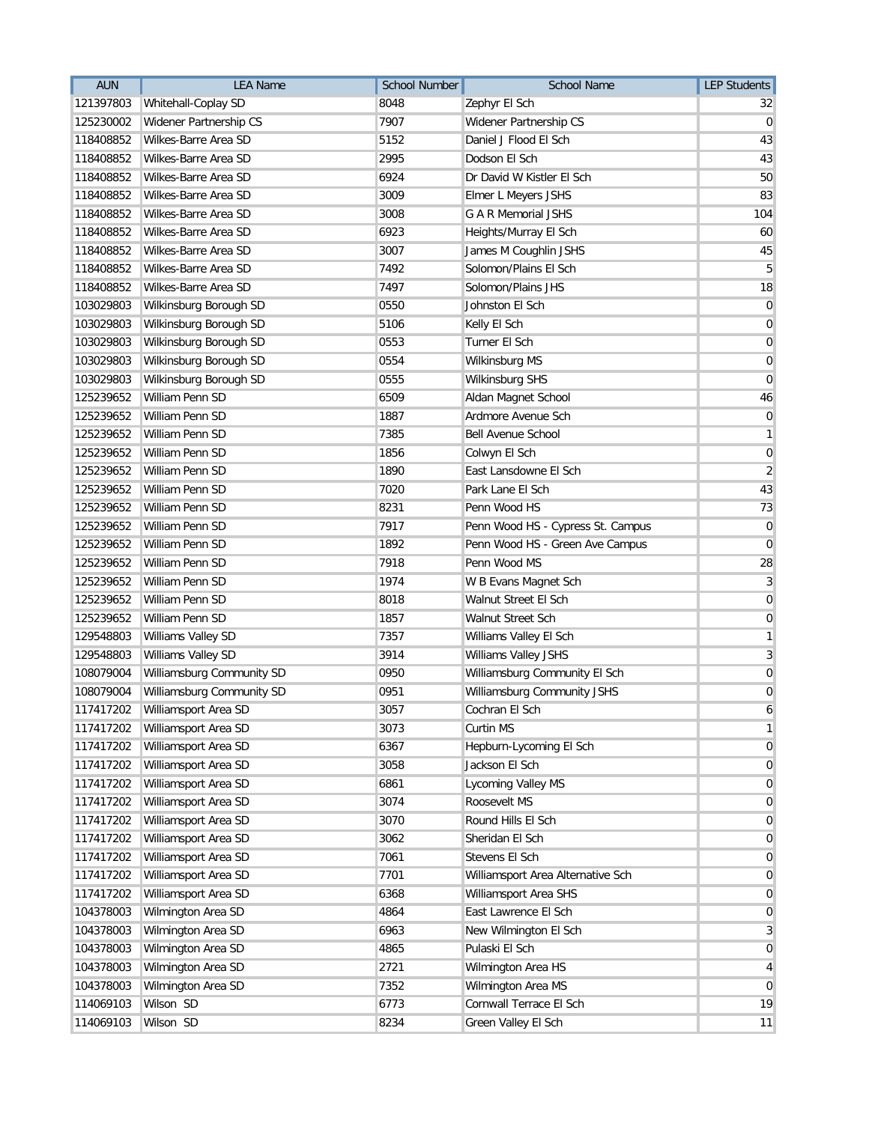| <b>AUN</b> | <b>LEA Name</b>           | <b>School Number</b> | <b>School Name</b>                | <b>LEP Students</b> |
|------------|---------------------------|----------------------|-----------------------------------|---------------------|
| 121397803  | Whitehall-Coplay SD       | 8048                 | Zephyr El Sch                     | 32                  |
| 125230002  | Widener Partnership CS    | 7907                 | Widener Partnership CS            | $\overline{0}$      |
| 118408852  | Wilkes-Barre Area SD      | 5152                 | Daniel J Flood El Sch             | 43                  |
| 118408852  | Wilkes-Barre Area SD      | 2995                 | Dodson El Sch                     | 43                  |
| 118408852  | Wilkes-Barre Area SD      | 6924                 | Dr David W Kistler El Sch         | 50                  |
| 118408852  | Wilkes-Barre Area SD      | 3009                 | Elmer L Meyers JSHS               | 83                  |
| 118408852  | Wilkes-Barre Area SD      | 3008                 | <b>G A R Memorial JSHS</b>        | 104                 |
| 118408852  | Wilkes-Barre Area SD      | 6923                 | Heights/Murray El Sch             | 60                  |
| 118408852  | Wilkes-Barre Area SD      | 3007                 | James M Coughlin JSHS             | 45                  |
| 118408852  | Wilkes-Barre Area SD      | 7492                 | Solomon/Plains El Sch             | 5                   |
| 118408852  | Wilkes-Barre Area SD      | 7497                 | Solomon/Plains JHS                | 18                  |
| 103029803  | Wilkinsburg Borough SD    | 0550                 | Johnston El Sch                   | $\overline{0}$      |
| 103029803  | Wilkinsburg Borough SD    | 5106                 | Kelly El Sch                      | $\mathbf 0$         |
| 103029803  | Wilkinsburg Borough SD    | 0553                 | Turner El Sch                     | $\mathbf 0$         |
| 103029803  | Wilkinsburg Borough SD    | 0554                 | Wilkinsburg MS                    | 0                   |
| 103029803  | Wilkinsburg Borough SD    | 0555                 | <b>Wilkinsburg SHS</b>            | $\mathbf 0$         |
| 125239652  | William Penn SD           | 6509                 | Aldan Magnet School               | 46                  |
| 125239652  | William Penn SD           | 1887                 | Ardmore Avenue Sch                | $\mathbf 0$         |
| 125239652  | William Penn SD           | 7385                 | <b>Bell Avenue School</b>         | 1                   |
| 125239652  | William Penn SD           | 1856                 | Colwyn El Sch                     | $\mathbf 0$         |
| 125239652  | William Penn SD           | 1890                 | East Lansdowne El Sch             | $\overline{2}$      |
| 125239652  | William Penn SD           | 7020                 | Park Lane El Sch                  | 43                  |
| 125239652  | William Penn SD           | 8231                 | Penn Wood HS                      | 73                  |
| 125239652  | William Penn SD           | 7917                 | Penn Wood HS - Cypress St. Campus | $\overline{0}$      |
| 125239652  | William Penn SD           | 1892                 | Penn Wood HS - Green Ave Campus   | $\mathbf 0$         |
| 125239652  | William Penn SD           | 7918                 | Penn Wood MS                      | 28                  |
| 125239652  | William Penn SD           | 1974                 | W B Evans Magnet Sch              | $\overline{3}$      |
| 125239652  | William Penn SD           | 8018                 | Walnut Street El Sch              | 0                   |
| 125239652  | William Penn SD           | 1857                 | Walnut Street Sch                 | 0                   |
| 129548803  | Williams Valley SD        | 7357                 | Williams Valley El Sch            | 1                   |
| 129548803  | Williams Valley SD        | 3914                 | Williams Valley JSHS              | 3                   |
| 108079004  | Williamsburg Community SD | 0950                 | Williamsburg Community El Sch     | 0                   |
| 108079004  | Williamsburg Community SD | 0951                 | Williamsburg Community JSHS       | $\mathbf 0$         |
| 117417202  | Williamsport Area SD      | 3057                 | Cochran El Sch                    | 6                   |
| 117417202  | Williamsport Area SD      | 3073                 | Curtin MS                         | 1                   |
| 117417202  | Williamsport Area SD      | 6367                 | Hepburn-Lycoming El Sch           | 0                   |
| 117417202  | Williamsport Area SD      | 3058                 | Jackson El Sch                    | 0                   |
| 117417202  | Williamsport Area SD      | 6861                 | Lycoming Valley MS                | $\overline{0}$      |
| 117417202  | Williamsport Area SD      | 3074                 | Roosevelt MS                      | $\mathbf 0$         |
| 117417202  | Williamsport Area SD      | 3070                 | Round Hills El Sch                | 0                   |
| 117417202  | Williamsport Area SD      | 3062                 | Sheridan El Sch                   | $\mathbf 0$         |
| 117417202  | Williamsport Area SD      | 7061                 | Stevens El Sch                    | 0                   |
| 117417202  | Williamsport Area SD      | 7701                 | Williamsport Area Alternative Sch | 0                   |
| 117417202  | Williamsport Area SD      | 6368                 | Williamsport Area SHS             | $\mathbf 0$         |
| 104378003  | Wilmington Area SD        | 4864                 | East Lawrence El Sch              | $\mathbf 0$         |
| 104378003  | Wilmington Area SD        | 6963                 | New Wilmington El Sch             | 3                   |
| 104378003  | Wilmington Area SD        | 4865                 | Pulaski El Sch                    | 0                   |
| 104378003  | Wilmington Area SD        | 2721                 | Wilmington Area HS                | 4                   |
| 104378003  | Wilmington Area SD        | 7352                 | Wilmington Area MS                | $\mathbf 0$         |
| 114069103  | Wilson SD                 | 6773                 | Cornwall Terrace El Sch           | 19                  |
| 114069103  | Wilson SD                 | 8234                 | Green Valley El Sch               | 11                  |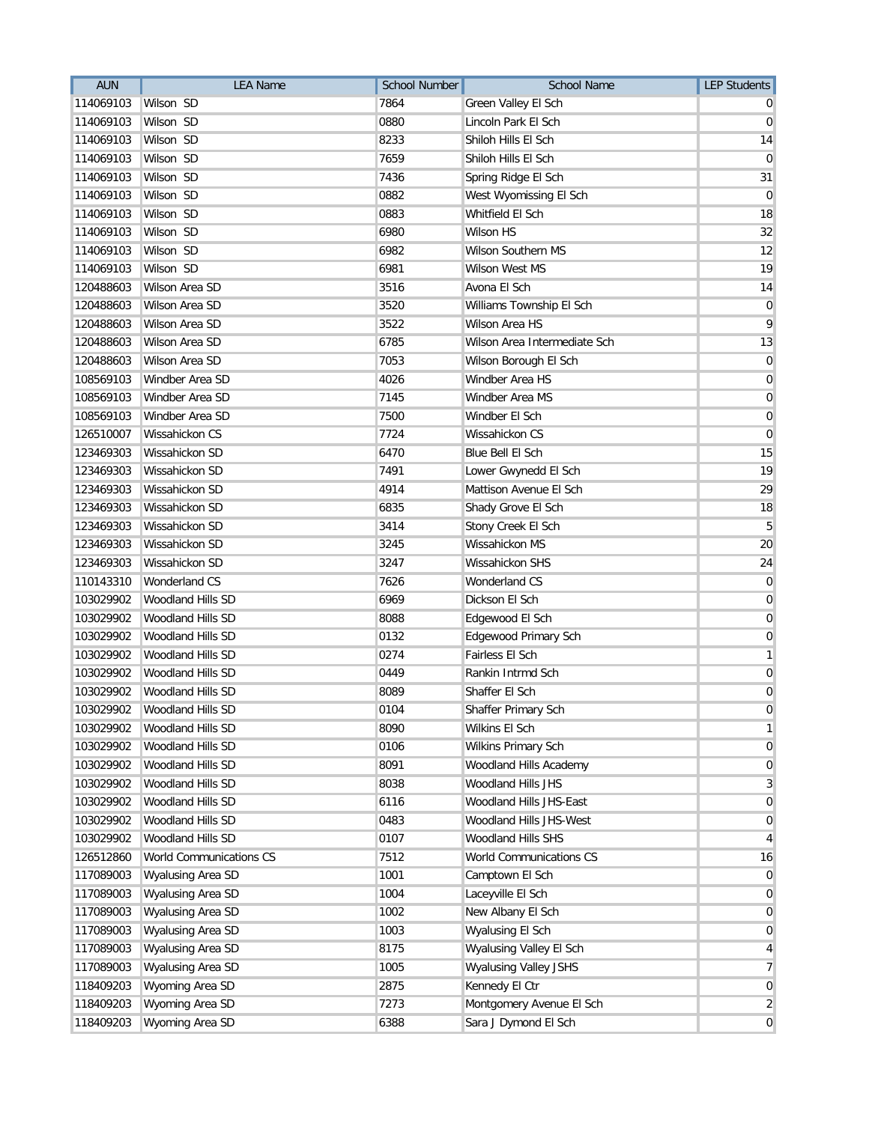| <b>AUN</b> | <b>LEA Name</b>                | <b>School Number</b> | <b>School Name</b>           | <b>LEP Students</b> |
|------------|--------------------------------|----------------------|------------------------------|---------------------|
| 114069103  | Wilson SD                      | 7864                 | Green Valley El Sch          |                     |
| 114069103  | Wilson SD                      | 0880                 | Lincoln Park El Sch          | $\mathbf 0$         |
| 114069103  | Wilson SD                      | 8233                 | Shiloh Hills El Sch          | 14                  |
| 114069103  | Wilson SD                      | 7659                 | Shiloh Hills El Sch          | 0                   |
| 114069103  | Wilson SD                      | 7436                 | Spring Ridge El Sch          | 31                  |
| 114069103  | Wilson SD                      | 0882                 | West Wyomissing El Sch       | 0                   |
| 114069103  | Wilson SD                      | 0883                 | Whitfield El Sch             | 18                  |
| 114069103  | Wilson SD                      | 6980                 | <b>Wilson HS</b>             | 32                  |
| 114069103  | Wilson SD                      | 6982                 | <b>Wilson Southern MS</b>    | 12                  |
| 114069103  | Wilson SD                      | 6981                 | <b>Wilson West MS</b>        | 19                  |
| 120488603  | Wilson Area SD                 | 3516                 | Avona El Sch                 | 14                  |
| 120488603  | Wilson Area SD                 | 3520                 | Williams Township El Sch     | 0                   |
| 120488603  | Wilson Area SD                 | 3522                 | Wilson Area HS               | 9                   |
| 120488603  | Wilson Area SD                 | 6785                 | Wilson Area Intermediate Sch | 13                  |
| 120488603  | Wilson Area SD                 | 7053                 | Wilson Borough El Sch        | 0                   |
| 108569103  | Windber Area SD                | 4026                 | Windber Area HS              | 0                   |
| 108569103  | Windber Area SD                | 7145                 | Windber Area MS              | 0                   |
| 108569103  | Windber Area SD                | 7500                 | Windber El Sch               | $\mathbf 0$         |
| 126510007  | Wissahickon CS                 | 7724                 | Wissahickon CS               | 0                   |
| 123469303  | Wissahickon SD                 | 6470                 | Blue Bell El Sch             | 15                  |
| 123469303  | Wissahickon SD                 | 7491                 | Lower Gwynedd El Sch         | 19                  |
| 123469303  | Wissahickon SD                 | 4914                 | Mattison Avenue El Sch       | 29                  |
| 123469303  | Wissahickon SD                 | 6835                 | Shady Grove El Sch           | 18                  |
| 123469303  | Wissahickon SD                 | 3414                 | Stony Creek El Sch           | 5                   |
| 123469303  | Wissahickon SD                 | 3245                 | Wissahickon MS               | 20                  |
| 123469303  | Wissahickon SD                 | 3247                 | Wissahickon SHS              | 24                  |
| 110143310  | <b>Wonderland CS</b>           | 7626                 | Wonderland CS                | $\mathbf 0$         |
| 103029902  | Woodland Hills SD              | 6969                 | Dickson El Sch               | 0                   |
| 103029902  | Woodland Hills SD              | 8088                 | Edgewood El Sch              | 0                   |
| 103029902  | Woodland Hills SD              | 0132                 | Edgewood Primary Sch         | 0                   |
| 103029902  | Woodland Hills SD              | 0274                 | Fairless El Sch              | 1                   |
| 103029902  | Woodland Hills SD              | 0449                 | Rankin Intrmd Sch            | 0                   |
| 103029902  | Woodland Hills SD              | 8089                 | Shaffer El Sch               | 0                   |
| 103029902  | Woodland Hills SD              | 0104                 | Shaffer Primary Sch          | 0                   |
| 103029902  | Woodland Hills SD              | 8090                 | Wilkins El Sch               | 1                   |
| 103029902  | Woodland Hills SD              | 0106                 | Wilkins Primary Sch          | 0                   |
| 103029902  | Woodland Hills SD              | 8091                 | Woodland Hills Academy       | 0                   |
| 103029902  | Woodland Hills SD              | 8038                 | Woodland Hills JHS           | 3                   |
| 103029902  | Woodland Hills SD              | 6116                 | Woodland Hills JHS-East      | $\mathbf 0$         |
| 103029902  | Woodland Hills SD              | 0483                 | Woodland Hills JHS-West      | 0                   |
| 103029902  | Woodland Hills SD              | 0107                 | Woodland Hills SHS           | 4                   |
| 126512860  | <b>World Communications CS</b> | 7512                 | World Communications CS      | 16                  |
| 117089003  | <b>Wyalusing Area SD</b>       | 1001                 | Camptown El Sch              | 0                   |
| 117089003  | <b>Wyalusing Area SD</b>       | 1004                 | Laceyville El Sch            | 0                   |
| 117089003  | Wyalusing Area SD              | 1002                 | New Albany El Sch            | $\mathbf 0$         |
| 117089003  | Wyalusing Area SD              | 1003                 | Wyalusing El Sch             | 0                   |
| 117089003  | Wyalusing Area SD              | 8175                 | Wyalusing Valley El Sch      | 4                   |
| 117089003  | Wyalusing Area SD              | 1005                 | <b>Wyalusing Valley JSHS</b> | 7                   |
| 118409203  | Wyoming Area SD                | 2875                 | Kennedy El Ctr               | $\mathbf 0$         |
| 118409203  | Wyoming Area SD                | 7273                 | Montgomery Avenue El Sch     | $\overline{2}$      |
| 118409203  | Wyoming Area SD                | 6388                 | Sara J Dymond El Sch         | $\overline{0}$      |